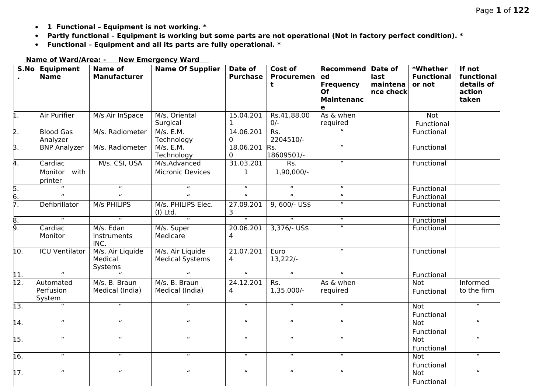- **1 Functional Equipment is not working. \***
- **Partly functional Equipment is working but some parts are not operational (Not in factory perfect condition). \***
- **Functional Equipment and all its parts are fully operational. \***

### **Name of Ward/Area: - New Emergency Ward**

|                   | S.No Equipment<br><b>Name</b>      | <b>Name of</b><br><b>Manufacturer</b>  | <b>Name Of Supplier</b>                    | Date of<br><b>Purchase</b>   | Cost of<br><b>Procuremen</b><br>t | <b>Recommend</b><br>ed<br><b>Frequency</b><br><b>Of</b><br><b>Maintenanc</b><br>e | Date of<br>last<br>maintena<br>nce check | *Whether<br><b>Functional</b><br>or not | If not<br>functional<br>details of<br>action<br>taken |
|-------------------|------------------------------------|----------------------------------------|--------------------------------------------|------------------------------|-----------------------------------|-----------------------------------------------------------------------------------|------------------------------------------|-----------------------------------------|-------------------------------------------------------|
| 1.                | Air Purifier                       | M/s Air InSpace                        | M/s. Oriental<br>Surgical                  | 15.04.201<br>$\mathbf{1}$    | Rs.41,88,00<br>$0/-$              | As & when<br>required                                                             |                                          | Not<br>Functional                       |                                                       |
| 2.                | <b>Blood Gas</b><br>Analyzer       | M/s. Radiometer                        | M/s. E.M.<br>Technology                    | 14.06.201<br>$\mathbf 0$     | RS.<br>2204510/-                  | $\overline{u}$                                                                    |                                          | Functional                              |                                                       |
| ₿.                | <b>BNP Analyzer</b>                | M/s. Radiometer                        | M/s. E.M.<br>Technology                    | 18.06.201 Rs.<br>$\mathbf 0$ | 18609501/-                        | $\overline{u}$                                                                    |                                          | Functional                              |                                                       |
| 4.                | Cardiac<br>Monitor with<br>printer | M/s. CSI, USA                          | M/s.Advanced<br>Micronic Devices           | 31.03.201<br>$\mathbf{1}$    | Rs.<br>1,90,000/-                 | $\overline{u}$                                                                    |                                          | Functional                              |                                                       |
|                   | $\overline{u}$                     | $\overline{u}$                         | $\overline{u}$                             | $\overline{u}$               | $\overline{u}$                    | $\overline{u}$                                                                    |                                          | Functional                              |                                                       |
| 5.<br>6.<br>7.    | $\overline{u}$                     | $\overline{u}$                         | $\overline{u}$                             | $\overline{u}$               | $\overline{u}$                    | $\overline{u}$                                                                    |                                          | Functional                              |                                                       |
|                   | Defibrillator                      | <b>M/s PHILIPS</b>                     | M/s. PHILIPS Elec.<br>$(I)$ Ltd.           | 27.09.201<br>3               | $9,600 - US$$                     | $\overline{u}$                                                                    |                                          | Functional                              |                                                       |
|                   | $\overline{u}$                     | $\overline{u}$                         | $\overline{u}$                             | $\overline{u}$               | $\overline{u}$                    | $\overline{u}$                                                                    |                                          | Functional                              |                                                       |
| $\frac{8}{9}$ .   | Cardiac<br>Monitor                 | M/s. Edan<br>Instruments<br>INC.       | M/s. Super<br>Medicare                     | 20.06.201<br>4               | $3,376/-$ US\$                    | $\overline{u}$                                                                    |                                          | Functional                              |                                                       |
| 10.               | <b>ICU Ventilator</b>              | M/s. Air Liquide<br>Medical<br>Systems | M/s. Air Liquide<br><b>Medical Systems</b> | 21.07.201<br>4               | Euro<br>$13,222/-$                | $\boldsymbol{u}$                                                                  |                                          | Functional                              |                                                       |
| $\frac{11}{12}$   | $\overline{u}$                     | $\overline{u}$                         | $\overline{u}$                             | $\overline{u}$               | $\overline{u}$                    | $\overline{u}$                                                                    |                                          | Functional                              |                                                       |
|                   | Automated<br>Perfusion<br>System   | M/s. B. Braun<br>Medical (India)       | M/s. B. Braun<br>Medical (India)           | 24.12.201<br>4               | Rs.<br>1,35,000/-                 | As & when<br>required                                                             |                                          | <b>Not</b><br>Functional                | Informed<br>to the firm                               |
| 13.               | $\overline{u}$                     | $\overline{u}$                         | $\overline{u}$                             | $\overline{u}$               | $\overline{u}$                    | $\overline{u}$                                                                    |                                          | <b>Not</b><br>Functional                | $\overline{u}$                                        |
| $\overline{14.}$  | $\overline{u}$                     | $\overline{u}$                         | $\overline{u}$                             | $\overline{u}$               | $\overline{u}$                    | $\overline{u}$                                                                    |                                          | <b>Not</b><br>Functional                | $\overline{u}$                                        |
| $\overline{15.}$  | $\overline{u}$                     | $\overline{u}$                         | $\overline{u}$                             | $\overline{u}$               | $\overline{u}$                    | $\overline{u}$                                                                    |                                          | <b>Not</b><br>Functional                | $\overline{u}$                                        |
| $\overline{16}$ . | $\overline{u}$                     | $\overline{u}$                         | $\overline{u}$                             | $\overline{u}$               | $\overline{u}$                    | $\overline{u}$                                                                    |                                          | <b>Not</b><br>Functional                | $\overline{u}$                                        |
| 17.               | $\overline{u}$                     | $\overline{u}$                         | $\overline{u}$                             | $\overline{u}$               | $\overline{u}$                    | $\overline{u}$                                                                    |                                          | <b>Not</b><br>Functional                | $\overline{u}$                                        |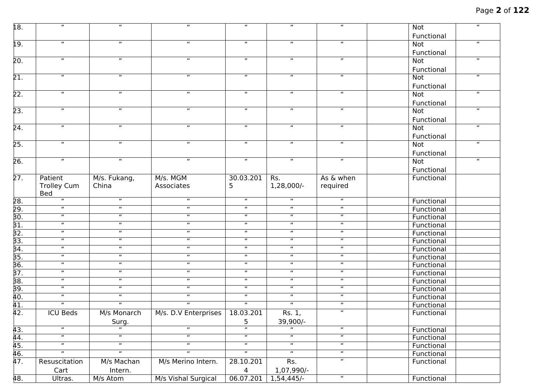| 18.                                                   | $\boldsymbol{u}$                   | $\boldsymbol{u}$                     | $\boldsymbol{u}$                   | $\boldsymbol{u}$                     | $\boldsymbol{u}$                   | $\boldsymbol{u}$                         | Not        | $\boldsymbol{u}$ |
|-------------------------------------------------------|------------------------------------|--------------------------------------|------------------------------------|--------------------------------------|------------------------------------|------------------------------------------|------------|------------------|
|                                                       |                                    |                                      |                                    |                                      |                                    |                                          | Functional |                  |
| $\overline{19}$ .                                     | $\boldsymbol{u}$                   | $\boldsymbol{u}$                     | $\boldsymbol{u}$                   | $\boldsymbol{u}$                     | $\boldsymbol{u}$                   | $\boldsymbol{u}$                         | <b>Not</b> | $\overline{u}$   |
|                                                       |                                    |                                      |                                    |                                      |                                    |                                          | Functional |                  |
| 20.                                                   | $\boldsymbol{u}$                   | $\boldsymbol{u}$                     | $\boldsymbol{u}$                   | $\boldsymbol{u}$                     | $\boldsymbol{u}$                   | $\boldsymbol{\mu}$                       | <b>Not</b> | $\boldsymbol{u}$ |
|                                                       |                                    |                                      |                                    |                                      |                                    |                                          | Functional |                  |
| 21.                                                   | $\boldsymbol{u}$                   | $\boldsymbol{u}$                     | $\boldsymbol{u}$                   | $\boldsymbol{u}$                     | $\boldsymbol{u}$                   | $\boldsymbol{u}$                         | <b>Not</b> | $\boldsymbol{u}$ |
|                                                       |                                    |                                      |                                    |                                      |                                    |                                          | Functional |                  |
| $\overline{22.}$                                      | $\boldsymbol{u}$                   | $\boldsymbol{u}$                     | $\overline{u}$                     | $\boldsymbol{u}$                     | $\boldsymbol{u}$                   | $\overline{u}$                           | <b>Not</b> | $\overline{u}$   |
|                                                       |                                    |                                      |                                    |                                      |                                    |                                          | Functional |                  |
| 23.                                                   | $\boldsymbol{u}$                   | $\boldsymbol{u}$                     | $\boldsymbol{u}$                   | $\boldsymbol{u}$                     | $\boldsymbol{u}$                   | $\boldsymbol{u}$                         | Not        | $\boldsymbol{u}$ |
|                                                       |                                    |                                      |                                    |                                      |                                    |                                          | Functional |                  |
| 24.                                                   | $\overline{u}$                     | $\overline{u}$                       | $\boldsymbol{u}$                   | $\boldsymbol{u}$                     | $\boldsymbol{u}$                   | $\boldsymbol{\mu}$                       | <b>Not</b> | $\overline{u}$   |
|                                                       |                                    |                                      |                                    |                                      |                                    |                                          | Functional |                  |
| 25.                                                   | $\boldsymbol{u}$                   | $\boldsymbol{u}$                     | $\boldsymbol{u}$                   | $\boldsymbol{u}$                     | $\boldsymbol{u}$                   | $\boldsymbol{\mu}$                       | <b>Not</b> | $\boldsymbol{u}$ |
|                                                       |                                    |                                      |                                    |                                      |                                    |                                          | Functional |                  |
| 26.                                                   | $\overline{u}$                     | $\boldsymbol{u}$                     | $\boldsymbol{u}$                   | $\boldsymbol{u}$                     | $\boldsymbol{u}$                   | $\overline{u}$                           | <b>Not</b> | $\boldsymbol{u}$ |
|                                                       |                                    |                                      |                                    |                                      |                                    |                                          | Functional |                  |
| 27.                                                   | Patient                            | M/s. Fukang,                         | M/s. MGM                           | 30.03.201                            | Rs.                                | As & when                                | Functional |                  |
|                                                       | <b>Trolley Cum</b>                 | China                                | Associates                         | 5                                    | 1,28,000/-                         | required                                 |            |                  |
|                                                       | <b>Bed</b>                         |                                      |                                    |                                      |                                    |                                          |            |                  |
|                                                       | $\overline{u}$                     | $\overline{u}$                       | $\overline{u}$                     | $\overline{u}$                       | $\overline{u}$                     | $\overline{u}$                           | Functional |                  |
|                                                       | $\overline{u}$                     | $\overline{u}$                       | $\overline{u}$                     | $\overline{u}$                       | $\boldsymbol{u}$                   | $\overline{u}$                           | Functional |                  |
|                                                       | $\overline{u}$                     | $\overline{u}$                       | $\overline{u}$                     | $\overline{u}$                       | $\overline{u}$                     | $\overline{u}$                           | Functional |                  |
|                                                       | $\boldsymbol{u}$                   | $\boldsymbol{u}$                     | $\boldsymbol{u}$                   | $\boldsymbol{u}$                     | $\boldsymbol{u}$                   | $\boldsymbol{u}$                         | Functional |                  |
|                                                       | $\boldsymbol{u}$                   | $\boldsymbol{\mu}$                   | $\boldsymbol{u}$                   | $\boldsymbol{u}$                     | $\boldsymbol{u}$                   | $\boldsymbol{u}$                         | Functional |                  |
|                                                       | $\boldsymbol{u}$                   | $\boldsymbol{\mu}$                   | $\boldsymbol{u}$                   | $\boldsymbol{u}$                     | $\boldsymbol{u}$                   | $\boldsymbol{\mu}$                       | Functional |                  |
|                                                       | $\boldsymbol{u}$                   | $\boldsymbol{u}$                     | $\boldsymbol{u}$                   | $\boldsymbol{u}$                     | $\boldsymbol{u}$                   | $\boldsymbol{\mu}$                       | Functional |                  |
|                                                       | $\boldsymbol{u}$                   | $\boldsymbol{u}$                     | $\boldsymbol{u}$                   | $\boldsymbol{u}$                     | $\boldsymbol{u}$                   | $\boldsymbol{u}$                         | Functional |                  |
|                                                       | $\boldsymbol{u}$<br>$\overline{u}$ | $\boldsymbol{u}$                     | $\boldsymbol{u}$<br>$\overline{u}$ | $\boldsymbol{u}$                     | $\boldsymbol{u}$                   | $\boldsymbol{\mu}$                       | Functional |                  |
|                                                       | $\boldsymbol{u}$                   | $\boldsymbol{u}$                     | $\boldsymbol{u}$                   | $\boldsymbol{u}$                     | $\boldsymbol{u}$                   | $\boldsymbol{\mu}$                       | Functional |                  |
|                                                       | $\overline{u}$                     | $\boldsymbol{u}$<br>$\boldsymbol{u}$ | $\overline{u}$                     | $\boldsymbol{u}$<br>$\boldsymbol{u}$ | $\boldsymbol{u}$<br>$\overline{u}$ | $\boldsymbol{\mu}$<br>$\boldsymbol{\mu}$ | Functional |                  |
|                                                       | $\overline{u}$                     | $\boldsymbol{u}$                     | $\overline{u}$                     | $\boldsymbol{u}$                     | $\overline{u}$                     | $\boldsymbol{\mu}$                       | Functional |                  |
|                                                       | $\overline{u}$                     | $\boldsymbol{u}$                     | $\overline{u}$                     | $\boldsymbol{u}$                     | $\boldsymbol{u}$                   | $\boldsymbol{\mu}$                       | Functional |                  |
|                                                       |                                    |                                      |                                    |                                      |                                    | $\boldsymbol{u}$                         | Functional |                  |
|                                                       | <b>ICU Beds</b>                    | M/s Monarch                          | M/s. D.V Enterprises               | 18.03.201                            | Rs. 1,                             |                                          | Functional |                  |
|                                                       | $\overline{u}$                     | Surg.<br>$\overline{u}$              | $\overline{u}$                     | 5<br>$\overline{u}$                  | 39,900/-<br>$\overline{u}$         | $\boldsymbol{\mu}$                       |            |                  |
|                                                       | $\boldsymbol{u}$                   | $\boldsymbol{u}$                     | $\boldsymbol{u}$                   | $\boldsymbol{u}$                     | $\boldsymbol{u}$                   | $\boldsymbol{u}$                         | Functional |                  |
|                                                       | $\boldsymbol{u}$                   | $\boldsymbol{u}$                     | $\overline{u}$                     | $\boldsymbol{u}$                     | $\overline{u}$                     | $\boldsymbol{u}$                         | Functional |                  |
| $\frac{43}{44}$<br>$\frac{44}{45}$<br>$\frac{46}{47}$ | $\pmb{u}$                          | $\overline{u}$                       | $\boldsymbol{u}$                   | $\boldsymbol{u}$                     | $\boldsymbol{u}$                   | $\pmb{\mathcal{U}}$                      | Functional |                  |
|                                                       |                                    |                                      |                                    |                                      |                                    | $\boldsymbol{u}$                         | Functional |                  |
|                                                       | Resuscitation                      | M/s Machan                           | M/s Merino Intern.                 | 28.10.201                            | Rs.                                |                                          | Functional |                  |
|                                                       | Cart                               | Intern.                              |                                    | 4                                    | 1,07,990/-                         | $\boldsymbol{u}$                         |            |                  |
| 48.                                                   | Ultras.                            | M/s Atom                             | M/s Vishal Surgical                | 06.07.201                            | 1,54,445/-                         |                                          | Functional |                  |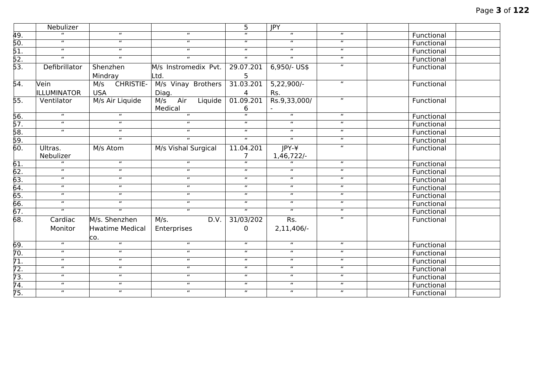|                                                                          | Nebulizer        |                         |                       | 5                | <b>JPY</b>              |                    |            |  |
|--------------------------------------------------------------------------|------------------|-------------------------|-----------------------|------------------|-------------------------|--------------------|------------|--|
| 49.                                                                      |                  | $\overline{u}$          | $\overline{u}$        | $\overline{u}$   | $\boldsymbol{u}$        | $\boldsymbol{u}$   | Functional |  |
|                                                                          | $\boldsymbol{u}$ | $\boldsymbol{u}$        | $\boldsymbol{u}$      | $\boldsymbol{u}$ | $\boldsymbol{u}$        | $\boldsymbol{\mu}$ | Functional |  |
|                                                                          | $\overline{u}$   | $\overline{u}$          | $\overline{u}$        | $\overline{u}$   | $\boldsymbol{u}$        | $\overline{u}$     | Functional |  |
|                                                                          | $\overline{u}$   | $\overline{u}$          | $\overline{u}$        | $\overline{u}$   | $\overline{u}$          | $\overline{u}$     | Functional |  |
| $\frac{50}{51}$ .<br>$\frac{51}{52}$ .<br>$\frac{52}{53}$ .              | Defibrillator    | Shenzhen                | M/s Instromedix Pvt.  | 29.07.201        | 6,950/- US\$            | $\boldsymbol{u}$   | Functional |  |
|                                                                          |                  | Mindray                 | Ltd.                  | 5                |                         |                    |            |  |
| 54.                                                                      | Vein             | <b>CHRISTIE-</b><br>M/s | M/s Vinay Brothers    | 31.03.201        | $5,22,900/-$            | $\overline{u}$     | Functional |  |
|                                                                          | ILLUMINATOR      | <b>USA</b>              | Diag.                 | $\overline{4}$   | Rs.                     |                    |            |  |
| 55.                                                                      | Ventilator       | M/s Air Liquide         | Air<br>M/s<br>Liquide | 01.09.201        | Rs.9,33,000/            | $\overline{u}$     | Functional |  |
|                                                                          |                  |                         | Medical               | 6                |                         |                    |            |  |
| 56.                                                                      | $\overline{u}$   | $\overline{u}$          | $\overline{u}$        | $\overline{u}$   | $\overline{u}$          | $\overline{u}$     | Functional |  |
|                                                                          | $\overline{u}$   | $\boldsymbol{u}$        | $\overline{u}$        | $\boldsymbol{u}$ | $\overline{u}$          | $\boldsymbol{u}$   | Functional |  |
|                                                                          | $\overline{u}$   | $\boldsymbol{u}$        | $\overline{u}$        | $\overline{u}$   | $\overline{u}$          | $\boldsymbol{u}$   | Functional |  |
|                                                                          |                  | $\overline{u}$          | $\overline{u}$        | $\boldsymbol{u}$ | $\overline{u}$          | $\overline{u}$     | Functional |  |
| $\frac{57}{58}$ .<br>$\frac{58}{59}$ .<br>$\frac{60}{60}$ .              | Ultras.          | M/s Atom                | M/s Vishal Surgical   | 11.04.201        | JPY-¥                   | $\overline{u}$     | Functional |  |
|                                                                          | Nebulizer        |                         |                       |                  | 1,46,722/-              |                    |            |  |
| 61.                                                                      | $\overline{u}$   | $\overline{u}$          | $\overline{u}$        | $\overline{u}$   | $\overline{u}$          | $\overline{u}$     | Functional |  |
|                                                                          | $\overline{u}$   | $\overline{u}$          | $\overline{u}$        | $\overline{u}$   | $\overline{u}$          | $\boldsymbol{\mu}$ | Functional |  |
| $\frac{62}{63}$<br>$\frac{63}{64}$<br>$\frac{64}{65}$<br>$\frac{66}{67}$ | $\overline{u}$   | $\boldsymbol{u}$        | $\overline{u}$        | $\overline{u}$   | $\overline{u}$          | $\boldsymbol{u}$   | Functional |  |
|                                                                          | $\boldsymbol{u}$ | $\overline{u}$          | $\overline{u}$        | $\boldsymbol{u}$ | $\boldsymbol{u}$        | $\overline{u}$     | Functional |  |
|                                                                          | $\overline{u}$   | $\overline{u}$          | $\overline{u}$        | $\overline{u}$   | $\overline{u}$          | $\overline{u}$     | Functional |  |
|                                                                          | $\boldsymbol{u}$ | $\boldsymbol{u}$        | $\boldsymbol{u}$      | $\boldsymbol{u}$ | $\overline{u}$          | $\overline{u}$     | Functional |  |
|                                                                          | $\boldsymbol{u}$ | $\overline{u}$          | $\boldsymbol{u}$      | $\boldsymbol{u}$ | $\boldsymbol{u}$        | $\boldsymbol{u}$   | Functional |  |
| 68.                                                                      | Cardiac          | M/s. Shenzhen           | M/s.<br>D.V.          | 31/03/202        | $\overline{\text{Rs.}}$ | $\overline{u}$     | Functional |  |
|                                                                          | Monitor          | Hwatime Medical         | Enterprises           | 0                | 2,11,406/-              |                    |            |  |
|                                                                          |                  | co.                     |                       |                  |                         |                    |            |  |
| 69.                                                                      | $\overline{u}$   | $\overline{u}$          | $\overline{u}$        | $\overline{u}$   | $\overline{u}$          | $\overline{u}$     | Functional |  |
| $\overline{70}$ .                                                        | $\overline{u}$   | $\overline{u}$          | $\overline{u}$        | $\overline{u}$   | $\overline{u}$          | $\boldsymbol{\mu}$ | Functional |  |
|                                                                          | $\boldsymbol{u}$ | $\overline{u}$          | $\boldsymbol{u}$      | $\boldsymbol{u}$ | $\boldsymbol{u}$        | $\overline{u}$     | Functional |  |
|                                                                          | $\overline{u}$   | $\overline{u}$          | $\overline{u}$        | $\overline{u}$   | $\overline{u}$          | $\overline{u}$     | Functional |  |
| $\frac{71}{72.1}$ $\frac{73.74}{75.1}$                                   | $\boldsymbol{u}$ | $\overline{u}$          | $\boldsymbol{u}$      | $\boldsymbol{u}$ | $\boldsymbol{u}$        | $\boldsymbol{u}$   | Functional |  |
|                                                                          | $\boldsymbol{u}$ | $\overline{u}$          | $\boldsymbol{\mu}$    | $\overline{u}$   | $\boldsymbol{u}$        | $\boldsymbol{u}$   | Functional |  |
|                                                                          | $\overline{u}$   | $\boldsymbol{u}$        | $\boldsymbol{\mu}$    | $\overline{u}$   | $\overline{u}$          | $\boldsymbol{u}$   | Functional |  |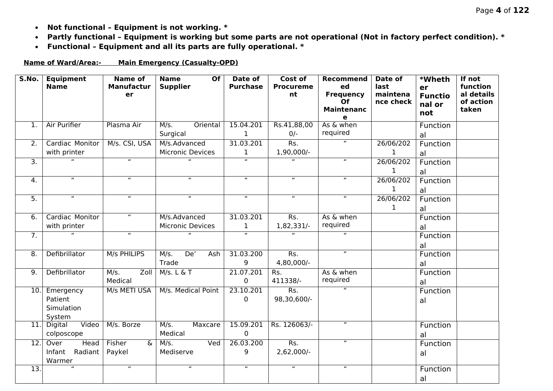- **Not functional Equipment is not working. \***
- **Partly functional Equipment is working but some parts are not operational (Not in factory perfect condition). \***
- **Functional Equipment and all its parts are fully operational. \***

 **Name of Ward/Area:- Main Emergency (Casualty-OPD)**

| <b>S.No.</b>      | <b>Equipment</b>               | <b>Name of</b>                | <b>Name</b><br><b>Of</b>           | Date of                        | <b>Cost of</b>               | Recommend              | Date of          | *Wheth               | If not                 |
|-------------------|--------------------------------|-------------------------------|------------------------------------|--------------------------------|------------------------------|------------------------|------------------|----------------------|------------------------|
|                   | <b>Name</b>                    | <b>Manufactur</b><br>er       | <b>Supplier</b>                    | <b>Purchase</b>                | <b>Procureme</b><br>nt       | ed<br><b>Frequency</b> | last<br>maintena | er<br><b>Functio</b> | function<br>al details |
|                   |                                |                               |                                    |                                |                              | Of                     | nce check        | nal or               | of action              |
|                   |                                |                               |                                    |                                |                              | <b>Maintenanc</b>      |                  | not                  | taken                  |
|                   | <b>Air Purifier</b>            | Plasma Air                    |                                    | 15.04.201                      |                              | e<br>As & when         |                  |                      |                        |
| 1.                |                                |                               | Oriental<br>M/s.                   | $\mathbf 1$                    | Rs.41,88,00<br>$0/-$         | required               |                  | Function             |                        |
|                   |                                |                               | Surgical                           |                                |                              | $\overline{u}$         |                  | al                   |                        |
| 2.                | Cardiac Monitor                | M/s. CSI, USA                 | M/s.Advanced                       | 31.03.201                      | Rs.                          |                        | 26/06/202        | Function             |                        |
|                   | with printer<br>$\overline{u}$ | $\overline{u}$                | Micronic Devices<br>$\overline{u}$ | $\mathbf{1}$<br>$\overline{u}$ | 1,90,000/-<br>$\overline{u}$ | $\overline{u}$         | $\mathbf{1}$     | al                   |                        |
| $\overline{3}$ .  |                                |                               |                                    |                                |                              |                        | 26/06/202        | Function             |                        |
|                   | $\overline{u}$                 | $\overline{u}$                | $\overline{u}$                     | $\overline{u}$                 | $\overline{u}$               | $\overline{u}$         | $\mathbf{1}$     | al                   |                        |
| $\overline{4}$ .  |                                |                               |                                    |                                |                              |                        | 26/06/202        | Function             |                        |
|                   |                                |                               |                                    |                                |                              |                        | $\mathbf{1}$     | al                   |                        |
| $\overline{5}$ .  | $\overline{u}$                 | $\overline{u}$                | $\boldsymbol{u}$                   | $\overline{u}$                 | $\overline{u}$               | $\overline{u}$         | 26/06/202        | Function             |                        |
|                   |                                |                               |                                    |                                |                              |                        | $\mathbf{1}$     | al                   |                        |
| $\overline{6}$ .  | Cardiac Monitor                | $\overline{u}$                | M/s.Advanced                       | 31.03.201                      | $\overline{\text{Rs.}}$      | As & when              |                  | Function             |                        |
|                   | with printer                   |                               | Micronic Devices                   | $\mathbf{1}$                   | 1,82,331/-                   | required               |                  | al                   |                        |
| 7.                | $\overline{u}$                 | $\overline{u}$                | $\overline{u}$                     | $\overline{u}$                 | $\overline{u}$               | $\overline{u}$         |                  | Function             |                        |
|                   |                                |                               |                                    |                                |                              |                        |                  | al                   |                        |
| 8.                | Defibrillator                  | M/s PHILIPS                   | M/s.<br>De'<br>Ash                 | 31.03.200                      | Rs.                          | $\overline{u}$         |                  | Function             |                        |
|                   |                                |                               | Trade                              | 9                              | 4,80,000/-                   |                        |                  | al                   |                        |
| 9.                | Defibrillator                  | $Z$ oll<br>M/s.               | M/s. L & T                         | 21.07.201                      | Rs.                          | As & when              |                  | Function             |                        |
|                   |                                | Medical                       |                                    | $\mathbf 0$                    | 411338/-                     | required               |                  | al                   |                        |
| 10.               | Emergency                      | M/s METI USA                  | M/s. Medical Point                 | 23.10.201                      | $\overline{\mathsf{Rs.}}$    | $\overline{u}$         |                  | Function             |                        |
|                   | Patient                        |                               |                                    | $\mathbf 0$                    | 98,30,600/-                  |                        |                  | al                   |                        |
|                   | Simulation                     |                               |                                    |                                |                              |                        |                  |                      |                        |
|                   | System                         |                               |                                    |                                |                              |                        |                  |                      |                        |
| 11.               | Digital<br>Video               | M/s. Borze                    | M/s.<br>Maxcare                    | 15.09.201                      | Rs. 126063/-                 | $\boldsymbol{u}$       |                  | Function             |                        |
|                   | colposcope                     |                               | Medical                            | $\mathbf 0$                    |                              |                        |                  | al                   |                        |
| 12.               | Over<br>Head                   | Fisher<br>$\overline{\delta}$ | M/s.<br>Ved                        | 26.03.200                      | Rs.                          | $\overline{u}$         |                  | Function             |                        |
|                   | Infant Radiant                 | Paykel                        | Mediserve                          | 9                              | 2,62,000/-                   |                        |                  | al                   |                        |
|                   | Warmer                         |                               |                                    |                                |                              |                        |                  |                      |                        |
| $\overline{13}$ . | $\overline{u}$                 | $\overline{u}$                | $\overline{u}$                     | $\overline{u}$                 | $\overline{u}$               | $\overline{u}$         |                  | Function             |                        |
|                   |                                |                               |                                    |                                |                              |                        |                  | al                   |                        |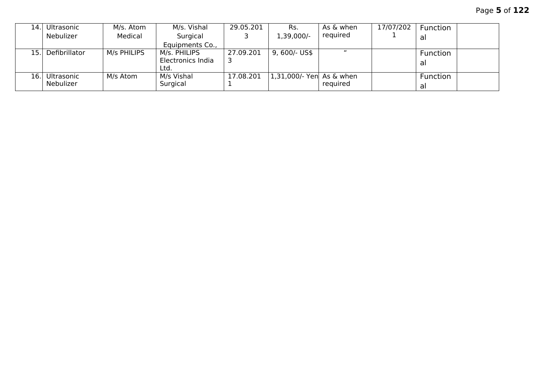# Page **5** of **122**

| 14. | Ultrasonic    | M/s. Atom   | M/s. Vishal       | 29.05.201 | Rs.                                       | As & when | 17/07/202 | <b>Function</b> |
|-----|---------------|-------------|-------------------|-----------|-------------------------------------------|-----------|-----------|-----------------|
|     | Nebulizer     | Medical     | Surgical          |           | 1,39,000/-                                | required  |           | al              |
|     |               |             | Equipments Co.,   |           |                                           |           |           |                 |
| 15. | Defibrillator | M/s PHILIPS | M/s. PHILIPS      | 27.09.201 | $9,600/-$ US\$                            |           |           | Function        |
|     |               |             | Electronics India |           |                                           |           |           | al              |
|     |               |             | Ltd.              |           |                                           |           |           |                 |
| 16. | Ultrasonic    | M/s Atom    | M/s Vishal        | 17.08.201 | $\vert 1.31.000$ /- Yen $\vert$ As & when |           |           | <b>Function</b> |
|     | Nebulizer     |             | Surgical          |           |                                           | required  |           | al              |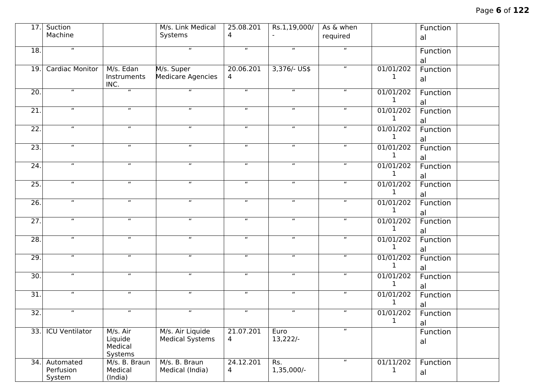| 17.               | Suction                |                          | M/s. Link Medical                | 25.08.201        | Rs.1,19,000/     | As & when        |              | Function |  |
|-------------------|------------------------|--------------------------|----------------------------------|------------------|------------------|------------------|--------------|----------|--|
|                   | Machine                |                          | Systems                          | 4                |                  | required         |              | al       |  |
| $\overline{18}$ . | $\boldsymbol{u}$       |                          | $\overline{u}$                   | $\overline{u}$   | $\overline{u}$   | $\overline{u}$   |              | Function |  |
|                   |                        |                          |                                  |                  |                  |                  |              | al       |  |
| 19.               | <b>Cardiac Monitor</b> | M/s. Edan                | M/s. Super                       | 20.06.201        | 3,376/- US\$     | $\overline{u}$   | 01/01/202    | Function |  |
|                   |                        | Instruments              | Medicare Agencies                | 4                |                  |                  | 1            | al       |  |
|                   |                        | INC.                     |                                  |                  |                  |                  |              |          |  |
| $\overline{20}$ . | $\overline{u}$         | $\overline{u}$           | $\overline{u}$                   | $\overline{u}$   | $\overline{u}$   | $\boldsymbol{u}$ | 01/01/202    | Function |  |
|                   |                        |                          |                                  |                  |                  |                  | 1            | al       |  |
| $\overline{21}$ . | $\overline{u}$         | $\overline{u}$           | $\overline{u}$                   | $\overline{u}$   | $\overline{u}$   | $\overline{u}$   | 01/01/202    | Function |  |
|                   |                        |                          |                                  |                  |                  |                  | $\mathbf{1}$ | al       |  |
| $\overline{22}$ . | $\boldsymbol{u}$       | $\overline{u}$           | $\overline{u}$                   | $\overline{u}$   | $\overline{u}$   | $\overline{u}$   | 01/01/202    | Function |  |
|                   |                        |                          |                                  |                  |                  |                  | 1            | al       |  |
| 23.               | $\overline{u}$         | $\overline{u}$           | $\overline{u}$                   | $\overline{u}$   | $\overline{u}$   | $\boldsymbol{u}$ | 01/01/202    | Function |  |
|                   |                        |                          |                                  |                  |                  |                  | 1            | al       |  |
| $\overline{24}$ . | $\overline{u}$         | $\overline{u}$           | $\overline{u}$                   | $\overline{u}$   | $\overline{u}$   | $\overline{u}$   | 01/01/202    | Function |  |
|                   |                        |                          |                                  |                  |                  |                  | 1            | al       |  |
| $\overline{25}$ . | $\overline{u}$         | $\overline{u}$           | $\overline{u}$                   | $\overline{u}$   | $\overline{u}$   | $\overline{u}$   | 01/01/202    | Function |  |
|                   |                        |                          |                                  |                  |                  |                  | 1            | al       |  |
| $\overline{26}$ . | $\overline{u}$         | $\overline{u}$           | $\overline{u}$                   | $\overline{u}$   | $\overline{u}$   | $\boldsymbol{u}$ | 01/01/202    | Function |  |
|                   |                        |                          |                                  |                  |                  |                  | 1            | al       |  |
| $\overline{27}$ . | $\overline{u}$         | $\overline{u}$           | $\overline{u}$                   | $\overline{u}$   | $\overline{u}$   | $\overline{u}$   | 01/01/202    | Function |  |
|                   |                        |                          |                                  |                  |                  |                  | 1            | al       |  |
| $\overline{28}$ . | $\overline{u}$         | $\boldsymbol{u}$         | $\overline{u}$                   | $\overline{u}$   | $\overline{u}$   | $\overline{u}$   | 01/01/202    | Function |  |
|                   |                        |                          |                                  |                  |                  |                  | 1            | al       |  |
| 29.               | $\overline{u}$         | $\overline{u}$           | $\overline{u}$                   | $\overline{u}$   | $\overline{u}$   | $\boldsymbol{u}$ | 01/01/202    | Function |  |
|                   |                        |                          |                                  |                  |                  |                  | 1            | al       |  |
| 30.               | $\boldsymbol{\mu}$     | $\boldsymbol{u}$         | $\boldsymbol{u}$                 | $\boldsymbol{u}$ | $\boldsymbol{u}$ | $\boldsymbol{u}$ | 01/01/202    | Function |  |
|                   |                        |                          |                                  |                  |                  |                  | 1            | al       |  |
| $\overline{31}$   | $\boldsymbol{u}$       | $\boldsymbol{u}$         | $\overline{u}$                   | $\overline{u}$   | $\boldsymbol{u}$ | $\overline{u}$   | 01/01/202    | Function |  |
|                   |                        |                          |                                  |                  |                  |                  | 1            | al       |  |
| $\overline{32.}$  | $\overline{u}$         | $\overline{u}$           | $\boldsymbol{u}$                 | $\boldsymbol{u}$ | $\overline{u}$   | $\overline{u}$   | 01/01/202    | Function |  |
|                   |                        |                          |                                  |                  |                  |                  | 1            | al       |  |
|                   | 33. ICU Ventilator     | M/s. Air                 | M/s. Air Liquide                 | 21.07.201        | Euro             | $\overline{u}$   |              | Function |  |
|                   |                        | Liquide                  | <b>Medical Systems</b>           | 4                | 13,222/-         |                  |              | al       |  |
|                   |                        | Medical                  |                                  |                  |                  |                  |              |          |  |
|                   |                        | Systems                  |                                  |                  |                  | $\overline{u}$   |              |          |  |
| $\overline{34.}$  | Automated              | M/s. B. Braun<br>Medical | M/s. B. Braun<br>Medical (India) | 24.12.201        | Rs.              |                  | 01/11/202    | Function |  |
|                   | Perfusion<br>System    | (India)                  |                                  | 4                | 1,35,000/-       |                  | $\mathbf{1}$ | al       |  |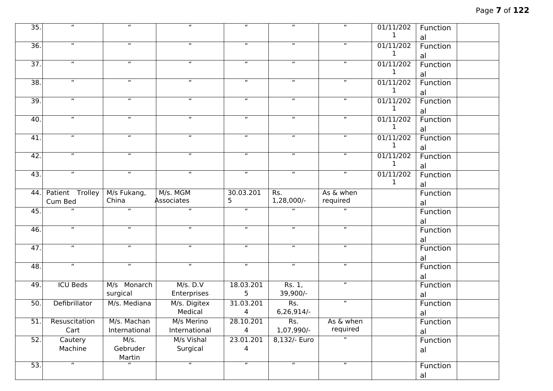| $\overline{35}$ . | $\boldsymbol{u}$ | $\boldsymbol{u}$         | $\boldsymbol{u}$ | $\boldsymbol{u}$ | $\boldsymbol{u}$ | $\boldsymbol{u}$ | 01/11/202    | Function |  |
|-------------------|------------------|--------------------------|------------------|------------------|------------------|------------------|--------------|----------|--|
|                   |                  |                          |                  |                  |                  |                  | $\mathbf{1}$ | al       |  |
| $\overline{36}$ . | $\overline{u}$   | $\overline{u}$           | $\overline{u}$   | $\overline{u}$   | $\overline{u}$   | $\overline{u}$   | 01/11/202    | Function |  |
|                   |                  |                          |                  |                  |                  |                  | $\mathbf{1}$ | al       |  |
| $\overline{37}$ . | $\boldsymbol{u}$ | $\boldsymbol{\mu}$       | $\boldsymbol{u}$ | $\boldsymbol{u}$ | $\boldsymbol{u}$ | $\boldsymbol{u}$ | 01/11/202    | Function |  |
|                   |                  |                          |                  |                  |                  |                  | $\mathbf 1$  | al       |  |
| $\overline{38}$ . | $\overline{u}$   | $\overline{u}$           | $\overline{u}$   | $\overline{u}$   | $\overline{u}$   | $\overline{u}$   | 01/11/202    | Function |  |
|                   |                  |                          |                  |                  |                  |                  | 1            | al       |  |
| $\overline{39}$ . | $\overline{u}$   | $\overline{u}$           | $\boldsymbol{u}$ | $\overline{u}$   | $\overline{u}$   | $\boldsymbol{u}$ | 01/11/202    | Function |  |
|                   |                  |                          |                  |                  |                  |                  | $\mathbf 1$  | al       |  |
| 40.               | $\boldsymbol{u}$ | $\boldsymbol{\mu}$       | $\boldsymbol{u}$ | $\boldsymbol{u}$ | $\boldsymbol{u}$ | $\boldsymbol{u}$ | 01/11/202    | Function |  |
|                   |                  |                          |                  |                  |                  |                  | $\mathbf{1}$ | al       |  |
| 41.               | $\overline{u}$   | $\overline{u}$           | $\overline{u}$   | $\overline{u}$   | $\overline{u}$   | $\boldsymbol{u}$ | 01/11/202    | Function |  |
|                   |                  |                          |                  |                  |                  |                  | $\mathbf{1}$ | al       |  |
| 42.               | $\overline{u}$   | $\overline{u}$           | $\boldsymbol{u}$ | $\overline{u}$   | $\boldsymbol{u}$ | $\boldsymbol{u}$ | 01/11/202    | Function |  |
|                   |                  |                          |                  |                  |                  |                  | $\mathbf{1}$ | al       |  |
| $\overline{43}$ . | $\boldsymbol{u}$ | $\boldsymbol{u}$         | $\boldsymbol{u}$ | $\boldsymbol{u}$ | $\boldsymbol{u}$ | $\boldsymbol{u}$ | 01/11/202    | Function |  |
|                   |                  |                          |                  |                  |                  |                  | 1            | al       |  |
| 44.               | Patient Trolley  | M/s Fukang,              | M/s. MGM         | 30.03.201        | Rs.              | As & when        |              | Function |  |
|                   | Cum Bed          | China                    | Associates       | 5                | 1,28,000/-       | required         |              | al       |  |
| 45.               | $\overline{u}$   | $\overline{u}$           | $\boldsymbol{u}$ | $\overline{u}$   | $\overline{u}$   | $\overline{u}$   |              | Function |  |
|                   |                  |                          |                  |                  |                  |                  |              | al       |  |
| 46.               | $\overline{u}$   | $\boldsymbol{u}$         | $\boldsymbol{u}$ | $\overline{u}$   | $\overline{u}$   | $\overline{u}$   |              | Function |  |
|                   |                  |                          |                  |                  |                  |                  |              | al       |  |
| 47.               | $\overline{u}$   | $\overline{u}$           | $\overline{u}$   | $\overline{u}$   | $\overline{u}$   | $\overline{u}$   |              | Function |  |
|                   |                  |                          |                  |                  |                  |                  |              | al       |  |
| 48.               | $\overline{u}$   | $\overline{u}$           | $\boldsymbol{u}$ | $\overline{u}$   | $\overline{u}$   | $\boldsymbol{u}$ |              | Function |  |
|                   |                  |                          |                  |                  |                  |                  |              | al       |  |
| 49.               | <b>ICU Beds</b>  | M/s Monarch              | M/s. D.V         | 18.03.201        | Rs. 1,           | $\boldsymbol{u}$ |              | Function |  |
|                   |                  | surgical                 | Enterprises      | 5                | 39,900/-         |                  |              | al       |  |
| $\overline{50}$ . | Defibrillator    | M/s. Mediana             | M/s. Digitex     | 31.03.201        | Rs.              | $\overline{u}$   |              | Function |  |
|                   |                  |                          | Medical          | 4                | 6,26,914/-       |                  |              | al       |  |
| 51.               | Resuscitation    | M/s. Machan              | M/s Merino       | 28.10.201        | Rs.              | As & when        |              | Function |  |
|                   | Cart             | International            | International    | 4                | 1,07,990/-       | required         |              | al       |  |
| 52.               | Cautery          | M/s.                     | M/s Vishal       | 23.01.201        | 8,132/- Euro     | $\boldsymbol{u}$ |              | Function |  |
|                   | Machine          | Gebruder                 | Surgical         | 4                |                  |                  |              | al       |  |
|                   | $\overline{u}$   | Martin<br>$\overline{u}$ | $\overline{u}$   | $\overline{u}$   | $\overline{u}$   | $\overline{u}$   |              |          |  |
| $\overline{53}$ . |                  |                          |                  |                  |                  |                  |              | Function |  |
|                   |                  |                          |                  |                  |                  |                  |              | al       |  |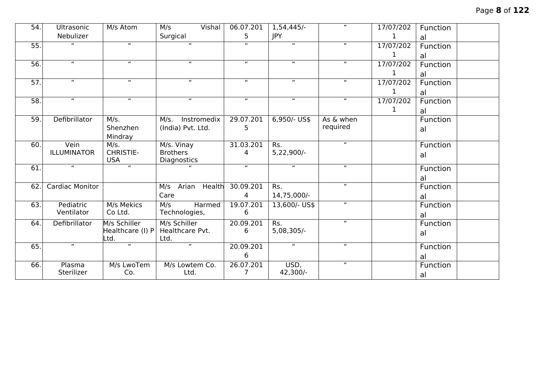| 54.               | Ultrasonic             | M/s Atom                       | M/s<br>Vishal                  | 06.07.201        | 1,54,445/-       | $\overline{u}$   | 17/07/202    | Function |  |
|-------------------|------------------------|--------------------------------|--------------------------------|------------------|------------------|------------------|--------------|----------|--|
|                   | Nebulizer              |                                | Surgical                       | 5                | JPY              |                  | $\mathbf{1}$ | al       |  |
| $\overline{55}$   | $\overline{u}$         | $\overline{u}$                 | $\overline{u}$                 | $\overline{u}$   | $\overline{u}$   | $\overline{u}$   | 17/07/202    | Function |  |
|                   |                        |                                |                                |                  |                  |                  | 1            | al       |  |
| $\overline{56}$ . | $\overline{u}$         | $\overline{u}$                 | $\overline{u}$                 | $\overline{u}$   | $\overline{u}$   | $\overline{u}$   | 17/07/202    | Function |  |
|                   |                        |                                |                                |                  |                  |                  | 1            | al       |  |
| $\overline{57}$   | $\overline{u}$         | $\overline{u}$                 | $\boldsymbol{u}$               | $\overline{u}$   | $\overline{u}$   | $\boldsymbol{u}$ | 17/07/202    | Function |  |
|                   |                        |                                |                                |                  |                  |                  | 1            | al       |  |
| 58.               | $\boldsymbol{u}$       | $\overline{u}$                 | $\boldsymbol{u}$               | $\boldsymbol{u}$ | $\boldsymbol{u}$ | $\boldsymbol{u}$ | 17/07/202    | Function |  |
|                   |                        |                                |                                |                  |                  |                  | 1            | al       |  |
| $\overline{59}$ . | Defibrillator          | M/s.                           | Instromedix<br>M/s.            | 29.07.201        | $6,950/-$ US\$   | As & when        |              | Function |  |
|                   |                        | Shenzhen                       | (India) Pvt. Ltd.              | 5                |                  | required         |              | al       |  |
|                   |                        | Mindray                        |                                |                  |                  |                  |              |          |  |
| 60.               | Vein                   | M/s.                           | M/s. Vinay                     | 31.03.201        | Rs.              | $\overline{u}$   |              | Function |  |
|                   | <b>ILLUMINATOR</b>     | <b>CHRISTIE-</b><br><b>USA</b> | <b>Brothers</b><br>Diagnostics | 4                | 5,22,900/-       |                  |              | al       |  |
| 61.               | $\overline{u}$         | $\overline{u}$                 |                                | $\overline{u}$   | $\overline{u}$   | $\overline{u}$   |              | Function |  |
|                   |                        |                                |                                |                  |                  |                  |              | al       |  |
| 62.               | <b>Cardiac Monitor</b> |                                | M/s Arian<br>Health            | 30.09.201        | Rs.              | $\overline{u}$   |              | Function |  |
|                   |                        |                                | Care                           | 4                | 14,75,000/-      |                  |              | al       |  |
| 63.               | Pediatric              | M/s Mekics                     | M/s<br>Harmed                  | 19.07.201        | 13,600/- US\$    | $\overline{u}$   |              | Function |  |
|                   | Ventilator             | Co Ltd.                        | Technologies,                  | 6                |                  |                  |              | al       |  |
| 64.               | Defibrillator          | M/s Schiller                   | M/s Schiller                   | 20.09.201        | Rs.              | $\overline{u}$   |              | Function |  |
|                   |                        | Healthcare (I) $P$             | Healthcare Pvt.                | 6                | $5,08,305/-$     |                  |              | al       |  |
|                   |                        | Ltd.                           | Ltd.                           |                  |                  |                  |              |          |  |
| 65.               | $\overline{u}$         | $\overline{u}$                 | $\overline{u}$                 | 20.09.201        | $\overline{u}$   | $\overline{u}$   |              | Function |  |
|                   |                        |                                |                                | 6                |                  |                  |              | al       |  |
| 66.               | Plasma                 | M/s LwoTem                     | M/s Lowtem Co.                 | 26.07.201        | USD,             | $\overline{u}$   |              | Function |  |
|                   | Sterilizer             | Co.                            | Ltd.                           | 7                | 42,300/-         |                  |              | al       |  |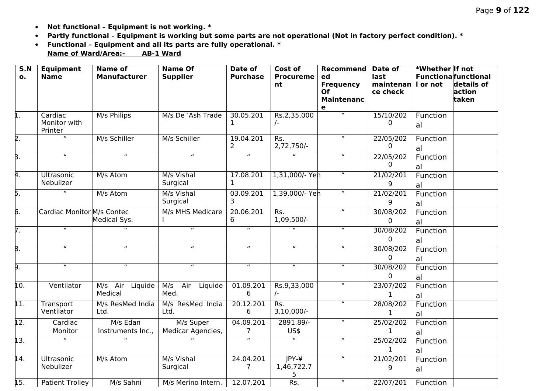- **Not functional Equipment is not working. \***
- **Partly functional Equipment is working but some parts are not operational (Not in factory perfect condition). \***
- **Functional Equipment and all its parts are fully operational. \* Name of Ward/Area:-**

| S.N<br>$\mathbf{o}$ . | <b>Equipment</b><br><b>Name</b>    | <b>Name of</b><br><b>Manufacturer</b> | <b>Name Of</b><br><b>Supplier</b> | Date of<br><b>Purchase</b>  | Cost of<br><b>Procureme</b><br>nt | Recommend<br>ed<br><b>Frequency</b><br><b>Of</b><br><b>Maintenanc</b><br>е | Date of<br>last<br>maintenan I or not<br>ce check | *Whether If not | <b>Functiona</b> functional<br>details of<br>action<br>taken |
|-----------------------|------------------------------------|---------------------------------------|-----------------------------------|-----------------------------|-----------------------------------|----------------------------------------------------------------------------|---------------------------------------------------|-----------------|--------------------------------------------------------------|
| 1.                    | Cardiac<br>Monitor with<br>Printer | M/s Philips                           | M/s De 'Ash Trade                 | 30.05.201<br>1              | Rs.2,35,000<br>$\sqrt{-}$         | $\overline{u}$                                                             | 15/10/202<br>0                                    | Function<br>al  |                                                              |
| $\overline{2}$ .      | $\overline{u}$                     | M/s Schiller                          | M/s Schiller                      | 19.04.201<br>$\overline{2}$ | Rs.<br>2,72,750/-                 | $\overline{u}$                                                             | 22/05/202<br>$\Omega$                             | Function<br>al  |                                                              |
| ₿.                    | $\boldsymbol{u}$                   | $\overline{u}$                        | $\overline{u}$                    | $\overline{u}$              | $\overline{u}$                    | $\overline{u}$                                                             | 22/05/202<br>$\mathbf{0}$                         | Function<br>al  |                                                              |
| 4.                    | Ultrasonic<br>Nebulizer            | M/s Atom                              | M/s Vishal<br>Surgical            | 17.08.201<br>$\mathbf{1}$   | 1,31,000/- Yeh                    | $\pmb{\mathcal{U}}$                                                        | 21/02/201<br>9                                    | Function<br>al  |                                                              |
| 5.                    | $\overline{u}$                     | M/s Atom                              | M/s Vishal<br>Surgical            | 03.09.201<br>3              | 1,39,000/- Yeh                    | $\boldsymbol{u}$                                                           | 21/02/201<br>9                                    | Function<br>al  |                                                              |
| $\overline{6}$ .      | <b>Cardiac Monitor M/s Contec</b>  | Medical Sys.                          | M/s MHS Medicare                  | 20.06.201<br>6              | Rs.<br>1,09,500/-                 | $\overline{u}$                                                             | 30/08/202<br>0                                    | Function<br>al  |                                                              |
| 7.                    | $\boldsymbol{u}$                   | $\overline{u}$                        | $\overline{u}$                    | $\overline{u}$              | $\overline{u}$                    | $\boldsymbol{u}$                                                           | 30/08/202<br>0                                    | Function<br>al  |                                                              |
| 8.                    | $\overline{u}$                     | $\overline{u}$                        | $\overline{u}$                    | $\overline{u}$              | $\overline{u}$                    | $\overline{u}$                                                             | 30/08/202<br>0                                    | Function<br>al  |                                                              |
| 9.                    | $\overline{u}$                     | $\overline{u}$                        | $\overline{u}$                    | $\overline{u}$              | $\overline{u}$                    | $\overline{u}$                                                             | 30/08/202<br>0                                    | Function<br>al  |                                                              |
| 10.                   | Ventilator                         | M/s Air Liquide<br>Medical            | M/s<br>Air<br>Liquide<br>Med.     | 01.09.201<br>6              | Rs.9,33,000<br>$\sqrt{-}$         | $\overline{u}$                                                             | 23/07/202<br>1                                    | Function<br>al  |                                                              |
| 11.                   | Transport<br>Ventilator            | M/s ResMed India<br>Ltd.              | M/s ResMed India<br>Ltd.          | 20.12.201<br>6              | RS.<br>$3,10,000/-$               | $\boldsymbol{u}$                                                           | 28/08/202<br>$\mathbf 1$                          | Function<br>al  |                                                              |
| 12.                   | Cardiac<br>Monitor                 | M/s Edan<br>Instruments Inc.,         | M/s Super<br>Medicar Agencies,    | 04.09.201<br>$\overline{7}$ | 2891.89/-<br>US\$                 | $\overline{u}$                                                             | 25/02/202<br>$\mathbf{1}$                         | Function<br>al  |                                                              |
| 13.                   | $\overline{u}$                     | $\overline{u}$                        | $\overline{u}$                    | $\overline{u}$              | $\overline{u}$                    | $\boldsymbol{u}$                                                           | 25/02/202<br>1                                    | Function<br>al  |                                                              |
| 14.                   | <b>Ultrasonic</b><br>Nebulizer     | M/s Atom                              | M/s Vishal<br>Surgical            | 24.04.201<br>7              | $IPY-$<br>1,46,722.7<br>5         | $\overline{u}$                                                             | 21/02/201<br>9                                    | Function<br>al  |                                                              |
| 15.                   | <b>Patient Trolley</b>             | M/s Sahni                             | M/s Merino Intern.                | 12.07.201                   | $\overline{\mathsf{Rs}}$ .        | $\boldsymbol{u}$                                                           | 22/07/201                                         | Function        |                                                              |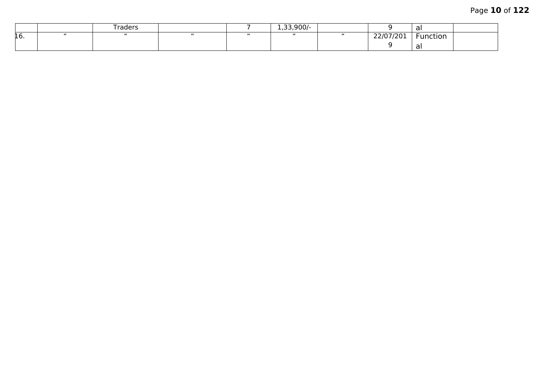|     | <b>Traders</b> |  | 1,33,900/- |           | al             |  |
|-----|----------------|--|------------|-----------|----------------|--|
| LΟ. |                |  |            | 22/07/201 | Function<br>al |  |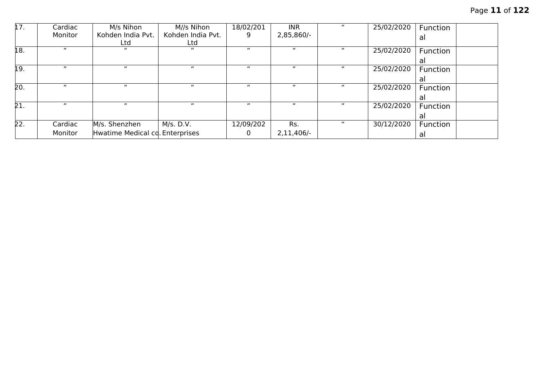| 17.               | Cardiac        | M/s Nihon                       | M//s Nihon              | 18/02/201               | <b>INR</b>        | $\overline{u}$          | 25/02/2020 | Function        |  |
|-------------------|----------------|---------------------------------|-------------------------|-------------------------|-------------------|-------------------------|------------|-----------------|--|
|                   | Monitor        | Kohden India Pvt.               | Kohden India Pvt.       |                         | 2,85,860/-        |                         |            | aı              |  |
|                   |                | Ltd                             | Ltd                     |                         |                   |                         |            |                 |  |
| 18.               | $\overline{u}$ | $\overline{u}$                  | $\overline{u}$          | $\overline{u}$          | $\overline{u}$    | $\overline{u}$          | 25/02/2020 | Function        |  |
|                   |                |                                 |                         |                         |                   |                         |            | aı              |  |
| 19.               | $\overline{u}$ | $\overline{u}$                  | $\overline{u}$          | $\overline{u}$          | $\overline{u}$    | $\overline{\mathbf{u}}$ | 25/02/2020 | Function        |  |
|                   |                |                                 |                         |                         |                   |                         |            | aı              |  |
| 20.               | $\mathbf{u}$   | $\overline{u}$                  | $\overline{u}$          | $\overline{u}$          | $\overline{u}$    | $\overline{u}$          | 25/02/2020 | <b>Function</b> |  |
|                   |                |                                 |                         |                         |                   |                         |            | aı              |  |
| $\overline{21}$ . | $\overline{u}$ | $\overline{\mathbf{u}}$         | $\overline{\mathbf{u}}$ | $\overline{\mathbf{u}}$ | $^{\prime\prime}$ | $\overline{u}$          | 25/02/2020 | Function        |  |
|                   |                |                                 |                         |                         |                   |                         |            | aı              |  |
| 22.               | Cardiac        | M/s. Shenzhen                   | M/s. D.V.               | 12/09/202               | Rs.               | $\overline{\mathbf{u}}$ | 30/12/2020 | Function        |  |
|                   | Monitor        | Hwatime Medical cd. Enterprises |                         | 0                       | $2,11,406/-$      |                         |            | al              |  |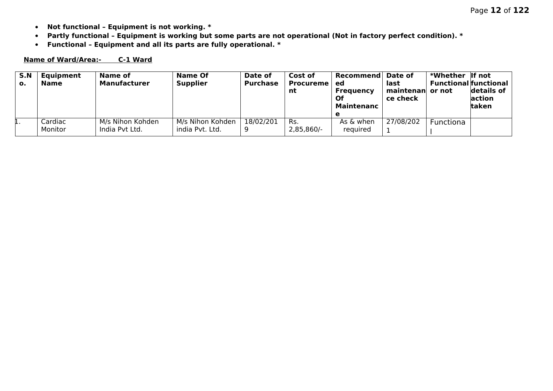- **Not functional Equipment is not working. \***
- **Partly functional Equipment is working but some parts are not operational (Not in factory perfect condition). \***
- **Functional Equipment and all its parts are fully operational. \***

### **Name of Ward/Area:- C-1 Ward**

| S.N<br>о. | Equipment<br><b>Name</b> | Name of<br>Manufacturer            | Name Of<br><b>Supplier</b>          | Date of<br><b>Purchase</b> | Cost of<br><b>Procureme</b><br>nt | Recommend Date of<br>ed<br><b>Frequency</b><br>Οf<br><b>Maintenanc</b><br>е | last<br>maintenan or not<br>ce check | *Whether If not  | <b>Functional functional</b><br>details of<br>action<br>taken |
|-----------|--------------------------|------------------------------------|-------------------------------------|----------------------------|-----------------------------------|-----------------------------------------------------------------------------|--------------------------------------|------------------|---------------------------------------------------------------|
|           | Cardiac<br>Monitor       | M/s Nihon Kohden<br>India Pyt Ltd. | M/s Nihon Kohden<br>india Pvt. Ltd. | 18/02/201                  | Rs.<br>$2,85,860/-$               | As & when<br>required                                                       | 27/08/202                            | <b>Functiona</b> |                                                               |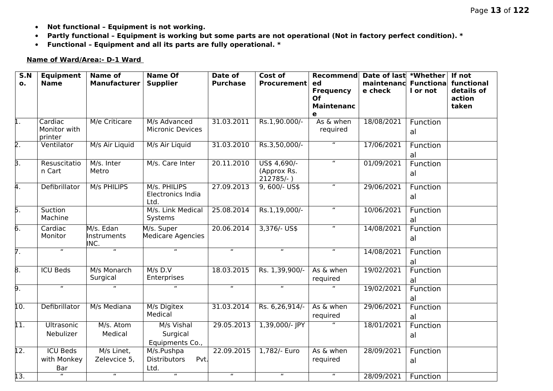- **Not functional Equipment is not working.**
- **Partly functional Equipment is working but some parts are not operational (Not in factory perfect condition). \***
- **Functional Equipment and all its parts are fully operational. \***

#### **Name of Ward/Area:- D-1 Ward**

| S.N<br>$\mathbf{o}$ . | <b>Equipment</b><br><b>Name</b>       | <b>Name of</b><br><b>Manufacturer</b> | <b>Name Of</b><br><b>Supplier</b>                | Date of<br><b>Purchase</b> | Cost of<br><b>Procurement</b>             | <b>Recommend</b><br>ed<br><b>Frequency</b><br>Of<br><b>Maintenanc</b><br>e | Date of last *Whether<br>maintenand Functiona<br>e check | I or not       | If not<br>functional<br>details of<br>action<br>taken |
|-----------------------|---------------------------------------|---------------------------------------|--------------------------------------------------|----------------------------|-------------------------------------------|----------------------------------------------------------------------------|----------------------------------------------------------|----------------|-------------------------------------------------------|
| μ.                    | Cardiac<br>Monitor with<br>printer    | M/e Criticare                         | M/s Advanced<br><b>Micronic Devices</b>          | 31.03.2011                 | Rs.1,90.000/-                             | As & when<br>required                                                      | 18/08/2021                                               | Function<br>al |                                                       |
| 2.                    | Ventilator                            | M/s Air Liquid                        | M/s Air Liquid                                   | 31.03.2010                 | Rs.3,50,000/-                             | $\boldsymbol{u}$                                                           | 17/06/2021                                               | Function<br>al |                                                       |
| ₿.                    | Resuscitatio<br>n Cart                | M/s. Inter<br>Metro                   | M/s. Care Inter                                  | 20.11.2010                 | US\$ 4,690/-<br>(Approx Rs.<br>$212785/-$ | $\overline{u}$                                                             | 01/09/2021                                               | Function<br>al |                                                       |
| 4.                    | Defibrillator                         | <b>M/s PHILIPS</b>                    | M/s. PHILIPS<br><b>Electronics India</b><br>Ltd. | 27.09.2013                 | $9,600/-$ US\$                            | $\overline{u}$                                                             | 29/06/2021                                               | Function<br>al |                                                       |
| Б.                    | Suction<br>Machine                    |                                       | M/s. Link Medical<br>Systems                     | 25.08.2014                 | Rs.1,19,000/-                             | $\pmb{\mu}$                                                                | 10/06/2021                                               | Function<br>al |                                                       |
| ნ.                    | Cardiac<br>Monitor                    | M/s. Edan<br>Instruments<br>INC.      | M/s. Super<br>Medicare Agencies                  | 20.06.2014                 | $3,376/-$ US\$                            | $\overline{u}$                                                             | 14/08/2021                                               | Function<br>al |                                                       |
| 7.                    | $\overline{u}$                        | $\overline{u}$                        | $\overline{u}$                                   | $\overline{u}$             | $\overline{u}$                            | $\overline{u}$                                                             | 14/08/2021                                               | Function<br>al |                                                       |
| $\overline{8}$ .      | <b>ICU Beds</b>                       | M/s Monarch<br>Surgical               | $M/s$ D.V<br>Enterprises                         | 18.03.2015                 | Rs. 1,39,900/-                            | As & when<br>required                                                      | 19/02/2021                                               | Function<br>al |                                                       |
| 9.                    | $\overline{u}$                        | $\overline{u}$                        | $\overline{u}$                                   | $\overline{u}$             | $\overline{u}$                            | $\overline{u}$                                                             | 19/02/2021                                               | Function<br>al |                                                       |
| 10.                   | Defibrillator                         | M/s Mediana                           | M/s Digitex<br>Medical                           | 31.03.2014                 | Rs. 6,26,914/-                            | As & when<br>required                                                      | 29/06/2021                                               | Function<br>al |                                                       |
| $\overline{11}$ .     | Ultrasonic<br>Nebulizer               | M/s. Atom<br>Medical                  | M/s Vishal<br>Surgical<br>Equipments Co.,        | 29.05.2013                 | 1,39,000/- JPY                            |                                                                            | 18/01/2021                                               | Function<br>al |                                                       |
| $\overline{12}$ .     | <b>ICU Beds</b><br>with Monkey<br>Bar | M/s Linet,<br>Zelevcice 5,            | M/s.Pushpa<br><b>Distributors</b><br>Pvt<br>Ltd. | 22.09.2015                 | 1,782/- Euro                              | As & when<br>required                                                      | 28/09/2021                                               | Function<br>al |                                                       |
| $\overline{13}$ .     | $\overline{u}$                        | $\overline{u}$                        | $\overline{u}$                                   | $\overline{u}$             | $\overline{u}$                            | $\overline{u}$                                                             | 28/09/2021                                               | Function       |                                                       |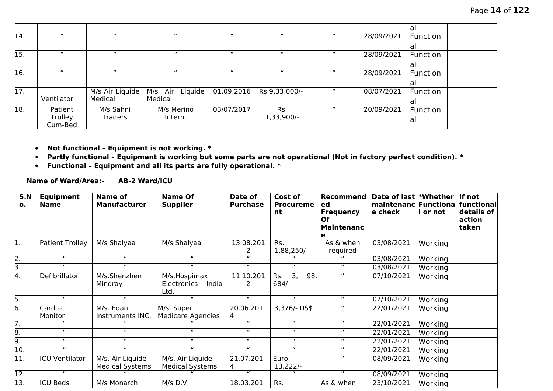|     |                |                         |                    |                         |                |                         |            | al       |  |
|-----|----------------|-------------------------|--------------------|-------------------------|----------------|-------------------------|------------|----------|--|
| 14. | $\overline{u}$ | $\mathbf{u}$            | $\overline{u}$     | $\overline{\mathbf{u}}$ | $\overline{u}$ | $\overline{\mathbf{u}}$ | 28/09/2021 | Function |  |
|     |                |                         |                    |                         |                |                         |            | al       |  |
| 15. | $\overline{u}$ | $\overline{\mathbf{u}}$ | $\overline{u}$     | $\overline{u}$          | $\overline{u}$ | $\overline{u}$          | 28/09/2021 | Function |  |
|     |                |                         |                    |                         |                |                         |            | al       |  |
| 16. | $\overline{u}$ | $\overline{u}$          | $\overline{u}$     | $\overline{u}$          | $\overline{u}$ | $\overline{u}$          | 28/09/2021 | Function |  |
|     |                |                         |                    |                         |                |                         |            | al       |  |
| 17. |                | M/s Air Liquide $ $     | M/s Air<br>Liquide | 01.09.2016              | Rs.9,33,000/-  | $\overline{u}$          | 08/07/2021 | Function |  |
|     | Ventilator     | Medical                 | Medical            |                         |                |                         |            | al       |  |
| 18. | Patient        | M/s Sahni               | M/s Merino         | 03/07/2017              | Rs.            | $\overline{u}$          | 20/09/2021 | Function |  |
|     | Trolley        | Traders                 | Intern.            |                         | 1,33,900/-     |                         |            | al       |  |
|     | Cum-Bed        |                         |                    |                         |                |                         |            |          |  |

- **Not functional Equipment is not working. \***
- **Partly functional Equipment is working but some parts are not operational (Not in factory perfect condition). \***
- **Functional Equipment and all its parts are fully operational. \***

 **Name of Ward/Area:- AB-2 Ward/ICU**

| S.N<br>$\mathbf{o}$ . | <b>Equipment</b><br><b>Name</b> | <b>Name of</b><br><b>Manufacturer</b>      | <b>Name Of</b><br><b>Supplier</b>            | Date of<br><b>Purchase</b> | Cost of<br><b>Procureme</b><br>nt       | <b>Recommend</b><br>ed<br><b>Frequency</b><br>Of<br><b>Maintenanc</b><br>е | Date of last<br>maintenand<br>e check | *Whether<br><b>Functiona</b><br>I or not | If not<br>functional<br>details of<br>action<br>taken |
|-----------------------|---------------------------------|--------------------------------------------|----------------------------------------------|----------------------------|-----------------------------------------|----------------------------------------------------------------------------|---------------------------------------|------------------------------------------|-------------------------------------------------------|
| μ.                    | Patient Trolley                 | M/s Shalyaa                                | M/s Shalyaa                                  | 13.08.201<br>2.            | Rs.<br>1,88,250/-                       | As & when<br>required                                                      | 03/08/2021                            | Working                                  |                                                       |
| $\overline{2}$ .      | $\overline{u}$                  | $\overline{u}$                             | $\overline{u}$                               | $\overline{u}$             |                                         |                                                                            | 03/08/2021                            | Working                                  |                                                       |
| В.                    | $\boldsymbol{u}$                | $\overline{u}$                             | $\overline{u}$                               | $\boldsymbol{u}$           | $\boldsymbol{u}$                        | $\boldsymbol{u}$                                                           | 03/08/2021                            | Working                                  |                                                       |
| 4.                    | Defibrillator                   | M/s.Shenzhen<br>Mindray                    | M/s.Hospimax<br>India<br>Electronics<br>Ltd. | 11.10.201<br>2             | 98 <sub>1</sub><br>3,<br>Rs.<br>$684/-$ | $\overline{u}$                                                             | 07/10/2021                            | Working                                  |                                                       |
| 5.                    | $\overline{u}$                  | $\overline{u}$                             | $\overline{u}$                               | $\overline{u}$             | $\overline{u}$                          | $\boldsymbol{u}$                                                           | 07/10/2021                            | Working                                  |                                                       |
| ნ.                    | Cardiac<br>Monitor              | M/s. Edan<br>Instruments INC.              | M/s. Super<br>Medicare Agencies              | 20.06.201<br>4             | 3,376/- US\$                            | $\overline{u}$                                                             | 22/01/2021                            | Working                                  |                                                       |
| 7.                    | $\overline{u}$                  | $\overline{u}$                             |                                              | $\overline{u}$             | $\boldsymbol{u}$                        | $\boldsymbol{u}$                                                           | 22/01/2021                            | Working                                  |                                                       |
| 8.                    | $\overline{u}$                  | $\overline{u}$                             | $\overline{u}$                               | $\boldsymbol{u}$           | $\overline{u}$                          | $\overline{u}$                                                             | 22/01/2021                            | Working                                  |                                                       |
| 9.                    | $\overline{u}$                  | $\boldsymbol{u}$                           | $\overline{u}$                               | $\overline{u}$             | $\overline{u}$                          | $\overline{u}$                                                             | 22/01/2021                            | Working                                  |                                                       |
| 10.                   | $\overline{u}$                  | $\boldsymbol{u}$                           | $\overline{u}$                               | $\boldsymbol{u}$           | $\boldsymbol{u}$                        | $\boldsymbol{u}$                                                           | 22/01/2021                            | Working                                  |                                                       |
| 11.                   | <b>ICU Ventilator</b>           | M/s. Air Liquide<br><b>Medical Systems</b> | M/s. Air Liquide<br><b>Medical Systems</b>   | 21.07.201<br>4             | Euro<br>13,222/-                        | $\overline{u}$                                                             | 08/09/2021                            | Working                                  |                                                       |
| 12.                   | $\overline{u}$                  |                                            |                                              | $\overline{u}$             | $\overline{u}$                          | $\overline{u}$                                                             | 08/09/2021                            | Working                                  |                                                       |
| 13.                   | <b>ICU Beds</b>                 | M/s Monarch                                | $M/s$ D.V                                    | 18.03.201                  | Rs.                                     | As & when                                                                  | 23/10/2021                            | Working                                  |                                                       |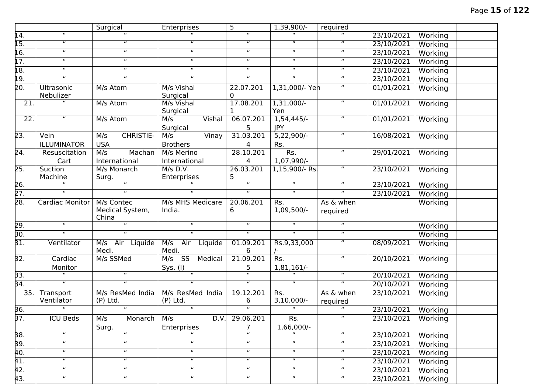|                   |                           | Surgical                | Enterprises                | 5                   | 1,39,900/-                   | required           |                    |         |  |
|-------------------|---------------------------|-------------------------|----------------------------|---------------------|------------------------------|--------------------|--------------------|---------|--|
| $\overline{14}$ . | $\overline{u}$            | $\overline{u}$          | $\overline{u}$             | $\overline{u}$      | $\overline{u}$               | $\overline{u}$     | 23/10/2021         | Working |  |
| $\overline{15.}$  | $\overline{u}$            | $\boldsymbol{u}$        | $\overline{u}$             | $\boldsymbol{u}$    | $\overline{u}$               | $\overline{u}$     | 23/10/2021         | Working |  |
| $\overline{16}$ . | $\boldsymbol{u}$          | $\boldsymbol{u}$        | $\overline{u}$             | $\overline{u}$      | $\overline{u}$               | $\boldsymbol{u}$   | 23/10/2021         | Working |  |
| $\overline{17}$ . | $\overline{u}$            | $\overline{u}$          | $\overline{u}$             | $\overline{u}$      | $\overline{u}$               | $\boldsymbol{u}$   | 23/10/2021         | Working |  |
| $\overline{18.}$  | $\overline{u}$            | $\overline{u}$          | $\overline{u}$             | $\overline{u}$      | $\boldsymbol{u}$             | $\boldsymbol{u}$   | 23/10/2021         | Working |  |
| 19.               | $\overline{u}$            | $\overline{u}$          | $\overline{u}$             | $\overline{u}$      | $\overline{u}$               | $\overline{u}$     | 23/10/2021         | Working |  |
| 20.               | Ultrasonic                | M/s Atom                | M/s Vishal                 | 22.07.201           | 1,31,000/- Yeh               | $\overline{u}$     | 01/01/2021         | Working |  |
|                   | Nebulizer                 |                         | Surgical                   | 0                   |                              |                    |                    |         |  |
| 21.               |                           | M/s Atom                | M/s Vishal                 | 17.08.201           | $1,31,000/-$                 | $\boldsymbol{u}$   | 01/01/2021         | Working |  |
|                   |                           |                         | Surgical                   | 1                   | Yen                          |                    |                    |         |  |
| 22.               | $\boldsymbol{u}$          | M/s Atom                | M/s<br>Vishal              | 06.07.201           | $1,54,445/-$                 | $\boldsymbol{\mu}$ | 01/01/2021         | Working |  |
|                   |                           |                         | Surgical                   | 5                   | JPY                          |                    |                    |         |  |
| 23.               | Vein                      | <b>CHRISTIE-</b><br>M/s | M/s<br>Vinay               | 31.03.201           | $5,22,900/-$                 | $\boldsymbol{u}$   | 16/08/2021         | Working |  |
|                   | <b>ILLUMINATOR</b>        | <b>USA</b>              | <b>Brothers</b>            | 4                   | Rs.                          |                    |                    |         |  |
| 24.               | Resuscitation             | Machan<br>M/s           | M/s Merino                 | 28.10.201           | Rs.                          | $\overline{u}$     | 29/01/2021         | Working |  |
|                   | Cart                      | International           | International              | $\overline{4}$      | 1,07,990/-                   |                    |                    |         |  |
| 25.               | Suction                   | M/s Monarch             | $M/s$ D.V.                 | 26.03.201           | 1,15,900/- Rs.               | $\boldsymbol{u}$   | 23/10/2021         | Working |  |
|                   | Machine                   | Surg.                   | Enterprises                | 5                   |                              |                    |                    |         |  |
| 26.               | $\overline{u}$            | $\overline{u}$          | $\overline{u}$             | $\overline{u}$      | $\overline{u}$               | $\boldsymbol{u}$   | 23/10/2021         | Working |  |
| $\overline{27}$ . | $\overline{u}$            | $\overline{u}$          | $\overline{u}$             | $\overline{u}$      | $\overline{u}$               | $\overline{u}$     | 23/10/2021         | Working |  |
| 28.               | Cardiac Monitor           | M/s Contec              | M/s MHS Medicare           | 20.06.201           | Rs.                          | As & when          |                    | Working |  |
|                   |                           | Medical System,         | India.                     | 6                   | 1,09,500/-                   | required           |                    |         |  |
|                   | $\overline{u}$            | China<br>$\overline{u}$ | $\overline{u}$             | $\overline{u}$      | $\overline{u}$               | $\overline{u}$     |                    |         |  |
| $\frac{29}{30}$ . |                           | $\overline{u}$          | $\overline{u}$             | $\overline{u}$      | $\overline{u}$               |                    |                    | Working |  |
|                   | $\overline{u}$            |                         |                            |                     |                              | $\overline{u}$     |                    | Working |  |
| 31.               | Ventilator                | M/s Air Liquide         | M/s<br>Air<br>Liquide      | 01.09.201           | Rs.9,33,000                  | $\boldsymbol{u}$   | 08/09/2021         | Working |  |
|                   |                           | Medi.                   | Medi.                      | 6                   | $\sqrt{-}$                   | $\boldsymbol{\mu}$ |                    |         |  |
| 32.               | Cardiac                   | M/s SSMed               | $M/s$ SS<br>Medical        | 21.09.201           | Rs.                          |                    | 20/10/2021         | Working |  |
|                   | Monitor<br>$\overline{u}$ | $\overline{u}$          | Sys. (I)<br>$\overline{u}$ | 5<br>$\overline{u}$ | 1,81,161/-<br>$\overline{u}$ |                    |                    |         |  |
| $\frac{33}{34}$ . | $\overline{u}$            | $\overline{u}$          | $\overline{u}$             | $\overline{u}$      | $\overline{u}$               | $\boldsymbol{u}$   | 20/10/2021         | Working |  |
|                   |                           |                         |                            |                     |                              | $\overline{u}$     | 20/10/2021         | Working |  |
| 35.               | Transport                 | M/s ResMed India        | M/s ResMed India           | 19.12.201           | Rs.                          | As & when          | 23/10/2021         | Working |  |
|                   | Ventilator                | $(P)$ Ltd.              | $(P)$ Ltd.                 | 6                   | $3,10,000/-$                 | required           |                    |         |  |
| 36.               | $\overline{u}$            | $\overline{u}$          | $\overline{u}$             | $\overline{u}$      | $\overline{u}$               | $\overline{u}$     | 23/10/2021         | Working |  |
| $\overline{37}$ . | <b>ICU Beds</b>           | M/s<br>Monarch   M/s    |                            | D.V. 29.06.201      | Rs.                          | $\overline{u}$     | 23/10/2021 Working |         |  |
|                   |                           | Surg.                   | Enterprises                | 7                   | $1,66,000/-$                 |                    |                    |         |  |
| 38.               | $\overline{u}$            | $\overline{u}$          |                            | $\overline{u}$      |                              | $\overline{u}$     | 23/10/2021         | Working |  |
| 39.<br>40.        | $\pmb{\mathcal{U}}$       | $\overline{u}$          | $\overline{u}$             | $\boldsymbol{u}$    | $\pmb{\mathcal{U}}$          | $\boldsymbol{\mu}$ | 23/10/2021         | Working |  |
|                   | $\overline{u}$            | $\overline{u}$          | $\overline{u}$             | $\overline{u}$      | $\overline{u}$               | $\boldsymbol{u}$   | 23/10/2021         | Working |  |
| 41.               | $\pmb{\mathcal{U}}$       | $\overline{u}$          | $\overline{u}$             | $\overline{u}$      | $\boldsymbol{u}$             | $\boldsymbol{u}$   | 23/10/2021         | Working |  |
| 42.               | $\overline{u}$            | $\overline{u}$          | $\overline{u}$             | $\overline{u}$      | $\overline{u}$               | $\boldsymbol{u}$   | 23/10/2021         | Working |  |
| 43.               | $\boldsymbol{u}$          | $\boldsymbol{u}$        | $\boldsymbol{u}$           | $\overline{u}$      | $\boldsymbol{u}$             | $\boldsymbol{u}$   | 23/10/2021         | Working |  |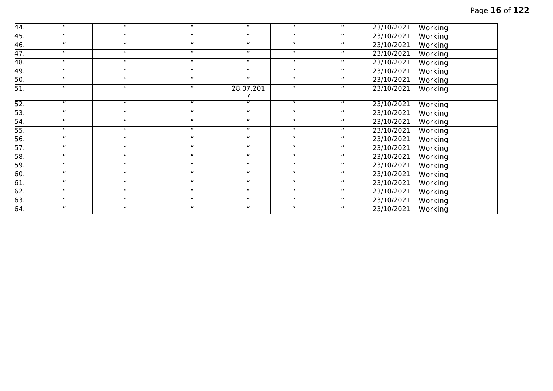| 44. | $\overline{u}$   | $\boldsymbol{u}$ | $\overline{u}$   | $\overline{u}$   | $\boldsymbol{u}$ | $\overline{u}$   | 23/10/2021 | Working |  |
|-----|------------------|------------------|------------------|------------------|------------------|------------------|------------|---------|--|
| 45. | $\overline{u}$   | $\overline{u}$   | $\overline{u}$   | $\boldsymbol{u}$ | $\overline{u}$   | $\boldsymbol{u}$ | 23/10/2021 | Working |  |
| 46. | $\boldsymbol{u}$ | $\boldsymbol{u}$ | $\overline{u}$   | $\boldsymbol{u}$ | $\overline{u}$   | $\boldsymbol{u}$ | 23/10/2021 | Working |  |
| 47. | $\overline{u}$   | $\boldsymbol{u}$ | $\boldsymbol{u}$ | $\overline{u}$   | $\overline{u}$   | $\boldsymbol{u}$ | 23/10/2021 | Working |  |
| 48. | $\overline{u}$   | $\overline{u}$   | $\overline{u}$   | $\boldsymbol{u}$ | $\overline{u}$   | $\boldsymbol{u}$ | 23/10/2021 | Working |  |
| 49. | $\overline{u}$   | $\overline{u}$   | $\boldsymbol{u}$ | $\mathbf{u}$     | $\overline{u}$   | $\boldsymbol{u}$ | 23/10/2021 | Working |  |
| 50. | $\boldsymbol{u}$ | $\overline{u}$   | $\overline{u}$   | $\boldsymbol{u}$ | $\boldsymbol{u}$ | $\overline{u}$   | 23/10/2021 | Working |  |
| 51. | $\overline{u}$   | $\overline{u}$   | $\boldsymbol{u}$ | 28.07.201        | $\overline{u}$   | $\boldsymbol{u}$ | 23/10/2021 | Working |  |
|     |                  |                  |                  |                  |                  |                  |            |         |  |
| 52. | $\boldsymbol{u}$ | $\overline{u}$   | $\overline{u}$   | $\boldsymbol{u}$ | $\overline{u}$   | $\overline{u}$   | 23/10/2021 | Working |  |
| 53. | $\overline{u}$   | $\overline{u}$   | $\overline{u}$   | $\boldsymbol{u}$ | $\overline{u}$   | $\boldsymbol{u}$ | 23/10/2021 | Working |  |
| 54. | $\overline{u}$   | $\boldsymbol{u}$ | $\boldsymbol{u}$ | $\overline{u}$   | $\overline{u}$   | $\overline{u}$   | 23/10/2021 | Working |  |
| 55. | $\overline{u}$   | $\boldsymbol{u}$ | $\overline{u}$   | $\boldsymbol{u}$ | $\overline{u}$   | $\boldsymbol{u}$ | 23/10/2021 | Working |  |
| 56. | $\overline{u}$   | $\overline{u}$   | $\overline{u}$   | $\overline{u}$   | $\overline{u}$   | $\boldsymbol{u}$ | 23/10/2021 | Working |  |
| 57. | $\overline{u}$   | $\boldsymbol{u}$ | $\boldsymbol{u}$ | $\boldsymbol{u}$ | $\boldsymbol{u}$ | $\boldsymbol{u}$ | 23/10/2021 | Working |  |
| 58. | $\overline{u}$   | $\boldsymbol{u}$ | $\overline{u}$   | $\boldsymbol{u}$ | $\boldsymbol{u}$ | $\boldsymbol{u}$ | 23/10/2021 | Working |  |
| 59. | $\overline{u}$   | $\overline{u}$   | $\boldsymbol{u}$ | $\overline{u}$   | $\overline{u}$   | $\overline{u}$   | 23/10/2021 | Working |  |
| 60. | $\overline{u}$   | $\boldsymbol{u}$ | $\overline{u}$   | $\boldsymbol{u}$ | $\overline{u}$   | $\overline{u}$   | 23/10/2021 | Working |  |
| 61. | $\overline{u}$   | $\overline{u}$   | $\overline{u}$   | $\overline{u}$   | $\overline{u}$   | $\boldsymbol{u}$ | 23/10/2021 | Working |  |
| 62. | $\overline{u}$   | $\boldsymbol{u}$ | $\boldsymbol{u}$ | $\boldsymbol{u}$ | $\boldsymbol{u}$ | $\overline{u}$   | 23/10/2021 | Working |  |
| 63. | $\overline{u}$   | $\overline{u}$   | $\boldsymbol{u}$ | $\boldsymbol{u}$ | $\overline{u}$   | $\overline{u}$   | 23/10/2021 | Working |  |
| 64. | $\overline{u}$   | $\overline{u}$   | $\boldsymbol{u}$ | $\overline{u}$   | $\overline{u}$   | $\overline{u}$   | 23/10/2021 | Working |  |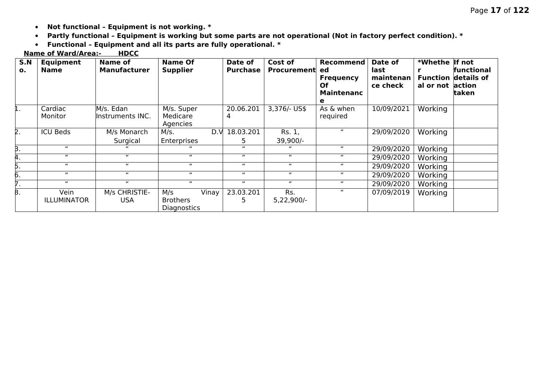- **Not functional Equipment is not working. \***
- **Partly functional Equipment is working but some parts are not operational (Not in factory perfect condition). \***
- **Functional Equipment and all its parts are fully operational. \***

## **Name of Ward/Area:- HDCC**

| S.N<br>о. | <b>Equipment</b><br><b>Name</b> | Name of<br><b>Manufacturer</b> | <b>Name Of</b><br><b>Supplier</b>                     | Date of<br><b>Purchase</b> | Cost of<br><b>Procurement</b> ed | <b>Recommend</b><br><b>Frequency</b><br><b>Of</b><br><b>Maintenanc</b><br>е | Date of<br>last<br>maintenan<br>ce check | *Whethe If not<br><b>Function details of</b><br>al or not action | functional<br>taken |
|-----------|---------------------------------|--------------------------------|-------------------------------------------------------|----------------------------|----------------------------------|-----------------------------------------------------------------------------|------------------------------------------|------------------------------------------------------------------|---------------------|
| щ.        | Cardiac<br>Monitor              | M/s. Edan<br>Instruments INC.  | M/s. Super<br>Medicare<br>Agencies                    | 20.06.201                  | 3,376/- US\$                     | As & when<br>required                                                       | 10/09/2021                               | Working                                                          |                     |
| 2.        | <b>ICU Beds</b>                 | M/s Monarch<br>Surgical        | D.V<br>M/s.<br>Enterprises                            | 18.03.201<br>5.            | Rs. 1,<br>39,900/-               | $\mathbf{u}$                                                                | 29/09/2020                               | Working                                                          |                     |
| В.        | $\overline{u}$                  |                                | $\overline{u}$                                        | $\overline{u}$             | $\mathbf{u}$                     | $\overline{u}$                                                              | 29/09/2020                               | Working                                                          |                     |
| 4.        | $\overline{u}$                  | $\overline{u}$                 | $\overline{u}$                                        | $\overline{u}$             | $\overline{u}$                   | $\overline{u}$                                                              | 29/09/2020                               | Working                                                          |                     |
| Б.        | $\overline{u}$                  | $\overline{u}$                 | $\overline{u}$                                        | $\overline{u}$             | $\overline{u}$                   | $\overline{u}$                                                              | 29/09/2020                               | Working                                                          |                     |
| 6.        | $\overline{u}$                  | $\overline{u}$                 | $\overline{u}$                                        | $\overline{u}$             | $\overline{u}$                   | $\overline{u}$                                                              | 29/09/2020                               | Working                                                          |                     |
| 7.        | $\overline{u}$                  | $\overline{u}$                 | $\overline{u}$                                        | $\overline{u}$             | $\overline{u}$                   | $\overline{u}$                                                              | 29/09/2020                               | Working                                                          |                     |
| 8.        | Vein<br><b>ILLUMINATOR</b>      | M/s CHRISTIE-<br><b>USA</b>    | Vinay<br>M/s<br><b>Brothers</b><br><b>Diagnostics</b> | 23.03.201<br>ל             | Rs.<br>$5,22,900/-$              | $\overline{u}$                                                              | 07/09/2019                               | Working                                                          |                     |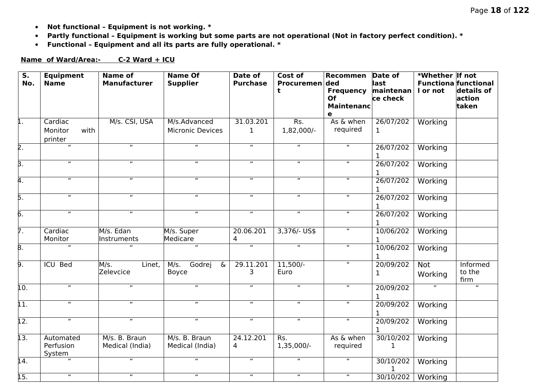- **Not functional Equipment is not working. \***
- **Partly functional Equipment is working but some parts are not operational (Not in factory perfect condition). \***
- **Functional Equipment and all its parts are fully operational. \***

### **Name of Ward/Area:- C-2 Ward + ICU**

| $\overline{\mathsf{s}}$ .<br>No. | <b>Equipment</b><br><b>Name</b>  | <b>Name of</b><br><b>Manufacturer</b> | <b>Name Of</b><br><b>Supplier</b>                  | Date of<br><b>Purchase</b> | Cost of<br>Procuremen ded<br>t. | Recommen<br><b>Frequency</b><br>Of<br><b>Maintenanc</b><br>е | Date of<br>last<br>maintenan<br>ce check | *Whether If not<br>I or not          | <b>Functiona functional</b><br>details of<br>action<br>taken |
|----------------------------------|----------------------------------|---------------------------------------|----------------------------------------------------|----------------------------|---------------------------------|--------------------------------------------------------------|------------------------------------------|--------------------------------------|--------------------------------------------------------------|
| 1.                               | Cardiac                          | M/s. CSI, USA                         | M/s.Advanced                                       | 31.03.201                  | Rs.                             | As & when                                                    | 26/07/202                                | Working                              |                                                              |
|                                  | Monitor<br>with<br>printer       |                                       | <b>Micronic Devices</b>                            | $\mathbf{1}$               | 1,82,000/-                      | required                                                     | $\mathbf{1}$                             |                                      |                                                              |
| Þ.                               | $\overline{u}$                   | $\overline{u}$                        | $\overline{u}$                                     | $\boldsymbol{u}$           | $\overline{u}$                  | $\boldsymbol{u}$                                             | 26/07/202<br>1                           | Working                              |                                                              |
| $\overline{3}$ .                 | $\overline{u}$                   | $\overline{u}$                        | $\overline{u}$                                     | $\overline{u}$             | $\overline{u}$                  | $\overline{u}$                                               | 26/07/202<br>1                           | Working                              |                                                              |
| 4.                               | $\overline{u}$                   | $\overline{u}$                        | $\overline{u}$                                     | $\overline{u}$             | $\overline{u}$                  | $\overline{u}$                                               | 26/07/202<br>$\mathbf{1}$                | Working                              |                                                              |
| 5.                               | $\overline{u}$                   | $\overline{u}$                        | $\overline{u}$                                     | $\overline{u}$             | $\overline{u}$                  | $\overline{u}$                                               | 26/07/202<br>1                           | Working                              |                                                              |
| $\overline{6}$ .                 | $\overline{u}$                   | $\boldsymbol{u}$                      | $\overline{u}$                                     | $\overline{u}$             | $\overline{u}$                  | $\overline{u}$                                               | 26/07/202<br>1                           | Working                              |                                                              |
| $\overline{7}$ .                 | Cardiac<br>Monitor               | M/s. Edan<br>Instruments              | M/s. Super<br>Medicare                             | 20.06.201<br>4             | $3,376/-$ US\$                  | $\overline{u}$                                               | 10/06/202<br>$\mathbf{1}$                | Working                              |                                                              |
| 8.                               | $\overline{u}$                   | $\overline{u}$                        | $\overline{u}$                                     | $\overline{u}$             | $\overline{u}$                  | $\overline{u}$                                               | 10/06/202<br>$\mathbf{1}$                | Working                              |                                                              |
| $\overline{9}$ .                 | <b>ICU Bed</b>                   | M/s.<br>Linet,<br>Zelevcice           | Godrej<br>M/s.<br>$\overline{\mathbf{c}}$<br>Boyce | 29.11.201<br>3             | $11,500/-$<br>Euro              | $\overline{u}$                                               | 20/09/202<br>$\mathbf 1$                 | $\overline{\mathsf{Not}}$<br>Working | Informed<br>to the<br>firm                                   |
| 10.                              | $\overline{u}$                   | $\overline{u}$                        | $\overline{u}$                                     | $\overline{u}$             | $\overline{u}$                  | $\boldsymbol{u}$                                             | 20/09/202<br>$\mathbf{1}$                | $\overline{u}$                       | $\overline{u}$                                               |
| $\overline{11}$ .                | $\boldsymbol{u}$                 | $\overline{u}$                        | $\overline{u}$                                     | $\boldsymbol{u}$           | $\boldsymbol{u}$                | $\boldsymbol{u}$                                             | 20/09/202<br>1                           | Working                              |                                                              |
| $\overline{12}$ .                | $\overline{u}$                   | $\overline{u}$                        | $\overline{u}$                                     | $\overline{u}$             | $\overline{u}$                  | $\boldsymbol{u}$                                             | 20/09/202<br>$\mathbf{1}$                | Working                              |                                                              |
| 13.                              | Automated<br>Perfusion<br>System | M/s. B. Braun<br>Medical (India)      | M/s. B. Braun<br>Medical (India)                   | 24.12.201<br>4             | Rs.<br>1,35,000/-               | As & when<br>required                                        | 30/10/202<br>1                           | Working                              |                                                              |
| $\overline{14}$ .                | $\overline{u}$                   | $\overline{u}$                        | $\overline{u}$                                     | $\overline{u}$             | $\overline{u}$                  | $\overline{u}$                                               | 30/10/202<br>1                           | Working                              |                                                              |
| $\overline{15}$ .                | $\overline{u}$                   | $\overline{u}$                        | $\boldsymbol{u}$                                   | $\boldsymbol{\mu}$         | $\boldsymbol{u}$                | $\boldsymbol{u}$                                             | 30/10/202                                | Working                              |                                                              |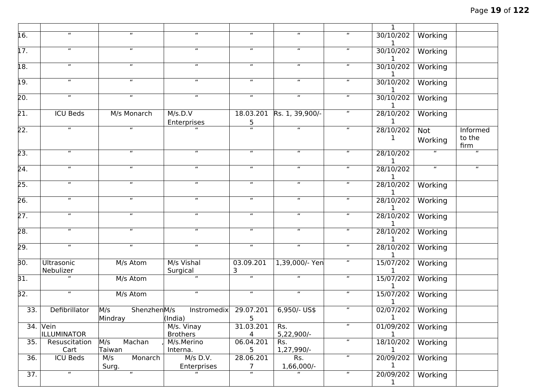|                   |                                  |                                       |                               |                          |                           |                  | $\mathbf 1$               |                       |                            |
|-------------------|----------------------------------|---------------------------------------|-------------------------------|--------------------------|---------------------------|------------------|---------------------------|-----------------------|----------------------------|
| 16.               | $\boldsymbol{u}$                 | $\boldsymbol{u}$                      | $\boldsymbol{u}$              | $\boldsymbol{u}$         | $\boldsymbol{u}$          | $\boldsymbol{u}$ | 30/10/202<br>1            | Working               |                            |
| 17.               | $\boldsymbol{u}$                 | $\boldsymbol{u}$                      | $\boldsymbol{u}$              | $\boldsymbol{u}$         | $\boldsymbol{u}$          | $\boldsymbol{u}$ | 30/10/202<br>1            | Working               |                            |
| 18.               | $\boldsymbol{u}$                 | $\boldsymbol{u}$                      | $\boldsymbol{u}$              | $\boldsymbol{u}$         | $\boldsymbol{u}$          | $\boldsymbol{u}$ | 30/10/202<br>1            | Working               |                            |
| 19.               | $\boldsymbol{u}$                 | $\overline{u}$                        | $\boldsymbol{u}$              | $\boldsymbol{u}$         | $\overline{u}$            | $\boldsymbol{u}$ | 30/10/202<br>1            | Working               |                            |
| 20.               | $\overline{u}$                   | $\boldsymbol{u}$                      | $\overline{u}$                | $\overline{u}$           | $\overline{u}$            | $\boldsymbol{u}$ | 30/10/202<br>$\mathbf{1}$ | Working               |                            |
| 21.               | <b>ICU Beds</b>                  | M/s Monarch                           | M/s.D.V<br>Enterprises        | 5                        | 18.03.201 Rs. 1, 39,900/- | $\boldsymbol{u}$ | 28/10/202<br>$\mathbf 1$  | Working               |                            |
| 22.               | $\boldsymbol{u}$                 | $\overline{u}$                        |                               | $\overline{u}$           | $\boldsymbol{u}$          | $\boldsymbol{u}$ | 28/10/202<br>1            | <b>Not</b><br>Working | Informed<br>to the<br>firm |
| 23.               | $\boldsymbol{u}$                 | $\boldsymbol{u}$                      | $\boldsymbol{u}$              | $\boldsymbol{u}$         | $\boldsymbol{u}$          | $\boldsymbol{u}$ | 28/10/202<br>$\mathbf{1}$ | $\overline{u}$        | $\overline{u}$             |
| 24.               | $\boldsymbol{u}$                 | $\boldsymbol{u}$                      | $\boldsymbol{u}$              | $\boldsymbol{u}$         | $\overline{u}$            | $\boldsymbol{u}$ | 28/10/202<br>1            | $\boldsymbol{u}$      | $\overline{u}$             |
| 25.               | $\boldsymbol{u}$                 | $\boldsymbol{u}$                      | $\boldsymbol{u}$              | $\boldsymbol{u}$         | $\boldsymbol{u}$          | $\boldsymbol{u}$ | 28/10/202<br>1            | Working               |                            |
| 26.               | $\boldsymbol{u}$                 | $\boldsymbol{u}$                      | $\overline{u}$                | $\boldsymbol{u}$         | $\overline{u}$            | $\boldsymbol{u}$ | 28/10/202<br>$\mathbf{1}$ | Working               |                            |
| 27.               | $\boldsymbol{u}$                 | $\boldsymbol{u}$                      | $\boldsymbol{u}$              | $\overline{u}$           | $\overline{u}$            | $\boldsymbol{u}$ | 28/10/202<br>$\mathbf{1}$ | Working               |                            |
| 28.               | $\boldsymbol{u}$                 | $\boldsymbol{u}$                      | $\boldsymbol{u}$              | $\boldsymbol{u}$         | $\boldsymbol{u}$          | $\boldsymbol{u}$ | 28/10/202<br>$\mathbf{1}$ | Working               |                            |
| 29.               | $\overline{u}$                   | $\overline{u}$                        | $\overline{u}$                | $\overline{u}$           | $\overline{u}$            | $\overline{u}$   | 28/10/202<br>$\mathbf{1}$ | Working               |                            |
| $\overline{30}$ . | Ultrasonic<br>Nebulizer          | M/s Atom                              | M/s Vishal<br>Surgical        | 03.09.201<br>3           | 1,39,000/- Yen            | $\boldsymbol{u}$ | 15/07/202<br>$\mathbf{1}$ | Working               |                            |
| $\overline{31}$ . | $\overline{u}$                   | M/s Atom                              | $\overline{u}$                | $\boldsymbol{u}$         | $\boldsymbol{u}$          | $\boldsymbol{u}$ | 15/07/202<br>$\mathbf{1}$ | Working               |                            |
| $\overline{32.}$  | $\boldsymbol{u}$                 | M/s Atom                              | $\boldsymbol{u}$              | $\boldsymbol{u}$         | $\boldsymbol{u}$          | $\boldsymbol{u}$ | 15/07/202<br>1            | Working               |                            |
| $\overline{33}$ . | Defibrillator                    | ShenzhenM/s<br>M/s<br>Mindray________ | Instromedix<br>(India)        | 29.07.201<br>$5^{\circ}$ | 6,950/- US\$              | $\boldsymbol{u}$ | 02/07/202<br>$\mathbf{1}$ | Working               |                            |
|                   | $34.$ Vein<br><b>ILLUMINATOR</b> |                                       | M/s. Vinay<br><b>Brothers</b> | 31.03.201<br>4           | Rs.<br>5,22,900/-         | $\overline{u}$   | 01/09/202<br>1            | Working               |                            |
| 35.               | Resuscitation<br>Cart            | M/s<br>Machan<br>Taiwan               | M/s.Merino<br>Interna.        | 06.04.201<br>5           | Rs.<br>1,27,990/-         | $\boldsymbol{u}$ | 18/10/202<br>1            | Working               |                            |
| 36.               | <b>ICU Beds</b>                  | Monarch<br>M/s<br>Surg.               | $M/s$ D.V.<br>Enterprises     | 28.06.201<br>7           | Rs.<br>1,66,000/-         | $\overline{u}$   | 20/09/202<br>1            | Working               |                            |
| $\overline{37}$ . | $\overline{u}$                   | $\overline{u}$                        |                               | $\overline{u}$           |                           | $\overline{u}$   | 20/09/202<br>1            | Working               |                            |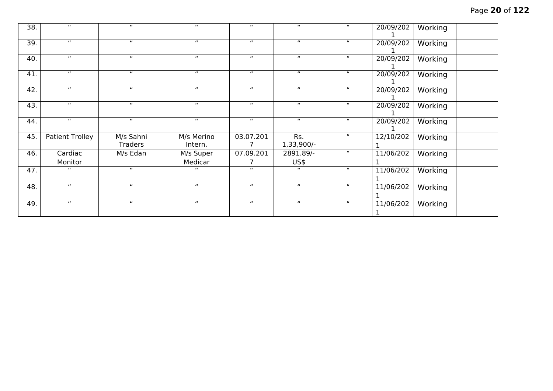| 38.              | $\boldsymbol{u}$       | $\boldsymbol{u}$            | $\boldsymbol{u}$      | $\overline{u}$ | $\boldsymbol{u}$  | $\boldsymbol{u}$ | 20/09/202      | Working |  |
|------------------|------------------------|-----------------------------|-----------------------|----------------|-------------------|------------------|----------------|---------|--|
| $\overline{39.}$ | $\overline{u}$         | $\boldsymbol{u}$            | $\overline{u}$        | $\overline{u}$ | $\boldsymbol{u}$  | $\overline{u}$   | 20/09/202      | Working |  |
| 40.              | $\overline{u}$         | $\boldsymbol{u}$            | $\overline{u}$        | $\overline{u}$ | $\boldsymbol{u}$  | $\boldsymbol{u}$ | 20/09/202      | Working |  |
| 41.              | $\boldsymbol{u}$       | $\boldsymbol{u}$            | $\overline{u}$        | $\overline{u}$ | $\boldsymbol{u}$  | $\boldsymbol{u}$ | 20/09/202      | Working |  |
| 42.              | $\mathbf{u}$           | $\overline{u}$              | $\overline{u}$        | $\overline{u}$ | $\mathbf{u}$      | $\overline{u}$   | 20/09/202      | Working |  |
| 43.              | $\boldsymbol{u}$       | $\boldsymbol{u}$            | $\overline{u}$        | $\overline{u}$ | $\overline{u}$    | $\boldsymbol{u}$ | 20/09/202      | Working |  |
| 44.              | $\boldsymbol{u}$       | $\boldsymbol{u}$            | $\overline{u}$        | $\overline{u}$ | $\mathbf{u}$      | $\boldsymbol{u}$ | 20/09/202      | Working |  |
| 45.              | <b>Patient Trolley</b> | M/s Sahni<br><b>Traders</b> | M/s Merino<br>Intern. | 03.07.201      | Rs.<br>1,33,900/- | $\overline{u}$   | 12/10/202      | Working |  |
| 46.              | Cardiac                | M/s Edan                    | M/s Super             | 07.09.201      | 2891.89/-         | $\boldsymbol{u}$ | 11/06/202      | Working |  |
|                  | Monitor                |                             | Medicar               |                | US\$              |                  |                |         |  |
| 47.              | $\overline{u}$         | $\overline{u}$              | $\overline{u}$        | $\overline{u}$ | $\mathbf{u}$      | $\boldsymbol{u}$ | 11/06/202      | Working |  |
| 48.              | $\overline{u}$         | $\overline{u}$              | $\overline{u}$        | $\overline{u}$ | $\overline{u}$    | $\boldsymbol{u}$ | 11/06/202      | Working |  |
| 49.              | $\overline{u}$         | $\overline{u}$              | $\overline{u}$        | $\overline{u}$ | $\overline{u}$    | $\overline{u}$   | 11/06/202<br>ᅩ | Working |  |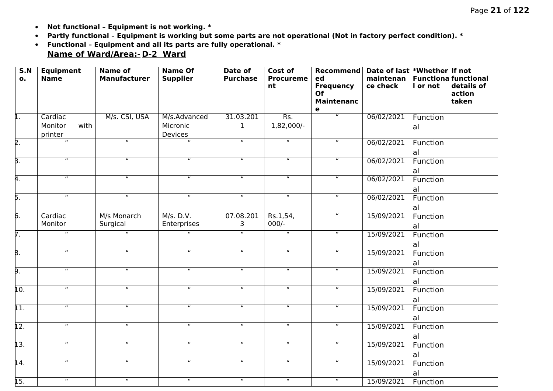- **Not functional Equipment is not working. \***
- **Partly functional Equipment is working but some parts are not operational (Not in factory perfect condition). \***
- **Functional Equipment and all its parts are fully operational. \***

# **Name of Ward/Area:- D-2 Ward**

| S.N<br>о.         | Equipment<br><b>Name</b>   | Name of<br><b>Manufacturer</b> | <b>Name Of</b><br><b>Supplier</b> | Date of<br><b>Purchase</b> | Cost of<br><b>Procureme</b><br>nt | <b>Recommend</b><br>ed<br><b>Frequency</b><br><b>Of</b><br><b>Maintenanc</b><br>e | Date of last *Whether  If not<br>maintenan<br>ce check | I or not       | <b>Functiona</b> functional<br>details of<br>action<br>taken |
|-------------------|----------------------------|--------------------------------|-----------------------------------|----------------------------|-----------------------------------|-----------------------------------------------------------------------------------|--------------------------------------------------------|----------------|--------------------------------------------------------------|
| ī.                | Cardiac                    | M/s. CSI, USA                  | M/s.Advanced                      | 31.03.201                  | Rs.                               | $\overline{u}$                                                                    | 06/02/2021                                             | Function       |                                                              |
|                   | Monitor<br>with<br>printer |                                | Micronic<br>Devices               | $\mathbf{1}$               | 1,82,000/-                        |                                                                                   |                                                        | al             |                                                              |
| 2.                | $\overline{u}$             | $\overline{u}$                 | $\overline{u}$                    | $\overline{u}$             | $\overline{u}$                    | $\boldsymbol{u}$                                                                  | 06/02/2021                                             | Function<br>al |                                                              |
| ₹.                | $\overline{u}$             | $\overline{u}$                 | $\overline{u}$                    | $\overline{u}$             | $\overline{u}$                    | $\overline{u}$                                                                    | 06/02/2021                                             | Function<br>al |                                                              |
| 4.                | $\overline{u}$             | $\overline{u}$                 | $\overline{u}$                    | $\overline{u}$             | $\overline{u}$                    | $\overline{u}$                                                                    | 06/02/2021                                             | Function<br>al |                                                              |
| 5.                | $\overline{u}$             | $\overline{u}$                 | $\overline{u}$                    | $\overline{u}$             | $\overline{u}$                    | $\overline{u}$                                                                    | 06/02/2021                                             | Function<br>al |                                                              |
| б.                | Cardiac<br>Monitor         | M/s Monarch<br>Surgical        | M/s. D.V.<br>Enterprises          | 07.08.201<br>3             | Rs.1,54,<br>$000/-$               | $\overline{u}$                                                                    | 15/09/2021                                             | Function<br>al |                                                              |
| 7.                | $\overline{u}$             | $\overline{u}$                 | $\overline{u}$                    | $\overline{u}$             | $\overline{u}$                    | $\overline{u}$                                                                    | 15/09/2021                                             | Function<br>al |                                                              |
| 8.                | $\overline{u}$             | $\overline{u}$                 | $\overline{u}$                    | $\overline{u}$             | $\overline{u}$                    | $\overline{u}$                                                                    | 15/09/2021                                             | Function<br>al |                                                              |
| 9.                | $\boldsymbol{u}$           | $\boldsymbol{u}$               | $\boldsymbol{u}$                  | $\overline{u}$             | $\boldsymbol{u}$                  | $\boldsymbol{u}$                                                                  | 15/09/2021                                             | Function<br>al |                                                              |
| ĪΟ.               | $\overline{u}$             | $\overline{u}$                 | $\overline{u}$                    | $\overline{u}$             | $\overline{u}$                    | $\overline{u}$                                                                    | 15/09/2021                                             | Function<br>al |                                                              |
| 11.               | $\overline{u}$             | $\overline{u}$                 | $\overline{u}$                    | $\overline{u}$             | $\overline{u}$                    | $\overline{u}$                                                                    | 15/09/2021                                             | Function<br>al |                                                              |
| $\overline{12}$ . | $\overline{u}$             | $\overline{u}$                 | $\overline{u}$                    | $\overline{u}$             | $\overline{u}$                    | $\overline{u}$                                                                    | 15/09/2021                                             | Function<br>al |                                                              |
| $\overline{13.}$  | $\overline{u}$             | $\overline{u}$                 | $\overline{u}$                    | $\overline{u}$             | $\overline{u}$                    | $\overline{u}$                                                                    | 15/09/2021                                             | Function<br>al |                                                              |
| $\overline{14}$ . | $\overline{u}$             | $\overline{u}$                 | $\overline{u}$                    | $\overline{u}$             | $\overline{u}$                    | $\overline{u}$                                                                    | 15/09/2021                                             | Function<br>al |                                                              |
| 15.               | $\overline{u}$             | $\overline{u}$                 | $\overline{u}$                    | $\overline{u}$             | $\overline{u}$                    | $\boldsymbol{u}$                                                                  | 15/09/2021                                             | Function       |                                                              |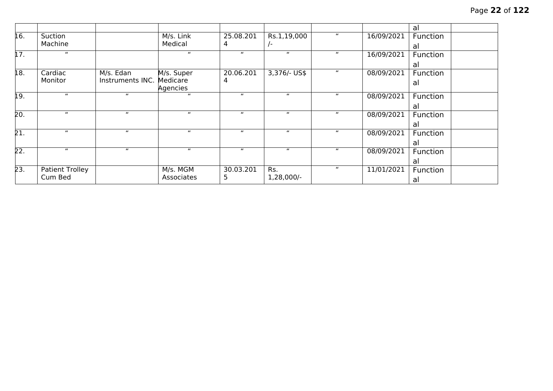|                   |                 |                  |                      |                         |                |                |            | al       |  |
|-------------------|-----------------|------------------|----------------------|-------------------------|----------------|----------------|------------|----------|--|
| 16.               | Suction         |                  | M/s. Link            | 25.08.201               | Rs.1,19,000    | $\overline{u}$ | 16/09/2021 | Function |  |
|                   | Machine         |                  | Medical              | 4                       | $\prime$ -     |                |            | al       |  |
| 17.               | $\overline{u}$  |                  | $\overline{u}$       | $\overline{u}$          | $\overline{u}$ | $\overline{u}$ | 16/09/2021 | Function |  |
|                   |                 |                  |                      |                         |                |                |            | al       |  |
| 18.               | Cardiac         | M/s. Edan        | M/s. Super           | 20.06.201               | 3,376/- US\$   | $\overline{u}$ | 08/09/2021 | Function |  |
|                   | Monitor         | Instruments INC. | Medicare<br>Agencies | 4                       |                |                |            | al       |  |
| $\overline{19}$ . | $\overline{u}$  | $\overline{u}$   | $\overline{u}$       | $\overline{u}$          | $\overline{u}$ | $\overline{u}$ | 08/09/2021 | Function |  |
|                   |                 |                  |                      |                         |                |                |            | al       |  |
| 20.               | $\overline{u}$  | $\overline{u}$   | $\boldsymbol{u}$     | $\overline{u}$          | $\overline{u}$ | $\mathbf{u}$   | 08/09/2021 | Function |  |
|                   |                 |                  |                      |                         |                |                |            | al       |  |
| $\overline{21}$ . | $\overline{u}$  | $\overline{u}$   | $\overline{u}$       | $\overline{\mathbf{u}}$ | $\overline{u}$ | $\overline{u}$ | 08/09/2021 | Function |  |
|                   |                 |                  |                      |                         |                |                |            | al       |  |
| $\overline{22}$ . | $\overline{u}$  | $\overline{u}$   | $\overline{u}$       | $\overline{u}$          | $\overline{u}$ | $\overline{u}$ | 08/09/2021 | Function |  |
|                   |                 |                  |                      |                         |                |                |            | al       |  |
| 23.               | Patient Trolley |                  | M/s. MGM             | 30.03.201               | Rs.            | $\overline{u}$ | 11/01/2021 | Function |  |
|                   | Cum Bed         |                  | Associates           | 5                       | 1,28,000/-     |                |            | al       |  |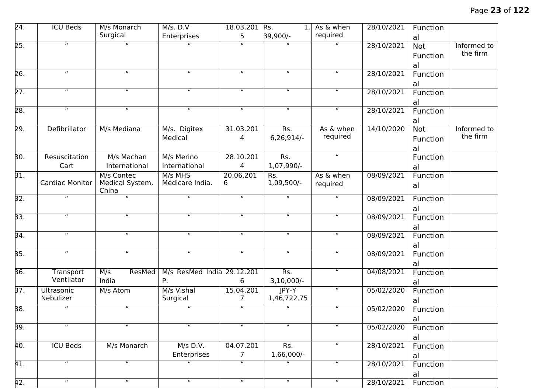| 24.               | <b>ICU Beds</b>   | M/s Monarch                   | M/s. D.V                   | 18.03.201        | Rs.<br>1,         | As & when        | 28/10/2021 | Function       |             |
|-------------------|-------------------|-------------------------------|----------------------------|------------------|-------------------|------------------|------------|----------------|-------------|
|                   |                   | Surgical                      | Enterprises                | 5                | B9,900/-          | required         |            | al             |             |
| 25.               | $\overline{u}$    | $\overline{u}$                |                            | $\overline{u}$   | $\overline{u}$    |                  | 28/10/2021 | <b>Not</b>     | Informed to |
|                   |                   |                               |                            |                  |                   |                  |            | Function       | the firm    |
|                   |                   |                               |                            |                  |                   |                  |            | al             |             |
| 26.               | $\overline{u}$    | $\overline{u}$                | $\boldsymbol{u}$           | $\overline{u}$   | $\boldsymbol{u}$  | $\boldsymbol{u}$ | 28/10/2021 | Function       |             |
|                   |                   |                               |                            |                  |                   |                  |            | al             |             |
| $\overline{27}$ . | $\boldsymbol{u}$  | $\boldsymbol{u}$              | $\boldsymbol{u}$           | $\boldsymbol{u}$ | $\boldsymbol{u}$  | $\boldsymbol{u}$ | 28/10/2021 | Function       |             |
|                   |                   |                               |                            |                  |                   |                  |            | al             |             |
| 28.               | $\boldsymbol{u}$  | $\boldsymbol{u}$              | $\boldsymbol{u}$           | $\boldsymbol{u}$ | $\overline{u}$    | $\boldsymbol{u}$ | 28/10/2021 | Function       |             |
|                   |                   |                               |                            |                  |                   |                  |            | al             |             |
| 29.               | Defibrillator     | M/s Mediana                   | M/s. Digitex               | 31.03.201        | Rs.               | As & when        | 14/10/2020 | <b>Not</b>     | Informed to |
|                   |                   |                               | Medical                    | 4                | 6,26,914/-        | required         |            | Function       | the firm    |
|                   |                   |                               |                            |                  |                   |                  |            |                |             |
| 30.               | Resuscitation     | M/s Machan                    | M/s Merino                 | 28.10.201        | Rs.               | $\overline{u}$   |            | al             |             |
|                   | Cart              | International                 | International              | 4                | 1,07,990/-        |                  |            | Function       |             |
|                   |                   |                               |                            |                  |                   |                  |            | al             |             |
| 31.               | Cardiac Monitor   | M/s Contec<br>Medical System, | M/s MHS<br>Medicare India. | 20.06.201<br>6   | Rs.<br>1,09,500/- | As & when        | 08/09/2021 | Function       |             |
|                   |                   | China                         |                            |                  |                   | required         |            | al             |             |
| 32.               | $\boldsymbol{u}$  | $\overline{u}$                | $\boldsymbol{u}$           | $\boldsymbol{u}$ | $\boldsymbol{u}$  | $\boldsymbol{u}$ | 08/09/2021 | Function       |             |
|                   |                   |                               |                            |                  |                   |                  |            | al             |             |
| 33.               | $\overline{u}$    | $\overline{u}$                | $\overline{u}$             | $\overline{u}$   | $\overline{u}$    | $\overline{u}$   | 08/09/2021 | Function       |             |
|                   |                   |                               |                            |                  |                   |                  |            | al             |             |
| 34.               | $\overline{u}$    | $\overline{u}$                | $\overline{u}$             | $\overline{u}$   | $\boldsymbol{u}$  | $\overline{u}$   | 08/09/2021 | Function       |             |
|                   |                   |                               |                            |                  |                   |                  |            | al             |             |
| 35.               | $\boldsymbol{u}$  | $\boldsymbol{u}$              | $\boldsymbol{u}$           | $\boldsymbol{u}$ | $\boldsymbol{u}$  | $\boldsymbol{u}$ | 08/09/2021 | Function       |             |
|                   |                   |                               |                            |                  |                   |                  |            | al             |             |
| 36.               | Transport         | M/s<br>ResMed                 | M/s ResMed India 29.12.201 |                  | Rs.               | $\boldsymbol{u}$ | 04/08/2021 | Function       |             |
|                   | Ventilator        | India                         | P.                         | 6                | $3,10,000/-$      |                  |            | al             |             |
| 37.               | <b>Ultrasonic</b> | M/s Atom                      | M/s Vishal                 | 15.04.201        | $IPY-$            | $\overline{u}$   | 05/02/2020 | Function       |             |
|                   | Nebulizer         |                               | Surgical                   | $\overline{7}$   | 1,46,722.75       |                  |            | al             |             |
| 38.               | $\boldsymbol{u}$  | $\boldsymbol{u}$              | $\boldsymbol{\mu}$         | $\boldsymbol{u}$ | $\boldsymbol{u}$  | $\boldsymbol{u}$ | 05/02/2020 | Function       |             |
|                   |                   |                               |                            |                  |                   |                  |            | al             |             |
| 39.               | $\overline{u}$    | $\overline{u}$                | $\overline{u}$             | $\overline{u}$   | $\boldsymbol{u}$  | $\boldsymbol{u}$ | 05/02/2020 | Function       |             |
|                   |                   |                               |                            |                  |                   |                  |            |                |             |
| 40.               | <b>ICU Beds</b>   | M/s Monarch                   | $M/s$ D.V.                 | 04.07.201        | Rs.               | $\boldsymbol{u}$ | 28/10/2021 | al<br>Function |             |
|                   |                   |                               | Enterprises                | 7                | 1,66,000/-        |                  |            |                |             |
| 41.               | $\boldsymbol{u}$  | $\boldsymbol{u}$              |                            | $\boldsymbol{u}$ | $\boldsymbol{u}$  | $\boldsymbol{u}$ | 28/10/2021 | al<br>Function |             |
|                   |                   |                               |                            |                  |                   |                  |            |                |             |
| 42.               | $\overline{u}$    | $\overline{u}$                | $\overline{u}$             | $\overline{u}$   | $\overline{u}$    | $\boldsymbol{u}$ | 28/10/2021 | al             |             |
|                   |                   |                               |                            |                  |                   |                  |            | Function       |             |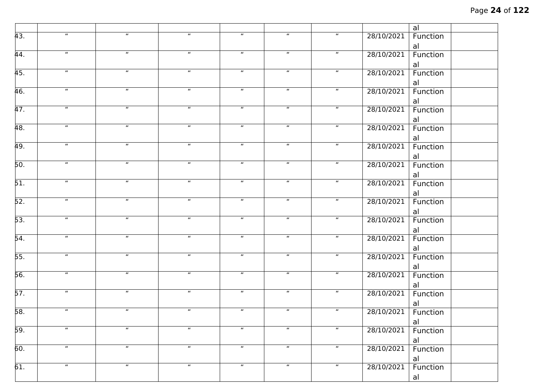|                   |                  |                  |                  |                  |                  |                  |            | al       |  |
|-------------------|------------------|------------------|------------------|------------------|------------------|------------------|------------|----------|--|
| 43.               | $\overline{u}$   | $\overline{u}$   | $\overline{u}$   | $\overline{u}$   | $\overline{u}$   | $\boldsymbol{u}$ | 28/10/2021 | Function |  |
|                   |                  |                  |                  |                  |                  |                  |            | al       |  |
| 44.               | $\boldsymbol{u}$ | $\boldsymbol{u}$ | $\boldsymbol{u}$ | $\boldsymbol{u}$ | $\boldsymbol{u}$ | $\boldsymbol{u}$ | 28/10/2021 | Function |  |
|                   |                  |                  |                  |                  |                  |                  |            | al       |  |
| 45.               | $\boldsymbol{u}$ | $\boldsymbol{u}$ | $\boldsymbol{u}$ | $\boldsymbol{u}$ | $\boldsymbol{u}$ | $\boldsymbol{u}$ | 28/10/2021 | Function |  |
|                   |                  |                  |                  |                  |                  |                  |            | al       |  |
| 46.               | $\overline{u}$   | $\overline{u}$   | $\overline{u}$   | $\overline{u}$   | $\overline{u}$   | $\boldsymbol{u}$ | 28/10/2021 | Function |  |
|                   |                  |                  |                  |                  |                  |                  |            | al       |  |
| 47.               | $\overline{u}$   | $\overline{u}$   | $\overline{u}$   | $\overline{u}$   | $\overline{u}$   | $\boldsymbol{u}$ | 28/10/2021 | Function |  |
|                   |                  |                  |                  |                  |                  |                  |            | al       |  |
| 48.               | $\boldsymbol{u}$ | $\boldsymbol{u}$ | $\boldsymbol{u}$ | $\boldsymbol{u}$ | $\boldsymbol{u}$ | $\boldsymbol{u}$ | 28/10/2021 | Function |  |
|                   |                  |                  |                  |                  |                  |                  |            | al       |  |
| 49.               | $\overline{u}$   | $\overline{u}$   | $\overline{u}$   | $\overline{u}$   | $\overline{u}$   | $\boldsymbol{u}$ | 28/10/2021 | Function |  |
|                   |                  |                  |                  |                  |                  |                  |            | al       |  |
| 50.               | $\overline{u}$   | $\overline{u}$   | $\overline{u}$   | $\overline{u}$   | $\overline{u}$   | $\boldsymbol{u}$ | 28/10/2021 | Function |  |
|                   |                  |                  |                  |                  |                  |                  |            | al       |  |
| $\overline{51}$ . | $\boldsymbol{u}$ | $\boldsymbol{u}$ | $\boldsymbol{u}$ | $\boldsymbol{u}$ | $\boldsymbol{u}$ | $\boldsymbol{u}$ | 28/10/2021 | Function |  |
|                   |                  |                  |                  |                  |                  |                  |            | al       |  |
| 52.               | $\boldsymbol{u}$ | $\boldsymbol{u}$ | $\overline{u}$   | $\boldsymbol{u}$ | $\boldsymbol{u}$ | $\boldsymbol{u}$ | 28/10/2021 | Function |  |
|                   |                  |                  |                  |                  |                  |                  |            | al       |  |
| 53.               | $\overline{u}$   | $\overline{u}$   | $\overline{u}$   | $\overline{u}$   | $\overline{u}$   | $\boldsymbol{u}$ | 28/10/2021 | Function |  |
|                   |                  |                  |                  |                  |                  |                  |            | al       |  |
| $\overline{54}$ . | $\boldsymbol{u}$ | $\boldsymbol{u}$ | $\boldsymbol{u}$ | $\boldsymbol{u}$ | $\boldsymbol{u}$ | $\boldsymbol{u}$ | 28/10/2021 | Function |  |
|                   |                  |                  |                  |                  |                  |                  |            | al       |  |
| 55.               | $\overline{u}$   | $\overline{u}$   | $\overline{u}$   | $\boldsymbol{u}$ | $\boldsymbol{u}$ | $\boldsymbol{u}$ | 28/10/2021 | Function |  |
|                   |                  |                  |                  |                  |                  |                  |            | al       |  |
| $\overline{56}$ . | $\overline{u}$   | $\overline{u}$   | $\overline{u}$   | $\overline{u}$   | $\overline{u}$   | $\boldsymbol{u}$ | 28/10/2021 | Function |  |
|                   |                  |                  |                  |                  |                  |                  |            | al       |  |
| $\overline{57}$ . | $\boldsymbol{u}$ | $\boldsymbol{u}$ | $\overline{u}$   | $\boldsymbol{u}$ | $\boldsymbol{u}$ | $\boldsymbol{u}$ | 28/10/2021 | Function |  |
|                   |                  |                  |                  |                  |                  |                  |            | al       |  |
| 58.               | $\boldsymbol{u}$ | $\boldsymbol{u}$ | $\boldsymbol{u}$ | $\boldsymbol{u}$ | $\boldsymbol{u}$ | $\boldsymbol{u}$ | 28/10/2021 | Function |  |
|                   |                  |                  |                  |                  |                  |                  |            | al       |  |
| $\overline{59}$ . | $\overline{u}$   | $\overline{u}$   | $\overline{u}$   | $\overline{u}$   | $\overline{u}$   | $\boldsymbol{u}$ | 28/10/2021 | Function |  |
|                   |                  |                  |                  |                  |                  |                  |            | al       |  |
| 60.               | $\overline{u}$   | $\boldsymbol{u}$ | $\overline{u}$   | $\overline{u}$   | $\overline{u}$   | $\boldsymbol{u}$ | 28/10/2021 | Function |  |
|                   |                  |                  |                  |                  |                  |                  |            | al       |  |
| $\overline{61.}$  | $\overline{u}$   | $\overline{u}$   | $\overline{u}$   | $\overline{u}$   | $\overline{u}$   | $\overline{u}$   | 28/10/2021 | Function |  |
|                   |                  |                  |                  |                  |                  |                  |            | al       |  |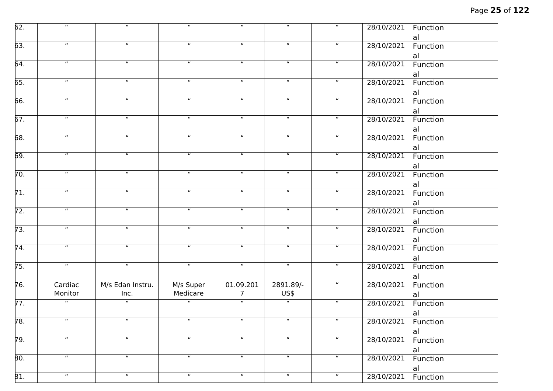| 62.               | $\boldsymbol{u}$ | $\boldsymbol{u}$        | $\boldsymbol{u}$ | $\boldsymbol{u}$   | $\boldsymbol{u}$ | $\boldsymbol{u}$ | 28/10/2021 | Function |
|-------------------|------------------|-------------------------|------------------|--------------------|------------------|------------------|------------|----------|
|                   |                  |                         |                  |                    |                  |                  |            | al       |
| $\overline{63.}$  | $\overline{u}$   | $\overline{u}$          | $\overline{u}$   | $\overline{u}$     | $\overline{u}$   | $\overline{u}$   | 28/10/2021 | Function |
|                   |                  |                         |                  |                    |                  |                  |            | al       |
| 64.               | $\overline{u}$   | $\boldsymbol{u}$        | $\overline{u}$   | $\overline{u}$     | $\overline{u}$   | $\boldsymbol{u}$ | 28/10/2021 | Function |
|                   |                  |                         |                  |                    |                  |                  |            | al       |
| 65.               | $\boldsymbol{u}$ | $\boldsymbol{u}$        | $\boldsymbol{u}$ | $\boldsymbol{\mu}$ | $\boldsymbol{u}$ | $\boldsymbol{u}$ | 28/10/2021 | Function |
|                   |                  |                         |                  |                    |                  |                  |            | al       |
| 66.               | $\overline{u}$   | $\boldsymbol{u}$        | $\boldsymbol{u}$ | $\overline{u}$     | $\overline{u}$   | $\boldsymbol{u}$ | 28/10/2021 | Function |
|                   |                  |                         |                  |                    |                  |                  |            | al       |
| $\overline{67}$ . | $\overline{u}$   | $\overline{u}$          | $\overline{u}$   | $\overline{u}$     | $\overline{u}$   | $\boldsymbol{u}$ | 28/10/2021 | Function |
|                   |                  |                         |                  |                    |                  |                  |            | al       |
| 68.               | $\boldsymbol{u}$ | $\boldsymbol{u}$        | $\boldsymbol{u}$ | $\boldsymbol{u}$   | $\overline{u}$   | $\boldsymbol{u}$ | 28/10/2021 | Function |
|                   |                  |                         |                  |                    |                  |                  |            | al       |
| 69.               | $\boldsymbol{u}$ | $\boldsymbol{u}$        | $\boldsymbol{u}$ | $\boldsymbol{u}$   | $\overline{u}$   | $\boldsymbol{u}$ | 28/10/2021 | Function |
|                   |                  |                         |                  |                    |                  |                  |            | al       |
| 70.               | $\boldsymbol{u}$ | $\boldsymbol{u}$        | $\overline{u}$   | $\overline{u}$     | $\overline{u}$   | $\boldsymbol{u}$ | 28/10/2021 | Function |
|                   |                  |                         |                  |                    |                  |                  |            | al       |
| 71.               | $\boldsymbol{u}$ | $\boldsymbol{u}$        | $\boldsymbol{u}$ | $\overline{u}$     | $\boldsymbol{u}$ | $\boldsymbol{u}$ | 28/10/2021 | Function |
|                   |                  |                         |                  |                    |                  |                  |            | al       |
| $\overline{72.}$  | $\boldsymbol{u}$ | $\boldsymbol{u}$        | $\boldsymbol{u}$ | $\overline{u}$     | $\overline{u}$   | $\boldsymbol{u}$ | 28/10/2021 | Function |
|                   |                  |                         |                  |                    |                  |                  |            | al       |
| 73.               | $\overline{u}$   | $\overline{u}$          | $\overline{u}$   | $\overline{u}$     | $\overline{u}$   | $\boldsymbol{u}$ | 28/10/2021 | Function |
|                   |                  |                         |                  |                    |                  |                  |            | al       |
| 74.               | $\boldsymbol{u}$ | $\boldsymbol{u}$        | $\overline{u}$   | $\overline{u}$     | $\overline{u}$   | $\boldsymbol{u}$ | 28/10/2021 | Function |
|                   |                  |                         |                  |                    |                  |                  |            | al       |
| $\overline{75.}$  | $\overline{u}$   | $\overline{u}$          | $\overline{u}$   | $\overline{u}$     | $\overline{u}$   | $\boldsymbol{u}$ | 28/10/2021 | Function |
|                   |                  |                         |                  |                    |                  |                  |            | al       |
| 76.               | Cardiac          | M/s Edan Instru.        | M/s Super        | 01.09.201          | 2891.89/-        | $\boldsymbol{u}$ | 28/10/2021 | Function |
|                   | Monitor          | Inc.                    | Medicare         | 7                  | US\$             |                  |            | al       |
| 77.               | $\boldsymbol{u}$ | $\boldsymbol{u}$        | $\overline{u}$   | $\overline{u}$     | $\overline{u}$   | $\boldsymbol{u}$ | 28/10/2021 | Function |
|                   |                  |                         |                  |                    |                  |                  |            | al       |
| 78.               | "                | $\overline{\mathbf{u}}$ |                  |                    |                  |                  | 28/10/2021 | Function |
|                   |                  |                         |                  |                    |                  |                  |            | al       |
| $\overline{79.}$  | $\boldsymbol{u}$ | $\boldsymbol{u}$        | $\boldsymbol{u}$ | $\boldsymbol{u}$   | $\boldsymbol{u}$ | $\boldsymbol{u}$ | 28/10/2021 | Function |
|                   |                  |                         |                  |                    |                  |                  |            | al       |
| $\overline{80}$ . | $\overline{u}$   | $\overline{u}$          | $\overline{u}$   | $\overline{u}$     | $\overline{u}$   | $\boldsymbol{u}$ | 28/10/2021 | Function |
|                   |                  |                         |                  |                    |                  |                  |            | al       |
| $\overline{81.}$  | $\overline{u}$   | $\overline{u}$          | $\overline{u}$   | $\overline{u}$     | $\overline{u}$   | $\overline{u}$   | 28/10/2021 | Function |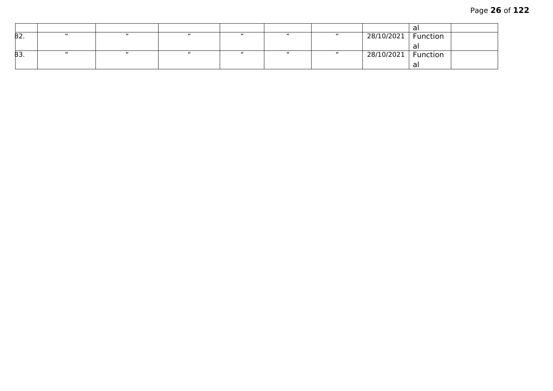|     |   |  |   |   |                       | aı |  |
|-----|---|--|---|---|-----------------------|----|--|
| 82. | " |  | " | " | 28/10/2021   Function |    |  |
|     |   |  |   |   |                       | a  |  |
| 83. | " |  |   |   | 28/10/2021   Function |    |  |
|     |   |  |   |   |                       | dl |  |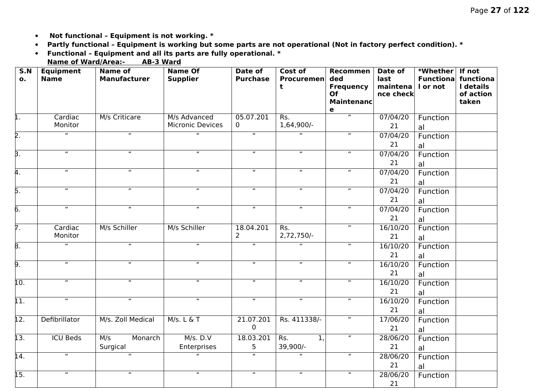- **Not functional Equipment is not working. \***
- **Partly functional Equipment is working but some parts are not operational (Not in factory perfect condition). \***
- **Functional Equipment and all its parts are fully operational. \* Name of Ward/Area:- AB-3 Ward**

| S.N<br>$\mathbf{o}$ . | <b>Equipment</b><br><b>Name</b> | <b>Name of</b><br><b>Manufacturer</b> | <b>Name Of</b><br><b>Supplier</b> | Date of<br><b>Purchase</b> | Cost of<br><b>Procuremen</b><br>t | <b>Recommen</b><br>ded<br><b>Frequency</b><br><b>Of</b><br>Maintenanc<br>е | Date of<br>last<br>maintena<br>nce check | *Whether<br>Functiona<br>I or not | If not<br>functiona<br>I details<br>of action<br>taken |
|-----------------------|---------------------------------|---------------------------------------|-----------------------------------|----------------------------|-----------------------------------|----------------------------------------------------------------------------|------------------------------------------|-----------------------------------|--------------------------------------------------------|
| ī.                    | Cardiac                         | M/s Criticare                         | M/s Advanced                      | 05.07.201                  | Rs.                               | $\boldsymbol{u}$                                                           | 07/04/20                                 | Function                          |                                                        |
|                       | Monitor                         |                                       | Micronic Devices                  | $\mathbf 0$                | 1,64,900/-                        |                                                                            | 21                                       | al                                |                                                        |
| þ.                    | $\overline{u}$                  | $\overline{u}$                        | $\overline{u}$                    | $\overline{u}$             | $\overline{u}$                    | $\overline{u}$                                                             | 07/04/20                                 | Function                          |                                                        |
|                       |                                 |                                       |                                   |                            |                                   |                                                                            | 21                                       | al                                |                                                        |
| 3.                    | $\overline{u}$                  | $\boldsymbol{u}$                      | $\overline{u}$                    | $\overline{u}$             | $\overline{u}$                    | $\boldsymbol{u}$                                                           | 07/04/20                                 | Function                          |                                                        |
|                       |                                 |                                       |                                   |                            |                                   |                                                                            | 21                                       | al                                |                                                        |
| 4.                    | $\overline{u}$                  | $\overline{u}$                        | $\overline{u}$                    | $\overline{u}$             | $\overline{u}$                    | $\overline{u}$                                                             | 07/04/20                                 | Function                          |                                                        |
|                       |                                 |                                       |                                   |                            |                                   |                                                                            | 21                                       | al                                |                                                        |
| 5.                    | $\overline{u}$                  | $\overline{u}$                        | $\overline{u}$                    | $\overline{u}$             | $\overline{u}$                    | $\overline{u}$                                                             | 07/04/20                                 | Function                          |                                                        |
|                       |                                 |                                       |                                   |                            |                                   |                                                                            | 21                                       | al                                |                                                        |
| 6.                    | $\overline{u}$                  | $\overline{u}$                        | $\boldsymbol{u}$                  | $\boldsymbol{u}$           | $\boldsymbol{u}$                  | $\boldsymbol{u}$                                                           | 07/04/20                                 | Function                          |                                                        |
|                       |                                 |                                       |                                   |                            |                                   |                                                                            | 21                                       | al                                |                                                        |
| 7.                    | Cardiac                         | M/s Schiller                          | M/s Schiller                      | 18.04.201                  | Rs.                               | $\boldsymbol{u}$                                                           | 16/10/20                                 | Function                          |                                                        |
|                       | Monitor                         |                                       |                                   | $\overline{2}$             | 2,72,750/-                        |                                                                            | 21                                       | al                                |                                                        |
| 8.                    | $\overline{u}$                  | $\overline{u}$                        | $\overline{u}$                    | $\overline{u}$             | $\overline{u}$                    | $\overline{u}$                                                             | 16/10/20                                 | Function                          |                                                        |
|                       |                                 |                                       |                                   |                            |                                   |                                                                            | 21                                       | al                                |                                                        |
| 9.                    | $\overline{u}$                  | $\overline{u}$                        | $\overline{u}$                    | $\overline{u}$             | $\overline{u}$                    | $\overline{u}$                                                             | 16/10/20                                 | Function                          |                                                        |
|                       |                                 |                                       |                                   |                            |                                   |                                                                            | 21                                       | al                                |                                                        |
| 10.                   | $\overline{u}$                  | $\boldsymbol{u}$                      | $\overline{u}$                    | $\overline{u}$             | $\boldsymbol{u}$                  | $\boldsymbol{u}$                                                           | 16/10/20                                 | Function                          |                                                        |
|                       |                                 |                                       |                                   |                            |                                   |                                                                            | 21                                       | al                                |                                                        |
| 11.                   | $\overline{u}$                  | $\boldsymbol{u}$                      | $\overline{u}$                    | $\overline{u}$             | $\overline{u}$                    | $\boldsymbol{u}$                                                           | 16/10/20                                 | Function                          |                                                        |
|                       |                                 |                                       |                                   |                            |                                   |                                                                            | 21                                       | al                                |                                                        |
| $\overline{12}$ .     | Defibrillator                   | M/s. Zoll Medical                     | M/s. L & T                        | 21.07.201                  | Rs. 411338/-                      | $\boldsymbol{u}$                                                           | 17/06/20                                 | Function                          |                                                        |
|                       |                                 |                                       |                                   | $\mathbf 0$                |                                   |                                                                            | 21                                       | al                                |                                                        |
| $\overline{13.}$      | <b>ICU Beds</b>                 | M/s<br>Monarch                        | M/s. D.V                          | 18.03.201                  | Rs.<br>1,                         | $\boldsymbol{u}$                                                           | 28/06/20                                 | Function                          |                                                        |
|                       |                                 | Surgical                              | Enterprises                       | 5                          | 39,900/-                          |                                                                            | 21                                       | al                                |                                                        |
| $\overline{14}$ .     | $\overline{u}$                  | $\overline{u}$                        | $\overline{u}$                    | $\overline{u}$             | $\overline{u}$                    | $\boldsymbol{u}$                                                           | 28/06/20                                 | Function                          |                                                        |
|                       |                                 |                                       |                                   |                            |                                   |                                                                            | 21                                       | al                                |                                                        |
| 15.                   | $\overline{u}$                  | $\overline{u}$                        | $\overline{u}$                    | $\overline{u}$             | $\overline{u}$                    | $\overline{u}$                                                             | 28/06/20                                 | Function                          |                                                        |
|                       |                                 |                                       |                                   |                            |                                   |                                                                            | 21                                       |                                   |                                                        |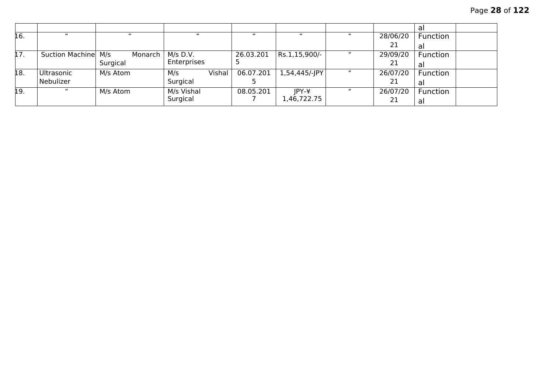|     |                     |                   |                |                |                |                |          | al              |  |
|-----|---------------------|-------------------|----------------|----------------|----------------|----------------|----------|-----------------|--|
| 16. | $\overline{u}$      | $^{\prime\prime}$ | $\overline{u}$ | $\overline{u}$ | $\overline{u}$ | $\overline{u}$ | 28/06/20 | Function        |  |
|     |                     |                   |                |                |                |                | 21       | al              |  |
| 17. | Suction Machine M/s | Monarch           | $M/s$ D.V.     | 26.03.201      | Rs.1,15,900/-  |                | 29/09/20 | Function        |  |
|     |                     | Surgical          | Enterprises    |                |                |                | 21       | al              |  |
| 18. | Ultrasonic          | M/s Atom          | Vishal<br>M/s  | 06.07.201      | 1,54,445/-JPY  | $\overline{u}$ | 26/07/20 | Function        |  |
|     | Nebulizer           |                   | Surgical       |                |                |                | 21       | al              |  |
| 19. | $\overline{u}$      | M/s Atom          | M/s Vishal     | 08.05.201      | IPY-¥          | $\mathbf{u}$   | 26/07/20 | <b>Function</b> |  |
|     |                     |                   | Surgical       |                | 1,46,722.75    |                | 21       | al              |  |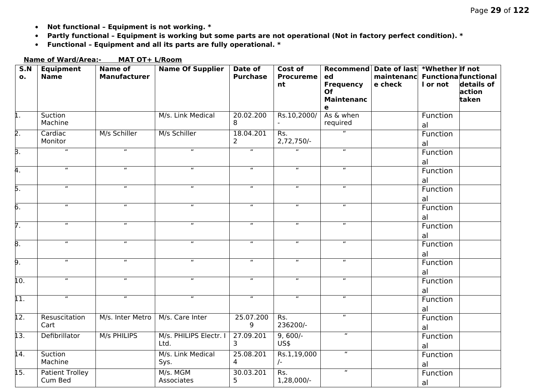- **Not functional Equipment is not working. \***
- **Partly functional Equipment is working but some parts are not operational (Not in factory perfect condition). \***
- **Functional Equipment and all its parts are fully operational. \***

### **Name of Ward/Area:- MAT OT+ L/Room**

| S.N<br>$\mathbf{o}$ . | <b>Equipment</b><br><b>Name</b>   | <b>Name of</b><br><b>Manufacturer</b> | <b>Name Of Supplier</b>        | Date of<br><b>Purchase</b>  | Cost of<br><b>Procureme</b><br>nt      | Recommend Date of last *Whether If not<br>ed<br><b>Frequency</b><br>Of<br><b>Maintenanc</b><br>e | maintenanc<br>e check | I or not       | <b>Functiona</b> functional<br>details of<br>action<br>taken |
|-----------------------|-----------------------------------|---------------------------------------|--------------------------------|-----------------------------|----------------------------------------|--------------------------------------------------------------------------------------------------|-----------------------|----------------|--------------------------------------------------------------|
| ī.                    | Suction<br>Machine                |                                       | M/s. Link Medical              | 20.02.200<br>8              | Rs.10,2000/                            | As & when<br>required                                                                            |                       | Function<br>al |                                                              |
| 2.                    | Cardiac<br>Monitor                | M/s Schiller                          | M/s Schiller                   | 18.04.201<br>$\overline{2}$ | $\overline{\text{Rs}}$ .<br>2,72,750/- | $\overline{u}$                                                                                   |                       | Function<br>al |                                                              |
| β.                    | $\overline{u}$                    | $\overline{u}$                        | $\overline{u}$                 | $\overline{u}$              | $\overline{u}$                         | $\overline{u}$                                                                                   |                       | Function<br>al |                                                              |
| 4.                    | $\overline{u}$                    | $\overline{u}$                        | $\overline{u}$                 | $\overline{u}$              | $\overline{u}$                         | $\overline{u}$                                                                                   |                       | Function<br>al |                                                              |
| Б.                    | $\overline{u}$                    | $\overline{u}$                        | $\overline{u}$                 | $\overline{u}$              | $\overline{u}$                         | $\overline{u}$                                                                                   |                       | Function<br>al |                                                              |
| б.                    | $\overline{u}$                    | $\overline{u}$                        | $\overline{u}$                 | $\overline{u}$              | $\overline{u}$                         | $\overline{u}$                                                                                   |                       | Function<br>al |                                                              |
| 7.                    | $\boldsymbol{u}$                  | $\overline{u}$                        | $\overline{u}$                 | $\boldsymbol{u}$            | $\boldsymbol{u}$                       | $\boldsymbol{u}$                                                                                 |                       | Function<br>al |                                                              |
| 8.                    | $\overline{u}$                    | $\boldsymbol{u}$                      | $\boldsymbol{u}$               | $\boldsymbol{u}$            | $\overline{u}$                         | $\overline{u}$                                                                                   |                       | Function<br>al |                                                              |
| 9.                    | $\overline{u}$                    | $\boldsymbol{u}$                      | $\overline{u}$                 | $\overline{u}$              | $\overline{u}$                         | $\boldsymbol{u}$                                                                                 |                       | Function<br>al |                                                              |
| ĪΟ.                   | $\overline{u}$                    | $\overline{u}$                        | $\overline{u}$                 | $\boldsymbol{u}$            | $\overline{u}$                         | $\overline{u}$                                                                                   |                       | Function<br>al |                                                              |
| 11.                   | $\overline{u}$                    | $\overline{u}$                        | $\overline{u}$                 | $\overline{u}$              | $\overline{u}$                         | $\overline{u}$                                                                                   |                       | Function<br>al |                                                              |
| $\overline{12.}$      | Resuscitation<br>Cart             | M/s. Inter Metro                      | M/s. Care Inter                | 25.07.200<br>9              | RS.<br>236200/-                        | $\overline{u}$                                                                                   |                       | Function<br>al |                                                              |
| $\overline{13.}$      | Defibrillator                     | <b>M/s PHILIPS</b>                    | M/s. PHILIPS Electr. I<br>Ltd. | 27.09.201<br>3              | $9,600/-$<br>US\$                      | $\overline{u}$                                                                                   |                       | Function<br>al |                                                              |
| $\overline{14}$ .     | Suction<br>Machine                |                                       | M/s. Link Medical<br>Sys.      | 25.08.201<br>4              | Rs.1,19,000<br>$\sqrt{-}$              | $\boldsymbol{u}$                                                                                 |                       | Function<br>al |                                                              |
| 15.                   | <b>Patient Trolley</b><br>Cum Bed |                                       | M/s. MGM<br>Associates         | 30.03.201<br>5              | Rs.<br>1,28,000/-                      | $\overline{u}$                                                                                   |                       | Function<br>al |                                                              |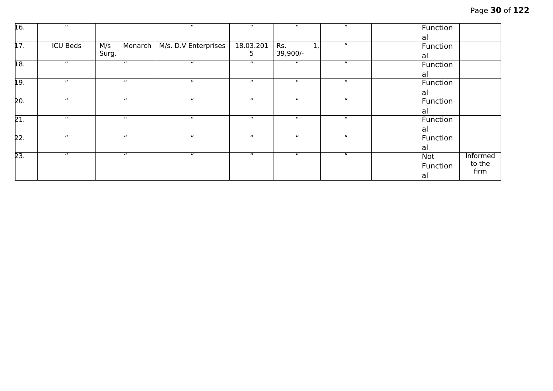| $\overline{16}$ . | $\overline{u}$   |                         | $\boldsymbol{u}$     | $\overline{u}$ | $\overline{u}$   | $\boldsymbol{u}$ | Function |          |
|-------------------|------------------|-------------------------|----------------------|----------------|------------------|------------------|----------|----------|
|                   |                  |                         |                      |                |                  |                  | al       |          |
| $\overline{17}$ . | <b>ICU Beds</b>  | Monarch<br>M/s          | M/s. D.V Enterprises | 18.03.201      | Rs.<br>д,        | $\overline{u}$   | Function |          |
|                   |                  | Surg.                   |                      | 5              | 39,900/-         |                  | al       |          |
| 18.               | $\overline{u}$   | $\overline{\mathbf{u}}$ | $\overline{u}$       | $\overline{u}$ | $\overline{u}$   | $\overline{u}$   | Function |          |
|                   |                  |                         |                      |                |                  |                  | al       |          |
| $\overline{19}$ . | $\boldsymbol{u}$ | $\overline{u}$          | $\overline{u}$       | $\overline{u}$ | $\overline{u}$   | $\overline{u}$   | Function |          |
|                   |                  |                         |                      |                |                  |                  | al       |          |
| $\overline{20}$ . | $\boldsymbol{u}$ | $\overline{u}$          | $\overline{u}$       | $\overline{u}$ | $\overline{u}$   | $\overline{u}$   | Function |          |
|                   |                  |                         |                      |                |                  |                  | al       |          |
| $\overline{21}$ . | $\overline{u}$   | $\overline{u}$          | $\overline{u}$       | $\overline{u}$ | $\overline{u}$   | $\overline{u}$   | Function |          |
|                   |                  |                         |                      |                |                  |                  | al       |          |
| 22.               | $\boldsymbol{u}$ | $\boldsymbol{u}$        | $\overline{u}$       | $\overline{u}$ | $\boldsymbol{u}$ | $\boldsymbol{u}$ | Function |          |
|                   |                  |                         |                      |                |                  |                  | al       |          |
| 23.               | $\overline{u}$   | $\overline{u}$          | $\overline{u}$       | $\overline{u}$ | $\overline{u}$   | $\overline{u}$   | Not      | Informed |
|                   |                  |                         |                      |                |                  |                  | Function | to the   |
|                   |                  |                         |                      |                |                  |                  | al       | firm     |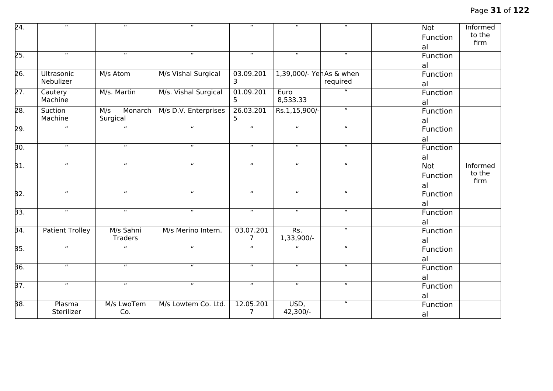| 24.               | $\overline{u}$         | $\overline{u}$   | $\overline{u}$       | $\overline{u}$   | $\overline{u}$          | $\overline{u}$   | <b>Not</b> | Informed        |
|-------------------|------------------------|------------------|----------------------|------------------|-------------------------|------------------|------------|-----------------|
|                   |                        |                  |                      |                  |                         |                  | Function   | to the          |
|                   |                        |                  |                      |                  |                         |                  | al         | firm            |
| 25.               | $\overline{u}$         | $\overline{u}$   | $\overline{u}$       | $\boldsymbol{u}$ | $\overline{u}$          | $\boldsymbol{u}$ | Function   |                 |
|                   |                        |                  |                      |                  |                         |                  | al         |                 |
| $\overline{26.}$  | <b>Ultrasonic</b>      | M/s Atom         | M/s Vishal Surgical  | 03.09.201        | 1,39,000/- YenAs & when |                  | Function   |                 |
|                   | Nebulizer              |                  |                      | 3                |                         | required         | al         |                 |
| 27.               | Cautery                | M/s. Martin      | M/s. Vishal Surgical | 01.09.201        | Euro                    | $\overline{u}$   | Function   |                 |
|                   | Machine                |                  |                      | 5                | 8,533.33                |                  | al         |                 |
| 28.               | Suction                | Monarch<br>M/s   | M/s D.V. Enterprises | 26.03.201        | Rs.1,15,900/-           | $\overline{u}$   | Function   |                 |
|                   | Machine                | Surgical         |                      | 5                |                         |                  | al         |                 |
| 29.               | $\overline{u}$         | $\overline{u}$   | $\overline{u}$       | $\overline{u}$   | $\overline{u}$          | $\overline{u}$   | Function   |                 |
|                   |                        |                  |                      |                  |                         |                  | al         |                 |
| 30.               | $\overline{u}$         | $\overline{u}$   | $\overline{u}$       | $\overline{u}$   | $\overline{u}$          | $\overline{u}$   | Function   |                 |
|                   |                        |                  |                      |                  |                         |                  | al         |                 |
| 31.               | $\overline{u}$         | $\overline{u}$   | $\overline{u}$       | $\boldsymbol{u}$ | $\overline{u}$          | $\boldsymbol{u}$ | <b>Not</b> | <b>Informed</b> |
|                   |                        |                  |                      |                  |                         |                  | Function   | to the<br>firm  |
|                   |                        |                  |                      |                  |                         |                  | al         |                 |
| $\overline{32.}$  | $\overline{u}$         | $\overline{u}$   | $\overline{u}$       | $\overline{u}$   | $\boldsymbol{u}$        | $\overline{u}$   | Function   |                 |
|                   |                        |                  |                      |                  |                         |                  | al         |                 |
| $\overline{33.}$  | $\overline{u}$         | $\overline{u}$   | $\overline{u}$       | $\overline{u}$   | $\overline{u}$          | $\overline{u}$   | Function   |                 |
|                   |                        |                  |                      |                  |                         |                  | al         |                 |
| 34.               | <b>Patient Trolley</b> | M/s Sahni        | M/s Merino Intern.   | 03.07.201        | Rs.                     | $\overline{u}$   | Function   |                 |
|                   |                        | <b>Traders</b>   |                      | 7                | 1,33,900/-              |                  | al         |                 |
| $\overline{35}$ . | $\overline{u}$         | $\overline{u}$   | $\overline{u}$       | $\overline{u}$   | $\overline{u}$          | $\overline{u}$   | Function   |                 |
|                   |                        |                  |                      |                  |                         |                  | al         |                 |
| 36.               | $\boldsymbol{u}$       | $\overline{u}$   | $\boldsymbol{u}$     | $\boldsymbol{u}$ | $\overline{u}$          | $\overline{u}$   | Function   |                 |
|                   |                        |                  |                      |                  |                         |                  | al         |                 |
| 37.               | $\boldsymbol{u}$       | $\boldsymbol{u}$ | $\boldsymbol{u}$     | $\boldsymbol{u}$ | $\overline{u}$          | $\boldsymbol{u}$ | Function   |                 |
|                   |                        |                  |                      |                  |                         |                  | al         |                 |
| 38.               | Plasma                 | M/s LwoTem       | M/s Lowtem Co. Ltd.  | 12.05.201        | USD,                    | $\overline{u}$   | Function   |                 |
|                   | Sterilizer             | Co.              |                      | 7                | 42,300/-                |                  | al         |                 |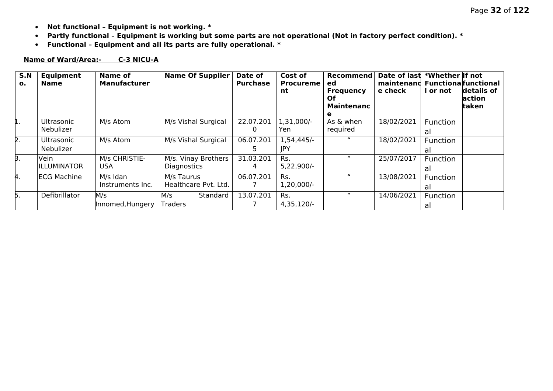- **Not functional Equipment is not working. \***
- **Partly functional Equipment is working but some parts are not operational (Not in factory perfect condition). \***
- **Functional Equipment and all its parts are fully operational. \***

### **Name of Ward/Area:- C-3 NICU-A**

| S.N<br>о. | <b>Equipment</b><br><b>Name</b> | Name of<br><b>Manufacturer</b> | <b>Name Of Supplier</b>                   | Date of<br><b>Purchase</b> | Cost of<br><b>Procureme</b><br>nt | <b>Recommend</b><br>ed<br><b>Frequency</b><br>Of<br><b>Maintenanc</b><br>е | Date of last *Whether If not<br>maintenand Functiona functional<br>e check | I or not       | details of<br>action<br>taken |
|-----------|---------------------------------|--------------------------------|-------------------------------------------|----------------------------|-----------------------------------|----------------------------------------------------------------------------|----------------------------------------------------------------------------|----------------|-------------------------------|
| Ш.        | Ultrasonic<br>Nebulizer         | M/s Atom                       | M/s Vishal Surgical                       | 22.07.201<br>U             | 1,31,000/-<br>Yen                 | As & when<br>required                                                      | 18/02/2021                                                                 | Function<br>al |                               |
| 2.        | <b>Ultrasonic</b><br>Nebulizer  | M/s Atom                       | M/s Vishal Surgical                       | 06.07.201<br>Ь             | $1,54,445/-$<br>JPY               | $\mathbf{u}$                                                               | 18/02/2021                                                                 | Function<br>al |                               |
| В.        | Vein<br>ILLUMINATOR             | M/s CHRISTIE-<br><b>USA</b>    | M/s. Vinay Brothers<br><b>Diagnostics</b> | 31.03.201                  | Rs.<br>$5,22,900/-$               | $\overline{u}$                                                             | 25/07/2017                                                                 | Function<br>al |                               |
| 4.        | <b>ECG Machine</b>              | M/s Idan<br>Instruments Inc.   | M/s Taurus<br>Healthcare Pvt. Ltd.        | 06.07.201                  | Rs.<br>$1,20,000/-$               | $\mathbf{u}$                                                               | 13/08/2021                                                                 | Function<br>al |                               |
| 5.        | Defibrillator                   | M/s<br>Innomed, Hungery        | Standard<br>M/s<br>Traders                | 13.07.201                  | Rs.<br>$4,35,120/-$               | $\overline{u}$                                                             | 14/06/2021                                                                 | Function<br>al |                               |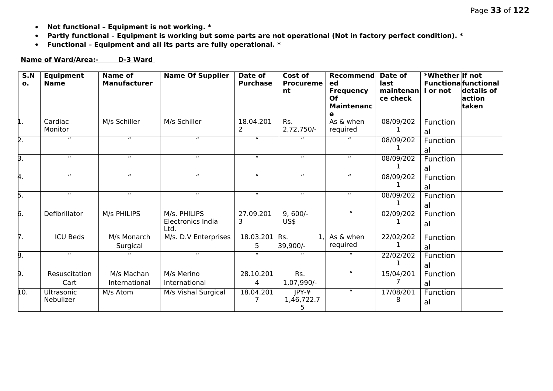- **Not functional Equipment is not working. \***
- **Partly functional Equipment is working but some parts are not operational (Not in factory perfect condition). \***
- **Functional Equipment and all its parts are fully operational. \***

### **Name of Ward/Area:- D-3 Ward**

| S.N<br>$\mathbf{o}$ . | <b>Equipment</b><br><b>Name</b> | <b>Name of</b><br><b>Manufacturer</b> | <b>Name Of Supplier</b>                          | Date of<br><b>Purchase</b> | Cost of<br><b>Procureme</b><br>nt | <b>Recommend</b><br>ed<br><b>Frequency</b><br>Of<br><b>Maintenanc</b> | Date of<br>last<br>maintenan<br>ce check | *Whether If not<br>I or not | <b>Functiona</b> functional<br>details of<br>action<br>taken |
|-----------------------|---------------------------------|---------------------------------------|--------------------------------------------------|----------------------------|-----------------------------------|-----------------------------------------------------------------------|------------------------------------------|-----------------------------|--------------------------------------------------------------|
| μ.                    | Cardiac<br>Monitor              | M/s Schiller                          | M/s Schiller                                     | 18.04.201<br>2             | Rs.<br>$2,72,750/-$               | е<br>As & when<br>required                                            | 08/09/202                                | Function<br>al              |                                                              |
| 2.                    | $\overline{u}$                  | $\overline{u}$                        | $\overline{u}$                                   | $\overline{u}$             |                                   | $\overline{u}$                                                        | 08/09/202                                | Function<br>al              |                                                              |
| Б.                    | $\boldsymbol{u}$                | $\overline{u}$                        | $\overline{u}$                                   | $\overline{u}$             | $\overline{u}$                    | $\boldsymbol{u}$                                                      | 08/09/202                                | Function<br>al              |                                                              |
| 4.                    | $\overline{u}$                  | $\overline{u}$                        | $\overline{u}$                                   | $\overline{u}$             | $\overline{u}$                    | $\overline{u}$                                                        | 08/09/202                                | Function<br>al              |                                                              |
| 5.                    | $\overline{u}$                  | $\boldsymbol{u}$                      | $\boldsymbol{u}$                                 | $\overline{u}$             | $\overline{u}$                    | $\boldsymbol{u}$                                                      | 08/09/202                                | Function<br>al              |                                                              |
| ნ.                    | Defibrillator                   | M/s PHILIPS                           | M/s. PHILIPS<br><b>Electronics India</b><br>Ltd. | 27.09.201<br>3             | $9,600/-$<br>US\$                 | $\boldsymbol{u}$                                                      | 02/09/202                                | Function<br>al              |                                                              |
| 7.                    | <b>ICU Beds</b>                 | M/s Monarch<br>Surgical               | M/s. D.V Enterprises                             | 18.03.201<br>5.            | Rs.<br>1,<br>B9,900/-             | As & when<br>required                                                 | 22/02/202<br>1                           | Function<br>al              |                                                              |
| 8.                    | $\overline{u}$                  |                                       | $\overline{u}$                                   | $\overline{u}$             | $\overline{u}$                    | $\overline{u}$                                                        | 22/02/202                                | Function<br>al              |                                                              |
| 9.                    | Resuscitation<br>Cart           | M/s Machan<br>International           | M/s Merino<br>International                      | 28.10.201<br>4             | Rs.<br>1,07,990/-                 | $\boldsymbol{u}$                                                      | 15/04/201<br>7                           | Function<br>al              |                                                              |
| 10.                   | Ultrasonic<br>Nebulizer         | M/s Atom                              | M/s Vishal Surgical                              | 18.04.201                  | $IPY - 4$<br>1,46,722.7<br>5      | $\boldsymbol{u}$                                                      | 17/08/201<br>8                           | Function<br>al              |                                                              |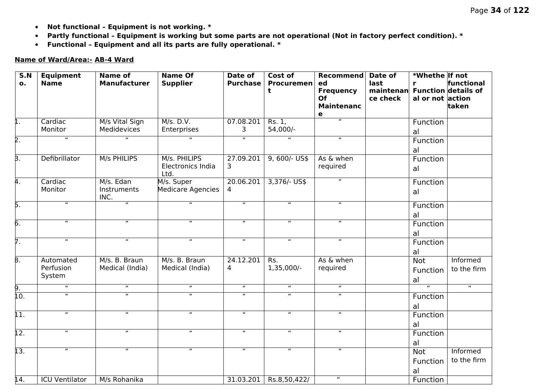- **Not functional Equipment is not working. \***
- **Partly functional Equipment is working but some parts are not operational (Not in factory perfect condition). \***
- **Functional Equipment and all its parts are fully operational. \***

### **Name of Ward/Area:- AB-4 Ward**

| S.N<br>0.         | <b>Equipment</b><br><b>Name</b>  | <b>Name of</b><br><b>Manufacturer</b> | <b>Name Of</b><br><b>Supplier</b>         | Date of<br><b>Purchase</b>  | Cost of<br><b>Procuremen</b><br>t | <b>Recommend</b><br>ed<br><b>Frequency</b><br>Of<br><b>Maintenanc</b><br>е | Date of<br>last<br>maintenan Function details of<br>ce check | *Whethe If not<br>al or not action | functional<br>taken     |
|-------------------|----------------------------------|---------------------------------------|-------------------------------------------|-----------------------------|-----------------------------------|----------------------------------------------------------------------------|--------------------------------------------------------------|------------------------------------|-------------------------|
| μ.                | Cardiac<br>Monitor               | M/s Vital Sign<br>Medidevices         | M/s. D.V.<br>Enterprises                  | 07.08.201<br>3              | Rs.1<br>54,000/-                  | $\overline{u}$                                                             |                                                              | Function<br>al                     |                         |
| 2.                | $\overline{u}$                   | $\overline{u}$                        | $\overline{u}$                            | $\overline{u}$              | $\overline{u}$                    | $\overline{u}$                                                             |                                                              | Function<br>al                     |                         |
| β.                | Defibrillator                    | M/s PHILIPS                           | M/s. PHILIPS<br>Electronics India<br>Ltd. | 27.09.201<br>3              | $9,600 - US$$                     | As & when<br>required                                                      |                                                              | Function<br>al                     |                         |
| 4.                | Cardiac<br>Monitor               | M/s. Edan<br>Instruments<br>INC.      | M/s. Super<br>Medicare Agencies           | 20.06.201<br>4              | $3,376/-$ US\$                    | $\overline{u}$                                                             |                                                              | Function<br>al                     |                         |
| 5.                | $\overline{u}$                   | $\overline{u}$                        | $\overline{u}$                            | $\overline{u}$              | $\overline{u}$                    | $\overline{u}$                                                             |                                                              | Function<br>al                     |                         |
| б.                | $\overline{u}$                   | $\boldsymbol{u}$                      | $\boldsymbol{u}$                          | $\overline{u}$              | $\overline{u}$                    | $\boldsymbol{\mu}$                                                         |                                                              | Function<br>al                     |                         |
| 7.                | $\overline{u}$                   | $\boldsymbol{u}$                      | $\overline{u}$                            | $\overline{u}$              | $\overline{u}$                    | $\overline{u}$                                                             |                                                              | Function<br>al                     |                         |
| 8.                | Automated<br>Perfusion<br>System | M/s. B. Braun<br>Medical (India)      | M/s. B. Braun<br>Medical (India)          | 24.12.201<br>$\overline{4}$ | Rs.<br>1,35,000/-                 | As & when<br>required                                                      |                                                              | <b>Not</b><br>Function<br>al       | Informed<br>to the firm |
|                   | $\overline{u}$                   | $\overline{u}$                        | $\overline{u}$                            | $\overline{u}$              | $\overline{u}$                    | $\overline{u}$                                                             |                                                              | $\overline{u}$                     | $\overline{u}$          |
| $\frac{9}{10}$ .  | $\overline{u}$                   | $\overline{u}$                        | $\overline{u}$                            | $\overline{u}$              | $\overline{u}$                    | $\overline{u}$                                                             |                                                              | Function<br>al                     |                         |
| $\overline{11}$ . | $\overline{u}$                   | $\overline{u}$                        | $\overline{u}$                            | $\overline{u}$              | $\overline{u}$                    | $\overline{u}$                                                             |                                                              | Function<br>al                     |                         |
| $\overline{12}$ . | $\overline{u}$                   | $\overline{u}$                        | $\overline{u}$                            | $\overline{u}$              | $\overline{u}$                    | $\overline{u}$                                                             |                                                              | Function<br>al                     |                         |
| $\overline{13}$ . | $\overline{u}$                   | $\overline{u}$                        | $\overline{u}$                            | $\overline{u}$              | $\overline{u}$                    | $\overline{u}$                                                             |                                                              | <b>Not</b><br>Function<br>al       | Informed<br>to the firm |
| $\overline{14}$ . | <b>ICU Ventilator</b>            | M/s Rohanika                          |                                           | 31.03.201                   | Rs.8,50,422/                      | $\boldsymbol{u}$                                                           |                                                              | Function                           |                         |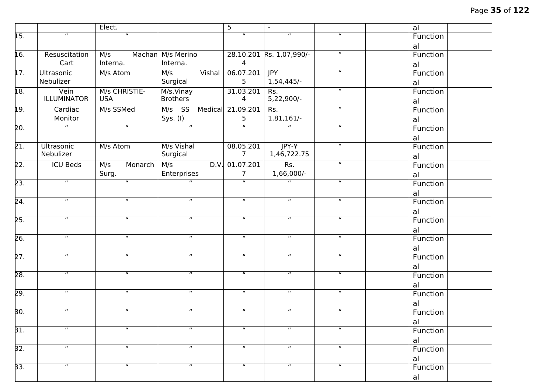|                   |                    | Elect.           |                   | 5                 | $\overline{\phantom{a}}$ |                  | al       |
|-------------------|--------------------|------------------|-------------------|-------------------|--------------------------|------------------|----------|
| $\overline{15.}$  | $\overline{u}$     | $\overline{u}$   |                   | $\overline{u}$    | $\overline{u}$           | $\overline{u}$   | Function |
|                   |                    |                  |                   |                   |                          |                  | al       |
| $\overline{16}$ . | Resuscitation      | M/s              | Machan M/s Merino |                   | 28.10.201 Rs. 1,07,990/- | $\boldsymbol{u}$ | Function |
|                   | Cart               | Interna.         | Interna.          | 4                 |                          |                  | al       |
| 17.               | Ultrasonic         | M/s Atom         | M/s<br>Vishal     | 06.07.201         | JPY                      | $\boldsymbol{u}$ | Function |
|                   | Nebulizer          |                  | Surgical          | 5                 | 1,54,445/-               |                  | al       |
| $\overline{18.}$  | Vein               | M/s CHRISTIE-    | M/s.Vinay         | 31.03.201         | Rs.                      | $\overline{u}$   | Function |
|                   | <b>ILLUMINATOR</b> | <b>USA</b>       | <b>Brothers</b>   | 4                 | 5,22,900/-               |                  | al       |
| $\overline{19}$ . | Cardiac            | M/s SSMed        | $M/s$ SS          | Medical 21.09.201 | Rs.                      | $\boldsymbol{u}$ | Function |
|                   | Monitor            |                  | Sys. (I)          | 5                 | 1,81,161/-               |                  | al       |
| 20.               | $\overline{u}$     | $\boldsymbol{u}$ | $\overline{u}$    | $\overline{u}$    | $\overline{u}$           | $\boldsymbol{u}$ | Function |
|                   |                    |                  |                   |                   |                          |                  | al       |
| 21.               | <b>Ultrasonic</b>  | M/s Atom         | M/s Vishal        | 08.05.201         | $IPY-$                   | $\overline{u}$   | Function |
|                   | Nebulizer          |                  | Surgical          | $\overline{7}$    | 1,46,722.75              |                  | al       |
| 22.               | <b>ICU Beds</b>    | Monarch<br>M/s   | M/s               | $D.V.$ 01.07.201  | Rs.                      | $\overline{u}$   | Function |
|                   |                    | Surg.            | Enterprises       | $\overline{7}$    | 1,66,000/-               |                  | al       |
| 23.               | $\boldsymbol{u}$   | $\overline{u}$   | $\overline{u}$    | $\overline{u}$    | $\overline{u}$           | $\boldsymbol{u}$ | Function |
|                   |                    |                  |                   |                   |                          |                  | al       |
| $\overline{24.}$  | $\overline{u}$     | $\boldsymbol{u}$ | $\boldsymbol{u}$  | $\boldsymbol{u}$  | $\overline{u}$           | $\boldsymbol{u}$ | Function |
|                   |                    |                  |                   |                   |                          |                  | al       |
| 25.               | $\overline{u}$     | $\overline{u}$   | $\overline{u}$    | $\overline{u}$    | $\overline{u}$           | $\overline{u}$   | Function |
|                   |                    |                  |                   |                   |                          |                  | al       |
| 26.               | $\boldsymbol{u}$   | $\boldsymbol{u}$ | $\boldsymbol{u}$  | $\boldsymbol{u}$  | $\boldsymbol{u}$         | $\boldsymbol{u}$ | Function |
|                   |                    |                  |                   |                   |                          |                  | al       |
| 27.               | $\boldsymbol{u}$   | $\boldsymbol{u}$ | $\boldsymbol{u}$  | $\boldsymbol{u}$  | $\overline{u}$           | $\overline{u}$   | Function |
|                   |                    |                  |                   |                   |                          |                  | al       |
| 28.               | $\overline{u}$     | $\overline{u}$   | $\overline{u}$    | $\overline{u}$    | $\overline{u}$           | $\overline{u}$   | Function |
|                   |                    |                  |                   |                   |                          |                  | al       |
| 29.               | $\boldsymbol{u}$   | $\boldsymbol{u}$ | $\boldsymbol{u}$  | $\boldsymbol{u}$  | $\boldsymbol{u}$         | $\boldsymbol{u}$ | Function |
|                   |                    |                  |                   |                   |                          |                  | al       |
| 30.               | $\boldsymbol{u}$   | $\boldsymbol{u}$ | $\boldsymbol{u}$  | $\boldsymbol{u}$  | $\overline{u}$           | $\overline{u}$   | Function |
|                   |                    |                  |                   |                   |                          |                  | al       |
| 31.               | $\overline{u}$     | $\boldsymbol{u}$ | $\boldsymbol{u}$  | $\overline{u}$    | $\overline{u}$           | $\boldsymbol{u}$ | Function |
|                   |                    |                  |                   |                   |                          |                  | al       |
| 32.               | $\boldsymbol{u}$   | $\boldsymbol{u}$ | $\boldsymbol{u}$  | $\overline{u}$    | $\boldsymbol{u}$         | $\boldsymbol{u}$ | Function |
|                   |                    |                  |                   |                   |                          |                  | a        |
| 33.               | $\overline{u}$     | $\overline{u}$   | $\overline{u}$    | $\overline{u}$    | $\overline{u}$           | $\boldsymbol{u}$ | Function |
|                   |                    |                  |                   |                   |                          |                  | al       |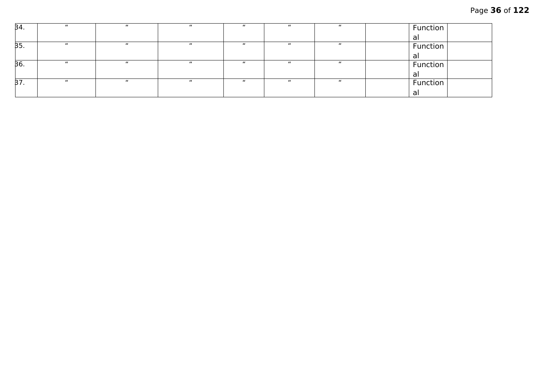| 34.               | $\overline{u}$    | $\overline{u}$    | $\overline{u}$          | $\overline{u}$ | $\overline{u}$    | $\overline{u}$          | Function |
|-------------------|-------------------|-------------------|-------------------------|----------------|-------------------|-------------------------|----------|
|                   |                   |                   |                         |                |                   |                         | al       |
| <b>B5.</b>        | $\mathbf{u}$      | $^{\prime\prime}$ | $\overline{\bf{u}}$     | $\overline{u}$ | $^{\prime\prime}$ | $\overline{\mathbf{u}}$ | Function |
|                   |                   |                   |                         |                |                   |                         | al       |
| $\overline{36}$ . | $^{\prime\prime}$ | $\overline{u}$    | $\overline{\mathbf{u}}$ | $\overline{u}$ | $\overline{u}$    | $\overline{u}$          | Function |
|                   |                   |                   |                         |                |                   |                         | al       |
| B7.               | $\overline{u}$    | $\overline{u}$    | $\overline{u}$          | $\overline{u}$ | $\overline{u}$    | $\overline{u}$          | Function |
|                   |                   |                   |                         |                |                   |                         | al       |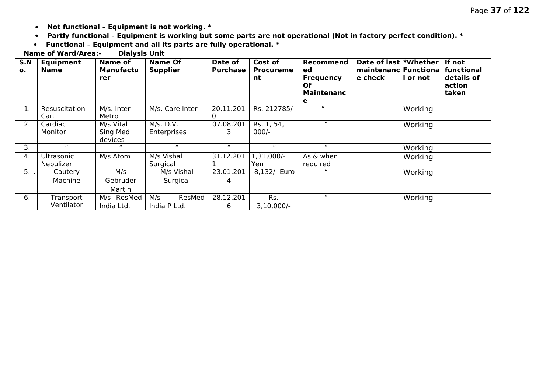- **Not functional Equipment is not working. \***
- **Partly functional Equipment is working but some parts are not operational (Not in factory perfect condition). \***
- **Functional Equipment and all its parts are fully operational. \***

**Name of Ward/Area:-**

| S.N<br>о. | <b>Equipment</b><br>Name       | Name of<br><b>Manufactu</b><br>rer | <b>Name Of</b><br><b>Supplier</b> | Date of<br><b>Purchase</b> | Cost of<br><b>Procureme</b><br>nt | Recommend<br>ed<br><b>Frequency</b><br>Of<br><b>Maintenanc</b><br>е | Date of last *Whether<br>maintenand Functiona<br>e check | I or not | If not<br>functional<br>details of<br>action<br>taken |
|-----------|--------------------------------|------------------------------------|-----------------------------------|----------------------------|-----------------------------------|---------------------------------------------------------------------|----------------------------------------------------------|----------|-------------------------------------------------------|
| 1.        | Resuscitation<br>Cart          | M/s. Inter<br>Metro                | M/s. Care Inter                   | 20.11.201<br>0             | Rs. 212785/-                      | $\overline{u}$                                                      |                                                          | Working  |                                                       |
| 2.        | Cardiac<br>Monitor             | M/s Vital<br>Sing Med<br>devices   | M/s. D.V.<br>Enterprises          | 07.08.201<br>З             | Rs. 1, 54,<br>$000/-$             | $\overline{u}$                                                      |                                                          | Working  |                                                       |
| 3.        | $\overline{u}$                 |                                    | $\overline{u}$                    | $\overline{\mathbf{u}}$    | $\overline{u}$                    | $\overline{u}$                                                      |                                                          | Working  |                                                       |
| 4.        | <b>Ultrasonic</b><br>Nebulizer | M/s Atom                           | M/s Vishal<br>Surgical            | 31.12.201                  | 1,31,000/-<br>Yen.                | As & when<br>required                                               |                                                          | Working  |                                                       |
| $5.$ .    | Cautery                        | M/s                                | M/s Vishal                        | 23.01.201                  | 8,132/- Euro                      |                                                                     |                                                          | Working  |                                                       |
|           | Machine                        | Gebruder                           | Surgical                          | 4                          |                                   |                                                                     |                                                          |          |                                                       |
|           |                                | Martin                             |                                   |                            |                                   |                                                                     |                                                          |          |                                                       |
| 6.        | Transport                      | M/s ResMed                         | ResMed<br>M/s                     | 28.12.201                  | Rs.                               | $\overline{u}$                                                      |                                                          | Working  |                                                       |
|           | Ventilator                     | India Ltd.                         | India P Ltd.                      | 6                          | $3,10,000/-$                      |                                                                     |                                                          |          |                                                       |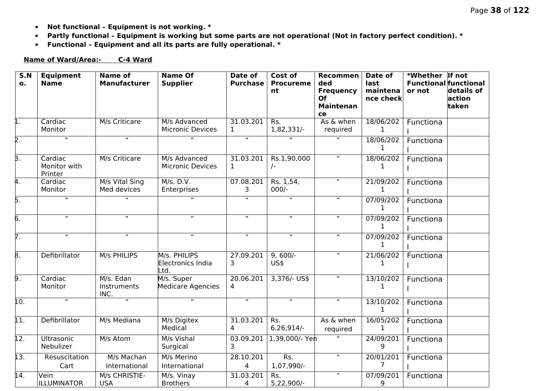- **Not functional Equipment is not working. \***
- **Partly functional Equipment is working but some parts are not operational (Not in factory perfect condition). \***
- **Functional Equipment and all its parts are fully operational. \***

#### **Name of Ward/Area:- C-4 Ward**

| S.N<br>$\mathbf{o}$ . | <b>Equipment</b><br><b>Name</b>    | <b>Name of</b><br><b>Manufacturer</b> | <b>Name Of</b><br><b>Supplier</b>         | Date of<br><b>Purchase</b>  | Cost of<br><b>Procureme</b><br>nt | Recommen<br>ded<br><b>Frequency</b><br>Of<br><b>Maintenan</b><br>ce | Date of<br>last<br>maintena<br>nce check | *Whether If not<br><b>Functional functional</b><br>or not | details of<br>action<br>taken |
|-----------------------|------------------------------------|---------------------------------------|-------------------------------------------|-----------------------------|-----------------------------------|---------------------------------------------------------------------|------------------------------------------|-----------------------------------------------------------|-------------------------------|
| ī.                    | Cardiac<br>Monitor                 | M/s Criticare                         | M/s Advanced<br>Micronic Devices          | 31.03.201<br>$\mathbf{1}$   | Rs.<br>1,82,331/-                 | As & when<br>required                                               | 18/06/202<br>1                           | Functiona                                                 |                               |
| Þ.                    | $\overline{u}$                     | $\overline{u}$                        | $\overline{u}$                            | $\overline{u}$              | $\overline{u}$                    | $\overline{u}$                                                      | 18/06/202<br>1                           | Functiona                                                 |                               |
| $\overline{3.}$       | Cardiac<br>Monitor with<br>Printer | M/s Criticare                         | M/s Advanced<br><b>Micronic Devices</b>   | 31.03.201<br>$\mathbf 1$    | Rs.1,90,000<br>$\sqrt{-}$         | $\boldsymbol{u}$                                                    | 18/06/202<br>1                           | Functiona                                                 |                               |
| 4.                    | Cardiac<br>Monitor                 | M/s Vital Sing<br>Med devices         | M/s. D.V.<br>Enterprises                  | 07.08.201<br>3              | Rs. 1,54,<br>$000/-$              | $\overline{u}$                                                      | 21/09/202<br>1                           | Functiona                                                 |                               |
| Б.                    | $\overline{u}$                     | $\overline{u}$                        | $\overline{u}$                            | $\overline{u}$              | $\overline{u}$                    | $\overline{u}$                                                      | 07/09/202<br>1                           | Functiona                                                 |                               |
| $\overline{6}$ .      | $\overline{u}$                     | $\overline{u}$                        | $\overline{u}$                            | $\overline{u}$              | $\overline{u}$                    | $\overline{u}$                                                      | 07/09/202<br>1                           | Functiona                                                 |                               |
| 7.                    | $\overline{u}$                     | $\overline{u}$                        | $\overline{u}$                            | $\overline{u}$              | $\overline{u}$                    | $\overline{u}$                                                      | 07/09/202<br>1                           | Functiona                                                 |                               |
| $\overline{8}$ .      | Defibrillator                      | <b>M/s PHILIPS</b>                    | M/s. PHILIPS<br>Electronics India<br>Ltd. | 27.09.201<br>3              | $9,600/-$<br>US\$                 | $\overline{u}$                                                      | 21/06/202<br>1                           | Functiona                                                 |                               |
| 9.                    | Cardiac<br>Monitor                 | M/s. Edan<br>Instruments<br>INC.      | M/s. Super<br>Medicare Agencies           | 20.06.201<br>4              | $3,376/-$ US\$                    | $\boldsymbol{u}$                                                    | 13/10/202<br>1                           | Functiona                                                 |                               |
| 10.                   | $\overline{u}$                     | $\overline{u}$                        | $\overline{u}$                            | $\overline{u}$              | $\overline{u}$                    | $\overline{u}$                                                      | 13/10/202<br>$\mathbf{1}$                | Functiona                                                 |                               |
| $\overline{11}$ .     | Defibrillator                      | M/s Mediana                           | M/s Digitex<br>Medical                    | 31.03.201<br>4              | Rs.<br>$6,26,914/-$               | As & when<br>required                                               | 16/05/202<br>1                           | Functiona                                                 |                               |
| 12.                   | <b>Ultrasonic</b><br>Nebulizer     | M/s Atom                              | M/s Vishal<br>Surgical                    | 03.09.201<br>3              | 1,39,000/- Yen                    |                                                                     | 24/09/201<br>9                           | Functiona                                                 |                               |
| $\overline{13}$ .     | Resuscitation<br>Cart              | M/s Machan<br>International           | M/s Merino<br>International               | 28.10.201<br>$\overline{4}$ | Rs.<br>1,07,990/-                 | $\overline{u}$                                                      | 20/01/201<br>$\mathcal{I}$               | Functiona                                                 |                               |
| $\overline{14}$ .     | Vein<br><b>ILLUMINATOR</b>         | M/s CHRISTIE-<br><b>USA</b>           | M/s. Vinay<br><b>Brothers</b>             | 31.03.201<br>4              | Rs.<br>5,22,900/-                 | $\overline{u}$                                                      | 07/09/201<br>9                           | Functiona                                                 |                               |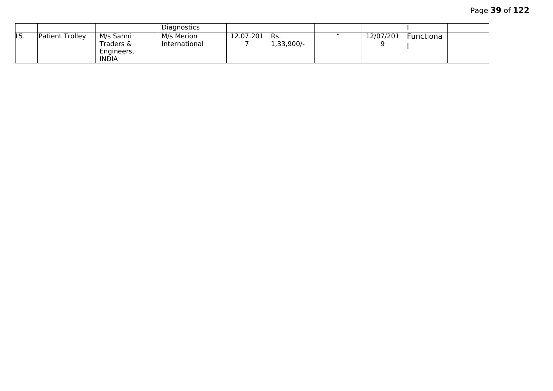|     |                        |                                               | Diagnostics                 |           |                 |           |             |  |
|-----|------------------------|-----------------------------------------------|-----------------------------|-----------|-----------------|-----------|-------------|--|
| 15. | <b>Patient Trolley</b> | M/s Sahni<br>Traders &<br>Engineers,<br>INDIA | M/s Merion<br>International | 12.07.201 | Rs.<br>-33,900/ | 12/07/201 | ` Functiona |  |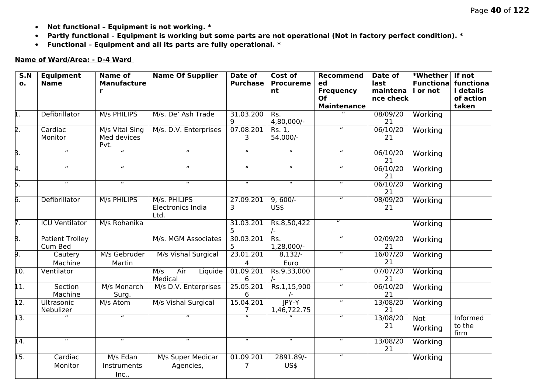- **Not functional Equipment is not working. \***
- **Partly functional Equipment is working but some parts are not operational (Not in factory perfect condition). \***
- **Functional Equipment and all its parts are fully operational. \***

# **Name of Ward/Area: - D-4 Ward**

| S.N<br>о.         | <b>Equipment</b><br><b>Name</b>   | <b>Name of</b><br><b>Manufacture</b><br>r | <b>Name Of Supplier</b>                   | Date of<br><b>Purchase</b>  | Cost of<br><b>Procureme</b><br>nt | <b>Recommend</b><br>ed<br><b>Frequency</b><br>Of<br><b>Maintenance</b> | Date of<br>last<br>maintena<br>nce check | *Whether<br><b>Functiona</b><br>I or not | If not<br>functiona<br>I details<br>of action<br>taken |
|-------------------|-----------------------------------|-------------------------------------------|-------------------------------------------|-----------------------------|-----------------------------------|------------------------------------------------------------------------|------------------------------------------|------------------------------------------|--------------------------------------------------------|
| 1.                | Defibrillator                     | M/s PHILIPS                               | M/s. De' Ash Trade                        | 31.03.200<br>9              | Rs.<br>4,80,000/-                 |                                                                        | 08/09/20<br>21                           | Working                                  |                                                        |
| þ.                | Cardiac<br>Monitor                | M/s Vital Sing<br>Med devices<br>Pvt.     | M/s. D.V. Enterprises                     | 07.08.201<br>3              | Rs. 1,<br>54,000/-                | $\overline{u}$                                                         | 06/10/20<br>21                           | Working                                  |                                                        |
| Б.                | $\overline{u}$                    | $\overline{u}$                            | $\overline{u}$                            | $\overline{u}$              | $\overline{u}$                    | $\overline{u}$                                                         | 06/10/20<br>21                           | Working                                  |                                                        |
| 4.                | $\boldsymbol{u}$                  | $\overline{u}$                            | $\overline{u}$                            | $\overline{u}$              | $\overline{u}$                    | $\boldsymbol{\mu}$                                                     | 06/10/20<br>21                           | Working                                  |                                                        |
| Б.                | $\overline{u}$                    | $\boldsymbol{u}$                          | $\overline{u}$                            | $\overline{u}$              | $\overline{u}$                    | $\boldsymbol{u}$                                                       | 06/10/20<br>21                           | Working                                  |                                                        |
| $\overline{6}$ .  | Defibrillator                     | M/s PHILIPS                               | M/s. PHILIPS<br>Electronics India<br>Ltd. | 27.09.201<br>3              | $9,600/-$<br>US\$                 | $\boldsymbol{u}$                                                       | 08/09/20<br>21                           | Working                                  |                                                        |
| 7.                | <b>ICU Ventilator</b>             | M/s Rohanika                              |                                           | 31.03.201<br>5              | Rs.8,50,422<br>$\sqrt{-}$         | $\overline{u}$                                                         |                                          | Working                                  |                                                        |
| 8.                | <b>Patient Trolley</b><br>Cum Bed |                                           | M/s. MGM Associates                       | 30.03.201<br>5              | Rs.<br>1,28,000/-                 | $\overline{u}$                                                         | 02/09/20<br>21                           | Working                                  |                                                        |
| 9.                | Cautery<br>Machine                | M/s Gebruder<br>Martin                    | M/s Vishal Surgical                       | 23.01.201<br>$\overline{4}$ | $8,132/-$<br>Euro                 | $\overline{u}$                                                         | 16/07/20<br>21                           | Working                                  |                                                        |
| 10.               | Ventilator                        |                                           | Air<br>M/s<br>Liquide<br>Medical          | 01.09.201<br>6              | Rs.9,33,000<br>$\sqrt{-}$         | $\overline{u}$                                                         | 07/07/20<br>21                           | Working                                  |                                                        |
| 11.               | Section<br>Machine                | M/s Monarch<br>Surg.                      | M/s D.V. Enterprises                      | 25.05.201<br>6              | Rs.1,15,900                       | $\boldsymbol{\mu}$                                                     | 06/10/20<br>21                           | Working                                  |                                                        |
| $\overline{12}$ . | Ultrasonic<br>Nebulizer           | M/s Atom                                  | <b>M/s Vishal Surgical</b>                | 15.04.201                   | $IPY-$<br>1,46,722.75             | $\boldsymbol{u}$                                                       | 13/08/20<br>21                           | Working                                  |                                                        |
| 13.               |                                   | $\overline{u}$                            | $\overline{u}$                            | $\overline{u}$              |                                   | $\boldsymbol{u}$                                                       | 13/08/20<br>21                           | Not<br>Working                           | Informed<br>to the<br>firm                             |
| $\overline{14}$ . | $\overline{u}$                    | $\boldsymbol{u}$                          | $\overline{u}$                            | $\overline{u}$              | $\overline{u}$                    | $\boldsymbol{u}$                                                       | 13/08/20<br>21                           | Working                                  |                                                        |
| 15.               | Cardiac<br>Monitor                | M/s Edan<br>Instruments<br>Inc.,          | M/s Super Medicar<br>Agencies,            | 01.09.201<br>$\overline{7}$ | 2891.89/-<br>US\$                 | $\overline{u}$                                                         |                                          | Working                                  |                                                        |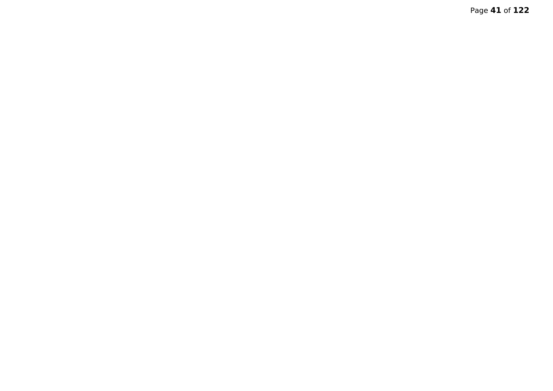Page **41** of **122**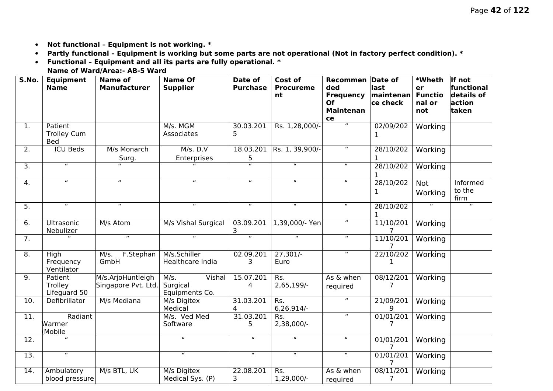- **Not functional Equipment is not working. \***
- **Partly functional Equipment is working but some parts are not operational (Not in factory perfect condition). \***
- **Functional Equipment and all its parts are fully operational. \* Name of Ward/Area:- AB-5 Ward**

| S.No.             | <b>Equipment</b><br><b>Name</b>             | <b>Name of</b><br><b>Manufacturer</b>    | <b>Name Of</b><br><b>Supplier</b>            | Date of<br><b>Purchase</b>  | Cost of<br><b>Procureme</b><br>nt | <b>Recommen</b><br>ded<br><b>Frequency</b><br>Of<br><b>Maintenan</b><br>ce | Date of<br>last<br>maintenan<br>ce check | *Wheth<br>er<br><b>Functio</b><br>nal or<br>not | If not<br>functional<br>details of<br>action<br>taken |
|-------------------|---------------------------------------------|------------------------------------------|----------------------------------------------|-----------------------------|-----------------------------------|----------------------------------------------------------------------------|------------------------------------------|-------------------------------------------------|-------------------------------------------------------|
| 1.                | Patient<br><b>Trolley Cum</b><br><b>Bed</b> |                                          | M/s. MGM<br>Associates                       | 30.03.201<br>5              | Rs. 1,28,000/-                    | $\overline{u}$                                                             | 02/09/202<br>1                           | Working                                         |                                                       |
| $\overline{2}$ .  | <b>ICU Beds</b>                             | M/s Monarch<br>Surg.                     | M/s. D.V<br>Enterprises                      | 18.03.201<br>5              | Rs. 1, 39,900/-                   | $\overline{u}$                                                             | 28/10/202<br>1                           | Working                                         |                                                       |
| $\overline{3}$ .  | $\overline{u}$                              |                                          |                                              | $\overline{u}$              | $\boldsymbol{u}$                  | $\boldsymbol{u}$                                                           | 28/10/202<br>1                           | Working                                         |                                                       |
| 4.                | $\boldsymbol{u}$                            | $\boldsymbol{u}$                         | $\boldsymbol{u}$                             | $\overline{u}$              | $\overline{u}$                    | $\overline{u}$                                                             | 28/10/202<br>$\mathbf 1$                 | <b>Not</b><br>Working                           | <b>Informed</b><br>to the<br>firm                     |
| $\overline{5}$ .  | $\overline{u}$                              | $\overline{u}$                           | $\overline{u}$                               | $\overline{u}$              | $\overline{u}$                    | $\overline{u}$                                                             | 28/10/202<br>$\mathbf{1}$                | $\overline{u}$                                  | $\overline{u}$                                        |
| $\overline{6}$ .  | <b>Ultrasonic</b><br>Nebulizer              | M/s Atom                                 | M/s Vishal Surgical                          | 03.09.201<br>3              | 1,39,000/- Yen                    | $\overline{u}$                                                             | 11/10/201<br>7                           | Working                                         |                                                       |
| 7.                |                                             | $\overline{u}$                           | $\overline{u}$                               | $\overline{u}$              | $\overline{u}$                    | $\overline{u}$                                                             | 11/10/201                                | Working                                         |                                                       |
| $\overline{8}$ .  | <b>High</b><br>Frequency<br>Ventilator      | M/s.<br>F.Stephan<br>GmbH                | M/s.Schiller<br>Healthcare India             | 02.09.201<br>3              | $27,301/-$<br>Euro                | $\overline{u}$                                                             | 22/10/202<br>1                           | Working                                         |                                                       |
| $\overline{9}$ .  | Patient<br>Trolley<br>Lifeguard 50          | M/s.ArjoHuntleigh<br>Singapore Pvt. Ltd. | M/s.<br>Vishal<br>Surgical<br>Equipments Co. | 15.07.201<br>4              | Rs.<br>$2,65,199/$ -              | As & when<br>required                                                      | 08/12/201<br>7                           | Working                                         |                                                       |
| 10.               | Defibrillator                               | M/s Mediana                              | M/s Digitex<br>Medical                       | 31.03.201<br>$\overline{4}$ | Rs.<br>6,26,914/-                 | $\overline{u}$                                                             | 21/09/201<br>9                           | Working                                         |                                                       |
| 11.               | Radiant<br>Warmer<br>(Mobile                |                                          | M/s. Ved Med<br>Software                     | 31.03.201<br>5              | Rs.<br>$2,38,000/-$               | $\overline{u}$                                                             | 01/01/201<br>7                           | Working                                         |                                                       |
| 12.               | $\overline{u}$                              |                                          | $\boldsymbol{u}$                             | $\boldsymbol{u}$            | $\overline{u}$                    | $\boldsymbol{u}$                                                           | $\sqrt{01/01/2}01$<br>$\overline{7}$     | Working                                         |                                                       |
| $\overline{13}$ . | $\overline{u}$                              |                                          | $\boldsymbol{u}$                             | $\overline{u}$              | $\boldsymbol{u}$                  | $\overline{u}$                                                             | 01/01/201<br>7                           | Working                                         |                                                       |
| 14.               | Ambulatory<br>blood pressure                | M/s BTL, UK                              | M/s Digitex<br>Medical Sys. (P)              | 22.08.201<br>3              | Rs.<br>1,29,000/-                 | As & when<br>required                                                      | 08/11/201<br>$\overline{7}$              | Working                                         |                                                       |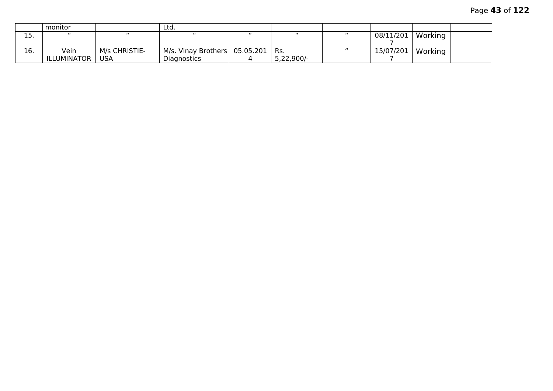|           | monitor        |                         | Ltd                                           |              |           |         |  |
|-----------|----------------|-------------------------|-----------------------------------------------|--------------|-----------|---------|--|
| . .<br>∸∸ | $\overline{u}$ | $\overline{\mathbf{u}}$ | "                                             |              | 08/11/201 | Working |  |
|           |                |                         |                                               |              |           |         |  |
| 16.       | Vein           | M/s CHRISTIE-           | M/s. Vinay Brothers $\vert$ 05.05.201 $\vert$ | -Rs.         | 15/07/201 | Working |  |
|           | ILLUMINATOR    | <b>USA</b>              | <b>Diagnostics</b>                            | $5,22,900/-$ |           |         |  |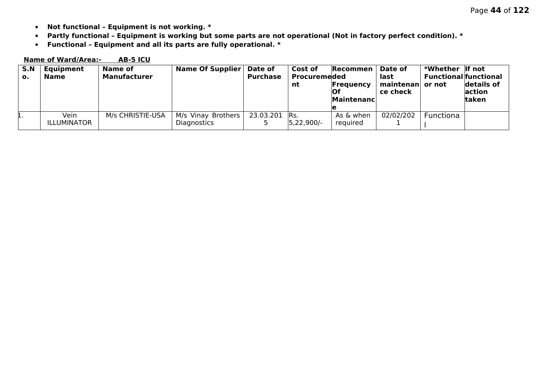- **Not functional Equipment is not working. \***
- **Partly functional Equipment is working but some parts are not operational (Not in factory perfect condition). \***
- **Functional Equipment and all its parts are fully operational. \***

#### **Name of Ward/Area:- AB-5 ICU**

| S.N<br>о. | <b>Equipment</b><br><b>Name</b> | Name of<br><b>Manufacturer</b> | Name Of Supplier                         | Date of<br><b>Purchase</b> | Cost of<br>Procuremeded<br>nt | <b>Recommen</b><br><b>Frequency</b><br>Юf<br><b>Maintenancl</b> | Date of<br>last<br>maintenan or not<br>ce check | *Whether If not<br><b>Functional functional</b> | details of<br>action<br>taken |
|-----------|---------------------------------|--------------------------------|------------------------------------------|----------------------------|-------------------------------|-----------------------------------------------------------------|-------------------------------------------------|-------------------------------------------------|-------------------------------|
| ш.        | Vein<br><b>ILLUMINATOR</b>      | M/s CHRISTIE-USA               | M/s Vinay Brothers<br><b>Diagnostics</b> | 23.03.201 Rs.              | $ 5,22,900$ /-                | As & when<br>reguired                                           | 02/02/202                                       | Functiona                                       |                               |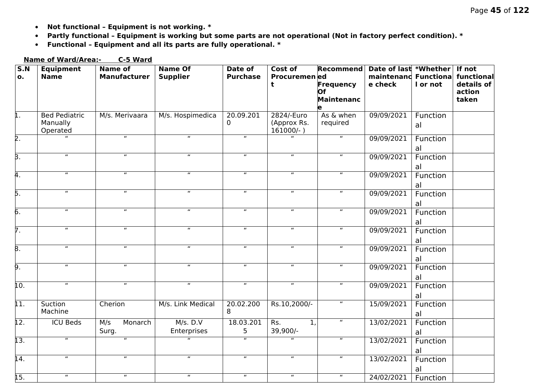- **Not functional Equipment is not working. \***
- **Partly functional Equipment is working but some parts are not operational (Not in factory perfect condition). \***
- **Functional Equipment and all its parts are fully operational. \***

#### **Name of Ward/Area:- C-5 Ward**

| $\mathsf{S}.\mathsf{N}$<br>lo. | <b>Equipment</b><br><b>Name</b>              | <b>Name of</b><br><b>Manufacturer</b> | <b>Name Of</b><br><b>Supplier</b> | Date of<br><b>Purchase</b> | Cost of<br>Procuremen ed<br>t             | Recommend<br>Frequency<br><b>Of</b><br>Maintenanc | Date of last *Whether<br>maintenand Functiona<br>e check | I or not       | If not<br>functional<br>details of<br>action<br>taken |
|--------------------------------|----------------------------------------------|---------------------------------------|-----------------------------------|----------------------------|-------------------------------------------|---------------------------------------------------|----------------------------------------------------------|----------------|-------------------------------------------------------|
| 1.                             | <b>Bed Pediatric</b><br>Manually<br>Operated | M/s. Merivaara                        | M/s. Hospimedica                  | 20.09.201<br>0             | 2824/-Euro<br>(Approx Rs.<br>$161000/-$ ) | As & when<br>required                             | 09/09/2021                                               | Function<br>al |                                                       |
| Σ.                             |                                              | $\overline{u}$                        | $\overline{u}$                    | $\overline{u}$             |                                           | $\overline{u}$                                    | 09/09/2021                                               | Function<br>al |                                                       |
| ₹.                             | $\overline{u}$                               | $\overline{u}$                        | $\overline{u}$                    | $\overline{u}$             | $\overline{u}$                            | $\boldsymbol{u}$                                  | 09/09/2021                                               | Function<br>al |                                                       |
| 4.                             | $\overline{u}$                               | $\overline{u}$                        | $\overline{u}$                    | $\overline{u}$             | $\overline{u}$                            | $\boldsymbol{u}$                                  | 09/09/2021                                               | Function<br>al |                                                       |
| Б.                             | $\overline{u}$                               | $\overline{u}$                        | $\overline{u}$                    | $\overline{u}$             | $\overline{u}$                            | $\overline{u}$                                    | 09/09/2021                                               | Function<br>al |                                                       |
| б.                             | $\overline{u}$                               | $\overline{u}$                        | $\boldsymbol{u}$                  | $\boldsymbol{u}$           | $\boldsymbol{u}$                          | $\overline{u}$                                    | 09/09/2021                                               | Function<br>al |                                                       |
| 7.                             | $\overline{u}$                               | $\overline{u}$                        | $\overline{u}$                    | $\overline{u}$             | $\overline{u}$                            | $\overline{u}$                                    | 09/09/2021                                               | Function<br>al |                                                       |
| 8.                             | $\boldsymbol{u}$                             | $\boldsymbol{u}$                      | $\boldsymbol{u}$                  | $\overline{u}$             | $\overline{u}$                            | $\boldsymbol{u}$                                  | 09/09/2021                                               | Function<br>al |                                                       |
| ӯ.                             | $\overline{u}$                               | $\overline{u}$                        | $\overline{u}$                    | $\overline{u}$             | $\overline{u}$                            | $\overline{u}$                                    | 09/09/2021                                               | Function<br>al |                                                       |
| 10.                            | $\overline{u}$                               | $\boldsymbol{u}$                      | $\overline{u}$                    | $\overline{u}$             | $\overline{u}$                            | $\boldsymbol{u}$                                  | 09/09/2021                                               | Function<br>al |                                                       |
| 11.                            | <b>Suction</b><br>Machine                    | Cherion                               | M/s. Link Medical                 | 20.02.200<br>8             | Rs.10,2000/-                              | $\boldsymbol{u}$                                  | 15/09/2021                                               | Function<br>al |                                                       |
| $\overline{12}$ .              | <b>ICU Beds</b>                              | M/s<br>Monarch<br>Surg.               | M/s. D.V<br>Enterprises           | 18.03.201<br>5             | Rs.<br>$\overline{1}$<br>39,900/-         | $\boldsymbol{u}$                                  | 13/02/2021                                               | Function<br>al |                                                       |
| $\overline{13}$ .              | $\overline{u}$                               | $\overline{u}$                        |                                   | $\overline{u}$             | $\overline{u}$                            | $\overline{u}$                                    | 13/02/2021                                               | Function<br>al |                                                       |
| $\overline{14}$ .              | $\overline{u}$                               | $\overline{u}$                        | $\overline{u}$                    | $\overline{u}$             | $\overline{u}$                            | $\overline{u}$                                    | 13/02/2021                                               | Function<br>al |                                                       |
| $\overline{15}$ .              | $\overline{u}$                               | $\overline{u}$                        | $\overline{u}$                    | $\overline{u}$             | $\overline{u}$                            | $\overline{u}$                                    | 24/02/2021                                               | Function       |                                                       |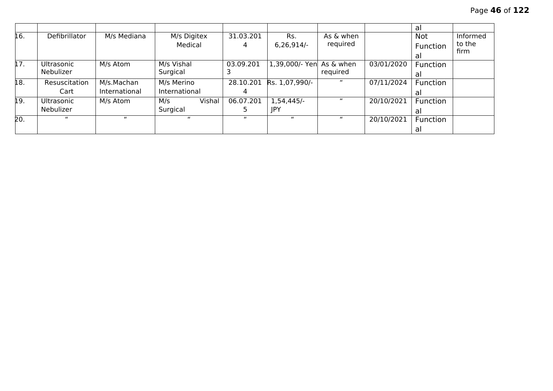|     |                |                |                |              |                          |                         |            | al              |          |
|-----|----------------|----------------|----------------|--------------|--------------------------|-------------------------|------------|-----------------|----------|
| 16. | Defibrillator  | M/s Mediana    | M/s Digitex    | 31.03.201    | Rs.                      | As & when               |            | <b>Not</b>      | Informed |
|     |                |                | Medical        | 4            | $6,26,914/-$             | required                |            | Function        | to the   |
|     |                |                |                |              |                          |                         |            | al              | firm     |
| 17. | Ultrasonic     | M/s Atom       | M/s Vishal     | 03.09.201    | 1,39,000/- Yen As & when |                         | 03/01/2020 | Function        |          |
|     | Nebulizer      |                | Surgical       |              |                          | required                |            | al              |          |
| 18. | Resuscitation  | M/s.Machan     | M/s Merino     |              | 28.10.201 Rs. 1,07,990/- | $\overline{\mathbf{u}}$ | 07/11/2024 | <b>Function</b> |          |
|     | Cart           | International  | International  | 4            |                          |                         |            | al              |          |
| 19. | Ultrasonic     | M/s Atom       | Vishal<br>M/s  | 06.07.201    | 1,54,445/-               |                         | 20/10/2021 | Function        |          |
|     | Nebulizer      |                | Surgical       |              | JPY                      |                         |            | al              |          |
| 20. | $\overline{u}$ | $\overline{u}$ | $\overline{u}$ | $\mathbf{u}$ | $\overline{u}$           | $^{\prime\prime}$       | 20/10/2021 | Function        |          |
|     |                |                |                |              |                          |                         |            | al              |          |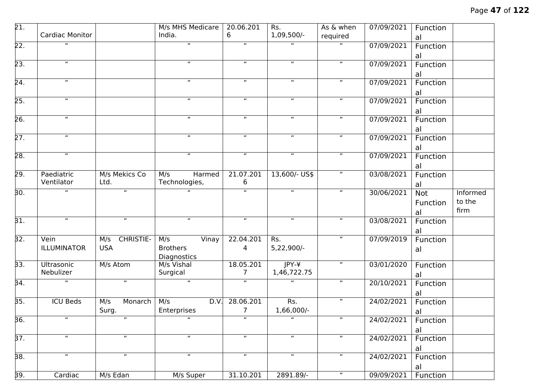| 21.               |                    |                         | M/s MHS Medicare | 20.06.201        | Rs.                | As & when        | 07/09/2021            | Function   |          |
|-------------------|--------------------|-------------------------|------------------|------------------|--------------------|------------------|-----------------------|------------|----------|
|                   | Cardiac Monitor    |                         | India.           | 6                | 1,09,500/-         | required         |                       | al         |          |
| 22.               |                    |                         | $\overline{u}$   | $\boldsymbol{u}$ | $\boldsymbol{u}$   |                  | 07/09/2021            | Function   |          |
|                   |                    |                         |                  |                  |                    |                  |                       | al         |          |
| 23.               | $\overline{u}$     |                         | $\overline{u}$   | $\overline{u}$   | $\overline{u}$     | $\boldsymbol{u}$ | 07/09/2021            | Function   |          |
|                   |                    |                         |                  |                  |                    |                  |                       | al         |          |
| $\sqrt{24}$ .     | $\boldsymbol{u}$   |                         | $\overline{u}$   | $\overline{u}$   | $\boldsymbol{\mu}$ | $\overline{u}$   | 07/09/2021            | Function   |          |
|                   |                    |                         |                  |                  |                    |                  |                       | al         |          |
| 25.               | $\boldsymbol{u}$   |                         | $\overline{u}$   | $\boldsymbol{u}$ | $\boldsymbol{u}$   | $\boldsymbol{u}$ | 07/09/2021            | Function   |          |
|                   |                    |                         |                  |                  |                    |                  |                       | al         |          |
| $\overline{26}$ . | $\overline{u}$     |                         | $\overline{u}$   | $\overline{u}$   | $\overline{u}$     | $\boldsymbol{u}$ | 07/09/2021            | Function   |          |
|                   |                    |                         |                  |                  |                    |                  |                       | al         |          |
| 27.               | $\overline{u}$     |                         | $\overline{u}$   | $\overline{u}$   | $\overline{u}$     | $\overline{u}$   | 07/09/2021            | Function   |          |
|                   |                    |                         |                  |                  |                    |                  |                       | al         |          |
| 28.               | $\boldsymbol{u}$   |                         | $\boldsymbol{u}$ | $\boldsymbol{u}$ | $\boldsymbol{u}$   | $\boldsymbol{u}$ | 07/09/2021            | Function   |          |
|                   |                    |                         |                  |                  |                    |                  |                       | al         |          |
| 29.               | Paediatric         | M/s Mekics Co           | Harmed<br>M/s    | 21.07.201        | 13,600/- US\$      | $\boldsymbol{u}$ | 03/08/2021            | Function   |          |
|                   | Ventilator         | Ltd.                    | Technologies,    | 6                |                    |                  |                       | al         |          |
| $\overline{30}$ . | $\overline{u}$     | $\overline{u}$          | $\overline{u}$   | $\overline{u}$   | $\overline{u}$     |                  | 30/06/2021            | <b>Not</b> | Informed |
|                   |                    |                         |                  |                  |                    |                  |                       | Function   | to the   |
|                   |                    |                         |                  |                  |                    |                  |                       | al         | firm     |
| $\overline{31}$ . | $\boldsymbol{u}$   | $\overline{u}$          | $\overline{u}$   | $\overline{u}$   | $\boldsymbol{u}$   | $\boldsymbol{u}$ | 03/08/2021            | Function   |          |
|                   |                    |                         |                  |                  |                    |                  |                       | al         |          |
| $\overline{32}$ . | Vein               | <b>CHRISTIE-</b><br>M/s | M/s<br>Vinay     | 22.04.201        | Rs.                | $\overline{u}$   | 07/09/2019            | Function   |          |
|                   | <b>ILLUMINATOR</b> | <b>USA</b>              | <b>Brothers</b>  | 4                | 5,22,900/-         |                  |                       | al         |          |
|                   |                    |                         | Diagnostics      |                  |                    |                  |                       |            |          |
| $\overline{33}$ . | <b>Ultrasonic</b>  | M/s Atom                | M/s Vishal       | 18.05.201        | $JPY-$             | $\overline{u}$   | 03/01/2020            | Function   |          |
|                   | Nebulizer          |                         | Surgical         | 7                | 1,46,722.75        |                  |                       | al         |          |
| $\overline{34}$ . | $\overline{u}$     | $\overline{u}$          | $\overline{u}$   | $\overline{u}$   | $\overline{u}$     | $\boldsymbol{u}$ | 20/10/2021            | Function   |          |
|                   |                    |                         |                  |                  |                    |                  |                       | al         |          |
| $\overline{35}$ . | <b>ICU Beds</b>    | M/s<br>Monarch          | M/s<br>D.V.      | 28.06.201        | Rs.                | $\boldsymbol{u}$ | 24/02/2021            | Function   |          |
|                   |                    | Surg.                   | Enterprises      | 7                | 1,66,000/-         |                  |                       | al         |          |
| $\overline{36}$ . | $\overline{u}$     | $\boldsymbol{u}$        | $\overline{u}$   | $\boldsymbol{u}$ | $\overline{u}$     | $\boldsymbol{u}$ | 24/02/2021   Function |            |          |
|                   |                    |                         |                  |                  |                    |                  |                       | al         |          |
| $\overline{37}$ . | $\boldsymbol{u}$   | $\boldsymbol{u}$        | $\overline{u}$   | $\boldsymbol{u}$ | $\boldsymbol{u}$   | $\boldsymbol{u}$ | 24/02/2021            | Function   |          |
|                   |                    |                         |                  |                  |                    |                  |                       | al         |          |
| $\overline{38}$ . | $\boldsymbol{u}$   | $\boldsymbol{u}$        | $\boldsymbol{u}$ | $\boldsymbol{u}$ | $\boldsymbol{u}$   | $\boldsymbol{u}$ | 24/02/2021            | Function   |          |
|                   |                    |                         |                  |                  |                    |                  |                       | al         |          |
| $\overline{39.}$  | Cardiac            | M/s Edan                | M/s Super        | 31.10.201        | 2891.89/-          | $\boldsymbol{u}$ | 09/09/2021            | Function   |          |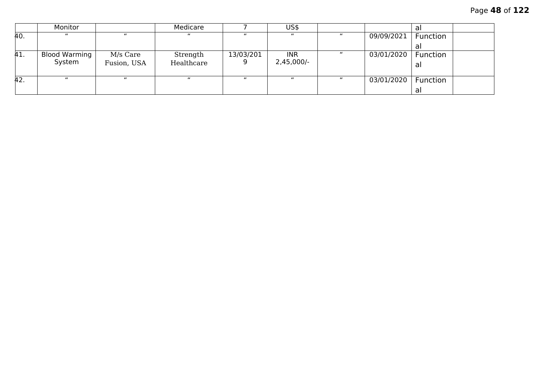|     | Monitor              |                         | Medicare   |                   | US\$                    |                         |            | a.       |  |
|-----|----------------------|-------------------------|------------|-------------------|-------------------------|-------------------------|------------|----------|--|
| 40. | $^{\prime\prime}$    | $\overline{\mathbf{u}}$ |            | $^{\prime\prime}$ | $^{\prime\prime}$       | $\overline{u}$          | 09/09/2021 | Function |  |
|     |                      |                         |            |                   |                         |                         |            | a.       |  |
| 41. | <b>Blood Warming</b> | M/s Care                | Strength   | 13/03/201         | <b>INR</b>              | $\overline{u}$          | 03/01/2020 | Function |  |
|     | System               | Fusion, USA             | Healthcare |                   | 2,45,000/-              |                         |            | a        |  |
| 42. | "                    | $\overline{\mathbf{u}}$ |            |                   | $\overline{\mathbf{u}}$ | $\overline{\mathbf{u}}$ | 03/01/2020 | Function |  |
|     |                      |                         |            |                   |                         |                         |            | al       |  |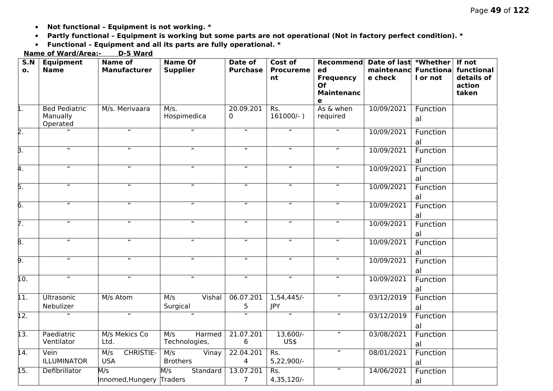- **Not functional Equipment is not working. \***
- **Partly functional Equipment is working but some parts are not operational (Not in factory perfect condition). \***
- **Functional Equipment and all its parts are fully operational. \***

 **Name of Ward/Area:- D-5 Ward**

| S.N<br>$\mathbf{o}$ . | <b>Equipment</b><br><b>Name</b>              | <b>Name of</b><br><b>Manufacturer</b> | <b>Name Of</b><br><b>Supplier</b> | Date of<br><b>Purchase</b>  | <b>Cost of</b><br><b>Procureme</b><br>nt | Recommend<br>ed<br><b>Frequency</b><br>Of<br><b>Maintenanc</b><br>e | Date of last *Whether<br>maintenand Functiona<br>e check | I or not       | If not<br>functional<br>details of<br>action<br>taken |
|-----------------------|----------------------------------------------|---------------------------------------|-----------------------------------|-----------------------------|------------------------------------------|---------------------------------------------------------------------|----------------------------------------------------------|----------------|-------------------------------------------------------|
| 1.                    | <b>Bed Pediatric</b><br>Manually<br>Operated | M/s. Merivaara                        | M/s.<br>Hospimedica               | 20.09.201<br>$\mathbf{0}$   | Rs.<br>$161000/-$ )                      | As & when<br>required                                               | 10/09/2021                                               | Function<br>al |                                                       |
| 2.                    |                                              | $\overline{u}$                        | $\overline{u}$                    | $\overline{u}$              | $\overline{u}$                           | $\overline{u}$                                                      | 10/09/2021                                               | Function<br>al |                                                       |
| ₿.                    | $\overline{u}$                               | $\overline{u}$                        | $\overline{u}$                    | $\overline{u}$              | $\overline{u}$                           | $\overline{u}$                                                      | 10/09/2021                                               | Function<br>al |                                                       |
| 4.                    | $\boldsymbol{u}$                             | $\overline{u}$                        | $\overline{u}$                    | $\overline{u}$              | $\overline{u}$                           | $\boldsymbol{u}$                                                    | 10/09/2021                                               | Function<br>al |                                                       |
| 5.                    | $\boldsymbol{u}$                             | $\boldsymbol{u}$                      | $\boldsymbol{u}$                  | $\boldsymbol{u}$            | $\boldsymbol{u}$                         | $\boldsymbol{u}$                                                    | 10/09/2021                                               | Function<br>al |                                                       |
| $\overline{6}$ .      | $\overline{u}$                               | $\overline{u}$                        | $\overline{u}$                    | $\overline{u}$              | $\overline{u}$                           | $\overline{u}$                                                      | 10/09/2021                                               | Function<br>al |                                                       |
| 7.                    | $\overline{u}$                               | $\overline{u}$                        | $\overline{u}$                    | $\overline{u}$              | $\overline{u}$                           | $\overline{u}$                                                      | 10/09/2021                                               | Function<br>al |                                                       |
| $\overline{8}$ .      | $\overline{u}$                               | $\overline{u}$                        | $\overline{u}$                    | $\overline{u}$              | $\overline{u}$                           | $\overline{u}$                                                      | 10/09/2021                                               | Function<br>al |                                                       |
| 9.                    | $\overline{u}$                               | $\overline{u}$                        | $\overline{u}$                    | $\overline{u}$              | $\overline{u}$                           | $\overline{u}$                                                      | 10/09/2021                                               | Function<br>al |                                                       |
| ĪΟ.                   | $\overline{u}$                               | $\overline{u}$                        | $\overline{u}$                    | $\overline{u}$              | $\overline{u}$                           | $\overline{u}$                                                      | 10/09/2021                                               | Function<br>al |                                                       |
| 11.                   | Ultrasonic<br>Nebulizer                      | M/s Atom                              | M/s<br>Vishal<br>Surgical         | 06.07.201<br>5              | 1,54,445/-<br>JPY                        | $\boldsymbol{u}$                                                    | 03/12/2019                                               | Function<br>al |                                                       |
| $\overline{12}$ .     | $\overline{u}$                               | $\overline{u}$                        | $\overline{u}$                    | $\overline{u}$              | $\overline{u}$                           | $\overline{u}$                                                      | 03/12/2019                                               | Function<br>al |                                                       |
| 13.                   | Paediatric<br>Ventilator                     | M/s Mekics Co<br>Ltd.                 | M/s<br>Harmed<br>Technologies,    | 21.07.201<br>6              | $13,600/-$<br>US\$                       | $\overline{u}$                                                      | 03/08/2021                                               | Function<br>al |                                                       |
| 14.                   | Vein<br><b>ILLUMINATOR</b>                   | <b>CHRISTIE-</b><br>M/s<br><b>USA</b> | M/s<br>Vinay<br><b>Brothers</b>   | 22.04.201<br>4              | Rs.<br>5,22,900/-                        | $\overline{u}$                                                      | 08/01/2021                                               | Function<br>al |                                                       |
| 15.                   | Defibrillator                                | M/s<br>Innomed, Hungery Traders       | M/s<br>Standard                   | 13.07.201<br>$\overline{7}$ | Rs.<br>4,35,120/-                        | $\overline{u}$                                                      | 14/06/2021                                               | Function<br>al |                                                       |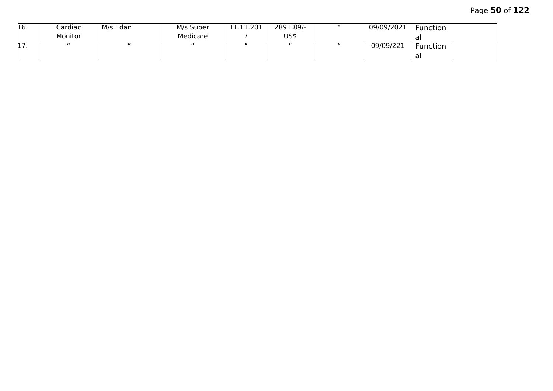| 16. | Cardiac | M/s Edan | M/s Super               | 11.11.201 | 2891.89/- | $^{\prime\prime}$ | 09/09/2021 | Function |  |
|-----|---------|----------|-------------------------|-----------|-----------|-------------------|------------|----------|--|
|     | Monitor |          | Medicare                |           | US\$      |                   |            | a        |  |
| 17. |         |          | $\overline{\mathbf{u}}$ | "         |           | "                 | 09/09/221  | Function |  |
|     |         |          |                         |           |           |                   |            | a        |  |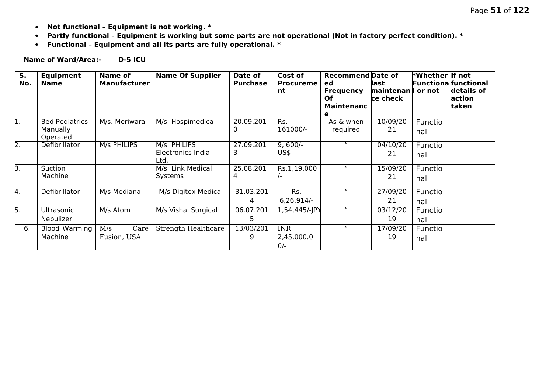- **Not functional Equipment is not working. \***
- **Partly functional Equipment is working but some parts are not operational (Not in factory perfect condition). \***
- **Functional Equipment and all its parts are fully operational. \***

#### **Name of Ward/Area:- D-5 ICU**

| S.<br>No.        | <b>Equipment</b><br><b>Name</b>               | <b>Name of</b><br><b>Manufacturer</b> | <b>Name Of Supplier</b>                   | Date of<br><b>Purchase</b> | Cost of<br><b>Procureme</b><br>nt | <b>Recommend Date of</b><br>ed<br><b>Frequency</b><br>Of.<br><b>Maintenanc</b><br>e | last<br>maintenan   or not<br>ce check | *Whether If not | <b>Functiona</b> functional<br>details of<br>action<br>taken |
|------------------|-----------------------------------------------|---------------------------------------|-------------------------------------------|----------------------------|-----------------------------------|-------------------------------------------------------------------------------------|----------------------------------------|-----------------|--------------------------------------------------------------|
| ı.               | <b>Bed Pediatrics</b><br>Manually<br>Operated | M/s. Meriwara                         | M/s. Hospimedica                          | 20.09.201<br>0             | Rs.<br>161000/-                   | As & when<br>required                                                               | 10/09/20<br>21                         | Functio<br>nal  |                                                              |
| $\overline{2}$ . | Defibrillator                                 | M/s PHILIPS                           | M/s. PHILIPS<br>Electronics India<br>Ltd. | 27.09.201<br>3             | $9,600/-$<br>US\$                 | $\overline{u}$                                                                      | 04/10/20<br>21                         | Functio<br>nal  |                                                              |
| $\overline{B}$ . | <b>Suction</b><br>Machine                     |                                       | M/s. Link Medical<br><b>Systems</b>       | 25.08.201<br>4             | Rs.1,19,000                       | $\overline{u}$                                                                      | 15/09/20<br>21                         | Functio<br>nal  |                                                              |
| 4.               | Defibrillator                                 | M/s Mediana                           | M/s Digitex Medical                       | 31.03.201<br>4             | Rs.<br>$6,26,914/-$               | $\overline{u}$                                                                      | 27/09/20<br>21                         | Functio<br>nal  |                                                              |
| Б.               | <b>Ultrasonic</b><br>Nebulizer                | M/s Atom                              | M/s Vishal Surgical                       | 06.07.201<br>5.            | 1,54,445/-JPY                     | $\overline{u}$                                                                      | 03/12/20<br>19                         | Functio<br>nal  |                                                              |
| 6.               | <b>Blood Warming</b><br>Machine               | M/s<br>Care<br>Fusion, USA            | Strength Healthcare                       | 13/03/201<br>9             | <b>INR</b><br>2,45,000.0<br>$0/-$ | $\overline{u}$                                                                      | 17/09/20<br>19                         | Functio<br>nal  |                                                              |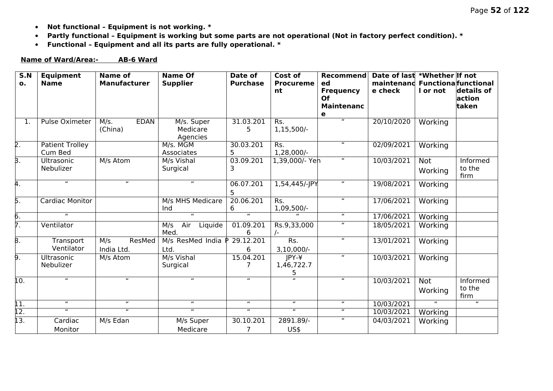- **Not functional Equipment is not working. \***
- **Partly functional Equipment is working but some parts are not operational (Not in factory perfect condition). \***
- **Functional Equipment and all its parts are fully operational. \***

#### **Name of Ward/Area:- AB-6 Ward**

| S.N              | <b>Equipment</b>       | <b>Name of</b>                 | <b>Name Of</b>         | Date of             | Cost of             | <b>Recommend</b>    | Date of last *Whether If not |                  |                             |
|------------------|------------------------|--------------------------------|------------------------|---------------------|---------------------|---------------------|------------------------------|------------------|-----------------------------|
| $\mathbf{o}$ .   | <b>Name</b>            | <b>Manufacturer</b>            | <b>Supplier</b>        | <b>Purchase</b>     | <b>Procureme</b>    | ed                  | maintenand                   |                  | <b>Functiona</b> functional |
|                  |                        |                                |                        |                     | nt                  | <b>Frequency</b>    | e check                      | I or not         | details of                  |
|                  |                        |                                |                        |                     |                     | Of                  |                              |                  | action                      |
|                  |                        |                                |                        |                     |                     | <b>Maintenanc</b>   |                              |                  | taken                       |
|                  |                        |                                |                        |                     |                     | е<br>$\overline{u}$ |                              |                  |                             |
| 1.               | <b>Pulse Oximeter</b>  | <b>EDAN</b><br>M/s.<br>(China) | M/s. Super<br>Medicare | 31.03.201           | Rs.<br>1,15,500/-   |                     | 20/10/2020                   | Working          |                             |
|                  |                        |                                | Agencies               | 5                   |                     |                     |                              |                  |                             |
| 2.               | <b>Patient Trolley</b> |                                | M/s. MGM               | 30.03.201           | Rs.                 | $\boldsymbol{u}$    | 02/09/2021                   | Working          |                             |
|                  | Cum Bed                |                                | Associates             | 5                   | 1,28,000/-          |                     |                              |                  |                             |
| Β.               | <b>Ultrasonic</b>      | M/s Atom                       | M/s Vishal             | 03.09.201           | 1,39,000/- Yeh      | $\boldsymbol{u}$    | 10/03/2021                   | <b>Not</b>       | Informed                    |
|                  | Nebulizer              |                                | Surgical               | 3                   |                     |                     |                              | Working          | to the                      |
|                  |                        |                                |                        |                     |                     |                     |                              |                  | firm                        |
| 4.               | $\overline{u}$         | $\overline{u}$                 | $\overline{u}$         | 06.07.201           | 1,54,445/-JPY       | $\boldsymbol{u}$    | 19/08/2021                   | Working          |                             |
|                  |                        |                                |                        | 5                   |                     |                     |                              |                  |                             |
| 5.               | <b>Cardiac Monitor</b> |                                | M/s MHS Medicare       | 20.06.201           | Rs.                 | $\overline{u}$      | 17/06/2021                   | Working          |                             |
|                  | $\mathbf{u}$           |                                | Ind<br>$\overline{u}$  | 6<br>$\overline{u}$ | 1,09,500/-          | $\overline{u}$      |                              |                  |                             |
| ნ.               |                        |                                |                        |                     |                     |                     | 17/06/2021                   | Working          |                             |
| 7.               | Ventilator             |                                | Air<br>Liquide<br>M/s  | 01.09.201           | Rs.9,33,000         | $\boldsymbol{u}$    | 18/05/2021                   | Working          |                             |
|                  |                        |                                | Med.                   | 6                   |                     | $\boldsymbol{u}$    |                              |                  |                             |
| 8.               | Transport              | M/s<br>ResMed                  | M/s ResMed India       | 29.12.201           | Rs.                 |                     | 13/01/2021                   | Working          |                             |
|                  | Ventilator             | India Ltd.                     | Ltd.                   | 6                   | $3,10,000/-$        |                     |                              |                  |                             |
| 9.               | <b>Ultrasonic</b>      | M/s Atom                       | M/s Vishal             | 15.04.201           | $IPY-$              | $\overline{u}$      | 10/03/2021                   | Working          |                             |
|                  | Nebulizer              |                                | Surgical               | 7                   | 1,46,722.7          |                     |                              |                  |                             |
| 10.              | $\overline{u}$         | $\overline{u}$                 | $\overline{u}$         | $\overline{u}$      | 5<br>$\overline{u}$ | $\overline{u}$      | 10/03/2021                   | <b>Not</b>       | <b>Informed</b>             |
|                  |                        |                                |                        |                     |                     |                     |                              |                  | to the                      |
|                  |                        |                                |                        |                     |                     |                     |                              | Working          | firm                        |
|                  | $\overline{u}$         | $\overline{u}$                 | $\overline{u}$         | $\boldsymbol{u}$    | $\boldsymbol{u}$    | $\overline{u}$      | 10/03/2021                   | $\boldsymbol{u}$ | $\overline{u}$              |
| $\frac{11}{12}$  | $\overline{u}$         | $\overline{u}$                 | $\overline{u}$         | $\overline{u}$      | $\overline{u}$      | $\overline{u}$      | 10/03/2021                   | Working          |                             |
| $\overline{13.}$ | Cardiac                | M/s Edan                       | M/s Super              | 30.10.201           | 2891.89/-           | $\boldsymbol{u}$    | 04/03/2021                   | Working          |                             |
|                  | Monitor                |                                | Medicare               | 7                   | US\$                |                     |                              |                  |                             |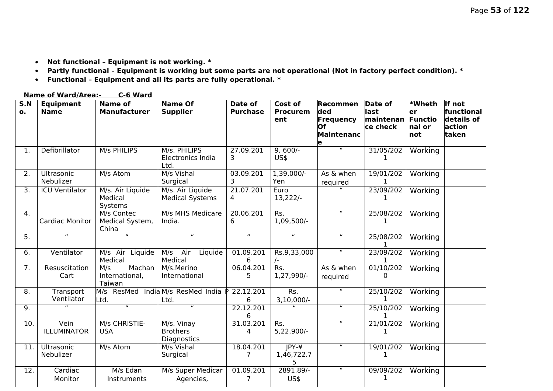- **Not functional Equipment is not working. \***
- **Partly functional Equipment is working but some parts are not operational (Not in factory perfect condition). \***
- **Functional Equipment and all its parts are fully operational. \***

 **Name of Ward/Area:- C-6 Ward**

| $\overline{\mathsf{S}.\mathsf{N}}$<br>$\mathbf{o}$ . | <b>Equipment</b><br><b>Name</b> | <b>Name of</b><br><b>Manufacturer</b>     | <b>Name Of</b><br><b>Supplier</b>                     | Date of<br><b>Purchase</b> | Cost of<br><b>Procurem</b><br>ent | <b>Recommen</b><br>ded<br>Frequency<br>Of<br><b>Maintenanc</b><br>le | <b>Date of</b><br>last<br>maintenan<br>ce check | *Wheth<br>er<br><b>Functio</b><br>nal or<br>not | If not<br>functional<br>details of<br>action<br>taken |
|------------------------------------------------------|---------------------------------|-------------------------------------------|-------------------------------------------------------|----------------------------|-----------------------------------|----------------------------------------------------------------------|-------------------------------------------------|-------------------------------------------------|-------------------------------------------------------|
| 1.                                                   | Defibrillator                   | <b>M/s PHILIPS</b>                        | M/s. PHILIPS<br><b>Electronics India</b><br>Ltd.      | 27.09.201<br>3             | $9,600/-$<br>US\$                 | $\overline{u}$                                                       | 31/05/202                                       | Working                                         |                                                       |
| 2.                                                   | Ultrasonic<br>Nebulizer         | M/s Atom                                  | M/s Vishal<br>Surgical                                | 03.09.201<br>3             | $1,39,000$ <sup>-</sup><br>Yen    | As & when<br>required                                                | 19/01/202                                       | Working                                         |                                                       |
| 3.                                                   | <b>ICU Ventilator</b>           | M/s. Air Liquide<br>Medical<br>Systems    | M/s. Air Liquide<br><b>Medical Systems</b>            | 21.07.201<br>4             | Euro<br>13,222/-                  |                                                                      | 23/09/202                                       | Working                                         |                                                       |
| 4.                                                   | <b>Cardiac Monitor</b>          | M/s Contec<br>Medical System,<br>China    | M/s MHS Medicare<br>India.                            | 20.06.201<br>6             | Rs.<br>$1,09,500/-$               | $\overline{u}$                                                       | 25/08/202<br>1                                  | Working                                         |                                                       |
| $\overline{5}$ .                                     | $\overline{u}$                  | $\overline{u}$                            | $\overline{u}$                                        | $\overline{u}$             | $\overline{u}$                    | $\boldsymbol{u}$                                                     | 25/08/202<br>1                                  | Working                                         |                                                       |
| 6.                                                   | Ventilator                      | M/s Air Liquide<br>Medical                | M/s<br>Air<br>Liquide<br>Medical                      | 01.09.201<br>6             | Rs.9,33,000                       | $\boldsymbol{u}$                                                     | 23/09/202                                       | Working                                         |                                                       |
| 7.                                                   | Resuscitation<br>Cart           | M/s<br>Machan<br>International,<br>Taiwan | M/s.Merino<br>International                           | 06.04.201<br>5             | Rs.<br>1,27,990/-                 | As & when<br>required                                                | 01/10/202<br>$\mathbf 0$                        | Working                                         |                                                       |
| 8.                                                   | Transport<br>Ventilator         | Ltd.                                      | M/s ResMed India M/s ResMed India P 22.12.201<br>Ltd. | 6                          | Rs.<br>$3,10,000/-$               | $\overline{u}$                                                       | 25/10/202<br>$\mathbf{1}$                       | Working                                         |                                                       |
| $\overline{9}$ .                                     | $\overline{u}$                  | $\overline{u}$                            | $\overline{u}$                                        | 22.12.201<br>6             |                                   | $\overline{u}$                                                       | 25/10/202                                       | Working                                         |                                                       |
| 10.                                                  | Vein<br><b>ILLUMINATOR</b>      | M/s CHRISTIE-<br><b>USA</b>               | $M/s.$ Vinay<br><b>Brothers</b><br><b>Diagnostics</b> | 31.03.201<br>4             | Rs.<br>$5,22,900/-$               | $\overline{u}$                                                       | 21/01/202                                       | Working                                         |                                                       |
| 11.                                                  | <b>Ultrasonic</b><br>Nebulizer  | M/s Atom                                  | M/s Vishal<br>Surgical                                | 18.04.201<br>7             | $IPY-$<br>1,46,722.7<br>5         | $\overline{u}$                                                       | 19/01/202<br>1                                  | Working                                         |                                                       |
| $\overline{12}$ .                                    | Cardiac<br>Monitor              | M/s Edan<br>Instruments                   | M/s Super Medicar<br>Agencies,                        | 01.09.201<br>7             | 2891.89/-<br>US\$                 | $\overline{u}$                                                       | 09/09/202<br>1                                  | Working                                         |                                                       |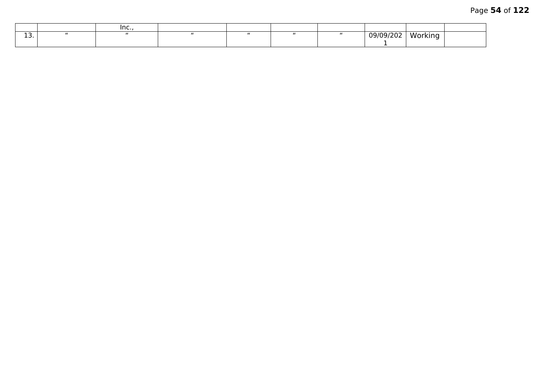# Page **54** of **122**

|  | IIIC., |  |  |           |                              |  |
|--|--------|--|--|-----------|------------------------------|--|
|  |        |  |  | 09/09/202 | $111-$<br>Working<br>_______ |  |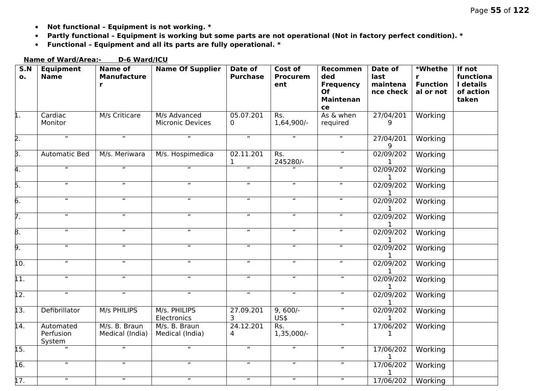- **Not functional Equipment is not working. \***
- **Partly functional Equipment is working but some parts are not operational (Not in factory perfect condition). \***
- **Functional Equipment and all its parts are fully operational. \***

#### **Name of Ward/Area:- D-6 Ward/ICU**

| S.N<br>$\mathbf{o}$ . | <b>Equipment</b><br><b>Name</b>  | <b>Name of</b><br><b>Manufacture</b><br>r | <b>Name Of Supplier</b>                 | Date of<br><b>Purchase</b> | <b>Cost of</b><br><b>Procurem</b><br>ent | <b>Recommen</b><br>ded<br><b>Frequency</b><br><b>Of</b><br><b>Maintenan</b><br>ce | Date of<br>last<br>maintena<br>nce check | *Whethe<br>r<br><b>Function</b><br>al or not | If not<br>functiona<br>I details<br>of action<br>taken |
|-----------------------|----------------------------------|-------------------------------------------|-----------------------------------------|----------------------------|------------------------------------------|-----------------------------------------------------------------------------------|------------------------------------------|----------------------------------------------|--------------------------------------------------------|
| 1.                    | Cardiac<br>Monitor               | M/s Criticare                             | M/s Advanced<br><b>Micronic Devices</b> | 05.07.201<br>$\Omega$      | Rs.<br>$1,64,900/-$                      | As & when<br>required                                                             | 27/04/201<br>9                           | Working                                      |                                                        |
| þ.                    | $\overline{u}$                   | $\overline{u}$                            | $\overline{u}$                          | $\overline{u}$             | $\overline{u}$                           | $\overline{u}$                                                                    | $\frac{1}{27}{04}{201}$<br>9             | Working                                      |                                                        |
| ₹.                    | <b>Automatic Bed</b>             | M/s. Meriwara                             | M/s. Hospimedica                        | 02.11.201<br>$\mathbf 1$   | $\overline{\text{Rs.}}$<br>245280/-      | $\overline{u}$                                                                    | 02/09/202<br>1                           | Working                                      |                                                        |
| 4.                    | $\overline{u}$                   | $\overline{u}$                            | $\overline{u}$                          | $\overline{u}$             | $\overline{u}$                           | $\overline{u}$                                                                    | 02/09/202<br>1                           | Working                                      |                                                        |
| Б.                    | $\overline{u}$                   | $\overline{u}$                            | $\overline{u}$                          | $\overline{u}$             | $\overline{u}$                           | $\overline{u}$                                                                    | 02/09/202<br>$\mathbf{1}$                | Working                                      |                                                        |
| б.                    | $\overline{u}$                   | $\overline{u}$                            | $\overline{u}$                          | $\overline{u}$             | $\overline{u}$                           | $\boldsymbol{u}$                                                                  | 02/09/202                                | Working                                      |                                                        |
| 7.                    | $\overline{u}$                   | $\boldsymbol{u}$                          | $\overline{u}$                          | $\overline{u}$             | $\overline{u}$                           | $\boldsymbol{u}$                                                                  | 02/09/202<br>1                           | Working                                      |                                                        |
| 8.                    | $\overline{u}$                   | $\overline{u}$                            | $\overline{u}$                          | $\overline{u}$             | $\overline{u}$                           | $\overline{u}$                                                                    | 02/09/202<br>$\mathbf 1$                 | Working                                      |                                                        |
| 9.                    | $\overline{u}$                   | $\boldsymbol{u}$                          | $\overline{u}$                          | $\overline{u}$             | $\overline{u}$                           | $\boldsymbol{u}$                                                                  | 02/09/202<br>1                           | Working                                      |                                                        |
| 10.                   | $\overline{u}$                   | $\overline{u}$                            | $\overline{u}$                          | $\overline{u}$             | $\overline{u}$                           | $\overline{u}$                                                                    | 02/09/202<br>1                           | Working                                      |                                                        |
| īı.                   | $\overline{u}$                   | $\overline{u}$                            | $\overline{u}$                          | $\overline{u}$             | $\overline{u}$                           | $\overline{u}$                                                                    | 02/09/202<br>$\mathbf{1}$                | Working                                      |                                                        |
| $\overline{12.}$      | $\overline{u}$                   | $\overline{u}$                            | $\overline{u}$                          | $\overline{u}$             | $\overline{u}$                           | $\overline{u}$                                                                    | 02/09/202                                | Working                                      |                                                        |
| 13.                   | Defibrillator                    | M/s PHILIPS                               | M/s. PHILIPS<br>Electronics             | 27.09.201<br>3             | $9,600/-$<br>US\$                        | $\overline{u}$                                                                    | 02/09/202                                | Working                                      |                                                        |
| $\overline{14.}$      | Automated<br>Perfusion<br>System | M/s. B. Braun<br>Medical (India)          | M/s. B. Braun<br>Medical (India)        | 24.12.201<br>4             | Rs.<br>1,35,000/-                        | $\overline{u}$                                                                    | 17/06/202<br>$\mathbf 1$                 | Working                                      |                                                        |
| 15.                   | $\overline{u}$                   | $\overline{u}$                            | $\overline{u}$                          | $\overline{u}$             | $\overline{u}$                           | $\boldsymbol{u}$                                                                  | 17/06/202<br>1                           | Working                                      |                                                        |
| $\overline{16}$ .     | $\overline{u}$                   | $\overline{u}$                            | $\overline{u}$                          | $\overline{u}$             | $\overline{u}$                           | $\overline{u}$                                                                    | 17/06/202<br>1                           | Working                                      |                                                        |
| 17.                   | $\overline{u}$                   | $\overline{u}$                            | $\overline{u}$                          | $\overline{u}$             | $\overline{u}$                           | $\boldsymbol{u}$                                                                  | 17/06/202                                | Working                                      |                                                        |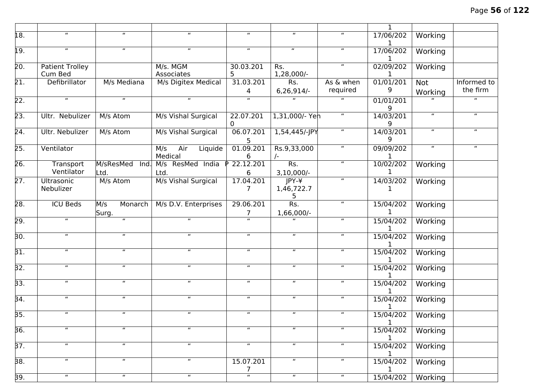|                   |                                   |                                               |                                  |                       |                                          |                         | $\mathbf 1$               |                         |                         |
|-------------------|-----------------------------------|-----------------------------------------------|----------------------------------|-----------------------|------------------------------------------|-------------------------|---------------------------|-------------------------|-------------------------|
| $\overline{18}$ . | $\boldsymbol{u}$                  | $\boldsymbol{u}$                              | $\boldsymbol{u}$                 | $\overline{u}$        | $\boldsymbol{u}$                         | $\overline{u}$          | 17/06/202<br>1            | Working                 |                         |
| $\overline{19}$ . | $\boldsymbol{u}$                  | $\boldsymbol{u}$                              | $\boldsymbol{u}$                 | $\boldsymbol{u}$      | $\boldsymbol{u}$                         | $\overline{u}$          | 17/06/202<br>1            | Working                 |                         |
| 20.               | <b>Patient Trolley</b><br>Cum Bed |                                               | M/s. MGM<br>Associates           | 30.03.201<br>5        | Rs.<br>1,28,000/-                        | $\overline{u}$          | 02/09/202                 | Working                 |                         |
| $\overline{21.}$  | Defibrillator                     | M/s Mediana                                   | M/s Digitex Medical              | 31.03.201<br>4        | Rs.<br>6,26,914/-                        | As & when<br>required   | 01/01/201<br>9            | <b>Not</b><br>Working   | Informed to<br>the firm |
| $\overline{22.}$  | $\overline{u}$                    | $\overline{u}$                                | $\overline{u}$                   | $\overline{u}$        | $\overline{u}$                           | $\boldsymbol{u}$        | 01/01/201<br>9            | $\overline{u}$          | $\overline{u}$          |
| 23.               | Ultr. Nebulizer                   | M/s Atom                                      | M/s Vishal Surgical              | 22.07.201<br>$\Omega$ | 1,31,000/- Yeh                           | $\boldsymbol{u}$        | 14/03/201<br>9            | $\overline{\mathbf{u}}$ | $\boldsymbol{u}$        |
| $\overline{24}$ . | Ultr. Nebulizer                   | M/s Atom                                      | M/s Vishal Surgical              | 06.07.201<br>5        | 1,54,445/-JPY                            | $\boldsymbol{u}$        | 14/03/201<br>9            | $\overline{\mathbf{u}}$ | $\boldsymbol{u}$        |
| 25.               | Ventilator                        |                                               | Air<br>Liquide<br>M/s<br>Medical | 01.09.201<br>6        | Rs.9,33,000<br>I-                        | $\boldsymbol{u}$        | 09/09/202                 | $\pmb{\mathcal{U}}$     | $\boldsymbol{u}$        |
| $\overline{26}$ . | Transport<br>Ventilator           | M/sResMed<br>Ind.<br>Ltd.                     | M/s ResMed India<br>Ltd.         | 22.12.201<br>6        | Rs.<br>$3,10,000/-$                      | $\boldsymbol{u}$        | 10/02/202                 | Working                 |                         |
| 27.               | Ultrasonic<br>Nebulizer           | M/s Atom                                      | M/s Vishal Surgical              | 17.04.201<br>7        | $IPY-$<br>1,46,722.7<br>5                | $\boldsymbol{u}$        | 14/03/202<br>1            | Working                 |                         |
| 28.               | <b>ICU Beds</b>                   | $\overline{\mathsf{M/s}}$<br>Monarch<br>Surg. | M/s D.V. Enterprises             | 29.06.201<br>7        | $\overline{\mathsf{Rs}}$ .<br>1,66,000/- | $\overline{u}$          | 15/04/202<br>1            | Working                 |                         |
| 29.               | $\overline{u}$                    | $\overline{u}$                                | $\overline{u}$                   | $\overline{u}$        | $\overline{u}$                           | $\overline{u}$          | 15/04/202<br>1            | Working                 |                         |
| 30.               | $\overline{u}$                    | $\overline{u}$                                | $\overline{u}$                   | $\overline{u}$        | $\overline{u}$                           | $\boldsymbol{u}$        | 15/04/202<br>1            | Working                 |                         |
| $\overline{31}$ . | $\overline{u}$                    | $\boldsymbol{u}$                              | $\overline{u}$                   | $\overline{u}$        | $\overline{u}$                           | $\boldsymbol{\mu}$      | 15/04/202<br>1            | Working                 |                         |
| $\overline{32.}$  | $\overline{u}$                    | $\overline{u}$                                | $\overline{u}$                   | $\overline{u}$        | $\overline{u}$                           | $\boldsymbol{\mu}$      | 15/04/202<br>1            | Working                 |                         |
| $\overline{33.}$  | $\boldsymbol{u}$                  | $\boldsymbol{u}$                              | $\boldsymbol{u}$                 | $\boldsymbol{u}$      | $\boldsymbol{u}$                         | $\overline{\mathbf{u}}$ | 15/04/202<br>1            | Working                 |                         |
| $\overline{34}$ . | $\overline{u}$                    | $\boldsymbol{u}$                              | $\boldsymbol{u}$                 | $\boldsymbol{u}$      | $\boldsymbol{u}$                         | $\overline{\mathbf{u}}$ | 15/04/202                 | Working                 |                         |
| $\overline{35.}$  | $\boldsymbol{u}$                  | $\overline{u}$                                | $\boldsymbol{u}$                 | $\overline{u}$        | $\overline{u}$                           | $\overline{u}$          | 15/04/202<br>$\mathbf{1}$ | Working                 |                         |
| $\overline{36}$ . | $\overline{u}$                    | $\overline{u}$                                | $\boldsymbol{u}$                 | $\overline{u}$        | $\overline{u}$                           | $\overline{u}$          | 15/04/202<br>$\mathbf 1$  | Working                 |                         |
| $\overline{37.}$  | $\boldsymbol{u}$                  | $\boldsymbol{u}$                              | $\overline{u}$                   | $\overline{u}$        | $\overline{u}$                           | $\boldsymbol{\mu}$      | 15/04/202<br>$\mathbf{1}$ | Working                 |                         |
| $\overline{38}$ . | $\overline{u}$                    | $\boldsymbol{u}$                              | $\boldsymbol{u}$                 | 15.07.201<br>7        | $\boldsymbol{u}$                         | $\boldsymbol{\mu}$      | 15/04/202<br>$\mathbf{1}$ | Working                 |                         |
| 39.               | $\boldsymbol{u}$                  | $\boldsymbol{u}$                              | $\boldsymbol{u}$                 | $\overline{u}$        | $\boldsymbol{u}$                         | $\boldsymbol{u}$        | 15/04/202                 | Working                 |                         |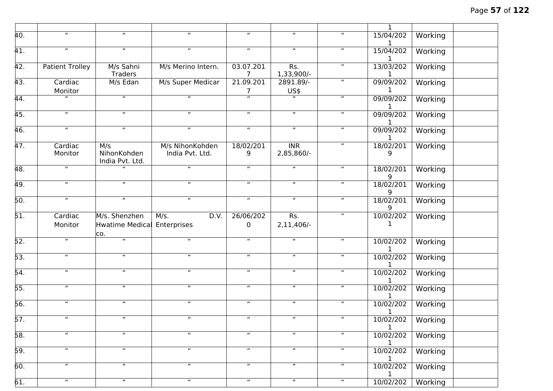|                   |                        |                                         |                                    |                             |                   |                         | $\mathbf 1$              |         |
|-------------------|------------------------|-----------------------------------------|------------------------------------|-----------------------------|-------------------|-------------------------|--------------------------|---------|
| 40.               | $\overline{u}$         | $\overline{u}$                          | $\overline{u}$                     | $\overline{u}$              | $\overline{u}$    | $\boldsymbol{u}$        | 15/04/202<br>1           | Working |
| 41.               | $\boldsymbol{u}$       | $\boldsymbol{u}$                        | $\boldsymbol{u}$                   | $\boldsymbol{u}$            | $\boldsymbol{u}$  | $\boldsymbol{u}$        | 15/04/202<br>1           | Working |
| 42.               | <b>Patient Trolley</b> | M/s Sahni<br><b>Traders</b>             | M/s Merino Intern.                 | 03.07.201<br>$\overline{7}$ | Rs.<br>1,33,900/- | $\boldsymbol{u}$        | 13/03/202<br>1           | Working |
| 43.               | Cardiac<br>Monitor     | M/s Edan                                | M/s Super Medicar                  | 21.09.201<br>7              | 2891.89/-<br>US\$ | $\boldsymbol{u}$        | 09/09/202<br>1           | Working |
| 44.               | $\overline{u}$         | $\overline{u}$                          | $\overline{u}$                     | $\overline{u}$              | $\overline{u}$    | $\boldsymbol{u}$        | 09/09/202                | Working |
| 45.               | $\overline{u}$         | $\overline{u}$                          | $\boldsymbol{u}$                   | $\overline{u}$              | $\overline{u}$    | $\boldsymbol{u}$        | 09/09/202<br>1           | Working |
| 46.               | $\boldsymbol{u}$       | $\boldsymbol{u}$                        | $\boldsymbol{u}$                   | $\boldsymbol{u}$            | $\boldsymbol{u}$  | $\boldsymbol{u}$        | 09/09/202                | Working |
| 47.               | Cardiac<br>Monitor     | M/s<br>NihonKohden<br>India Pvt. Ltd.   | M/s NihonKohden<br>India Pvt. Ltd. | 18/02/201<br>9              | INR<br>2,85,860/- | $\boldsymbol{u}$        | 18/02/201<br>9           | Working |
| 48.               | $\overline{u}$         | $\overline{u}$                          | $\boldsymbol{u}$                   | $\boldsymbol{u}$            | $\boldsymbol{u}$  | $\boldsymbol{u}$        | 18/02/201<br>9           | Working |
| 49.               | $\boldsymbol{u}$       | $\boldsymbol{u}$                        | $\boldsymbol{u}$                   | $\boldsymbol{u}$            | $\boldsymbol{u}$  | $\overline{u}$          | 18/02/201<br>9           | Working |
| 50.               | $\boldsymbol{u}$       | $\overline{u}$                          | $\boldsymbol{u}$                   | $\boldsymbol{u}$            | $\boldsymbol{u}$  | $\pmb{\mathcal{U}}$     | 18/02/201<br>9           | Working |
| $\overline{51}$ . | Cardiac<br>Monitor     | M/s. Shenzhen<br>Hwatime Medical<br>CO. | M/s.<br>D.V.<br>Enterprises        | 26/06/202<br>0              | Rs.<br>2,11,406/- | $\overline{u}$          | 10/02/202<br>1           | Working |
| 52.               | $\boldsymbol{u}$       | $\boldsymbol{u}$                        | $\boldsymbol{u}$                   | $\boldsymbol{u}$            | $\boldsymbol{u}$  | $\overline{\mathbf{u}}$ | 10/02/202                | Working |
| 53.               | $\boldsymbol{u}$       | $\boldsymbol{u}$                        | $\boldsymbol{u}$                   | $\boldsymbol{u}$            | $\overline{u}$    | $\overline{u}$          | 10/02/202                | Working |
| 54.               | $\overline{u}$         | $\boldsymbol{u}$                        | $\boldsymbol{u}$                   | $\boldsymbol{u}$            | $\boldsymbol{u}$  | $\boldsymbol{u}$        | 10/02/202                | Working |
| $\overline{55.}$  | $\boldsymbol{u}$       | $\boldsymbol{u}$                        | $\boldsymbol{u}$                   | $\boldsymbol{u}$            | $\boldsymbol{u}$  | $\boldsymbol{u}$        | 10/02/202                | Working |
| 56.               | $\overline{u}$         | $\overline{u}$                          | $\boldsymbol{u}$                   | $\boldsymbol{u}$            | $\boldsymbol{u}$  | $\boldsymbol{u}$        | 10/02/202                | Working |
| $\overline{57}$ . |                        |                                         |                                    |                             |                   |                         | 10/02/202 Working        |         |
| 58.               | $\overline{u}$         | $\boldsymbol{u}$                        | $\boldsymbol{u}$                   | $\overline{u}$              | $\boldsymbol{u}$  | $\boldsymbol{u}$        | 10/02/202                | Working |
| 59.               | $\overline{u}$         | $\overline{u}$                          | $\overline{u}$                     | $\overline{u}$              | $\overline{u}$    | $\overline{u}$          | 10/02/202<br>1           | Working |
| 60.               | $\overline{u}$         | $\overline{u}$                          | $\overline{u}$                     | $\overline{u}$              | $\overline{u}$    | $\boldsymbol{u}$        | 10/02/202<br>$\mathbf 1$ | Working |
| $\overline{61}$ . | $\overline{u}$         | $\overline{u}$                          | $\overline{u}$                     | $\overline{u}$              | $\overline{u}$    | $\overline{u}$          | 10/02/202                | Working |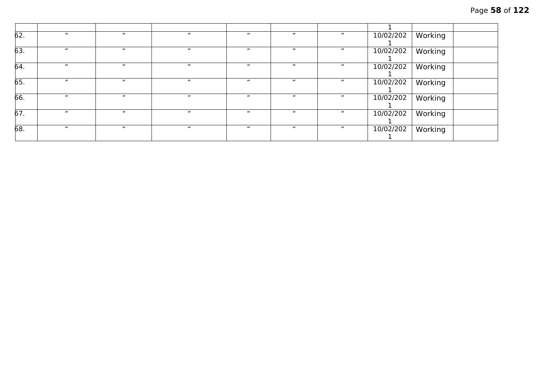| 62. | $\overline{u}$ | $\overline{u}$          | $\overline{\mathbf{u}}$ | $\overline{u}$          | $\overline{u}$          | $\overline{u}$          | 10/02/202 | Working |  |
|-----|----------------|-------------------------|-------------------------|-------------------------|-------------------------|-------------------------|-----------|---------|--|
|     |                |                         |                         |                         |                         |                         |           |         |  |
| 63. | $\overline{u}$ | $\overline{u}$          | $\overline{u}$          | $\overline{\mathbf{u}}$ | $\overline{\mathbf{u}}$ | $\overline{u}$          | 10/02/202 | Working |  |
|     |                |                         |                         |                         |                         |                         |           |         |  |
| 64. | $\overline{u}$ | $\overline{\mathbf{u}}$ | $\overline{\mathbf{u}}$ | $\overline{\mathbf{u}}$ | $\overline{\mathbf{u}}$ | $\overline{\mathbf{u}}$ | 10/02/202 | Working |  |
|     |                |                         |                         |                         |                         |                         |           |         |  |
| 65. | $\overline{u}$ | $\overline{u}$          | $\overline{u}$          | $\overline{u}$          | $\overline{u}$          | $\overline{u}$          | 10/02/202 | Working |  |
|     |                |                         |                         |                         |                         |                         |           |         |  |
| 66. | $\overline{u}$ | $\overline{u}$          | $\overline{u}$          | $\overline{\mathbf{u}}$ | $\overline{\mathbf{u}}$ | $\overline{\mathbf{u}}$ | 10/02/202 | Working |  |
|     |                |                         |                         |                         |                         |                         |           |         |  |
| 67. | $\overline{u}$ | $\overline{u}$          | $\overline{u}$          | $\overline{u}$          | $\overline{u}$          | $\overline{u}$          | 10/02/202 | Working |  |
|     |                |                         |                         |                         |                         |                         |           |         |  |
| 68. | $\overline{u}$ | $\overline{u}$          | $\overline{u}$          | $\overline{u}$          | $\overline{u}$          | $\overline{u}$          | 10/02/202 | Working |  |
|     |                |                         |                         |                         |                         |                         |           |         |  |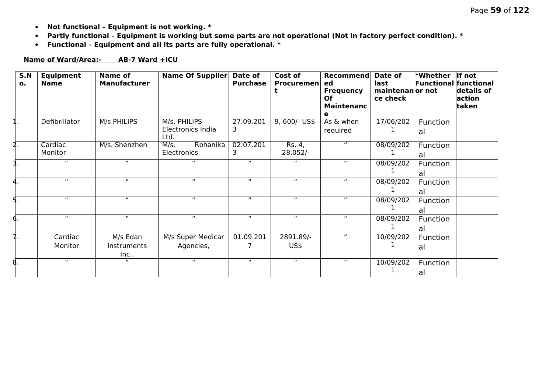- **Not functional Equipment is not working. \***
- **Partly functional Equipment is working but some parts are not operational (Not in factory perfect condition). \***
- **Functional Equipment and all its parts are fully operational. \***

# **Name of Ward/Area:- AB-7 Ward +ICU**

| S.N<br>о. | <b>Equipment</b><br><b>Name</b> | <b>Name of</b><br><b>Manufacturer</b> | Name Of Supplier                          | Date of<br><b>Purchase</b> | Cost of<br><b>Procuremen</b><br>t | <b>Recommend</b><br>ed<br><b>Frequency</b><br><b>Of</b><br><b>Maintenanc</b><br>е | Date of<br>last<br>maintenanor not<br>ce check | *Whether If not<br><b>Functional functional</b> | details of<br>action<br>taken |
|-----------|---------------------------------|---------------------------------------|-------------------------------------------|----------------------------|-----------------------------------|-----------------------------------------------------------------------------------|------------------------------------------------|-------------------------------------------------|-------------------------------|
|           | Defibrillator                   | M/s PHILIPS                           | M/s. PHILIPS<br>Electronics India<br>Ltd. | 27.09.201<br>3             | 9, 600/- US\$                     | As & when<br>required                                                             | 17/06/202                                      | Function<br>al                                  |                               |
|           | Cardiac<br>Monitor              | M/s. Shenzhen                         | M/s.<br>Rohanika<br>Electronics           | 02.07.201<br>3             | Rs. 4,<br>28,052/-                | $\overline{u}$                                                                    | 08/09/202                                      | Function<br>al                                  |                               |
|           | $\boldsymbol{u}$                | $\overline{u}$                        | $\mathbf{u}$                              | $\overline{u}$             | $\overline{u}$                    | $\overline{u}$                                                                    | 08/09/202                                      | Function<br>al                                  |                               |
|           | $\boldsymbol{u}$                | $\boldsymbol{u}$                      | $\overline{u}$                            | $\boldsymbol{u}$           | $\boldsymbol{u}$                  | $\overline{u}$                                                                    | 08/09/202                                      | Function<br>al                                  |                               |
|           | $\boldsymbol{u}$                | $\boldsymbol{u}$                      | $\overline{u}$                            | $\boldsymbol{u}$           | $\overline{u}$                    | $\overline{u}$                                                                    | 08/09/202                                      | Function<br>al                                  |                               |
| б.        | $\overline{u}$                  | $\overline{u}$                        | $\overline{u}$                            | $\overline{u}$             | $\overline{u}$                    | $\overline{u}$                                                                    | 08/09/202                                      | Function<br>al                                  |                               |
|           | Cardiac<br>Monitor              | M/s Edan<br>Instruments<br>Inc.,      | M/s Super Medicar<br>Agencies,            | 01.09.201                  | 2891.89/-<br>US\$                 | $\overline{u}$                                                                    | 10/09/202                                      | Function<br>al                                  |                               |
|           | $\overline{u}$                  |                                       | $\overline{u}$                            | $\overline{u}$             | $\boldsymbol{u}$                  | $\overline{u}$                                                                    | 10/09/202                                      | Function<br>al                                  |                               |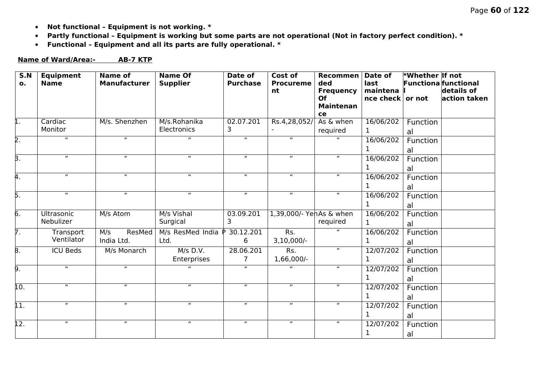- **Not functional Equipment is not working. \***
- **Partly functional Equipment is working but some parts are not operational (Not in factory perfect condition). \***
- **Functional Equipment and all its parts are fully operational. \***

#### **Name of Ward/Area:- AB-7 KTP**

| S.N               | <b>Equipment</b> | Name of             | <b>Name Of</b>               | Date of          | Cost of                 | <b>Recommen</b>        | Date of                        | *Whether If not |                             |
|-------------------|------------------|---------------------|------------------------------|------------------|-------------------------|------------------------|--------------------------------|-----------------|-----------------------------|
| $\mathbf{o}$ .    | <b>Name</b>      | <b>Manufacturer</b> | <b>Supplier</b>              | <b>Purchase</b>  | <b>Procureme</b>        | ded                    | last                           |                 | <b>Functiona</b> functional |
|                   |                  |                     |                              |                  | nt                      | <b>Frequency</b><br>Of | maintena<br>$nce$ check or not |                 | details of<br>action taken  |
|                   |                  |                     |                              |                  |                         | <b>Maintenan</b>       |                                |                 |                             |
|                   |                  |                     |                              |                  |                         | ce                     |                                |                 |                             |
| μ.                | Cardiac          | M/s. Shenzhen       | M/s.Rohanika                 | 02.07.201        | Rs.4,28,052/            | As & when              | 16/06/202                      | Function        |                             |
|                   | Monitor          |                     | Electronics                  | 3                |                         | required               | $\mathbf{1}$                   | al              |                             |
| 2.                | $\overline{u}$   | $\overline{u}$      | $\overline{u}$               | $\overline{u}$   | $\overline{u}$          | $\overline{u}$         | 16/06/202                      | Function        |                             |
|                   |                  |                     |                              |                  |                         |                        | 1                              | al              |                             |
| Β.                | $\overline{u}$   | $\overline{u}$      | $\overline{u}$               | $\boldsymbol{u}$ | $\boldsymbol{u}$        | $\boldsymbol{u}$       | 16/06/202                      | Function        |                             |
|                   |                  |                     |                              |                  |                         |                        | $\mathbf 1$                    | al              |                             |
| 4.                | $\overline{u}$   | $\overline{u}$      | $\overline{u}$               | $\overline{u}$   | $\overline{u}$          | $\boldsymbol{u}$       | 16/06/202                      | Function        |                             |
|                   |                  |                     |                              |                  |                         |                        | $\mathbf{1}$                   | al              |                             |
| 5.                | $\overline{u}$   | $\boldsymbol{u}$    | $\boldsymbol{u}$             | $\overline{u}$   | $\overline{u}$          | $\boldsymbol{u}$       | 16/06/202                      | Function        |                             |
|                   |                  |                     |                              |                  |                         |                        | 1                              | al              |                             |
| $\overline{6}$ .  | Ultrasonic       | M/s Atom            | M/s Vishal                   | 03.09.201        | 1,39,000/- YenAs & when |                        | 16/06/202                      | Function        |                             |
|                   | Nebulizer        |                     | Surgical                     | 3                |                         | required               | 1                              | al              |                             |
| 7.                | Transport        | M/s<br>ResMed       | M/s ResMed India $\mathbb P$ | 30.12.201        | Rs.                     | $\boldsymbol{u}$       | 16/06/202                      | Function        |                             |
|                   | Ventilator       | India Ltd.          | Ltd.                         | 6                | $3,10,000/-$            |                        | $\mathbf{1}$                   | al              |                             |
| 8.                | <b>ICU Beds</b>  | M/s Monarch         | $M/s$ D.V.                   | 28.06.201        | Rs.                     | $\overline{u}$         | 12/07/202                      | Function        |                             |
|                   |                  |                     | Enterprises                  | 7                | 1,66,000/-              |                        | $\mathbf{1}$                   | al              |                             |
| 9.                | $\overline{u}$   | $\overline{u}$      |                              | $\overline{u}$   | $\overline{u}$          | $\overline{u}$         | 12/07/202                      | Function        |                             |
|                   |                  |                     |                              |                  |                         |                        | $\mathbf{1}$                   | al              |                             |
| 10.               | $\boldsymbol{u}$ | $\boldsymbol{u}$    | $\boldsymbol{u}$             | $\overline{u}$   | $\overline{u}$          | $\boldsymbol{u}$       | 12/07/202                      | Function        |                             |
|                   |                  |                     |                              |                  |                         |                        | $\mathbf 1$                    | al              |                             |
| $\overline{11}$ . | $\overline{u}$   | $\overline{u}$      | $\overline{u}$               | $\overline{u}$   | $\overline{u}$          | $\boldsymbol{u}$       | 12/07/202                      | Function        |                             |
|                   |                  |                     |                              |                  |                         |                        | 1                              | al              |                             |
| $\overline{12}$ . | $\overline{u}$   | $\overline{u}$      | $\overline{u}$               | $\overline{u}$   | $\overline{u}$          | $\boldsymbol{u}$       | 12/07/202                      | Function        |                             |
|                   |                  |                     |                              |                  |                         |                        | 1                              | al              |                             |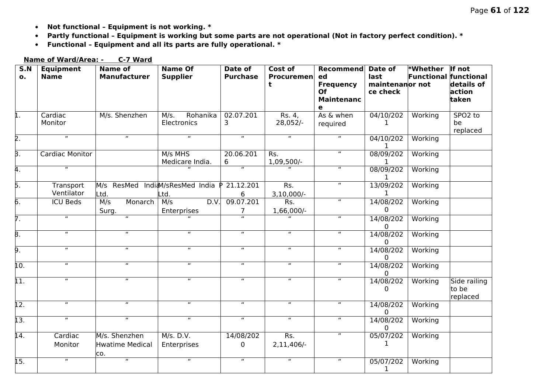- **Not functional Equipment is not working. \***
- **Partly functional Equipment is working but some parts are not operational (Not in factory perfect condition). \***
- **Functional Equipment and all its parts are fully operational. \***

#### **Name of Ward/Area: - C-7 Ward**

| S.N<br>$\mathbf{o}$ . | <b>Equipment</b><br><b>Name</b> | <b>Name of</b><br><b>Manufacturer</b>   | <b>Name Of</b><br><b>Supplier</b> | Date of<br><b>Purchase</b> | Cost of<br><b>Procuremen</b><br>t         | Recommend<br>ed<br><b>Frequency</b><br>Of<br><b>Maintenanc</b><br>e | Date of<br>last<br>maintenanor not<br>ce check | *Whether<br><b>Functional functional</b> | If not<br>details of<br>action<br>taken |
|-----------------------|---------------------------------|-----------------------------------------|-----------------------------------|----------------------------|-------------------------------------------|---------------------------------------------------------------------|------------------------------------------------|------------------------------------------|-----------------------------------------|
| 1.                    | Cardiac<br>Monitor              | M/s. Shenzhen                           | Rohanika<br>M/s.<br>Electronics   | 02.07.201<br>3             | Rs. 4,<br>$28,052/-$                      | As & when<br>required                                               | 04/10/202<br>$\mathbf{1}$                      | Working                                  | SPO <sub>2</sub> to<br>be<br>replaced   |
| Σ.                    | $\overline{u}$                  | $\overline{u}$                          | $\overline{u}$                    | $\overline{u}$             | $\overline{u}$                            | $\overline{u}$                                                      | 04/10/202<br>$\mathbf{1}$                      | Working                                  |                                         |
| ड.                    | Cardiac Monitor                 |                                         | M/s MHS<br>Medicare India.        | 20.06.201<br>6             | Rs.<br>1,09,500/-                         | $\boldsymbol{u}$                                                    | 08/09/202<br>1                                 | Working                                  |                                         |
| 4.                    | $\overline{u}$                  |                                         |                                   | $\overline{u}$             |                                           | $\boldsymbol{u}$                                                    | 08/09/202<br>1                                 | Working                                  |                                         |
| 5.                    | Transport<br>Ventilator         | M/s ResMed IndiaM/sResMed India<br>Ltd. | Ltd.                              | $P$ 21.12.201<br>6         | Rs.<br>$3,10,000/-$                       | $\overline{u}$                                                      | 13/09/202<br>$\mathbf{1}$                      | Working                                  |                                         |
| 6.                    | <b>ICU Beds</b>                 | Monarch<br>M/s<br>Surg.                 | M/s<br>D.V.<br>Enterprises        | 09.07.201<br>7             | Rs.<br>1,66,000/-                         | $\boldsymbol{u}$                                                    | 14/08/202<br>$\mathbf 0$                       | Working                                  |                                         |
| 7.                    | $\overline{u}$                  | $\overline{u}$                          |                                   | $\overline{u}$             |                                           | $\boldsymbol{u}$                                                    | 14/08/202<br>0                                 | Working                                  |                                         |
| $\overline{8}$ .      | $\overline{u}$                  | $\overline{u}$                          | $\overline{u}$                    | $\overline{u}$             | $\overline{u}$                            | $\overline{u}$                                                      | 14/08/202<br>$\Omega$                          | Working                                  |                                         |
| 9.                    | $\overline{u}$                  | $\overline{u}$                          | $\overline{u}$                    | $\overline{u}$             | $\overline{u}$                            | $\overline{u}$                                                      | 14/08/202<br>$\Omega$                          | Working                                  |                                         |
| 10.                   | $\overline{u}$                  | $\overline{u}$                          | $\overline{u}$                    | $\overline{u}$             | $\overline{u}$                            | $\overline{u}$                                                      | 14/08/202<br>$\mathbf 0$                       | Working                                  |                                         |
| 11.                   | $\boldsymbol{u}$                | $\overline{u}$                          | $\overline{u}$                    | $\boldsymbol{u}$           | $\overline{u}$                            | $\boldsymbol{u}$                                                    | 14/08/202<br>$\Omega$                          | Working                                  | Side railing<br>to be<br>replaced       |
| $\overline{12.}$      | $\overline{u}$                  | $\overline{u}$                          | $\overline{u}$                    | $\overline{u}$             | $\overline{u}$                            | $\overline{u}$                                                      | 14/08/202<br>$\overline{0}$                    | Working                                  |                                         |
| $\overline{13.}$      | $\overline{u}$                  | $\overline{u}$                          | $\overline{u}$                    | $\overline{u}$             | $\overline{u}$                            | $\boldsymbol{u}$                                                    | 14/08/202<br>$\mathbf 0$                       | Working                                  |                                         |
| 14.                   | Cardiac<br>Monitor              | M/s. Shenzhen<br>Hwatime Medical<br>CO. | M/s. D.V.<br>Enterprises          | 14/08/202<br>0             | $\overline{\mathsf{Rs.}}$<br>$2,11,406/-$ | $\overline{u}$                                                      | 05/07/202<br>$\mathbf{1}$                      | Working                                  |                                         |
| 15.                   | $\overline{u}$                  | $\overline{u}$                          | $\overline{u}$                    | $\boldsymbol{u}$           | $\overline{u}$                            | $\overline{u}$                                                      | 05/07/202<br>$\mathbf{1}$                      | Working                                  |                                         |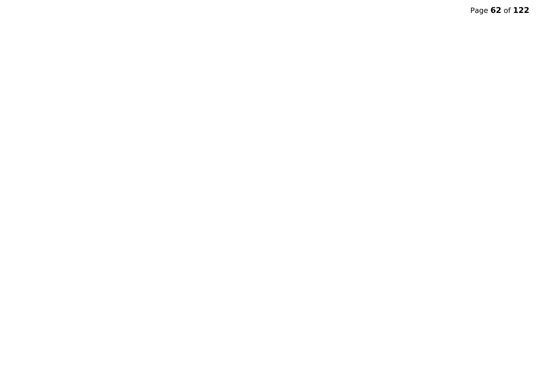Page **62** of **122**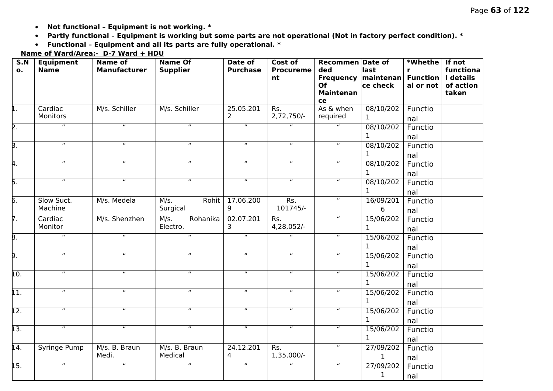- **Not functional Equipment is not working. \***
- **Partly functional Equipment is working but some parts are not operational (Not in factory perfect condition). \***
- **Functional Equipment and all its parts are fully operational. \***

**Name of Ward/Area:- D-7 Ward + HDU**

| S.N<br>$\mathbf{o}$ . | <b>Equipment</b><br><b>Name</b> | <b>Name of</b><br><b>Manufacturer</b> | <b>Name Of</b><br><b>Supplier</b> | Date of<br><b>Purchase</b> | Cost of<br><b>Procureme</b><br>nt | <b>Recommen Date of</b><br>ded<br><b>Frequency</b><br>Of<br><b>Maintenan</b><br>ce | last<br>maintenan<br>ce check | *Whethe<br>$\mathbf{r}$<br><b>Function</b><br>al or not | If not<br>functiona<br>I details<br>of action<br>taken |
|-----------------------|---------------------------------|---------------------------------------|-----------------------------------|----------------------------|-----------------------------------|------------------------------------------------------------------------------------|-------------------------------|---------------------------------------------------------|--------------------------------------------------------|
| 1.                    | Cardiac                         | M/s. Schiller                         | M/s. Schiller                     | 25.05.201                  | $\overline{\text{Rs}}$ .          | As & when                                                                          | 08/10/202                     | Functio                                                 |                                                        |
|                       | Monitors                        |                                       |                                   | 2                          | 2,72,750/-                        | required                                                                           | 1                             | nal                                                     |                                                        |
| þ.                    | $\overline{u}$                  | $\boldsymbol{u}$                      | $\overline{u}$                    | $\overline{u}$             | $\overline{u}$                    |                                                                                    | 08/10/202                     | Functio                                                 |                                                        |
|                       |                                 |                                       |                                   |                            |                                   |                                                                                    | 1                             | nal                                                     |                                                        |
| 3.                    | $\overline{u}$                  | $\overline{u}$                        | $\overline{u}$                    | $\overline{u}$             | $\overline{u}$                    | $\overline{u}$                                                                     | 08/10/202                     | Functio                                                 |                                                        |
|                       |                                 |                                       |                                   |                            |                                   |                                                                                    | 1                             | nal                                                     |                                                        |
| 4.                    | $\overline{u}$                  | $\overline{u}$                        | $\overline{u}$                    | $\overline{u}$             | $\overline{u}$                    | $\overline{u}$                                                                     | 08/10/202                     | Functio                                                 |                                                        |
|                       |                                 |                                       |                                   |                            |                                   |                                                                                    | $\mathbf{1}$                  | nal                                                     |                                                        |
| 5.                    | $\overline{u}$                  | $\overline{u}$                        | $\overline{u}$                    | $\overline{u}$             | $\overline{u}$                    | $\overline{u}$                                                                     | 08/10/202                     | Functio                                                 |                                                        |
|                       |                                 |                                       |                                   |                            |                                   |                                                                                    | $\mathbf{1}$                  | nal                                                     |                                                        |
| б.                    | Slow Suct.                      | M/s. Medela                           | M/s.<br>Rohit                     | 17.06.200                  | Rs.                               | $\overline{u}$                                                                     | 16/09/201                     | Functio                                                 |                                                        |
|                       | Machine                         |                                       | Surgical                          | 9                          | 101745/-                          |                                                                                    | 6                             | nal                                                     |                                                        |
| 7.                    | Cardiac                         | M/s. Shenzhen                         | M/s.<br>Rohanika                  | 02.07.201                  | Rs.                               | $\overline{u}$                                                                     | 15/06/202                     | Functio                                                 |                                                        |
|                       | Monitor                         |                                       | Electro.                          | 3                          | 4,28,052/-                        |                                                                                    | $\mathbf 1$                   | nal                                                     |                                                        |
| 8.                    | $\overline{u}$                  | $\overline{u}$                        | $\overline{u}$                    | $\overline{u}$             | $\overline{u}$                    | $\boldsymbol{u}$                                                                   | 15/06/202                     | Functio                                                 |                                                        |
|                       |                                 |                                       |                                   |                            |                                   |                                                                                    | $\mathbf{1}$                  | nal                                                     |                                                        |
| 9.                    | $\overline{u}$                  | $\overline{u}$                        | $\overline{u}$                    | $\overline{u}$             | $\overline{u}$                    | $\overline{u}$                                                                     | 15/06/202                     | Functio                                                 |                                                        |
|                       |                                 |                                       |                                   |                            |                                   |                                                                                    | $\mathbf{1}$                  | nal                                                     |                                                        |
| 10.                   | $\overline{u}$                  | $\overline{u}$                        | $\overline{u}$                    | $\overline{u}$             | $\overline{u}$                    | $\overline{u}$                                                                     | 15/06/202                     | Functio                                                 |                                                        |
|                       |                                 |                                       |                                   |                            |                                   |                                                                                    | $\mathbf{1}$                  | nal                                                     |                                                        |
| $\overline{11}$ .     | $\overline{u}$                  | $\overline{u}$                        | $\overline{u}$                    | $\overline{u}$             | $\overline{u}$                    | $\boldsymbol{u}$                                                                   | 15/06/202                     | Functio                                                 |                                                        |
|                       |                                 |                                       |                                   |                            |                                   |                                                                                    | $\mathbf{1}$                  | nal                                                     |                                                        |
| $\overline{12}$ .     | $\overline{u}$                  | $\overline{u}$                        | $\overline{u}$                    | $\overline{u}$             | $\boldsymbol{u}$                  | $\boldsymbol{u}$                                                                   | 15/06/202                     | Functio                                                 |                                                        |
|                       |                                 |                                       |                                   |                            |                                   |                                                                                    | $\mathbf{1}$                  | nal                                                     |                                                        |
| $\overline{13}$ .     | $\overline{u}$                  | $\overline{u}$                        | $\overline{u}$                    | $\overline{u}$             | $\overline{u}$                    | $\overline{u}$                                                                     | 15/06/202                     | Functio                                                 |                                                        |
|                       |                                 |                                       |                                   |                            |                                   |                                                                                    | $\mathbf 1$                   | nal                                                     |                                                        |
| $\overline{14}$ .     | Syringe Pump                    | M/s. B. Braun                         | M/s. B. Braun                     | 24.12.201                  | Rs.                               | $\overline{u}$                                                                     | 27/09/202                     | Functio                                                 |                                                        |
|                       |                                 | Medi.                                 | Medical                           | 4                          | 1,35,000/-                        |                                                                                    | $\mathbf{1}$                  | nal                                                     |                                                        |
| $\overline{15}$ .     | $\overline{u}$                  | $\overline{u}$                        | $\overline{u}$                    | $\overline{u}$             | $\overline{u}$                    | $\boldsymbol{u}$                                                                   | 27/09/202                     | Functio                                                 |                                                        |
|                       |                                 |                                       |                                   |                            |                                   |                                                                                    | $\mathbf{1}$                  | nal                                                     |                                                        |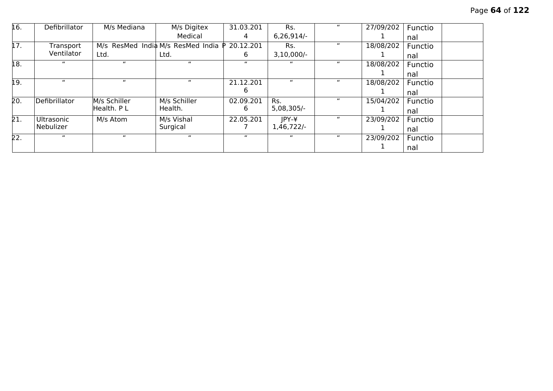| 16. | Defibrillator           | M/s Mediana    | M/s Digitex                                                  | 31.03.201      | Rs.            | $\mathbf{u}$            | 27/09/202 | Functio |  |
|-----|-------------------------|----------------|--------------------------------------------------------------|----------------|----------------|-------------------------|-----------|---------|--|
|     |                         |                | Medical                                                      | 4              | $6,26,914/-$   |                         |           | nal     |  |
| 17. | Transport               |                | M/s ResMed Indi $\frac{1}{4}$ M/s ResMed India $\frac{1}{4}$ | 20.12.201      | Rs.            | $\overline{\mathbf{u}}$ | 18/08/202 | Functio |  |
|     | Ventilator              | Ltd.           | Ltd.                                                         | 6              | $3,10,000/-$   |                         |           | nal     |  |
| 18. | $\overline{u}$          | $\mathbf{u}$   | $\overline{u}$                                               | $\overline{u}$ | $\overline{u}$ | $\overline{u}$          | 18/08/202 | Functio |  |
|     |                         |                |                                                              |                |                |                         |           | nal     |  |
| 19. | $\overline{\mathbf{u}}$ | $\overline{u}$ | $\overline{\mathbf{u}}$                                      | 21.12.201      | $\overline{u}$ | $\overline{\mathbf{u}}$ | 18/08/202 | Functio |  |
|     |                         |                |                                                              |                |                |                         |           | nal     |  |
| 20. | Defibrillator           | M/s Schiller   | M/s Schiller                                                 | 02.09.201      | Rs.            | $\overline{u}$          | 15/04/202 | Functio |  |
|     |                         | Health. P L    | Health.                                                      | 6              | $5,08,305/-$   |                         |           | nal     |  |
| 21. | Ultrasonic              | M/s Atom       | M/s Vishal                                                   | 22.05.201      | JPY-¥          | $\boldsymbol{u}$        | 23/09/202 | Functio |  |
|     | Nebulizer               |                | Surgical                                                     |                | $1,46,722/-$   |                         |           | nal     |  |
| 22. | $\overline{u}$          | $\mathbf{u}$   | $\overline{u}$                                               | $\mathbf{u}$   | $\overline{u}$ | $\overline{u}$          | 23/09/202 | Functio |  |
|     |                         |                |                                                              |                |                |                         |           | nal     |  |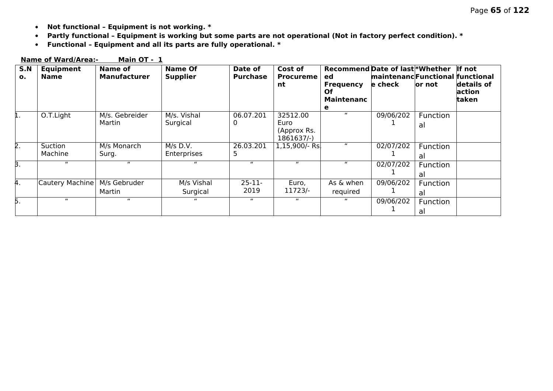- **Not functional Equipment is not working. \***
- **Partly functional Equipment is working but some parts are not operational (Not in factory perfect condition). \***
- **Functional Equipment and all its parts are fully operational. \***

# **Name of Ward/Area:- Main OT - 1**

| S.N<br>о. | <b>Equipment</b><br><b>Name</b> | Name of<br><b>Manufacturer</b> | <b>Name Of</b><br><b>Supplier</b> | Date of<br><b>Purchase</b> | Cost of<br><b>Procureme</b><br>nt             | Recommend Date of last * Whether<br>ed<br><b>Frequency</b><br><b>Of</b><br><b>Maintenanc</b><br>e | maintenanc Functional functional<br>le check | lor not               | llf not<br>details of<br>action<br>taken |
|-----------|---------------------------------|--------------------------------|-----------------------------------|----------------------------|-----------------------------------------------|---------------------------------------------------------------------------------------------------|----------------------------------------------|-----------------------|------------------------------------------|
| Ш.        | O.T.Light                       | M/s. Gebreider<br>Martin       | M/s. Vishal<br>Surgical           | 06.07.201<br>0             | 32512.00<br>Euro<br>(Approx Rs.<br>1861637/-) | $\overline{u}$                                                                                    | 09/06/202                                    | Function<br>al        |                                          |
| 2.        | Suction<br>Machine              | M/s Monarch<br>Surg.           | $M/s$ D.V.<br>Enterprises         | 26.03.201<br>5             | 1,15,900/- Rs                                 |                                                                                                   | 02/07/202                                    | Function<br>al        |                                          |
| Β.        | $\mathbf{u}$                    | $\overline{u}$                 | $\overline{u}$                    | $\overline{u}$             | $\overline{u}$                                | $\overline{u}$                                                                                    | 02/07/202                                    | <b>Function</b><br>al |                                          |
| 4.        | Cautery Machine                 | M/s Gebruder<br>Martin         | M/s Vishal<br>Surgical            | $25-11-$<br>2019           | Euro,<br>11723/-                              | As & when<br>reguired                                                                             | 09/06/202                                    | Function<br>al        |                                          |
| 5.        | $\overline{u}$                  | $\overline{u}$                 |                                   | $\overline{u}$             | $\overline{u}$                                |                                                                                                   | 09/06/202                                    | Function<br>al        |                                          |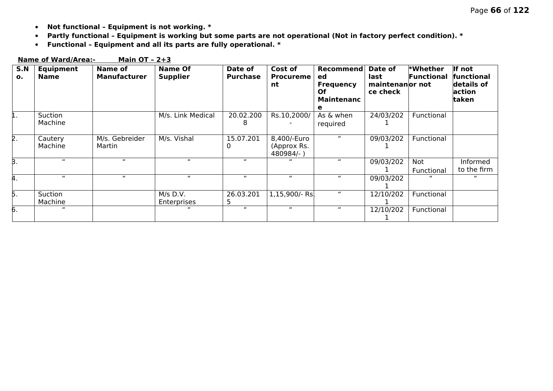- **Not functional Equipment is not working. \***
- **Partly functional Equipment is working but some parts are not operational (Not in factory perfect condition). \***
- **Functional Equipment and all its parts are fully operational. \***

### **Name of Ward/Area:- Main OT – 2+3**

| S.N<br>о. | <b>Equipment</b><br><b>Name</b> | Name of<br><b>Manufacturer</b> | Name Of<br><b>Supplier</b> | Date of<br><b>Purchase</b> | Cost of<br><b>Procureme</b><br>nt       | <b>Recommend</b><br>ed<br><b>Frequency</b><br><b>Of</b><br><b>Maintenanc</b><br>е | Date of<br>last<br>maintenanor not<br>ce check | $*$ Whether<br>Functional | If not<br>functional<br>details of<br>action<br>taken |
|-----------|---------------------------------|--------------------------------|----------------------------|----------------------------|-----------------------------------------|-----------------------------------------------------------------------------------|------------------------------------------------|---------------------------|-------------------------------------------------------|
|           | Suction<br>Machine              |                                | M/s. Link Medical          | 20.02.200                  | Rs.10,2000/                             | As & when<br>required                                                             | 24/03/202                                      | Functional                |                                                       |
| Þ.        | Cautery<br>Machine              | M/s. Gebreider<br>Martin       | M/s. Vishal                | 15.07.201                  | 8,400/-Euro<br>(Approx Rs.<br>480984/-) | $\overline{u}$                                                                    | 09/03/202                                      | Functional                |                                                       |
| Β.        | $\overline{u}$                  | $\mathbf{u}$                   | $\overline{u}$             | $\overline{u}$             |                                         | $\overline{u}$                                                                    | 09/03/202                                      | <b>Not</b><br>Functional  | Informed<br>to the firm                               |
| 4.        | $\overline{u}$                  | $\overline{u}$                 | $\overline{u}$             | $\overline{u}$             | $\overline{u}$                          | $\overline{u}$                                                                    | 09/03/202                                      |                           |                                                       |
| 5.        | Suction<br>Machine              |                                | $M/s$ D.V.<br>Enterprises  | 26.03.201<br>5             | 1,15,900/- Rs                           | $\boldsymbol{u}$                                                                  | 12/10/202                                      | Functional                |                                                       |
| ნ.        |                                 |                                |                            | $\overline{u}$             | $\mathbf{u}$                            | $\overline{u}$                                                                    | 12/10/202                                      | Functional                |                                                       |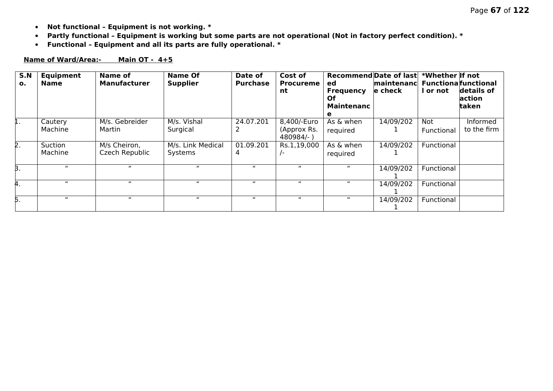- **Not functional Equipment is not working. \***
- **Partly functional Equipment is working but some parts are not operational (Not in factory perfect condition). \***
- **Functional Equipment and all its parts are fully operational. \***

# **Name of Ward/Area:- Main OT - 4+5**

| S.N<br>О. | <b>Equipment</b><br><b>Name</b> | Name of<br><b>Manufacturer</b> | <b>Name Of</b><br><b>Supplier</b> | Date of<br><b>Purchase</b> | Cost of<br><b>Procureme</b><br>nt       | ed<br><b>Frequency</b><br><b>Of</b><br><b>Maintenanc</b><br>е | <b>Recommend Date of last</b><br>maintenanc<br>e check | *Whether If not<br>I or not | <b>Functionalfunctional</b><br>details of<br>action<br>taken |
|-----------|---------------------------------|--------------------------------|-----------------------------------|----------------------------|-----------------------------------------|---------------------------------------------------------------|--------------------------------------------------------|-----------------------------|--------------------------------------------------------------|
| Ш.        | Cautery<br>Machine              | M/s. Gebreider<br>Martin       | M/s. Vishal<br>Surgical           | 24.07.201                  | 8,400/-Euro<br>(Approx Rs.<br>480984/-) | As & when<br>required                                         | 14/09/202                                              | Not<br>Functional           | Informed<br>to the firm                                      |
| 2.        | Suction<br>Machine              | M/s Cheiron,<br>Czech Republic | M/s. Link Medical<br>Systems      | 01.09.201                  | Rs.1,19,000                             | As & when<br>required                                         | 14/09/202                                              | Functional                  |                                                              |
| В.        | $\overline{u}$                  | $\overline{u}$                 | $\overline{u}$                    | $\mathbf{u}$               | $\overline{u}$                          | $\overline{u}$                                                | 14/09/202                                              | Functional                  |                                                              |
| 4.        | $\overline{u}$                  | $\overline{u}$                 | $\overline{u}$                    | $\overline{u}$             | $\overline{u}$                          | $\overline{u}$                                                | 14/09/202                                              | Functional                  |                                                              |
| 5.        | $\overline{u}$                  | $\overline{u}$                 | $\overline{u}$                    | $\overline{u}$             | $\overline{u}$                          | $\overline{u}$                                                | 14/09/202                                              | Functional                  |                                                              |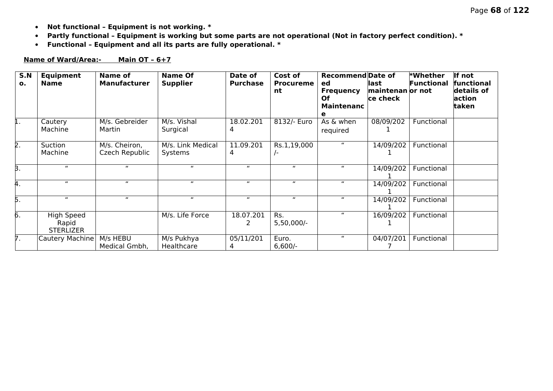- **Not functional Equipment is not working. \***
- **Partly functional Equipment is working but some parts are not operational (Not in factory perfect condition). \***
- **Functional Equipment and all its parts are fully operational. \***

### **Name of Ward/Area:- Main OT – 6+7**

| S.N<br>о. | <b>Equipment</b><br><b>Name</b>                | <b>Name of</b><br><b>Manufacturer</b> | <b>Name Of</b><br><b>Supplier</b> | Date of<br><b>Purchase</b> | Cost of<br><b>Procureme</b><br>nt | <b>Recommend Date of</b><br>ed<br><b>Frequency</b><br><b>Of</b><br><b>Maintenanc</b> | llast<br>maintenan or not<br>ce check | *Whether<br>Functional | If not<br>functional<br>details of<br>action<br>taken |
|-----------|------------------------------------------------|---------------------------------------|-----------------------------------|----------------------------|-----------------------------------|--------------------------------------------------------------------------------------|---------------------------------------|------------------------|-------------------------------------------------------|
|           | Cautery<br>Machine                             | M/s. Gebreider<br>Martin              | M/s. Vishal<br>Surgical           | 18.02.201<br>4             | 8132/- Euro                       | As & when<br>required                                                                | 08/09/202                             | Functional             |                                                       |
| 2.        | Suction<br>Machine                             | M/s. Cheiron,<br>Czech Republic       | M/s. Link Medical<br>Systems      | 11.09.201<br>4             | Rs.1,19,000                       |                                                                                      | 14/09/202                             | Functional             |                                                       |
| ₿.        | $\boldsymbol{u}$                               | $\overline{u}$                        | $\overline{u}$                    | $\overline{u}$             | $\overline{u}$                    | $\overline{u}$                                                                       | 14/09/202                             | Functional             |                                                       |
| 4.        | $\overline{u}$                                 | $\overline{u}$                        | $\overline{u}$                    | $\overline{u}$             | $\overline{u}$                    | $\overline{u}$                                                                       | 14/09/202                             | Functional             |                                                       |
| 5.        | $\overline{u}$                                 | $\overline{u}$                        | $\overline{u}$                    | $\overline{u}$             | $\overline{u}$                    | $\overline{u}$                                                                       | 14/09/202                             | Functional             |                                                       |
| ნ.        | <b>High Speed</b><br>Rapid<br><b>STERLIZER</b> |                                       | M/s. Life Force                   | 18.07.201                  | Rs.<br>$5,50,000/-$               | $\overline{u}$                                                                       | 16/09/202                             | Functional             |                                                       |
| 7.        | Cautery Machine                                | M/s HEBU<br>Medical Gmbh,             | M/s Pukhya<br>Healthcare          | 05/11/201<br>4             | Euro.<br>$6,600/-$                | $\overline{u}$                                                                       | 04/07/201                             | Functional             |                                                       |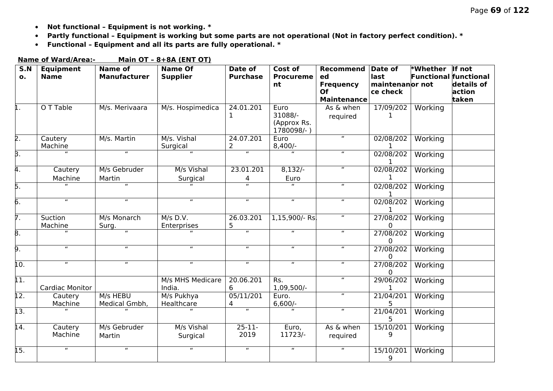- **Not functional Equipment is not working. \***
- **Partly functional Equipment is working but some parts are not operational (Not in factory perfect condition). \***
- **Functional Equipment and all its parts are fully operational. \***

| S.N<br>$\mathbf{o}$ . | <b>Equipment</b><br><b>Name</b> | <b>Name of</b><br><b>Manufacturer</b> | <b>Name Of</b><br><b>Supplier</b> | Date of<br><b>Purchase</b>  | <b>Cost of</b><br><b>Procureme</b>           | <b>Recommend</b><br>ed   | Date of<br>last                   | *Whether<br><b>Functional functional</b> | If not               |
|-----------------------|---------------------------------|---------------------------------------|-----------------------------------|-----------------------------|----------------------------------------------|--------------------------|-----------------------------------|------------------------------------------|----------------------|
|                       |                                 |                                       |                                   |                             | nt                                           | <b>Frequency</b><br>Of   | maintenanor not<br>ce check       |                                          | details of<br>action |
|                       |                                 |                                       |                                   |                             |                                              | <b>Maintenance</b>       |                                   |                                          | taken                |
| Ī.                    | O T Table                       | M/s. Merivaara                        | M/s. Hospimedica                  | 24.01.201<br>1              | Euro<br>31088/-<br>(Approx Rs.<br>1780098/-) | As & when<br>required    | 17/09/202<br>1                    | Working                                  |                      |
| 2.                    | Cautery<br>Machine              | M/s. Martin                           | M/s. Vishal<br>Surgical           | 24.07.201<br>$\overline{2}$ | Euro<br>$8,400/-$                            | $\overline{u}$           | 02/08/202<br>1                    | Working                                  |                      |
| ₹.                    | $\overline{u}$                  | $\overline{u}$                        | $\overline{u}$                    | $\overline{u}$              | $\overline{u}$                               | $\pmb{\mu}$              | 02/08/202<br>-1                   | Working                                  |                      |
| 4.                    | Cautery                         | M/s Gebruder                          | M/s Vishal                        | 23.01.201                   | $8,132/-$                                    | $\pmb{\mathcal{U}}$      | 02/08/202                         | Working                                  |                      |
|                       | Machine                         | Martin                                | Surgical                          | 4                           | Euro                                         |                          | 1                                 |                                          |                      |
| Б.                    |                                 | $\overline{u}$                        |                                   | $\overline{u}$              |                                              | $\overline{u}$           | 02/08/202<br>1                    | Working                                  |                      |
| б.                    | $\overline{u}$                  | $\boldsymbol{u}$                      | $\overline{u}$                    | $\boldsymbol{u}$            | $\overline{u}$                               | $\pmb{\mu}$              | 02/08/202<br>1                    | Working                                  |                      |
| 7.                    | Suction<br>Machine              | M/s Monarch<br>Surg.                  | $M/s$ D.V.<br>Enterprises         | 26.03.201<br>5              | 1,15,900/- Rs                                | $\boldsymbol{u}$         | 27/08/202<br>$\Omega$             | Working                                  |                      |
| 8.                    | $\overline{u}$                  | $\overline{u}$                        | $\overline{u}$                    | $\overline{u}$              | $\overline{u}$                               | $\pmb{\mu}$              | 27/08/202<br>$\Omega$             | Working                                  |                      |
| 9.                    | $\overline{u}$                  | $\overline{u}$                        | $\overline{u}$                    | $\overline{u}$              | $\overline{u}$                               | $\overline{u}$           | 27/08/202<br>$\Omega$             | Working                                  |                      |
| 10.                   | $\overline{u}$                  | $\overline{u}$                        | $\overline{u}$                    | $\overline{u}$              | $\overline{u}$                               | $\overline{u}$           | $\frac{1}{27}/08/202$<br>$\Omega$ | Working                                  |                      |
| $\overline{11}$ .     | <b>Cardiac Monitor</b>          |                                       | M/s MHS Medicare<br>India.        | 20.06.201<br>6              | Rs.<br>1,09,500/-                            | $\overline{u}$           | 29/06/202<br>1                    | Working                                  |                      |
| $\overline{12.}$      | Cautery<br>Machine              | M/s HEBU<br>Medical Gmbh,             | M/s Pukhya<br>Healthcare          | 05/11/201<br>4              | Euro.<br>$6,600/-$                           | $\overline{u}$           | 21/04/201<br>5                    | Working                                  |                      |
| $\overline{13.}$      |                                 |                                       |                                   | $\overline{u}$              |                                              | $\overline{u}$           | 21/04/201<br>5                    | Working                                  |                      |
| 14.                   | Cautery<br>Machine              | M/s Gebruder<br>Martin                | M/s Vishal<br>Surgical            | $25 - 11$<br>2019           | Euro,<br>11723/-                             | $As \& when$<br>required | 15/10/201<br>9                    | Working                                  |                      |
| 15.                   | $\overline{u}$                  | $\overline{u}$                        | $\overline{u}$                    | $\overline{u}$              | $\overline{u}$                               | $\overline{u}$           | 15/10/201<br>9                    | Working                                  |                      |

# **Name of Ward/Area:- Main OT – 8+8A (ENT OT)**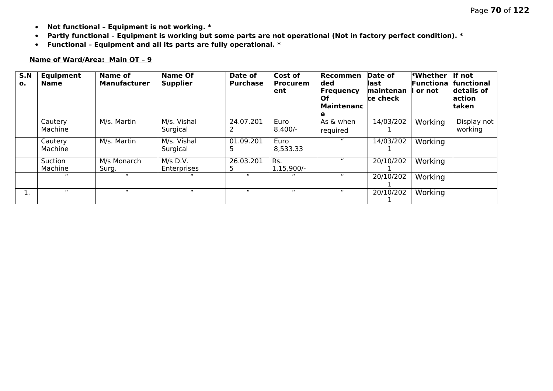- **Not functional Equipment is not working. \***
- **Partly functional Equipment is working but some parts are not operational (Not in factory perfect condition). \***
- **Functional Equipment and all its parts are fully operational. \***

#### **Name of Ward/Area: Main OT – 9**

| S.N<br>о. | <b>Equipment</b><br><b>Name</b> | Name of<br><b>Manufacturer</b> | <b>Name Of</b><br><b>Supplier</b> | Date of<br><b>Purchase</b> | Cost of<br><b>Procurem</b><br>ent | <b>Recommen</b><br>ded<br><b>Frequency</b><br>Οf<br><b>Maintenanc</b><br>е | Date of<br>last<br>maintenan<br>ce check | $*$ Whether<br>Functiona<br>or not | If not<br>functional<br>details of<br>action<br>taken |
|-----------|---------------------------------|--------------------------------|-----------------------------------|----------------------------|-----------------------------------|----------------------------------------------------------------------------|------------------------------------------|------------------------------------|-------------------------------------------------------|
|           | Cautery<br>Machine              | M/s. Martin                    | M/s. Vishal<br>Surgical           | 24.07.201                  | Euro<br>$8,400/-$                 | As & when<br>required                                                      | 14/03/202                                | Working                            | Display not<br>working                                |
|           | Cautery<br>Machine              | M/s. Martin                    | M/s. Vishal<br>Surgical           | 01.09.201                  | Euro<br>8,533.33                  | $\overline{u}$                                                             | 14/03/202                                | Working                            |                                                       |
|           | Suction<br>Machine              | M/s Monarch<br>Surg.           | $M/s$ D.V.<br>Enterprises         | 26.03.201                  | Rs.<br>$1,15,900/-$               | $\overline{u}$                                                             | 20/10/202                                | Working                            |                                                       |
|           | $\overline{u}$                  | $\overline{u}$                 | $\overline{u}$                    | $\overline{u}$             | $\overline{u}$                    | $\overline{\mathbf{u}}$                                                    | 20/10/202                                | Working                            |                                                       |
| ı.        | $\overline{u}$                  | $\overline{u}$                 | $\overline{u}$                    | $\overline{u}$             | $\overline{u}$                    | $\overline{u}$                                                             | 20/10/202                                | Working                            |                                                       |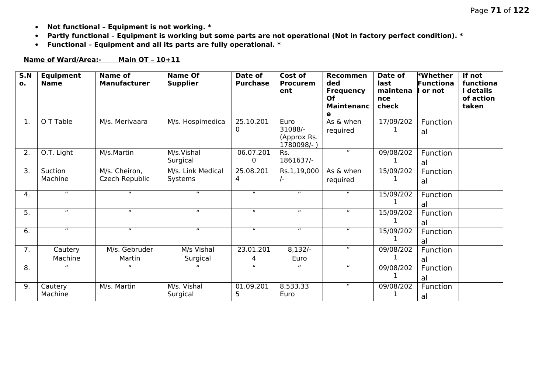- **Not functional Equipment is not working. \***
- **Partly functional Equipment is working but some parts are not operational (Not in factory perfect condition). \***
- **Functional Equipment and all its parts are fully operational. \***

## **Name of Ward/Area:- Main OT - 10+11**

| S.N<br>$\mathbf{o}$ . | <b>Equipment</b><br><b>Name</b> | <b>Name of</b><br><b>Manufacturer</b> | <b>Name Of</b><br><b>Supplier</b> | Date of<br><b>Purchase</b> | Cost of<br><b>Procurem</b><br>ent            | <b>Recommen</b><br>ded<br><b>Frequency</b><br>Of<br><b>Maintenanc</b><br>e | Date of<br>last<br>maintena<br>nce<br>check | *Whether<br><b>Functiona</b><br>or not | If not<br>functiona<br>I details<br>of action<br>taken |
|-----------------------|---------------------------------|---------------------------------------|-----------------------------------|----------------------------|----------------------------------------------|----------------------------------------------------------------------------|---------------------------------------------|----------------------------------------|--------------------------------------------------------|
| 1.                    | O T Table                       | M/s. Merivaara                        | M/s. Hospimedica                  | 25.10.201<br>0             | Euro<br>31088/-<br>(Approx Rs.<br>1780098/-) | As & when<br>required                                                      | 17/09/202                                   | Function<br>al                         |                                                        |
| 2.                    | O.T. Light                      | M/s.Martin                            | M/s.Vishal<br>Surgical            | 06.07.201<br>0             | Rs.<br>1861637/-                             | $\overline{u}$                                                             | 09/08/202<br>1                              | Function<br>al                         |                                                        |
| 3.                    | Suction<br>Machine              | M/s. Cheiron,<br>Czech Republic       | M/s. Link Medical<br>Systems      | 25.08.201<br>4             | Rs.1,19,000<br>/-                            | As & when<br>required                                                      | 15/09/202                                   | Function<br>al                         |                                                        |
| 4.                    | $\overline{u}$                  | $\overline{u}$                        | $\overline{u}$                    | $\boldsymbol{u}$           | $\overline{u}$                               | $\overline{u}$                                                             | 15/09/202<br>T                              | Function<br>al                         |                                                        |
| 5.                    | $\overline{u}$                  | $\overline{u}$                        | $\overline{u}$                    | $\overline{u}$             | $\overline{u}$                               | $\overline{u}$                                                             | 15/09/202                                   | Function<br>al                         |                                                        |
| 6.                    | $\boldsymbol{u}$                | $\overline{u}$                        | $\overline{u}$                    | $\boldsymbol{u}$           | $\boldsymbol{u}$                             | $\boldsymbol{u}$                                                           | 15/09/202<br>1                              | Function<br>al                         |                                                        |
| 7.                    | Cautery<br>Machine              | M/s. Gebruder<br>Martin               | M/s Vishal<br>Surgical            | 23.01.201<br>4             | $8,132/-$<br>Euro                            | $\overline{u}$                                                             | 09/08/202<br>1                              | Function<br>al                         |                                                        |
| 8.                    | $\overline{u}$                  | $\overline{u}$                        | $\overline{u}$                    | $\boldsymbol{u}$           | $\boldsymbol{u}$                             | $\overline{u}$                                                             | 09/08/202<br>1                              | Function<br>al                         |                                                        |
| 9.                    | Cautery<br>Machine              | M/s. Martin                           | M/s. Vishal<br>Surgical           | 01.09.201<br>5             | 8,533.33<br>Euro                             | $\boldsymbol{u}$                                                           | 09/08/202<br>T.                             | Function<br>al                         |                                                        |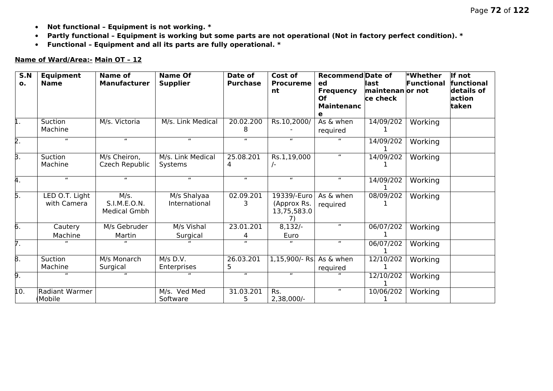- **Not functional Equipment is not working. \***
- **Partly functional Equipment is working but some parts are not operational (Not in factory perfect condition). \***
- **Functional Equipment and all its parts are fully operational. \***

### **Name of Ward/Area:- Main OT - 12**

| S.N            | <b>Equipment</b>                 | <b>Name of</b>                              | <b>Name Of</b>               | Date of         | Cost of                                         | <b>Recommend Date of</b>                               |                                      | $\overline{\mathbf{w}}$ hether | If not                                      |
|----------------|----------------------------------|---------------------------------------------|------------------------------|-----------------|-------------------------------------------------|--------------------------------------------------------|--------------------------------------|--------------------------------|---------------------------------------------|
| $\mathbf{o}$ . | <b>Name</b>                      | <b>Manufacturer</b>                         | <b>Supplier</b>              | <b>Purchase</b> | <b>Procureme</b><br>nt                          | ed<br><b>Frequency</b><br>Of<br><b>Maintenanc</b><br>е | last<br>maintenan or not<br>ce check | Functional                     | functional<br>details of<br>action<br>taken |
| 1.             | Suction<br>Machine               | M/s. Victoria                               | M/s. Link Medical            | 20.02.200<br>8  | Rs.10,2000/                                     | As & when<br>required                                  | 14/09/202                            | Working                        |                                             |
| þ.             | $\overline{u}$                   | $\overline{u}$                              | $\boldsymbol{u}$             | $\overline{u}$  | $\overline{u}$                                  | $\boldsymbol{u}$                                       | 14/09/202                            | Working                        |                                             |
| В.             | Suction<br>Machine               | M/s Cheiron,<br>Czech Republic              | M/s. Link Medical<br>Systems | 25.08.201<br>4  | Rs.1,19,000<br>/-                               | $\boldsymbol{u}$                                       | 14/09/202                            | Working                        |                                             |
| 4.             | $\overline{u}$                   | $\mathbf{u}$                                | $\mathbf{u}$                 | $\mathbf{u}$    | $\mathbf{u}$                                    | $\boldsymbol{u}$                                       | 14/09/202                            | Working                        |                                             |
| Б.             | LED O.T. Light<br>with Camera    | M/s.<br>S.I.M.E.O.N.<br><b>Medical Gmbh</b> | M/s Shalyaa<br>International | 02.09.201<br>3. | 19339/-Euro<br>(Approx Rs.<br>13,75,583.0<br>7) | As & when<br>required                                  | 08/09/202                            | Working                        |                                             |
| б.             | Cautery<br>Machine               | M/s Gebruder<br>Martin                      | M/s Vishal<br>Surgical       | 23.01.201<br>4  | $8,132/-$<br>Euro                               | $\boldsymbol{u}$                                       | 06/07/202                            | Working                        |                                             |
| 7.             | $\mathbf{u}$                     | $\overline{u}$                              |                              | $\overline{u}$  | $\overline{u}$                                  | $\boldsymbol{u}$                                       | 06/07/202                            | Working                        |                                             |
| 8.             | Suction<br>Machine               | M/s Monarch<br>Surgical                     | $M/s$ D.V.<br>Enterprises    | 26.03.201<br>5  | 1,15,900/- Rs.                                  | As & when<br>required                                  | 12/10/202                            | Working                        |                                             |
| 9.             | $\overline{u}$                   | $\overline{u}$                              | $\boldsymbol{u}$             | $\overline{u}$  | $\overline{u}$                                  | $\overline{u}$                                         | 12/10/202                            | Working                        |                                             |
| 10.            | <b>Radiant Warmer</b><br>(Mobile |                                             | M/s. Ved Med<br>Software     | 31.03.201<br>5  | Rs.<br>2,38,000/-                               | $\boldsymbol{u}$                                       | 10/06/202                            | Working                        |                                             |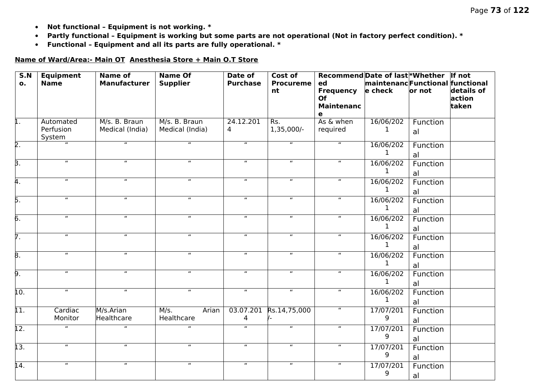- **Not functional Equipment is not working. \***
- **Partly functional Equipment is working but some parts are not operational (Not in factory perfect condition). \***
- **Functional Equipment and all its parts are fully operational. \***

# **Name of Ward/Area:- Main OT Anesthesia Store + Main O.T Store**

| S.N<br>$\mathbf{o}$ . | <b>Equipment</b><br><b>Name</b>  | <b>Name of</b><br><b>Manufacturer</b> | <b>Name Of</b><br><b>Supplier</b> | Date of<br><b>Purchase</b> | Cost of<br><b>Procureme</b><br>nt | Recommend Date of last *Whether<br>ed<br><b>Frequency</b><br>Of<br><b>Maintenanc</b> | maintenancFunctional functional<br>$e$ check | or not         | If not<br>details of<br>action<br>taken |
|-----------------------|----------------------------------|---------------------------------------|-----------------------------------|----------------------------|-----------------------------------|--------------------------------------------------------------------------------------|----------------------------------------------|----------------|-----------------------------------------|
|                       |                                  |                                       |                                   |                            |                                   | e                                                                                    |                                              |                |                                         |
| 1.                    | Automated<br>Perfusion<br>System | M/s. B. Braun<br>Medical (India)      | M/s. B. Braun<br>Medical (India)  | 24.12.201<br>4             | Rs.<br>1,35,000/-                 | As & when<br>required                                                                | 16/06/202<br>1                               | Function<br>al |                                         |
| $\overline{2}$ .      | $\overline{u}$                   | $\overline{u}$                        | $\overline{u}$                    | $\overline{u}$             | $\overline{u}$                    | $\overline{u}$                                                                       | 16/06/202<br>1                               | Function<br>al |                                         |
| $\overline{5}$ .      | $\overline{u}$                   | $\overline{u}$                        | $\overline{u}$                    | $\overline{u}$             | $\overline{u}$                    | $\overline{u}$                                                                       | 16/06/202<br>1                               | Function<br>al |                                         |
| 4.                    | $\overline{u}$                   | $\boldsymbol{u}$                      | $\overline{u}$                    | $\boldsymbol{u}$           | $\overline{u}$                    | $\boldsymbol{u}$                                                                     | 16/06/202<br>$\mathbf{1}$                    | Function<br>al |                                         |
| $\overline{5}$ .      | $\boldsymbol{u}$                 | $\boldsymbol{u}$                      | $\boldsymbol{u}$                  | $\boldsymbol{u}$           | $\boldsymbol{u}$                  | $\boldsymbol{u}$                                                                     | 16/06/202<br>1                               | Function<br>al |                                         |
| $\overline{6}$ .      | $\overline{u}$                   | $\boldsymbol{u}$                      | $\overline{u}$                    | $\overline{u}$             | $\overline{u}$                    | $\boldsymbol{u}$                                                                     | 16/06/202<br>1                               | Function<br>al |                                         |
| $\overline{7}$ .      | $\overline{u}$                   | $\overline{u}$                        | $\overline{u}$                    | $\overline{u}$             | $\overline{u}$                    | $\overline{u}$                                                                       | 16/06/202<br>1                               | Function<br>al |                                         |
| $\overline{8}$ .      | $\overline{u}$                   | $\overline{u}$                        | $\overline{u}$                    | $\overline{u}$             | $\overline{u}$                    | $\overline{u}$                                                                       | 16/06/202<br>$\mathbf{1}$                    | Function<br>al |                                         |
| $\overline{9}$ .      | $\overline{u}$                   | $\overline{u}$                        | $\overline{u}$                    | $\overline{u}$             | $\overline{u}$                    | $\overline{u}$                                                                       | 16/06/202<br>1                               | Function<br>al |                                         |
| 10.                   | $\overline{u}$                   | $\overline{u}$                        | $\overline{u}$                    | $\overline{u}$             | $\overline{u}$                    | $\overline{u}$                                                                       | 16/06/202<br>1                               | Function<br>al |                                         |
| $\overline{11}$ .     | Cardiac<br>Monitor               | M/s.Arian<br>Healthcare               | M/s.<br>Arian<br>Healthcare       | 03.07.201<br>4             | Rs.14,75,000                      | $\overline{u}$                                                                       | 17/07/201<br>9                               | Function<br>al |                                         |
| $\overline{12}$ .     | $\overline{u}$                   | $\boldsymbol{u}$                      | $\overline{u}$                    | $\overline{u}$             | $\overline{u}$                    | $\boldsymbol{u}$                                                                     | 17/07/201<br>9                               | Function<br>al |                                         |
| $\overline{13}$ .     | $\overline{u}$                   | $\overline{u}$                        | $\overline{u}$                    | $\overline{u}$             | $\overline{u}$                    | $\overline{u}$                                                                       | 17/07/201<br>9                               | Function<br>al |                                         |
| $\overline{14}$ .     | $\overline{u}$                   | $\overline{u}$                        | $\overline{u}$                    | $\overline{u}$             | $\overline{u}$                    | $\overline{u}$                                                                       | 17/07/201<br>9                               | Function<br>al |                                         |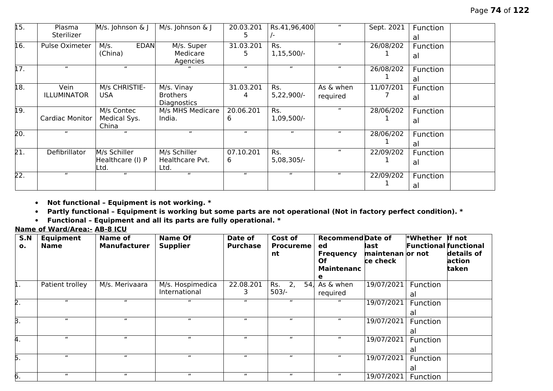| $\overline{15}$ . | Plasma                 | M/s. Johnson & J         | M/s. Johnson & J                      | 20.03.201      | Rs.41,96,400   | $\overline{u}$          | Sept. 2021 | Function |  |
|-------------------|------------------------|--------------------------|---------------------------------------|----------------|----------------|-------------------------|------------|----------|--|
|                   | Sterilizer             |                          |                                       |                |                |                         |            | al       |  |
| 16.               | Pulse Oximeter         | <b>EDAN</b><br>M/s.      | M/s. Super                            | 31.03.201      | Rs.            | $\overline{u}$          | 26/08/202  | Function |  |
|                   |                        | (China)                  | Medicare<br>Agencies                  |                | $1,15,500/-$   |                         |            | al       |  |
| $\overline{17}$ . |                        | "                        |                                       | "              |                |                         | 26/08/202  | Function |  |
|                   |                        |                          |                                       |                |                |                         |            | al       |  |
| 18.               | Vein                   | M/s CHRISTIE-            | M/s. Vinay                            | 31.03.201      | Rs.            | As & when               | 11/07/201  | Function |  |
|                   | <b>ILLUMINATOR</b>     | <b>USA</b>               | <b>Brothers</b><br><b>Diagnostics</b> |                | $5,22,900/-$   | required                |            | al       |  |
| $\overline{19}$ . |                        | M/s Contec               | M/s MHS Medicare                      | 20.06.201      | Rs.            | $\overline{u}$          | 28/06/202  | Function |  |
|                   | <b>Cardiac Monitor</b> | Medical Sys.<br>China    | India.                                | 6              | $1,09,500/-$   |                         |            | al       |  |
| 20.               | "                      | $\overline{u}$           | $\overline{u}$                        | $\overline{u}$ | $\overline{u}$ |                         | 28/06/202  | Function |  |
|                   |                        |                          |                                       |                |                |                         |            | al       |  |
| 21.               | Defibrillator          | M/s Schiller             | M/s Schiller                          | 07.10.201      | Rs.            | $\overline{u}$          | 22/09/202  | Function |  |
|                   |                        | Healthcare (I) P<br>Ltd. | Healthcare Pvt.<br>Ltd.               | 6              | $5,08,305/-$   |                         |            | al       |  |
| $\overline{22}$ . | $\overline{u}$         | $\overline{u}$           | $\overline{u}$                        | $\overline{u}$ |                | $\overline{\mathbf{u}}$ | 22/09/202  | Function |  |
|                   |                        |                          |                                       |                |                |                         |            | al       |  |

**Not functional – Equipment is not working. \*** 

**Partly functional – Equipment is working but some parts are not operational (Not in factory perfect condition). \***

**Functional – Equipment and all its parts are fully operational. \***

# **Name of Ward/Area:- AB-8 ICU**

| S.N<br>о.        | <b>Equipment</b><br><b>Name</b> | <b>Name of</b><br><b>Manufacturer</b> | <b>Name Of</b><br><b>Supplier</b> | Date of<br><b>Purchase</b> | Cost of<br><b>Procureme</b><br>nt       | <b>Recommend Date of</b><br>ed<br><b>Frequency</b><br><b>Of</b><br><b>Maintenanc</b><br>e | last<br>maintenan or not<br>ce check | <b>*Whether</b> If not<br><b>Functional functional</b> | details of<br>action<br>taken |
|------------------|---------------------------------|---------------------------------------|-----------------------------------|----------------------------|-----------------------------------------|-------------------------------------------------------------------------------------------|--------------------------------------|--------------------------------------------------------|-------------------------------|
| ш.               | Patient trolley                 | M/s. Merivaara                        | M/s. Hospimedica<br>International | 22.08.201<br>3.            | Rs.<br>2,<br>54 <sub>1</sub><br>$503/-$ | As & when<br>required                                                                     | 19/07/2021                           | Function<br>al                                         |                               |
| 2.               | $\overline{u}$                  | $\overline{u}$                        | $\overline{u}$                    | $\overline{u}$             | $\overline{u}$                          | $\overline{u}$                                                                            | 19/07/2021                           | Function<br>al                                         |                               |
| Β.               | $\overline{u}$                  | $\overline{u}$                        | $\overline{u}$                    | $\overline{\mathbf{u}}$    | $\overline{u}$                          | $\overline{u}$                                                                            | 19/07/2021                           | Function<br>al                                         |                               |
| 4.               | $\overline{u}$                  | $\overline{u}$                        | $\overline{u}$                    | $\overline{u}$             | $\overline{u}$                          |                                                                                           | 19/07/2021                           | Function<br>al                                         |                               |
| 5.               | $\overline{u}$                  | $\overline{u}$                        | $\overline{u}$                    | $\overline{u}$             | $\overline{u}$                          | $^{\prime\prime}$                                                                         | 19/07/2021                           | Function<br>al                                         |                               |
| $\overline{6}$ . | $\overline{u}$                  | $\overline{u}$                        | $\overline{u}$                    | $\overline{u}$             | $\overline{u}$                          | $\overline{u}$                                                                            | 19/07/2021                           | Function                                               |                               |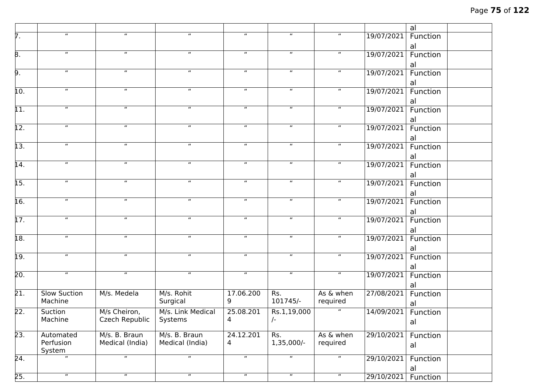|                   |                     |                  |                   |                  |                  |                  |                     | al       |
|-------------------|---------------------|------------------|-------------------|------------------|------------------|------------------|---------------------|----------|
| 7.                | $\boldsymbol{u}$    | $\overline{u}$   | $\overline{u}$    | $\boldsymbol{u}$ | $\overline{u}$   | $\overline{u}$   | 19/07/2021          | Function |
|                   |                     |                  |                   |                  |                  |                  |                     | al       |
| $\overline{8}$ .  | $\boldsymbol{u}$    | $\boldsymbol{u}$ | $\boldsymbol{u}$  | $\boldsymbol{u}$ | $\boldsymbol{u}$ | $\boldsymbol{u}$ | 19/07/2021          | Function |
|                   |                     |                  |                   |                  |                  |                  |                     | al       |
| 9.                | $\boldsymbol{u}$    | $\boldsymbol{u}$ | $\boldsymbol{u}$  | $\boldsymbol{u}$ | $\boldsymbol{u}$ | $\boldsymbol{u}$ | 19/07/2021          | Function |
|                   |                     |                  |                   |                  |                  |                  |                     | al       |
| 10.               | $\boldsymbol{u}$    | $\overline{u}$   | $\overline{u}$    | $\boldsymbol{u}$ | $\overline{u}$   | $\boldsymbol{u}$ | 19/07/2021          | Function |
|                   |                     |                  |                   |                  |                  |                  |                     | al       |
| $\overline{11}$ . | $\overline{u}$      | $\overline{u}$   | $\boldsymbol{u}$  | $\overline{u}$   | $\overline{u}$   | $\boldsymbol{u}$ | 19/07/2021          | Function |
|                   |                     |                  |                   |                  |                  |                  |                     | al       |
| $\overline{12}$ . | $\boldsymbol{u}$    | $\boldsymbol{u}$ | $\boldsymbol{u}$  | $\boldsymbol{u}$ | $\boldsymbol{u}$ | $\boldsymbol{u}$ | 19/07/2021          | Function |
|                   |                     |                  |                   |                  |                  |                  |                     | al       |
| $\overline{13}$ . | $\boldsymbol{u}$    | $\overline{u}$   | $\overline{u}$    | $\boldsymbol{u}$ | $\overline{u}$   | $\boldsymbol{u}$ | 19/07/2021          | Function |
|                   |                     |                  |                   |                  |                  |                  |                     | al       |
| $\overline{14}$ . | $\overline{u}$      | $\overline{u}$   | $\overline{u}$    | $\overline{u}$   | $\overline{u}$   | $\boldsymbol{u}$ | 19/07/2021          | Function |
|                   |                     |                  |                   |                  |                  |                  |                     | al       |
| $\overline{15}$ . | $\boldsymbol{u}$    | $\boldsymbol{u}$ | $\boldsymbol{u}$  | $\boldsymbol{u}$ | $\boldsymbol{u}$ | $\boldsymbol{u}$ | 19/07/2021          | Function |
|                   |                     |                  |                   |                  |                  |                  |                     | al       |
| 16.               | $\boldsymbol{u}$    | $\boldsymbol{u}$ | $\boldsymbol{u}$  | $\boldsymbol{u}$ | $\boldsymbol{u}$ | $\boldsymbol{u}$ | 19/07/2021          | Function |
|                   |                     |                  |                   |                  |                  |                  |                     | al       |
| $\overline{17}$ . | $\overline{u}$      | $\overline{u}$   | $\overline{u}$    | $\overline{u}$   | $\overline{u}$   | $\boldsymbol{u}$ | 19/07/2021          | Function |
|                   |                     |                  |                   |                  |                  |                  |                     | al       |
| $\overline{18}$ . | $\boldsymbol{u}$    | $\boldsymbol{u}$ | $\boldsymbol{u}$  | $\boldsymbol{u}$ | $\boldsymbol{u}$ | $\boldsymbol{u}$ | 19/07/2021          | Function |
|                   |                     |                  |                   |                  |                  |                  |                     | al       |
| 19.               | $\boldsymbol{u}$    | $\overline{u}$   | $\boldsymbol{u}$  | $\boldsymbol{u}$ | $\boldsymbol{u}$ | $\boldsymbol{u}$ | 19/07/2021          | Function |
|                   |                     |                  |                   |                  |                  |                  |                     | al       |
| $\overline{20}$ . | $\overline{u}$      | $\overline{u}$   | $\overline{u}$    | $\overline{u}$   | $\overline{u}$   | $\boldsymbol{u}$ | 19/07/2021          | Function |
|                   |                     |                  |                   |                  |                  |                  |                     | al       |
| $\overline{21}$ . | <b>Slow Suction</b> | M/s. Medela      | M/s. Rohit        | 17.06.200        | Rs.              | As & when        | 27/08/2021          | Function |
|                   | Machine             |                  | Surgical          | 9                | 101745/-         | required         |                     | al       |
| 22.               | Suction             | M/s Cheiron,     | M/s. Link Medical | 25.08.201        | Rs.1,19,000      | $\boldsymbol{u}$ | 14/09/2021          | Function |
|                   | Machine             | Czech Republic   | Systems           | 4                | $\sqrt{-}$       |                  |                     | al       |
| 23.               | Automated           | M/s. B. Braun    | M/s. B. Braun     | 24.12.201        | Rs.              | As & when        | 29/10/2021          | Function |
|                   | Perfusion           | Medical (India)  | Medical (India)   | 4                | 1,35,000/-       | required         |                     |          |
|                   | System              |                  |                   |                  |                  |                  |                     | al       |
| $\overline{24.}$  | $\overline{u}$      | $\overline{u}$   | $\overline{u}$    | $\overline{u}$   | $\overline{u}$   | $\overline{u}$   | 29/10/2021          | Function |
|                   |                     |                  |                   |                  |                  |                  |                     | al       |
| 25.               | $\overline{u}$      | $\boldsymbol{u}$ | $\boldsymbol{u}$  | $\boldsymbol{u}$ | $\overline{u}$   | $\boldsymbol{u}$ | 29/10/2021 Function |          |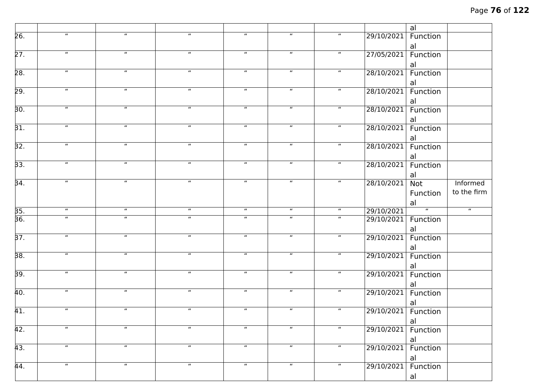|                   |                  |                  |                  |                  |                  |                  |            | al             |                |
|-------------------|------------------|------------------|------------------|------------------|------------------|------------------|------------|----------------|----------------|
| 26.               | $\boldsymbol{u}$ | $\overline{u}$   | $\overline{u}$   | $\boldsymbol{u}$ | $\overline{u}$   | $\overline{u}$   | 29/10/2021 | Function       |                |
|                   |                  |                  |                  |                  |                  |                  |            | al             |                |
| 27.               | $\boldsymbol{u}$ | $\overline{u}$   | $\boldsymbol{u}$ | $\boldsymbol{u}$ | $\overline{u}$   | $\boldsymbol{u}$ | 27/05/2021 | Function       |                |
|                   |                  |                  |                  |                  |                  |                  |            | al             |                |
| 28.               | $\boldsymbol{u}$ | $\boldsymbol{u}$ | $\boldsymbol{u}$ | $\boldsymbol{u}$ | $\boldsymbol{u}$ | $\boldsymbol{u}$ | 28/10/2021 | Function       |                |
|                   |                  |                  |                  |                  |                  |                  |            | al             |                |
| 29.               | $\overline{u}$   | $\overline{u}$   | $\overline{u}$   | $\boldsymbol{u}$ | $\overline{u}$   | $\boldsymbol{u}$ | 28/10/2021 | Function       |                |
|                   |                  |                  |                  |                  |                  |                  |            | al             |                |
| $\overline{30}$ . | $\overline{u}$   | $\overline{u}$   | $\overline{u}$   | $\overline{u}$   | $\overline{u}$   | $\boldsymbol{u}$ | 28/10/2021 | Function       |                |
|                   |                  |                  |                  |                  |                  |                  |            | al             |                |
| $\overline{31}$ . | $\boldsymbol{u}$ | $\boldsymbol{u}$ | $\boldsymbol{u}$ | $\boldsymbol{u}$ | $\boldsymbol{u}$ | $\boldsymbol{u}$ | 28/10/2021 | Function       |                |
|                   |                  |                  |                  |                  |                  |                  |            | al             |                |
| $\overline{32}$ . | $\overline{u}$   | $\overline{u}$   | $\overline{u}$   | $\boldsymbol{u}$ | $\overline{u}$   | $\boldsymbol{u}$ | 28/10/2021 | Function       |                |
|                   |                  |                  |                  |                  |                  |                  |            | al             |                |
| $\overline{33}$ . | $\overline{u}$   | $\overline{u}$   | $\overline{u}$   | $\overline{u}$   | $\overline{u}$   | $\boldsymbol{u}$ | 28/10/2021 | Function       |                |
|                   |                  |                  |                  |                  |                  |                  |            | al             |                |
| 34.               | $\boldsymbol{u}$ | $\boldsymbol{u}$ | $\boldsymbol{u}$ | $\boldsymbol{u}$ | $\boldsymbol{u}$ | $\boldsymbol{u}$ | 28/10/2021 | <b>Not</b>     | Informed       |
|                   |                  |                  |                  |                  |                  |                  |            | Function       | to the firm    |
|                   |                  |                  |                  |                  |                  |                  |            | al             |                |
| $\frac{35}{36}$ . | $\boldsymbol{u}$ | $\boldsymbol{u}$ | $\boldsymbol{u}$ | $\boldsymbol{u}$ | $\boldsymbol{u}$ | $\boldsymbol{u}$ | 29/10/2021 | $\overline{u}$ | $\overline{u}$ |
|                   | $\boldsymbol{u}$ | $\boldsymbol{u}$ | $\boldsymbol{u}$ | $\boldsymbol{u}$ | $\boldsymbol{u}$ | $\boldsymbol{u}$ | 29/10/2021 | Function       |                |
|                   |                  |                  |                  |                  |                  |                  |            | al             |                |
| 37.               | $\boldsymbol{u}$ | $\boldsymbol{u}$ | $\boldsymbol{u}$ | $\boldsymbol{u}$ | $\boldsymbol{u}$ | $\boldsymbol{u}$ | 29/10/2021 | Function       |                |
|                   |                  |                  |                  |                  |                  |                  |            | al             |                |
| 38.               | $\boldsymbol{u}$ | $\boldsymbol{u}$ | $\boldsymbol{u}$ | $\boldsymbol{u}$ | $\boldsymbol{u}$ | $\boldsymbol{u}$ | 29/10/2021 | Function       |                |
|                   |                  |                  |                  |                  |                  |                  |            | al             |                |
| 39.               | $\overline{u}$   | $\overline{u}$   | $\overline{u}$   | $\overline{u}$   | $\overline{u}$   | $\boldsymbol{u}$ | 29/10/2021 | Function       |                |
|                   |                  |                  |                  |                  |                  |                  |            | al             |                |
| 40.               | $\boldsymbol{u}$ | $\boldsymbol{u}$ | $\boldsymbol{u}$ | $\boldsymbol{u}$ | $\boldsymbol{u}$ | $\boldsymbol{u}$ | 29/10/2021 | Function       |                |
|                   |                  |                  |                  |                  |                  |                  |            | al             |                |
| 41.               | $\boldsymbol{u}$ | $\boldsymbol{u}$ | $\boldsymbol{u}$ | $\boldsymbol{u}$ | $\boldsymbol{u}$ | $\boldsymbol{u}$ | 29/10/2021 | Function       |                |
|                   |                  |                  |                  |                  |                  |                  |            | al             |                |
| 42.               | $\overline{u}$   | $\boldsymbol{u}$ | $\overline{u}$   | $\overline{u}$   | $\overline{u}$   | $\overline{u}$   | 29/10/2021 | Function       |                |
|                   |                  |                  |                  |                  |                  |                  |            | al             |                |
| 43.               | $\boldsymbol{u}$ | $\overline{u}$   | $\overline{u}$   | $\overline{u}$   | $\overline{u}$   | $\boldsymbol{u}$ | 29/10/2021 | Function       |                |
|                   |                  |                  |                  |                  |                  |                  |            | al             |                |
| 44.               | $\boldsymbol{u}$ | $\boldsymbol{u}$ | $\boldsymbol{u}$ | $\overline{u}$   | $\overline{u}$   | $\boldsymbol{u}$ | 29/10/2021 | Function       |                |
|                   |                  |                  |                  |                  |                  |                  |            | al             |                |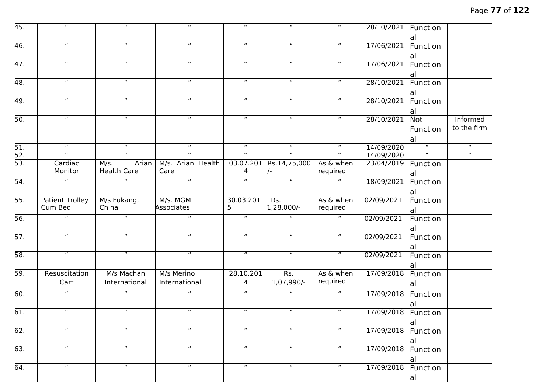| 45.                            | $\boldsymbol{u}$       | $\boldsymbol{u}$   | $\boldsymbol{u}$  | $\boldsymbol{u}$ | $\boldsymbol{u}$   | $\overline{u}$   | 28/10/2021 Function |                |                |
|--------------------------------|------------------------|--------------------|-------------------|------------------|--------------------|------------------|---------------------|----------------|----------------|
|                                |                        |                    |                   |                  |                    |                  |                     | al             |                |
| 46.                            | $\boldsymbol{u}$       | $\boldsymbol{u}$   | $\boldsymbol{u}$  | $\boldsymbol{u}$ | $\boldsymbol{u}$   | $\boldsymbol{u}$ | 17/06/2021          | Function       |                |
|                                |                        |                    |                   |                  |                    |                  |                     | al             |                |
| 47.                            | $\overline{u}$         | $\overline{u}$     | $\overline{u}$    | $\overline{u}$   | $\overline{u}$     | $\boldsymbol{u}$ | 17/06/2021          | Function       |                |
|                                |                        |                    |                   |                  |                    |                  |                     | al             |                |
| 48.                            | $\boldsymbol{u}$       | $\overline{u}$     | $\boldsymbol{u}$  | $\boldsymbol{u}$ | $\boldsymbol{\mu}$ | $\boldsymbol{u}$ | 28/10/2021          | Function       |                |
|                                |                        |                    |                   |                  |                    |                  |                     | al             |                |
| 49.                            | $\boldsymbol{u}$       | $\boldsymbol{u}$   | $\boldsymbol{u}$  | $\boldsymbol{u}$ | $\boldsymbol{u}$   | $\boldsymbol{u}$ | 28/10/2021          | Function       |                |
|                                |                        |                    |                   |                  |                    |                  |                     | al             |                |
| 50.                            | $\overline{u}$         | $\boldsymbol{u}$   | $\overline{u}$    | $\overline{u}$   | $\overline{u}$     | $\mathbf{u}$     | 28/10/2021          | <b>Not</b>     | Informed       |
|                                |                        |                    |                   |                  |                    |                  |                     | Function       | to the firm    |
|                                |                        |                    |                   |                  |                    |                  |                     | al             |                |
|                                | $\overline{u}$         | $\boldsymbol{u}$   | $\boldsymbol{u}$  | $\boldsymbol{u}$ | $\overline{u}$     | $\boldsymbol{u}$ | 14/09/2020          | $\overline{u}$ | $\overline{u}$ |
| $rac{51}{52}$<br>$rac{52}{53}$ | $\overline{u}$         | $\overline{u}$     | $\overline{u}$    | $\overline{u}$   | $\overline{u}$     | $\boldsymbol{u}$ | 14/09/2020          | $\overline{u}$ | $\overline{u}$ |
|                                | Cardiac                | M/s.<br>Arian      | M/s. Arian Health | 03.07.201        | Rs.14,75,000       | As & when        | 23/04/2019          | Function       |                |
|                                | Monitor                | <b>Health Care</b> | Care              | 4                |                    | required         |                     | al             |                |
| 54.                            | $\boldsymbol{u}$       | $\boldsymbol{u}$   | $\boldsymbol{u}$  | $\boldsymbol{u}$ | $\boldsymbol{u}$   | $\overline{u}$   | 18/09/2021          | Function       |                |
|                                |                        |                    |                   |                  |                    |                  |                     | al             |                |
| 55.                            | <b>Patient Trolley</b> | M/s Fukang,        | M/s. MGM          | 30.03.201        | Rs.                | As & when        | 02/09/2021          | Function       |                |
|                                | Cum Bed                | China              | Associates        | 5                | 1,28,000/-         | required         |                     | al             |                |
| $\overline{56}$ .              | $\overline{u}$         | $\overline{u}$     | $\overline{u}$    | $\overline{u}$   | $\overline{u}$     | $\overline{u}$   | 02/09/2021          | Function       |                |
|                                |                        |                    |                   |                  |                    |                  |                     | al             |                |
| 57.                            | $\boldsymbol{u}$       | $\boldsymbol{u}$   | $\boldsymbol{u}$  | $\boldsymbol{u}$ | $\boldsymbol{u}$   | $\boldsymbol{u}$ | 02/09/2021          | Function       |                |
|                                |                        |                    |                   |                  |                    |                  |                     | al             |                |
| 58.                            | $\overline{u}$         | $\boldsymbol{u}$   | $\boldsymbol{u}$  | $\boldsymbol{u}$ | $\overline{u}$     | $\boldsymbol{u}$ | 02/09/2021          | Function       |                |
|                                |                        |                    |                   |                  |                    |                  |                     | al             |                |
| 59.                            | Resuscitation          | M/s Machan         | M/s Merino        | 28.10.201        | Rs.                | As & when        | 17/09/2018          | Function       |                |
|                                | Cart                   | International      | International     | 4                | 1,07,990/-         | required         |                     | al             |                |
| 60.                            | $\overline{u}$         | $\boldsymbol{u}$   | $\boldsymbol{u}$  | $\boldsymbol{u}$ | $\boldsymbol{u}$   | $\overline{u}$   | 17/09/2018          | Function       |                |
|                                |                        |                    |                   |                  |                    |                  |                     | al             |                |
| 61.                            | $\boldsymbol{u}$       | $\overline{u}$     | $\boldsymbol{u}$  | $\boldsymbol{u}$ | $\boldsymbol{u}$   | $\overline{u}$   | 17/09/2018          | Function       |                |
|                                |                        |                    |                   |                  |                    |                  |                     | al             |                |
| 62.                            | $\overline{u}$         | $\overline{u}$     | $\overline{u}$    | $\boldsymbol{u}$ | $\overline{u}$     | $\boldsymbol{u}$ | 17/09/2018 Function |                |                |
|                                |                        |                    |                   |                  |                    |                  |                     | al             |                |
| 63.                            | $\boldsymbol{u}$       | $\boldsymbol{u}$   | $\boldsymbol{u}$  | $\boldsymbol{u}$ | $\boldsymbol{u}$   | $\boldsymbol{u}$ | 17/09/2018          | Function       |                |
|                                |                        |                    |                   |                  |                    |                  |                     | al             |                |
| 64.                            | $\boldsymbol{u}$       | $\boldsymbol{u}$   | $\boldsymbol{u}$  | $\boldsymbol{u}$ | $\overline{u}$     | $\boldsymbol{u}$ | 17/09/2018          | Function       |                |
|                                |                        |                    |                   |                  |                    |                  |                     | al             |                |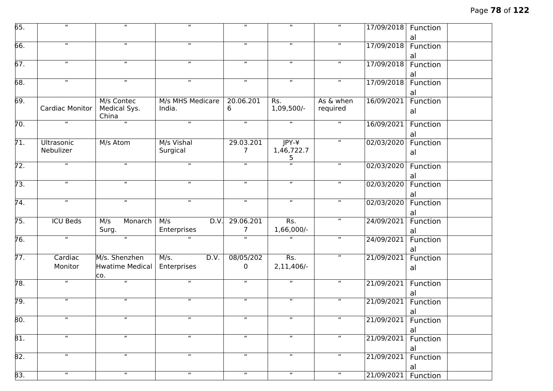| 65.               | $\boldsymbol{u}$        | $\overline{u}$                          | $\boldsymbol{u}$            | $\boldsymbol{u}$            | $\overline{u}$            | $\overline{u}$        | $17/09/2018$ Function |                |  |
|-------------------|-------------------------|-----------------------------------------|-----------------------------|-----------------------------|---------------------------|-----------------------|-----------------------|----------------|--|
|                   |                         |                                         |                             |                             |                           |                       |                       | al             |  |
| 66.               | $\boldsymbol{u}$        | $\boldsymbol{u}$                        | $\boldsymbol{u}$            | $\boldsymbol{u}$            | $\boldsymbol{u}$          | $\boldsymbol{u}$      | 17/09/2018            | Function<br>al |  |
| 67.               | $\overline{u}$          | $\overline{u}$                          | $\overline{u}$              | $\overline{u}$              | $\overline{u}$            | $\boldsymbol{u}$      | 17/09/2018            | Function<br>al |  |
| 68.               | $\overline{u}$          | $\overline{u}$                          | $\overline{u}$              | $\boldsymbol{u}$            | $\overline{u}$            | $\boldsymbol{u}$      | 17/09/2018            | Function<br>al |  |
| 69.               | <b>Cardiac Monitor</b>  | M/s Contec<br>Medical Sys.<br>China     | M/s MHS Medicare<br>India.  | 20.06.201<br>6              | Rs.<br>1,09,500/-         | As & when<br>required | 16/09/2021            | Function<br>al |  |
| 70.               | $\boldsymbol{u}$        | $\overline{u}$                          | $\overline{u}$              | $\boldsymbol{u}$            | $\overline{u}$            | $\boldsymbol{u}$      | 16/09/2021            | Function<br>al |  |
| $\overline{71.}$  | Ultrasonic<br>Nebulizer | M/s Atom                                | M/s Vishal<br>Surgical      | 29.03.201<br>$\overline{7}$ | $IPY-$<br>1,46,722.7<br>5 | $\boldsymbol{u}$      | 02/03/2020            | Function<br>al |  |
| 72.               | $\overline{u}$          | $\overline{u}$                          | $\overline{u}$              | $\overline{u}$              | $\overline{u}$            | $\boldsymbol{u}$      | 02/03/2020            | Function<br>al |  |
| 73.               | $\overline{u}$          | $\boldsymbol{u}$                        | $\overline{u}$              | $\overline{u}$              | $\overline{u}$            | $\boldsymbol{u}$      | 02/03/2020            | Function<br>al |  |
| 74.               | $\overline{u}$          | $\boldsymbol{u}$                        | $\boldsymbol{u}$            | $\boldsymbol{u}$            | $\boldsymbol{u}$          | $\boldsymbol{\mu}$    | 02/03/2020            | Function<br>al |  |
| $\overline{75.}$  | <b>ICU Beds</b>         | M/s<br>Monarch<br>Surg.                 | M/s<br>D.V.<br>Enterprises  | 29.06.201<br>7              | Rs.<br>1,66,000/-         | $\boldsymbol{u}$      | 24/09/2021            | Function<br>al |  |
| $\overline{76}$ . | $\overline{u}$          | $\overline{u}$                          | $\overline{u}$              | $\overline{u}$              | $\overline{u}$            | $\boldsymbol{\mu}$    | 24/09/2021            | Function<br>al |  |
| $\overline{77}$ . | Cardiac<br>Monitor      | M/s. Shenzhen<br>Hwatime Medical<br>CO. | M/s.<br>D.V.<br>Enterprises | 08/05/202<br>0              | Rs.<br>2,11,406/-         | $\boldsymbol{u}$      | 21/09/2021            | Function<br>al |  |
| $\overline{78.}$  | $\overline{u}$          | $\overline{u}$                          | $\overline{u}$              | $\overline{u}$              | $\overline{u}$            | $\boldsymbol{u}$      | 21/09/2021            | Function<br>al |  |
| 79.               | $\boldsymbol{u}$        | $\boldsymbol{u}$                        | $\boldsymbol{u}$            | $\boldsymbol{u}$            | $\boldsymbol{u}$          | $\boldsymbol{u}$      | 21/09/2021            | Function<br>al |  |
| 80.               | $\boldsymbol{u}$        | $\overline{u}$                          | $\overline{u}$              | $\overline{u}$              | $\boldsymbol{u}$          |                       | 21/09/2021 Function   | al             |  |
| $\overline{81}$ . | $\overline{u}$          | $\overline{u}$                          | $\overline{u}$              | $\boldsymbol{u}$            | $\overline{u}$            | $\boldsymbol{u}$      | 21/09/2021            | Function<br>al |  |
| $\overline{82.}$  | $\boldsymbol{u}$        | $\boldsymbol{u}$                        | $\boldsymbol{u}$            | $\boldsymbol{u}$            | $\overline{u}$            | $\boldsymbol{u}$      | 21/09/2021            | Function<br>al |  |
| 83.               | $\overline{u}$          | $\boldsymbol{u}$                        | $\boldsymbol{u}$            | $\boldsymbol{u}$            | $\boldsymbol{u}$          | $\boldsymbol{\mu}$    | 21/09/2021 Function   |                |  |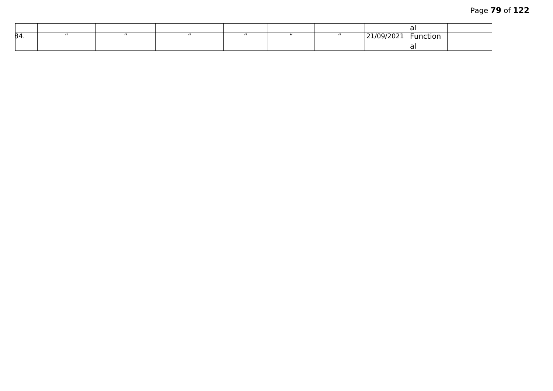|     |  |  |   |                           | aı       |  |
|-----|--|--|---|---------------------------|----------|--|
| 84. |  |  | " | 121,000022<br> 21/09/2021 | -unction |  |
|     |  |  |   |                           | aı       |  |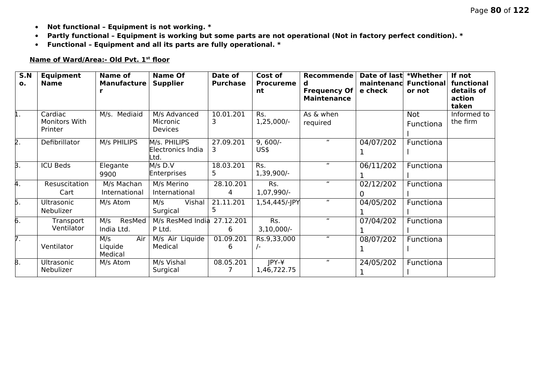- **Not functional Equipment is not working. \***
- **Partly functional Equipment is working but some parts are not operational (Not in factory perfect condition). \***
- **Functional Equipment and all its parts are fully operational. \***

### **Name of Ward/Area:- Old Pvt. 1st floor**

| S.N<br>$\mathbf{o}$ . | <b>Equipment</b><br><b>Name</b>     | <b>Name of</b><br><b>Manufacture</b> | <b>Name Of</b><br><b>Supplier</b>          | Date of<br><b>Purchase</b> | Cost of<br><b>Procureme</b><br>nt | Recommende<br><b>Frequency Of</b><br><b>Maintenance</b> | Date of last<br>maintenand<br>e check | *Whether<br><b>Functional</b><br>or not | If not<br>functional<br>details of<br>action<br>taken |
|-----------------------|-------------------------------------|--------------------------------------|--------------------------------------------|----------------------------|-----------------------------------|---------------------------------------------------------|---------------------------------------|-----------------------------------------|-------------------------------------------------------|
| Ш.                    | Cardiac<br>Monitors With<br>Printer | M/s. Mediaid                         | M/s Advanced<br>Micronic<br><b>Devices</b> | 10.01.201<br>3             | Rs.<br>$1,25,000/-$               | As & when<br>required                                   |                                       | <b>Not</b><br>Functiona                 | Informed to<br>the firm                               |
| Þ.                    | Defibrillator                       | M/s PHILIPS                          | M/s. PHILIPS<br>Electronics India<br>Ltd.  | 27.09.201<br>3             | $9,600/-$<br>US\$                 | $\overline{u}$                                          | 04/07/202<br>ı                        | Functiona                               |                                                       |
| В.                    | <b>ICU Beds</b>                     | Elegante<br>9900                     | $M/s$ D.V<br>Enterprises                   | 18.03.201<br>5.            | Rs.<br>1,39,900/-                 | $\overline{u}$                                          | 06/11/202                             | Functiona                               |                                                       |
| 4.                    | Resuscitation<br>Cart               | M/s Machan<br>International          | M/s Merino<br>International                | 28.10.201<br>4             | Rs.<br>1,07,990/-                 | $\overline{u}$                                          | 02/12/202<br>0                        | Functiona                               |                                                       |
| 5.                    | <b>Ultrasonic</b><br>Nebulizer      | M/s Atom                             | M/s<br>Vishal<br>Surgical                  | 21.11.201<br>5             | 1,54,445/-JPY                     | $\overline{u}$                                          | 04/05/202                             | Functiona                               |                                                       |
| ნ.                    | Transport<br>Ventilator             | ResMed<br>M/s<br>India Ltd.          | $M/s$ ResMed India 27.12.201<br>P Ltd.     | 6                          | Rs.<br>$3,10,000/-$               | $\overline{u}$                                          | 07/04/202                             | Functiona                               |                                                       |
| 7.                    | Ventilator                          | Air<br>M/s<br>Liquide<br>Medical     | M/s Air Liquide<br>Medical                 | 01.09.201<br>6             | Rs.9,33,000<br>$I-$               | $\overline{u}$                                          | 08/07/202                             | Functiona                               |                                                       |
| 8.                    | <b>Ultrasonic</b><br>Nebulizer      | M/s Atom                             | M/s Vishal<br>Surgical                     | 08.05.201                  | $IPY-$<br>1,46,722.75             | $\overline{u}$                                          | 24/05/202                             | Functiona                               |                                                       |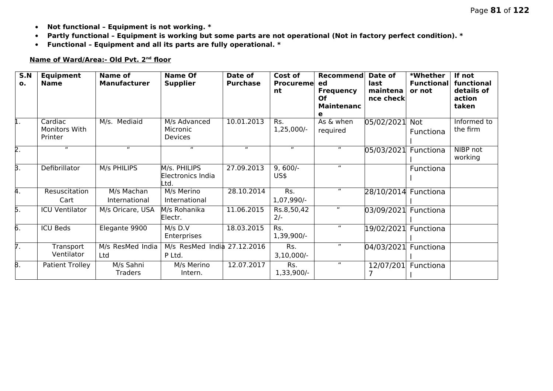- **Not functional Equipment is not working. \***
- **Partly functional Equipment is working but some parts are not operational (Not in factory perfect condition). \***
- **Functional Equipment and all its parts are fully operational. \***

#### **Name of Ward/Area:- Old Pvt. 2nd floor**

| S.N<br>$\mathbf{o}$ . | <b>Equipment</b><br><b>Name</b>     | <b>Name of</b><br><b>Manufacturer</b> | <b>Name Of</b><br><b>Supplier</b>                | Date of<br><b>Purchase</b> | Cost of<br><b>Procureme</b><br>nt | <b>Recommend</b><br>ed<br><b>Frequency</b><br>Of<br><b>Maintenanc</b><br>е | Date of<br>last<br>maintena<br>nce check | *Whether<br><b>Functional</b><br>or not | If not<br>functional<br>details of<br>action<br>taken |
|-----------------------|-------------------------------------|---------------------------------------|--------------------------------------------------|----------------------------|-----------------------------------|----------------------------------------------------------------------------|------------------------------------------|-----------------------------------------|-------------------------------------------------------|
| Ⅱ.                    | Cardiac<br>Monitors With<br>Printer | Mediaid<br>M/s.                       | M/s Advanced<br>Micronic<br><b>Devices</b>       | 10.01.2013                 | Rs.<br>$1,25,000/-$               | As & when<br>required                                                      | 05/02/2021                               | <b>Not</b><br>Functiona                 | Informed to<br>the firm                               |
| 2.                    | $\overline{u}$                      | $\overline{u}$                        | $\overline{u}$                                   | $\overline{u}$             | $\overline{u}$                    | $\overline{u}$                                                             | 05/03/2021                               | Functiona                               | NIBP not<br>working                                   |
| β.                    | Defibrillator                       | M/s PHILIPS                           | <b>M/s. PHILIPS</b><br>Electronics India<br>Ltd. | 27.09.2013                 | $9,600/-$<br>US\$                 | $\overline{u}$                                                             |                                          | Functiona                               |                                                       |
| 4.                    | Resuscitation<br>Cart               | M/s Machan<br>International           | M/s Merino<br>International                      | 28.10.2014                 | Rs.<br>1,07,990/-                 | $\overline{u}$                                                             | 28/10/2014 Functiona                     |                                         |                                                       |
| Б.                    | <b>ICU Ventilator</b>               | M/s Oricare, USA                      | M/s Rohanika<br>Electr.                          | 11.06.2015                 | Rs.8,50,42<br>$2/-$               | $\boldsymbol{u}$                                                           | 03/09/2021 Functiona                     |                                         |                                                       |
| $\overline{6}$ .      | <b>ICU Beds</b>                     | Elegante 9900                         | $M/s$ D.V<br>Enterprises                         | 18.03.2015                 | Rs.<br>1,39,900/-                 | $\overline{u}$                                                             | 19/02/2021                               | Functiona                               |                                                       |
| 7.                    | Transport<br>Ventilator             | M/s ResMed India<br>Ltd               | M/s ResMed India 27.12.2016<br>P Ltd.            |                            | Rs.<br>$3,10,000/-$               | $\overline{u}$                                                             | 04/03/2021 Functiona                     |                                         |                                                       |
| 8.                    | Patient Trolley                     | M/s Sahni<br><b>Traders</b>           | M/s Merino<br>Intern.                            | 12.07.2017                 | Rs.<br>1,33,900/-                 | $\boldsymbol{u}$                                                           | 12/07/201                                | Functiona                               |                                                       |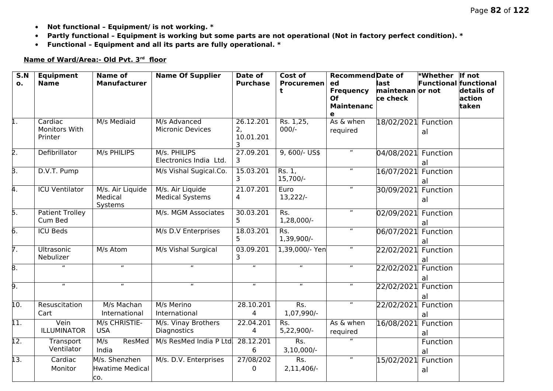- **Not functional Equipment/ is not working. \***
- **Partly functional Equipment is working but some parts are not operational (Not in factory perfect condition). \***
- **Functional Equipment and all its parts are fully operational. \***

#### **Name of Ward/Area:- Old Pvt. 3rd floor**

| S.N<br>о.         | <b>Equipment</b><br><b>Name</b>     | <b>Name of</b><br><b>Manufacturer</b>          | <b>Name Of Supplier</b>                    | Date of<br><b>Purchase</b>        | Cost of<br><b>Procuremen</b>          | <b>Recommend Date of</b><br>ed                   | last                         | <b>*Whether</b> If not<br><b>Functional functional</b> |                               |
|-------------------|-------------------------------------|------------------------------------------------|--------------------------------------------|-----------------------------------|---------------------------------------|--------------------------------------------------|------------------------------|--------------------------------------------------------|-------------------------------|
|                   |                                     |                                                |                                            |                                   | t                                     | <b>Frequency</b><br>Of<br><b>Maintenanc</b><br>e | maintenan or not<br>ce check |                                                        | details of<br>action<br>taken |
| 1.                | Cardiac<br>Monitors With<br>Printer | M/s Mediaid                                    | M/s Advanced<br><b>Micronic Devices</b>    | 26.12.201<br>2,<br>10.01.201<br>3 | Rs. 1,25,<br>$000/-$                  | As & when<br>required                            | 18/02/2021 Function          | al                                                     |                               |
| 2.                | Defibrillator                       | <b>M/s PHILIPS</b>                             | M/s. PHILIPS<br>Electronics India Ltd.     | 27.09.201<br>3                    | $9,600 - US$$                         | $\overline{u}$                                   | 04/08/2021 Function          | al                                                     |                               |
| ₹.                | D.V.T. Pump                         |                                                | M/s Vishal Sugical.Co.                     | 15.03.201<br>3                    | Rs. 1,<br>15,700/-                    | $\boldsymbol{u}$                                 | 16/07/2021 Function          | al                                                     |                               |
| 4.                | <b>ICU Ventilator</b>               | M/s. Air Liquide<br>Medical<br>Systems         | M/s. Air Liquide<br><b>Medical Systems</b> | 21.07.201<br>4                    | Euro<br>$13,222/-$                    | $\overline{u}$                                   | 30/09/2021 Function          | al                                                     |                               |
| Б.                | <b>Patient Trolley</b><br>Cum Bed   |                                                | M/s. MGM Associates                        | 30.03.201<br>5                    | Rs.<br>1,28,000/-                     | $\overline{u}$                                   | 02/09/2021 Function          | al                                                     |                               |
| б.                | <b>ICU Beds</b>                     |                                                | M/s D.V Enterprises                        | 18.03.201<br>5                    | RS.<br>1,39,900/-                     | $\overline{u}$                                   | 06/07/2021 Function          | al                                                     |                               |
| 7.                | <b>Ultrasonic</b><br>Nebulizer      | M/s Atom                                       | M/s Vishal Surgical                        | 03.09.201<br>3                    | 1,39,000/- Yen                        | $\overline{u}$                                   | 22/02/2021 Function          | al                                                     |                               |
| 8.                | $\overline{u}$                      | $\overline{u}$                                 | $\overline{u}$                             | $\overline{u}$                    | $\overline{u}$                        | $\boldsymbol{u}$                                 | 22/02/2021 Function          | al                                                     |                               |
| 9.                | $\overline{u}$                      | $\overline{u}$                                 | $\overline{u}$                             | $\overline{u}$                    | $\overline{u}$                        | $\overline{u}$                                   | 22/02/2021 Function          | al                                                     |                               |
| 10.               | Resuscitation<br>Cart               | M/s Machan<br>International                    | M/s Merino<br>International                | 28.10.201<br>$\overline{4}$       | $\overline{\text{Rs.}}$<br>1,07,990/- | $\overline{u}$                                   | 22/02/2021 Function          | al                                                     |                               |
| $\overline{11}$ . | Vein<br><b>ILLUMINATOR</b>          | M/s CHRISTIE-<br><b>USA</b>                    | M/s. Vinay Brothers<br><b>Diagnostics</b>  | 22.04.201<br>4                    | Rs.<br>5,22,900/-                     | As & when<br>required                            | 16/08/2021 Function          | al                                                     |                               |
| $\overline{12}$ . | Transport<br>Ventilator             | M/s<br>ResMed<br>India                         | M/s ResMed India P Ltd                     | 28.12.201<br>6                    | Rs.<br>$3,10,000/-$                   | $\overline{u}$                                   |                              | Function<br>al                                         |                               |
| $\overline{13}$ . | Cardiac<br>Monitor                  | M/s. Shenzhen<br><b>Hwatime Medical</b><br>co. | M/s. D.V. Enterprises                      | 27/08/202<br>0                    | RS.<br>2,11,406/-                     | $\overline{u}$                                   | 15/02/2021 Function          | al                                                     |                               |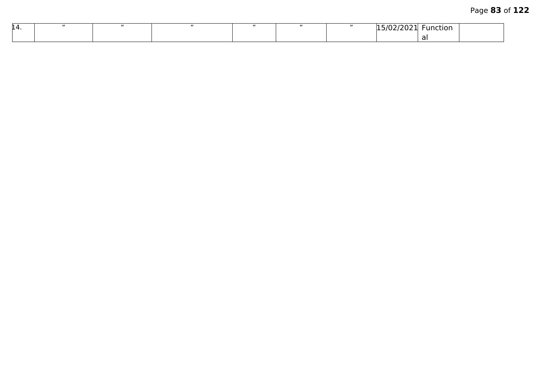# Page **83** of **122**

| . |  |  |  | $\mathbf{a}$ = $\mathbf{a}$ $\mathbf{a}$ $\mathbf{a}$ $\mathbf{a}$ $\mathbf{a}$<br>. .<br>51 L | unction- |  |
|---|--|--|--|------------------------------------------------------------------------------------------------|----------|--|
|   |  |  |  |                                                                                                |          |  |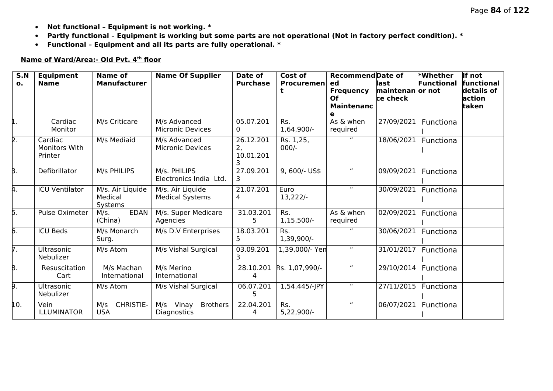- **Not functional Equipment is not working. \***
- **Partly functional Equipment is working but some parts are not operational (Not in factory perfect condition). \***
- **Functional Equipment and all its parts are fully operational. \***

### **Name of Ward/Area:- Old Pvt. 4th floor**

| S.N<br>$\mathbf{o}$ . | <b>Equipment</b><br><b>Name</b>     | <b>Name of</b><br><b>Manufacturer</b>  | <b>Name Of Supplier</b>                              | Date of<br><b>Purchase</b>        | Cost of<br><b>Procuremen</b><br>t | <b>Recommend Date of</b><br>ed<br><b>Frequency</b><br>Of | last<br>maintenan or not<br>ce check | $*$ Whether<br>Functional | If not<br>functional<br>details of<br>action |
|-----------------------|-------------------------------------|----------------------------------------|------------------------------------------------------|-----------------------------------|-----------------------------------|----------------------------------------------------------|--------------------------------------|---------------------------|----------------------------------------------|
|                       |                                     |                                        |                                                      |                                   |                                   | <b>Maintenanc</b><br>e                                   |                                      |                           | taken                                        |
| 1.                    | Cardiac<br>Monitor                  | M/s Criticare                          | M/s Advanced<br><b>Micronic Devices</b>              | 05.07.201<br>$\mathbf{0}$         | Rs.<br>1,64,900/-                 | As & when<br>required                                    | 27/09/2021                           | Functiona                 |                                              |
| 2.                    | Cardiac<br>Monitors With<br>Printer | M/s Mediaid                            | M/s Advanced<br><b>Micronic Devices</b>              | 26.12.201<br>2,<br>10.01.201<br>3 | Rs. 1,25,<br>$000/-$              | $\overline{u}$                                           | 18/06/2021                           | Functiona                 |                                              |
| 3.                    | Defibrillator                       | M/s PHILIPS                            | M/s. PHILIPS<br>Electronics India Ltd.               | 27.09.201<br>3                    | $9,600 - US$$                     | $\boldsymbol{u}$                                         | 09/09/2021                           | Functiona                 |                                              |
| 4.                    | <b>ICU Ventilator</b>               | M/s. Air Liquide<br>Medical<br>Systems | M/s. Air Liquide<br><b>Medical Systems</b>           | 21.07.201<br>4                    | Euro<br>$13,222/-$                | $\overline{u}$                                           | 30/09/2021                           | Functiona                 |                                              |
| Б.                    | Pulse Oximeter                      | <b>EDAN</b><br>M/s.<br>(China)         | M/s. Super Medicare<br>Agencies                      | 31.03.201<br>5.                   | Rs.<br>$1,15,500/-$               | As & when<br>required                                    | 02/09/2021                           | Functiona                 |                                              |
| ნ.                    | <b>ICU Beds</b>                     | M/s Monarch<br>Surg.                   | M/s D.V Enterprises                                  | 18.03.201<br>5.                   | Rs.<br>1,39,900/-                 | $\overline{u}$                                           | 30/06/2021                           | Functiona                 |                                              |
| 7.                    | <b>Ultrasonic</b><br>Nebulizer      | M/s Atom                               | M/s Vishal Surgical                                  | 03.09.201<br>3                    | 1,39,000/- Yen                    | $\overline{u}$                                           | 31/01/2017                           | Functiona                 |                                              |
| 8.                    | Resuscitation<br>Cart               | M/s Machan<br>International            | M/s Merino<br>International                          | 28.10.201<br>4                    | Rs. 1,07,990/-                    | $\overline{u}$                                           | 29/10/2014                           | Functiona                 |                                              |
| 9.                    | Ultrasonic<br>Nebulizer             | M/s Atom                               | M/s Vishal Surgical                                  | 06.07.201<br>5.                   | 1,54,445/-JPY                     | $\boldsymbol{u}$                                         | 27/11/2015                           | Functiona                 |                                              |
| 10.                   | Vein<br><b>ILLUMINATOR</b>          | <b>CHRISTIE-</b><br>M/s<br><b>USA</b>  | <b>Brothers</b><br>$M/s$ Vinay<br><b>Diagnostics</b> | 22.04.201<br>4                    | Rs.<br>5,22,900/-                 | $\overline{u}$                                           | 06/07/2021                           | Functiona                 |                                              |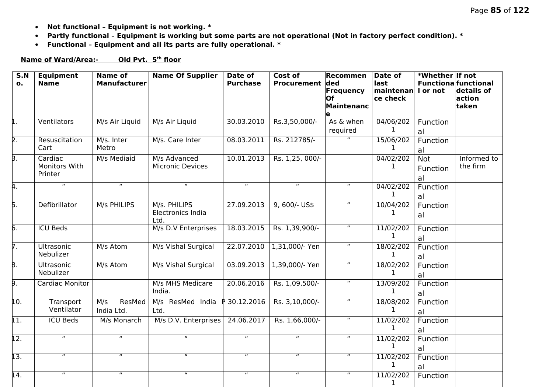- **Not functional Equipment is not working. \***
- **Partly functional Equipment is working but some parts are not operational (Not in factory perfect condition). \***
- **Functional Equipment and all its parts are fully operational. \***

#### **Name of Ward/Area:-**Old Pvt. 5<sup>th</sup> floor

| S.N<br>$\mathbf{o}$ . | <b>Equipment</b><br><b>Name</b>     | <b>Name of</b><br><b>Manufacturer</b> | <b>Name Of Supplier</b>                          | Date of<br><b>Purchase</b> | Cost of<br><b>Procurement</b> | Recommen<br>ded<br>Frequency<br><b>Of</b><br><b>Maintenanc</b><br>e | Date of<br>last<br>maintenan<br>ce check | *Whether If not<br>I or not  | <b>Functiona</b> functional<br>details of<br>action<br>taken |
|-----------------------|-------------------------------------|---------------------------------------|--------------------------------------------------|----------------------------|-------------------------------|---------------------------------------------------------------------|------------------------------------------|------------------------------|--------------------------------------------------------------|
| 1.                    | Ventilators                         | M/s Air Liquid                        | M/s Air Liquid                                   | 30.03.2010                 | Rs.3,50,000/-                 | As & when<br>required                                               | 04/06/202<br>1                           | Function<br>al               |                                                              |
| 2.                    | Resuscitation<br>Cart               | M/s. Inter<br>Metro                   | M/s. Care Inter                                  | 08.03.2011                 | Rs. 212785/-                  |                                                                     | 15/06/202<br>1                           | Function<br>al               |                                                              |
| β.                    | Cardiac<br>Monitors With<br>Printer | M/s Mediaid                           | M/s Advanced<br><b>Micronic Devices</b>          | 10.01.2013                 | Rs. 1,25, 000/-               |                                                                     | 04/02/202<br>1                           | <b>Not</b><br>Function<br>al | Informed to<br>the firm                                      |
| 4.                    | $\overline{u}$                      | $\overline{u}$                        | $\overline{u}$                                   | $\overline{u}$             | $\overline{u}$                | $\boldsymbol{u}$                                                    | 04/02/202<br>1                           | Function<br>al               |                                                              |
| Б.                    | Defibrillator                       | <b>M/s PHILIPS</b>                    | M/s. PHILIPS<br><b>Electronics India</b><br>Ltd. | 27.09.2013                 | $9,600/-$ US\$                | $\boldsymbol{u}$                                                    | 10/04/202<br>1                           | Function<br>al               |                                                              |
| ნ.                    | <b>ICU Beds</b>                     |                                       | M/s D.V Enterprises                              | 18.03.2015                 | Rs. 1,39,900/-                | $\boldsymbol{u}$                                                    | 11/02/202<br>1                           | Function<br>al               |                                                              |
| 7.                    | Ultrasonic<br>Nebulizer             | M/s Atom                              | M/s Vishal Surgical                              | 22.07.2010                 | 1,31,000/- Yen                | $\boldsymbol{u}$                                                    | 18/02/202<br>$\mathbf{1}$                | Function<br>al               |                                                              |
| 8.                    | <b>Ultrasonic</b><br>Nebulizer      | M/s Atom                              | M/s Vishal Surgical                              | 03.09.2013                 | 1,39,000/- Yen                | $\overline{u}$                                                      | 18/02/202<br>1                           | Function<br>al               |                                                              |
| 9.                    | Cardiac Monitor                     |                                       | M/s MHS Medicare<br>India.                       | 20.06.2016                 | Rs. 1,09,500/-                | $\boldsymbol{u}$                                                    | 13/09/202<br>1                           | Function<br>al               |                                                              |
| 10.                   | Transport<br>Ventilator             | M/s<br>ResMed<br>India Ltd.           | M/s ResMed India<br>Ltd.                         | P 30.12.2016               | Rs. 3,10,000/-                | $\overline{u}$                                                      | 18/08/202<br>$\mathbf{1}$                | Function<br>al               |                                                              |
| 11.                   | <b>ICU Beds</b>                     | M/s Monarch                           | M/s D.V. Enterprises                             | 24.06.2017                 | Rs. 1,66,000/-                | $\overline{u}$                                                      | 11/02/202<br>$\mathbf{1}$                | Function<br>al               |                                                              |
| $\overline{12}$ .     | $\overline{u}$                      | $\overline{u}$                        | $\overline{u}$                                   | $\overline{u}$             | $\overline{u}$                | $\overline{u}$                                                      | 11/02/202<br>1                           | Function<br>al               |                                                              |
| 13.                   | $\boldsymbol{u}$                    | $\boldsymbol{u}$                      | $\boldsymbol{u}$                                 | $\boldsymbol{u}$           | $\pmb{\mathcal{U}}$           | $\boldsymbol{u}$                                                    | 11/02/202<br>1                           | Function<br>al               |                                                              |
| 14.                   | $\overline{u}$                      | $\overline{u}$                        | $\overline{u}$                                   | $\overline{u}$             | $\overline{u}$                | $\overline{u}$                                                      | 11/02/202<br>$\mathbf{1}$                | Function                     |                                                              |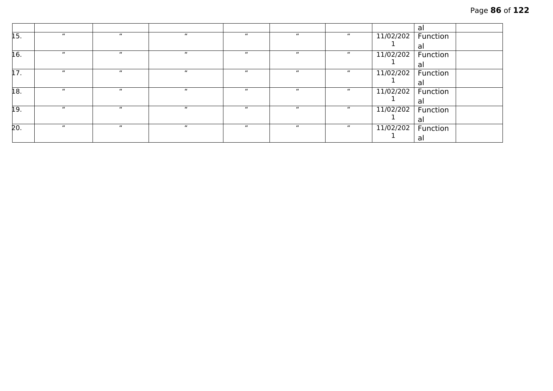|     |                |                |                  |                         |                |                  |           | al       |  |
|-----|----------------|----------------|------------------|-------------------------|----------------|------------------|-----------|----------|--|
| 15. | $\mathbf{u}$   | $\overline{u}$ | $\overline{u}$   | $^{\prime\prime}$       | $\overline{u}$ | $\overline{u}$   | 11/02/202 | Function |  |
|     |                |                |                  |                         |                |                  |           | al       |  |
| 16. | $\overline{u}$ | $\overline{u}$ | $\overline{u}$   | $\overline{\mathbf{u}}$ | $\overline{u}$ | $\overline{u}$   | 11/02/202 | Function |  |
|     |                |                |                  |                         |                |                  |           | al       |  |
| 17. | $\overline{u}$ | $\overline{u}$ | $\boldsymbol{u}$ | $\overline{\mathbf{u}}$ | $\overline{u}$ | $\overline{u}$   | 11/02/202 | Function |  |
|     |                |                |                  |                         |                |                  |           | al       |  |
| 18. | $\overline{u}$ | $\overline{u}$ | $\overline{u}$   | $\overline{u}$          | $\overline{u}$ | $\boldsymbol{u}$ | 11/02/202 | Function |  |
|     |                |                |                  |                         |                |                  |           | al       |  |
| 19. | $\overline{u}$ | $\overline{u}$ | $\overline{u}$   | $\overline{u}$          | $\overline{u}$ | $\overline{u}$   | 11/02/202 | Function |  |
|     |                |                |                  |                         |                |                  |           | al       |  |
| 20. | $\overline{u}$ | $\overline{u}$ | $\overline{u}$   | $\overline{u}$          | $\overline{u}$ | $\overline{u}$   | 11/02/202 | Function |  |
|     |                |                |                  |                         |                |                  |           | al       |  |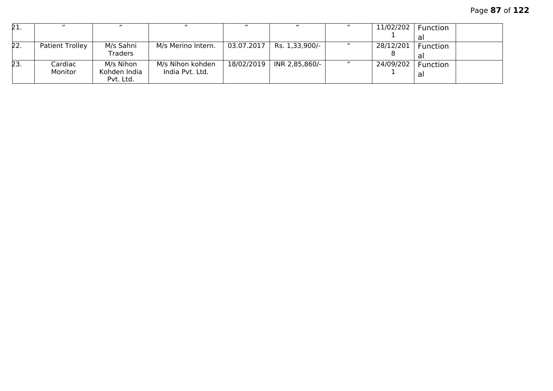| 21. | $\mathbf{u}$       | $\overline{u}$                         | $\mathbf{u}$                        | $\overline{u}$ | $\overline{u}$            | $\overline{u}$          | 11/02/202 | Function        |  |
|-----|--------------------|----------------------------------------|-------------------------------------|----------------|---------------------------|-------------------------|-----------|-----------------|--|
|     |                    |                                        |                                     |                |                           |                         |           | al              |  |
| 22. | Patient Trolley    | M/s Sahni<br>Traders                   | M/s Merino Intern.                  | 03.07.2017     | $^{\circ}$ Rs. 1,33,900/- | $\overline{\mathbf{u}}$ | 28/12/201 | <b>Function</b> |  |
| 23. | Cardiac<br>Monitor | M/s Nihon<br>Kohden India<br>Pvt. Ltd. | M/s Nihon kohden<br>India Pvt. Ltd. | 18/02/2019     | INR 2,85,860/-            | $\overline{\mathbf{u}}$ | 24/09/202 | Function<br>al  |  |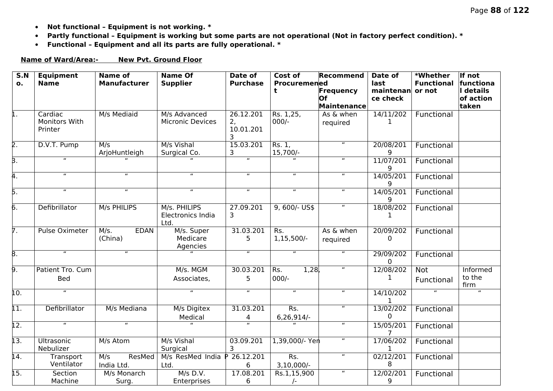- **Not functional Equipment is not working. \***
- **Partly functional Equipment is working but some parts are not operational (Not in factory perfect condition). \***
- **Functional Equipment and all its parts are fully operational. \***

# **Name of Ward/Area:- New Pvt. Ground Floor**

| S.N<br>$\mathbf{o}$ . | <b>Equipment</b><br><b>Name</b>     | <b>Name of</b><br><b>Manufacturer</b> | <b>Name Of</b><br><b>Supplier</b>                | Date of<br><b>Purchase</b>        | Cost of<br>Procuremened<br>t             | Recommend<br>Frequency<br><b>Of</b><br>Maintenance | Date of<br>last<br>maintenan<br>ce check | *Whether<br><b>Functional</b><br>or not | If not<br>functiona<br>I details<br>of action<br>taken |
|-----------------------|-------------------------------------|---------------------------------------|--------------------------------------------------|-----------------------------------|------------------------------------------|----------------------------------------------------|------------------------------------------|-----------------------------------------|--------------------------------------------------------|
| μ.                    | Cardiac<br>Monitors With<br>Printer | M/s Mediaid                           | M/s Advanced<br><b>Micronic Devices</b>          | 26.12.201<br>2,<br>10.01.201<br>3 | Rs. 1,25,<br>$000/-$                     | As & when<br>required                              | 14/11/202<br>1                           | Functional                              |                                                        |
| 2.                    | D.V.T. Pump                         | M/s<br>ArjoHuntleigh                  | M/s Vishal<br>Surgical Co.                       | 15.03.201<br>3                    | Rs. 1,<br>$15,700/-$                     | $\boldsymbol{u}$                                   | 20/08/201<br>9                           | Functional                              |                                                        |
| ₿.                    | $\overline{u}$                      |                                       |                                                  | $\overline{u}$                    |                                          | $\boldsymbol{u}$                                   | 11/07/201<br>9                           | Functional                              |                                                        |
| 4.                    | $\overline{u}$                      | $\overline{u}$                        | $\overline{u}$                                   | $\overline{u}$                    | $\overline{u}$                           | $\boldsymbol{u}$                                   | 14/05/201<br>9                           | Functional                              |                                                        |
| Б.                    | $\overline{u}$                      | $\overline{u}$                        | $\overline{u}$                                   | $\overline{u}$                    | $\overline{u}$                           | $\overline{u}$                                     | 14/05/201<br>9                           | Functional                              |                                                        |
| ნ.                    | Defibrillator                       | M/s PHILIPS                           | M/s. PHILIPS<br><b>Electronics India</b><br>Ltd. | 27.09.201<br>3                    | $9,600 - US$$                            | $\boldsymbol{u}$                                   | 18/08/202<br>1                           | Functional                              |                                                        |
| 7.                    | <b>Pulse Oximeter</b>               | M/s.<br><b>EDAN</b><br>(China)        | M/s. Super<br>Medicare<br>Agencies               | 31.03.201<br>5                    | Rs.<br>1,15,500/-                        | As & when<br>required                              | 20/09/202<br>$\pmb{0}$                   | Functional                              |                                                        |
| $\overline{8}$ .      | $\overline{u}$                      | $\overline{u}$                        |                                                  | $\overline{u}$                    | $\overline{u}$                           | $\overline{u}$                                     | 29/09/202<br>$\Omega$                    | Functional                              |                                                        |
| ₫.                    | Patient Tro. Cum<br><b>Bed</b>      |                                       | M/s. MGM<br>Associates,                          | 30.03.201<br>5                    | Rs.<br>1,28<br>$000/-$                   | $\boldsymbol{u}$                                   | 12/08/202<br>1                           | <b>Not</b><br>Functional                | Informed<br>to the<br>firm                             |
| 10.                   | $\overline{u}$                      |                                       | $\overline{u}$                                   | $\overline{u}$                    | $\overline{u}$                           | $\overline{u}$                                     | 14/10/202<br>1                           | $\overline{u}$                          | $\overline{u}$                                         |
| $\overline{11}$ .     | Defibrillator                       | M/s Mediana                           | M/s Digitex<br>Medical                           | 31.03.201<br>4                    | RS.<br>6,26,914/-                        | $\overline{u}$                                     | 13/02/202<br>$\Omega$                    | Functional                              |                                                        |
| $\overline{12}$ .     | $\overline{u}$                      | $\overline{u}$                        |                                                  | $\overline{u}$                    |                                          | $\boldsymbol{u}$                                   | 15/05/201<br>7                           | Functional                              |                                                        |
| $\overline{13}$ .     | <b>Ultrasonic</b><br>Nebulizer      | M/s Atom                              | M/s Vishal<br>Surgical                           | 03.09.201<br>3                    | 1,39,000/- Yen                           | $\overline{u}$                                     | 17/06/202<br>1                           | Functional                              |                                                        |
| $\mu$ 4.              | Transport<br>Ventilator             | M/s<br>ResMed<br>India Ltd.           | M/s ResMed India<br>Ltd.                         | 26.12.201<br>6                    | $\overline{\text{Rs}}$ .<br>$3,10,000/-$ | $\overline{u}$                                     | 02/12/201<br>8                           | Functional                              |                                                        |
| 15.                   | Section<br>Machine                  | M/s Monarch<br>Surg.                  | $M/s$ D.V.<br>Enterprises                        | 17.08.201<br>6                    | Rs.1,15,900<br>$\sqrt{-}$                | $\boldsymbol{u}$                                   | 12/02/201<br>9                           | Functional                              |                                                        |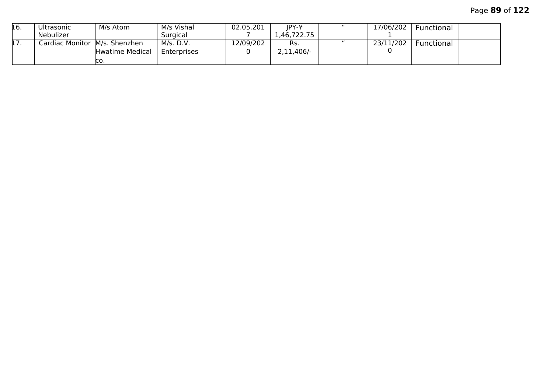| 16. | Ultrasonic                     | M/s Atom        | M/s Vishal  | 02.05.201 | IPY-¥         | 17/06/202 | Functional |  |
|-----|--------------------------------|-----------------|-------------|-----------|---------------|-----------|------------|--|
|     | Nebulizer                      |                 | Surgical    |           | 1,46,722.75   |           |            |  |
|     | Cardiac Monitor  M/s. Shenzhen |                 | M/s. D.V.   | 12/09/202 | Rs.           | 23/11/202 | Functional |  |
|     |                                | Hwatime Medical | Enterprises |           | $2,11,406$ /- |           |            |  |
|     |                                | ico.            |             |           |               |           |            |  |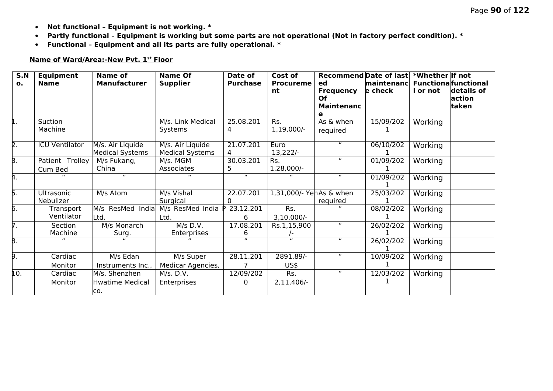- **Not functional Equipment is not working. \***
- **Partly functional Equipment is working but some parts are not operational (Not in factory perfect condition). \***
- **Functional Equipment and all its parts are fully operational. \***

### **Name of Ward/Area:-New Pvt. 1st Floor**

| S.N<br>$\mathbf{o}$ . | <b>Equipment</b><br><b>Name</b> | <b>Name of</b><br><b>Manufacturer</b>      | <b>Name Of</b><br><b>Supplier</b>          | Date of<br><b>Purchase</b> | Cost of<br><b>Procureme</b><br>nt | <b>Recommend Date of last</b><br>ed<br><b>Frequency</b><br><b>Of</b><br><b>Maintenanc</b> | maintenanc<br>e check | *Whether If not<br>I or not | <b>Functiona</b> functional<br>details of<br>action<br>taken |
|-----------------------|---------------------------------|--------------------------------------------|--------------------------------------------|----------------------------|-----------------------------------|-------------------------------------------------------------------------------------------|-----------------------|-----------------------------|--------------------------------------------------------------|
| Ī.                    | Suction                         |                                            | M/s. Link Medical                          | 25.08.201                  | Rs.                               | e<br>As & when                                                                            | 15/09/202             | Working                     |                                                              |
|                       | Machine                         |                                            | Systems                                    | 4                          | 1,19,000/-                        | required                                                                                  |                       |                             |                                                              |
| 2.                    | <b>ICU Ventilator</b>           | M/s. Air Liquide<br><b>Medical Systems</b> | M/s. Air Liquide<br><b>Medical Systems</b> | 21.07.201<br>4             | Euro<br>13,222/-                  | $\overline{u}$                                                                            | 06/10/202             | Working                     |                                                              |
| ₿.                    | Patient Trolley<br>Cum Bed      | M/s Fukang,<br>China                       | M/s. MGM<br>Associates                     | 30.03.201<br>5             | Rs.<br>1,28,000/-                 | $\overline{u}$                                                                            | 01/09/202             | Working                     |                                                              |
| 4.                    |                                 | $\overline{\boldsymbol{v}}$                |                                            | $\overline{u}$             |                                   | $\overline{u}$                                                                            | 01/09/202             | Working                     |                                                              |
| Б.                    | <b>Ultrasonic</b><br>Nebulizer  | M/s Atom                                   | M/s Vishal<br>Surgical                     | 22.07.201                  | 1,31,000/- YehAs & when           | required                                                                                  | 25/03/202             | Working                     |                                                              |
| б.                    | Transport<br>Ventilator         | M/s ResMed India<br>Ltd.                   | M/s ResMed India<br>Ltd.                   | 23.12.201<br>6             | Rs.<br>$3,10,000/-$               |                                                                                           | 08/02/202             | Working                     |                                                              |
| 7.                    | Section<br>Machine              | M/s Monarch<br>Surg.                       | $M/s$ D.V.<br>Enterprises                  | 17.08.201<br>6             | Rs.1,15,900                       | $\overline{u}$                                                                            | 26/02/202             | Working                     |                                                              |
| 8.                    |                                 |                                            |                                            | $\overline{u}$             | $\overline{u}$                    | $\overline{u}$                                                                            | 26/02/202             | Working                     |                                                              |
| 9.                    | Cardiac<br>Monitor              | M/s Edan<br>Instruments Inc.,              | M/s Super<br>Medicar Agencies,             | 28.11.201                  | 2891.89/-<br>US\$                 | $\overline{u}$                                                                            | 10/09/202             | Working                     |                                                              |
| 10.                   | Cardiac                         | M/s. Shenzhen                              | M/s. D.V.                                  | 12/09/202                  | RS.                               | $\overline{u}$                                                                            | 12/03/202             | Working                     |                                                              |
|                       | Monitor                         | Hwatime Medical<br>co.                     | Enterprises                                | 0                          | 2,11,406/-                        |                                                                                           |                       |                             |                                                              |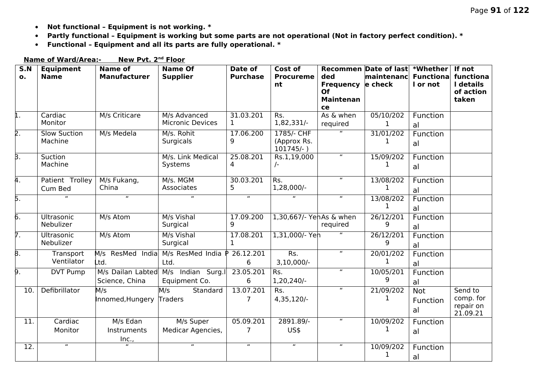- **Not functional Equipment is not working. \***
- **Partly functional Equipment is working but some parts are not operational (Not in factory perfect condition). \***
- **Functional Equipment and all its parts are fully operational. \***

| S.N<br>о. | <b>Equipment</b><br><b>Name</b> | <b>Name of</b><br><b>Manufacturer</b> | <b>Name Of</b><br><b>Supplier</b>                    | Date of<br><b>Purchase</b>   | Cost of<br><b>Procureme</b><br>nt         | ded<br>Frequency e check<br>Of<br><b>Maintenan</b><br>ce | <b>Recommen Date of last</b><br>maintenanc | *Whether<br><b>Functiona</b><br>I or not | If not<br>functiona<br>I details<br>of action<br>taken |
|-----------|---------------------------------|---------------------------------------|------------------------------------------------------|------------------------------|-------------------------------------------|----------------------------------------------------------|--------------------------------------------|------------------------------------------|--------------------------------------------------------|
| 1.        | Cardiac<br>Monitor              | M/s Criticare                         | M/s Advanced<br><b>Micronic Devices</b>              | 31.03.201<br>$\mathbf 1$     | Rs.<br>1,82,331/-                         | As & when<br>required                                    | 05/10/202<br>$\mathbf{1}$                  | Function<br>al                           |                                                        |
| 2.        | <b>Slow Suction</b><br>Machine  | M/s Medela                            | M/s. Rohit<br>Surgicals                              | 17.06.200<br>9               | 1785/- CHF<br>(Approx Rs.<br>$101745/-$ ) |                                                          | 31/01/202<br>1                             | Function<br>al                           |                                                        |
| Β.        | Suction<br>Machine              |                                       | M/s. Link Medical<br>Systems                         | 25.08.201<br>4               | Rs.1,19,000<br>$\frac{1}{2}$              | $\overline{u}$                                           | 15/09/202<br>1                             | Function<br>al                           |                                                        |
| 4.        | Patient Trolley<br>Cum Bed      | M/s Fukang,<br>China                  | M/s. MGM<br>Associates                               | 30.03.201<br>5               | Rs.<br>1,28,000/-                         | $\boldsymbol{u}$                                         | 13/08/202<br>1                             | Function<br>al                           |                                                        |
| Б.        | $\overline{u}$                  | $\overline{u}$                        | $\overline{u}$                                       | $\overline{u}$               | $\overline{u}$                            | $\overline{u}$                                           | 13/08/202<br>1                             | Function<br>al                           |                                                        |
| б.        | Ultrasonic<br>Nebulizer         | M/s Atom                              | M/s Vishal<br>Surgical                               | 17.09.200<br>9               | 1,30,667/- YenAs & when                   | required                                                 | 26/12/201<br>9                             | Function<br>al                           |                                                        |
| 7.        | Ultrasonic<br>Nebulizer         | M/s Atom                              | M/s Vishal<br>Surgical                               | 17.08.201<br>1               | 1,31,000/- Yeh                            |                                                          | 26/12/201<br>9                             | Function<br>al                           |                                                        |
| 8.        | Transport<br>Ventilator         | M/s ResMed India<br>Ĺtd.              | $M/s$ ResMed India $\dot{P}$<br>Ltd.                 | 26.12.201<br>$6\phantom{1}6$ | $\overline{\text{Rs.}}$<br>$3,10,000/-$   | $\overline{u}$                                           | 20/01/202<br>$\mathbf{1}$                  | Function<br>al                           |                                                        |
| 9.        | <b>DVT Pump</b>                 | Science, China                        | M/s Dailan Labted M/s Indian Surg.l<br>Equipment Co. | 23.05.201<br>6               | Rs.<br>1,20,240/-                         | $\overline{u}$                                           | 10/05/201<br>9                             | Function<br>al                           |                                                        |
| 10.       | Defibrillator                   | M/s<br>Innomed, Hungery               | M/s<br>Standard<br>Traders                           | 13.07.201<br>7               | Rs.<br>4,35,120/-                         | $\boldsymbol{u}$                                         | 21/09/202<br>1                             | Not<br>Function<br>al                    | Send to<br>comp. for<br>repair on<br>21.09.21          |
| 11.       | Cardiac<br>Monitor              | M/s Edan<br>Instruments<br>Inc.,      | M/s Super<br>Medicar Agencies,                       | 05.09.201<br>7               | 2891.89/-<br>US\$                         | $\overline{u}$                                           | 10/09/202<br>$\mathbf{1}$                  | Function<br>al                           |                                                        |
| 12.       | $\overline{u}$                  | $\overline{u}$                        | $\overline{u}$                                       | $\overline{u}$               | $\overline{u}$                            | $\overline{u}$                                           | 10/09/202<br>$\mathbf{1}$                  | Function<br>al                           |                                                        |

#### **Name of Ward/Area:-New Pvt. 2<sup>nd</sup> Floor**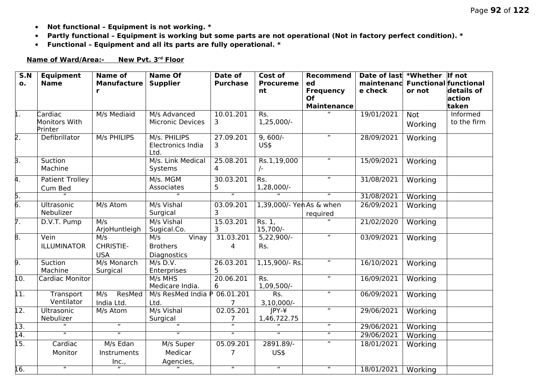- **Not functional Equipment is not working. \***
- **Partly functional Equipment is working but some parts are not operational (Not in factory perfect condition). \***
- **Functional Equipment and all its parts are fully operational. \***

### **Name of Ward/Area:- New Pvt. 3rd Floor**

| S.N<br>$\mathbf{o}$ . | <b>Equipment</b><br><b>Name</b>     | <b>Name of</b><br><b>Manufacture</b><br>r | <b>Name Of</b><br><b>Supplier</b>              | Date of<br><b>Purchase</b> | Cost of<br><b>Procureme</b><br>nt        | <b>Recommend</b><br>ed<br><b>Frequency</b><br>Of<br><b>Maintenance</b> | Date of last *Whether If not<br>maintenanc Functional functional<br>e check | or not                | details of<br>action<br>taken |
|-----------------------|-------------------------------------|-------------------------------------------|------------------------------------------------|----------------------------|------------------------------------------|------------------------------------------------------------------------|-----------------------------------------------------------------------------|-----------------------|-------------------------------|
| 1.                    | Cardiac<br>Monitors With<br>Printer | M/s Mediaid                               | M/s Advanced<br><b>Micronic Devices</b>        | 10.01.201<br>3             | Rs.<br>1,25,000/-                        | $\overline{u}$                                                         | 19/01/2021                                                                  | <b>Not</b><br>Working | Informed<br>to the firm       |
| 2.                    | Defibrillator                       | <b>M/s PHILIPS</b>                        | M/s. PHILIPS<br>Electronics India<br>Ltd.      | 27.09.201<br>3             | $9,600/-$<br>US\$                        | $\overline{u}$                                                         | 28/09/2021                                                                  | Working               |                               |
| 3.                    | <b>Suction</b><br>Machine           |                                           | M/s. Link Medical<br>Systems                   | 25.08.201<br>4             | Rs.1,19,000<br>$\frac{1}{2}$             | $\boldsymbol{u}$                                                       | 15/09/2021                                                                  | Working               |                               |
| 4.                    | <b>Patient Trolley</b><br>Cum Bed   |                                           | M/s. MGM<br>Associates                         | 30.03.201<br>5             | Rs.<br>1,28,000/-                        | $\overline{u}$                                                         | 31/08/2021                                                                  | Working               |                               |
| $\frac{5}{6}$         |                                     |                                           | $\overline{u}$                                 | $\overline{u}$             | $\overline{u}$                           | $\overline{u}$                                                         | 31/08/2021                                                                  | Working               |                               |
|                       | <b>Ultrasonic</b><br>Nebulizer      | M/s Atom                                  | M/s Vishal<br>Surgical                         | 03.09.201<br>3             | 1,39,000/- Yen As & when                 | required                                                               | 26/09/2021                                                                  | Working               |                               |
| 7.                    | D.V.T. Pump                         | M/s<br>ArjoHuntleigh                      | M/s Vishal<br>Sugical.Co.                      | 15.03.201<br>3             | Rs. 1,<br>15,700/-                       |                                                                        | 21/02/2020                                                                  | Working               |                               |
| 8.                    | Vein<br><b>ILLUMINATOR</b>          | M/s<br><b>CHRISTIE-</b><br><b>USA</b>     | Vinay<br>M/s<br><b>Brothers</b><br>Diagnostics | 31.03.201<br>4             | $5,22,900/-$<br>Rs.                      | $\overline{u}$                                                         | 03/09/2021                                                                  | Working               |                               |
| 9.                    | <b>Suction</b><br>Machine           | M/s Monarch<br>Surgical                   | $M/s$ D.V.<br>Enterprises                      | 26.03.201<br>5             | 1,15,900/- Rs.                           | $\overline{u}$                                                         | 16/10/2021                                                                  | Working               |                               |
| 10.                   | <b>Cardiac Monitor</b>              |                                           | M/s MHS<br>Medicare India.                     | 20.06.201<br>6             | Rs.<br>1,09,500/-                        | $\overline{u}$                                                         | 16/09/2021                                                                  | Working               |                               |
| $\overline{11}$ .     | Transport<br>Ventilator             | M/s<br>ResMed<br>India Ltd.               | M/s ResMed India P<br>Ltd.                     | 06.01.201<br>7             | $\overline{\text{Rs}}$ .<br>$3,10,000/-$ | $\overline{u}$                                                         | 06/09/2021                                                                  | Working               |                               |
| $\overline{12}$ .     | Ultrasonic<br>Nebulizer             | M/s Atom                                  | M/s Vishal<br>Surgical                         | 02.05.201<br>7             | $IPY-$<br>1,46,722.75                    | $\overline{u}$                                                         | 29/06/2021                                                                  | Working               |                               |
|                       | $\overline{u}$                      | $\overline{u}$                            | $\overline{u}$                                 | $\overline{u}$             | $\overline{u}$                           | $\overline{u}$                                                         | 29/06/2021                                                                  | Working               |                               |
| $\frac{13}{14}$       | $\overline{u}$                      | $\overline{u}$                            | $\overline{u}$                                 | $\overline{u}$             | $\overline{u}$                           | $\overline{u}$                                                         | 29/06/2021                                                                  | Working               |                               |
| $\overline{15}$ .     | Cardiac                             | M/s Edan                                  | M/s Super                                      | 05.09.201                  | 2891.89/-                                | $\overline{u}$                                                         | 18/01/2021                                                                  | Working               |                               |
|                       | Monitor                             | Instruments<br>Inc.,                      | Medicar<br>Agencies,                           | $\overline{7}$             | US\$                                     |                                                                        |                                                                             |                       |                               |
| $\overline{16}$ .     | $\overline{u}$                      | $\overline{u}$                            |                                                | $\overline{u}$             | $\overline{u}$                           | $\boldsymbol{u}$                                                       | 18/01/2021                                                                  | Working               |                               |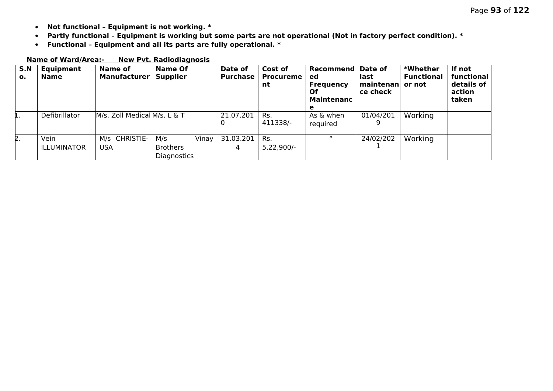- **Not functional Equipment is not working. \***
- **Partly functional Equipment is working but some parts are not operational (Not in factory perfect condition). \***
- **Functional Equipment and all its parts are fully operational. \***

| <b>Name of Ward/Area:-</b> | <b>New Pvt. Radiodiagnosis</b> |
|----------------------------|--------------------------------|
|                            |                                |

| S.N<br>о. | <b>Equipment</b><br><b>Name</b> | Name of<br><b>Manufacturer</b> | Name Of<br><b>Supplier</b>                   |       | Date of<br><b>Purchase</b> | Cost of<br><b>Procureme</b><br>nt | <b>Recommend</b><br>ed<br><b>Frequency</b><br>Οf<br><b>Maintenanc</b><br>е | Date of<br>last<br>maintenan<br>ce check | *Whether<br><b>Functional</b><br>or not | If not<br>functional<br>details of<br>action<br>taken |
|-----------|---------------------------------|--------------------------------|----------------------------------------------|-------|----------------------------|-----------------------------------|----------------------------------------------------------------------------|------------------------------------------|-----------------------------------------|-------------------------------------------------------|
| μ.        | <b>Defibrillator</b>            | M/s. Zoll Medical M/s. L & T   |                                              |       | 21.07.201                  | Rs.<br>411338/-                   | As & when<br>required                                                      | 01/04/201                                | Working                                 |                                                       |
| 2.        | Vein<br><b>ILLUMINATOR</b>      | M/s CHRISTIE-<br>USA           | M/s<br><b>Brothers</b><br><b>Diagnostics</b> | Vinay | 31.03.201<br>4             | Rs.<br>$5,22,900/-$               | $^{\prime\prime}$                                                          | 24/02/202                                | Working                                 |                                                       |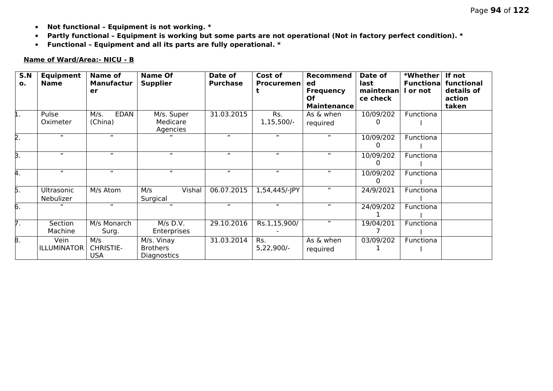- **Not functional Equipment is not working. \***
- **Partly functional Equipment is working but some parts are not operational (Not in factory perfect condition). \***
- **Functional Equipment and all its parts are fully operational. \***

## **Name of Ward/Area:- NICU - B**

| S.N<br>о. | <b>Equipment</b><br><b>Name</b> | <b>Name of</b><br><b>Manufactur</b><br>er | <b>Name Of</b><br><b>Supplier</b>                   | Date of<br><b>Purchase</b> | Cost of<br><b>Procuremen</b> | Recommend<br>ed<br><b>Frequency</b><br><b>Of</b> | Date of<br>last<br>maintenan<br>ce check | *Whether<br>Functional<br>I or not | If not<br>functional<br>details of<br>action |
|-----------|---------------------------------|-------------------------------------------|-----------------------------------------------------|----------------------------|------------------------------|--------------------------------------------------|------------------------------------------|------------------------------------|----------------------------------------------|
| Ш.        | Pulse                           | <b>EDAN</b><br>M/s.                       | M/s. Super                                          | 31.03.2015                 | Rs.                          | <b>Maintenance</b><br>As & when                  | 10/09/202                                | Functiona                          | taken                                        |
|           | Oximeter                        | (China)                                   | Medicare<br>Agencies                                |                            | 1,15,500/-                   | required                                         |                                          |                                    |                                              |
| Þ.        | $\overline{u}$                  | $\overline{u}$                            |                                                     | $\overline{u}$             | $\boldsymbol{u}$             | $\overline{u}$                                   | 10/09/202                                | Functiona                          |                                              |
| В.        | $\boldsymbol{u}$                | $\overline{u}$                            | $\overline{u}$                                      | $\boldsymbol{u}$           | $\overline{u}$               | $\overline{u}$                                   | 10/09/202                                | Functiona                          |                                              |
| 4.        | $\overline{u}$                  | $\overline{u}$                            | $\overline{u}$                                      | $\overline{u}$             | $\overline{u}$               | $\boldsymbol{u}$                                 | 10/09/202                                | Functiona                          |                                              |
| Б.        | <b>Ultrasonic</b><br>Nebulizer  | M/s Atom                                  | Vishal<br>M/s<br>Surgical                           | 06.07.2015                 | 1,54,445/-JPY                | $\overline{u}$                                   | 24/9/2021                                | Functiona                          |                                              |
| 6.        | $\overline{u}$                  | $\overline{u}$                            | $\mathbf{u}$                                        | $\overline{u}$             | $\overline{u}$               | $\overline{u}$                                   | 24/09/202                                | Functiona                          |                                              |
| 7.        | Section<br>Machine              | M/s Monarch<br>Surg.                      | $M/s$ D.V.<br>Enterprises                           | 29.10.2016                 | Rs.1,15,900/                 | $\overline{u}$                                   | 19/04/201                                | Functiona                          |                                              |
| 8.        | Vein<br><b>ILLUMINATOR</b>      | M/s<br><b>CHRISTIE-</b><br><b>USA</b>     | M/s. Vinay<br><b>Brothers</b><br><b>Diagnostics</b> | 31.03.2014                 | Rs.<br>$5,22,900/-$          | As & when<br>required                            | 03/09/202                                | Functiona                          |                                              |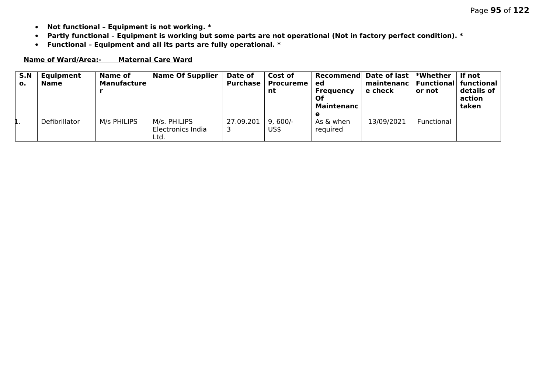- **Not functional Equipment is not working. \***
- **Partly functional Equipment is working but some parts are not operational (Not in factory perfect condition). \***
- **Functional Equipment and all its parts are fully operational. \***

# **Name of Ward/Area:- Maternal Care Ward**

| S.N<br>о. | Equipment<br><b>Name</b> | Name of<br><b>Manufacture</b> | <b>Name Of Supplier</b>                   | Date of<br><b>Purchase</b> | Cost of<br><b>Procureme</b><br>nt | ed<br>Frequency<br>Οf<br><b>Maintenanc</b><br>e | Recommend Date of last<br>maintenanc  <br>e check | *Whether<br>Functional<br>or not | If not<br>functional<br>details of<br>action<br>taken |
|-----------|--------------------------|-------------------------------|-------------------------------------------|----------------------------|-----------------------------------|-------------------------------------------------|---------------------------------------------------|----------------------------------|-------------------------------------------------------|
|           | <b>Defibrillator</b>     | <b>M/s PHILIPS</b>            | M/s. PHILIPS<br>Electronics India<br>Ltd. | 27.09.201                  | $9,600/-$<br>US\$                 | As & when<br>required                           | 13/09/2021                                        | Functional                       |                                                       |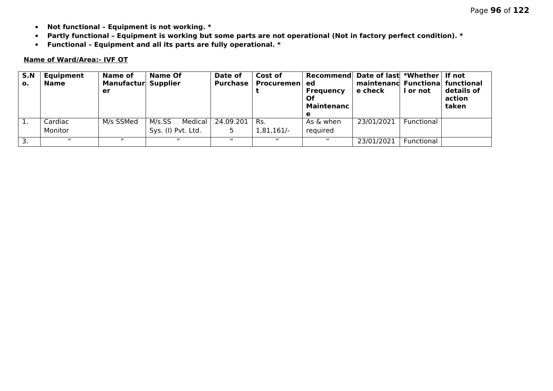- **Not functional Equipment is not working. \***
- **Partly functional Equipment is working but some parts are not operational (Not in factory perfect condition). \***
- **Functional Equipment and all its parts are fully operational. \***

### **Name of Ward/Area:- IVF OT**

| S.N<br>о. | <b>Equipment</b><br><b>Name</b> | Name of<br><b>Manufactur</b><br>er | <b>Name Of</b><br><b>Supplier</b> | Date of<br>Purchase | Cost of<br><b>Procuremen</b> | Recommend Date of last *Whether If not<br>ed<br><b>Frequency</b><br>0f<br><b>Maintenanc</b><br>e | maintenanc Functiona functional<br>e check | l or not   | details of<br>action<br>taken |
|-----------|---------------------------------|------------------------------------|-----------------------------------|---------------------|------------------------------|--------------------------------------------------------------------------------------------------|--------------------------------------------|------------|-------------------------------|
|           | Cardiac                         | M/s SSMed                          | M/s.SS<br>Medical                 | 24.09.201           | Rs.                          | As & when                                                                                        | 23/01/2021                                 | Functional |                               |
|           | Monitor                         |                                    | Sys. (I) Pvt. Ltd.                |                     | 1,81,161/-                   | required                                                                                         |                                            |            |                               |
| .כ        | $\overline{\mathbf{u}}$         | $^{\prime\prime}$                  | $\overline{\mathbf{u}}$           | $\overline{u}$      | $\overline{u}$               |                                                                                                  | 23/01/2021                                 | Functional |                               |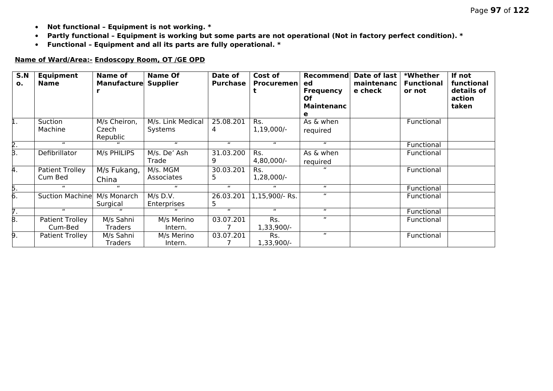- **Not functional Equipment is not working. \***
- **Partly functional Equipment is working but some parts are not operational (Not in factory perfect condition). \***
- **Functional Equipment and all its parts are fully operational. \***

# **Name of Ward/Area:- Endoscopy Room, OT /GE OPD**

| S.N<br>о.   | <b>Equipment</b><br><b>Name</b>   | <b>Name of</b><br><b>Manufacture</b> | <b>Name Of</b><br><b>Supplier</b> | Date of<br><b>Purchase</b> | Cost of<br><b>Procuremen</b> | <b>Recommend</b><br>ed.<br><b>Frequency</b><br><b>Of</b><br><b>Maintenanc</b><br>е | Date of last<br>maintenanc<br>e check | *Whether<br><b>Functional</b><br>or not | If not<br>functional<br>details of<br>action<br>taken |
|-------------|-----------------------------------|--------------------------------------|-----------------------------------|----------------------------|------------------------------|------------------------------------------------------------------------------------|---------------------------------------|-----------------------------------------|-------------------------------------------------------|
| Ш.          | Suction<br>Machine                | M/s Cheiron,<br>Czech<br>Republic    | M/s. Link Medical<br>Systems      | 25.08.201<br>4             | Rs.<br>$1,19,000/-$          | As & when<br>required                                                              |                                       | Functional                              |                                                       |
| 2.          | $\overline{u}$                    | $\mathbf{u}$                         | $\overline{u}$                    | $\overline{u}$             | $\overline{u}$               | $\overline{u}$                                                                     |                                       | Functional                              |                                                       |
| ₹.          | Defibrillator                     | M/s PHILIPS                          | M/s. De' Ash<br>Trade             | 31.03.200<br>9             | Rs.<br>4,80,000/-            | As & when<br>required                                                              |                                       | Functional                              |                                                       |
| 4.          | <b>Patient Trolley</b><br>Cum Bed | M/s Fukang,<br>China                 | M/s. MGM<br>Associates            | 30.03.201<br>5             | Rs.<br>$1,28,000/-$          | $\mathbf{u}$                                                                       |                                       | Functional                              |                                                       |
| $rac{5}{6}$ | $\mathbf{u}$                      | $\overline{u}$                       | $\overline{u}$                    | $\overline{u}$             | $\overline{u}$               | $\overline{u}$                                                                     |                                       | Functional                              |                                                       |
|             | Suction Machine                   | M/s Monarch<br>Surgical              | $M/s$ D.V.<br><b>Enterprises</b>  | 26.03.201                  | 1,15,900/- Rs.               | $\mathbf{u}$                                                                       |                                       | Functional                              |                                                       |
| 7.          | $\overline{u}$                    | $\mathbf{u}$                         |                                   | $\overline{u}$             | $\overline{u}$               | $\boldsymbol{u}$                                                                   |                                       | Functional                              |                                                       |
| 8.          | Patient Trolley<br>Cum-Bed        | M/s Sahni<br><b>Traders</b>          | M/s Merino<br>Intern.             | 03.07.201                  | Rs.<br>1,33,900/-            | $\overline{u}$                                                                     |                                       | Functional                              |                                                       |
| 9.          | <b>Patient Trolley</b>            | M/s Sahni<br><b>Traders</b>          | M/s Merino<br>Intern.             | 03.07.201                  | Rs.<br>1,33,900/-            | $\overline{u}$                                                                     |                                       | Functional                              |                                                       |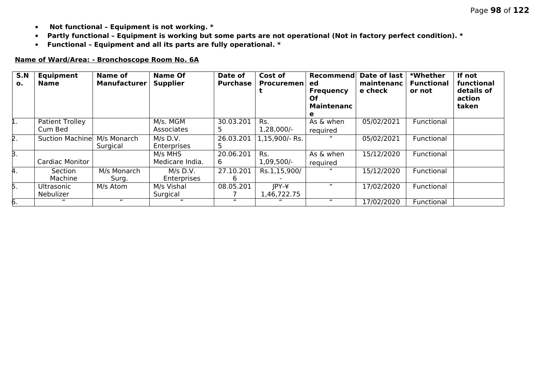- **Not functional Equipment is not working. \***
- **Partly functional Equipment is working but some parts are not operational (Not in factory perfect condition). \***
- **Functional Equipment and all its parts are fully operational. \***

# **Name of Ward/Area: - Bronchoscope Room No. 6A**

| S.N<br>О. | <b>Equipment</b><br><b>Name</b>   | Name of<br><b>Manufacturer</b> | <b>Name Of</b><br><b>Supplier</b> | Date of<br><b>Purchase</b> | Cost of<br><b>Procuremen</b> | <b>Recommend</b><br>ed<br><b>Frequency</b><br>0f<br><b>Maintenanc</b><br>е | Date of last<br>maintenanc<br>e check | *Whether<br><b>Functional</b><br>or not | If not<br>functional<br>details of<br>action<br>taken |
|-----------|-----------------------------------|--------------------------------|-----------------------------------|----------------------------|------------------------------|----------------------------------------------------------------------------|---------------------------------------|-----------------------------------------|-------------------------------------------------------|
| μ.        | <b>Patient Trolley</b><br>Cum Bed |                                | M/s. MGM<br>Associates            | 30.03.201                  | Rs.<br>1,28,000/-            | As & when                                                                  | 05/02/2021                            | Functional                              |                                                       |
|           |                                   |                                |                                   | כ                          |                              | required                                                                   |                                       |                                         |                                                       |
| 2.        | Suction Machine                   | M/s Monarch<br>Surgical        | $M/s$ D.V.<br>Enterprises         | 26.03.201                  | 1,15,900/- Rs.               | $\overline{u}$                                                             | 05/02/2021                            | Functional                              |                                                       |
| В.        | <b>Cardiac Monitor</b>            |                                | M/s MHS<br>Medicare India.        | 20.06.201<br>6             | Rs.<br>1,09,500/-            | As & when<br>required                                                      | 15/12/2020                            | Functional                              |                                                       |
| 4.        | Section<br>Machine                | M/s Monarch<br>Surg.           | $M/s$ D.V.<br>Enterprises         | 27.10.201<br>b.            | Rs.1,15,900/                 | $\overline{u}$                                                             | 15/12/2020                            | Functional                              |                                                       |
| 5.        | Ultrasonic<br>Nebulizer           | M/s Atom                       | M/s Vishal<br>Surgical            | 08.05.201                  | JPY-¥<br>1,46,722.75         | $\mathbf{u}$                                                               | 17/02/2020                            | Functional                              |                                                       |
| 6.        |                                   | $\overline{u}$                 |                                   | $\overline{\mathbf{u}}$    |                              | $\overline{u}$                                                             | 17/02/2020                            | Functional                              |                                                       |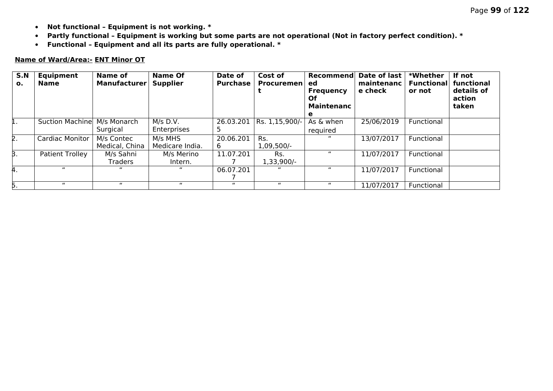- **Not functional Equipment is not working. \***
- **Partly functional Equipment is working but some parts are not operational (Not in factory perfect condition). \***
- **Functional Equipment and all its parts are fully operational. \***

# **Name of Ward/Area:- ENT Minor OT**

| S.N<br>о. | <b>Equipment</b><br><b>Name</b> | Name of<br><b>Manufacturer</b> | Name Of<br><b>Supplier</b> | Date of<br><b>Purchase</b> | Cost of<br><b>Procuremen</b> | Recommend<br>ed<br><b>Frequency</b><br>Οf<br><b>Maintenanc</b> | Date of last<br>maintenanc<br>e check | *Whether<br><b>Functional</b><br>or not | If not<br>functional<br>details of<br>action<br>taken |
|-----------|---------------------------------|--------------------------------|----------------------------|----------------------------|------------------------------|----------------------------------------------------------------|---------------------------------------|-----------------------------------------|-------------------------------------------------------|
|           | Suction Machine                 | M/s Monarch<br>Surgical        | $M/s$ D.V.<br>Enterprises  | 26.03.201                  | Rs. 1,15,900/-               | As & when<br>required                                          | 25/06/2019                            | Functional                              |                                                       |
| 2.        | Cardiac Monitor                 | M/s Contec<br>Medical, China   | M/s MHS<br>Medicare India. | 20.06.201<br>6             | Rs.<br>$1,09,500/-$          |                                                                | 13/07/2017                            | Functional                              |                                                       |
| Β.        | Patient Trolley                 | M/s Sahni<br><b>Traders</b>    | M/s Merino<br>Intern.      | 11.07.201                  | Rs.<br>$1,33,900/-$          | $\overline{u}$                                                 | 11/07/2017                            | Functional                              |                                                       |
| 4.        | $\overline{u}$                  | $\overline{\mathbf{u}}$        | $\overline{u}$             | 06.07.201                  | $\overline{u}$               | $\overline{u}$                                                 | 11/07/2017                            | Functional                              |                                                       |
| 5.        | $\overline{u}$                  | $\overline{u}$                 | $\overline{u}$             | $\overline{u}$             | $\overline{u}$               | $\overline{\mathbf{u}}$                                        | 11/07/2017                            | Functional                              |                                                       |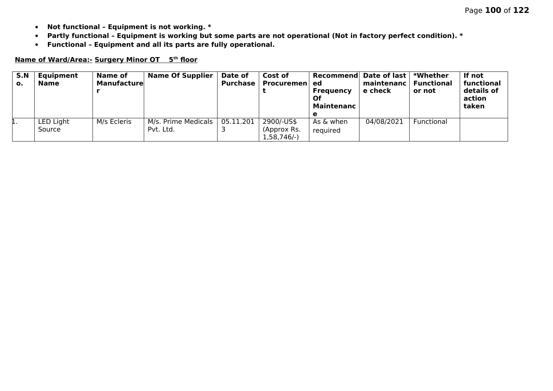- **Not functional Equipment is not working. \***
- **Partly functional Equipment is working but some parts are not operational (Not in factory perfect condition). \***
- **Functional Equipment and all its parts are fully operational.**

#### **Name of Ward/Area:- Surgery Minor OT 5th floor**

| S.N<br>о. | <b>Equipment</b><br><b>Name</b> | Name of<br><b>Manufacture</b> | <b>Name Of Supplier</b>          | Date of<br><b>Purchase</b> | Cost of<br>Procuremen ed                  | <b>Frequency</b><br><b>Of</b><br><b>Maintenanc</b><br>е | Recommend Date of last<br>maintenanc  <br>e check | $*$ Whether<br><b>Functional</b><br>or not | If not<br>functional<br>details of<br>action<br>taken |
|-----------|---------------------------------|-------------------------------|----------------------------------|----------------------------|-------------------------------------------|---------------------------------------------------------|---------------------------------------------------|--------------------------------------------|-------------------------------------------------------|
|           | LED Light<br>Source             | M/s Ecleris                   | M/s. Prime Medicals<br>Pvt. Ltd. | 05.11.201                  | 2900/-US\$<br>(Approx Rs.<br>$1,58,746/-$ | As & when<br>reguired                                   | 04/08/2021                                        | Functional                                 |                                                       |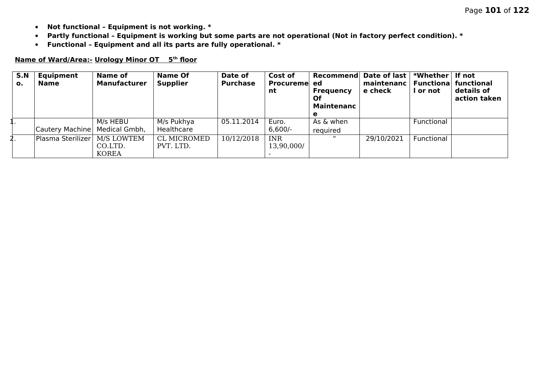- **Not functional Equipment is not working. \***
- **Partly functional Equipment is working but some parts are not operational (Not in factory perfect condition). \***
- **Functional Equipment and all its parts are fully operational. \***

#### **Name of Ward/Area:- Urology Minor OT 5th floor**

| S.N<br>о. | <b>Equipment</b><br><b>Name</b> | Name of<br><b>Manufacturer</b>        | <b>Name Of</b><br><b>Supplier</b> | Date of<br><b>Purchase</b> | Cost of<br>Procureme ed<br>nt | Recommend<br><b>Frequency</b><br>Of<br><b>Maintenanc</b><br>e | Date of last $ $<br>maintenanc<br>e check | $*$ Whether $\vert$ If not<br>I or not | <b>Functional functional</b><br>details of<br>action taken |
|-----------|---------------------------------|---------------------------------------|-----------------------------------|----------------------------|-------------------------------|---------------------------------------------------------------|-------------------------------------------|----------------------------------------|------------------------------------------------------------|
|           | Cautery Machine                 | M/s HEBU<br>Medical Gmbh,             | M/s Pukhya<br>Healthcare          | 05.11.2014                 | Euro.<br>$6,600/-$            | As & when<br>required                                         |                                           | Functional                             |                                                            |
| 2.        | Plasma Sterilizer               | M/S LOWTEM<br>CO.LTD.<br><b>KOREA</b> | <b>CL MICROMED</b><br>PVT. LTD.   | 10/12/2018                 | <b>INR</b><br>13,90,000/      | $\overline{u}$                                                | 29/10/2021                                | Functional                             |                                                            |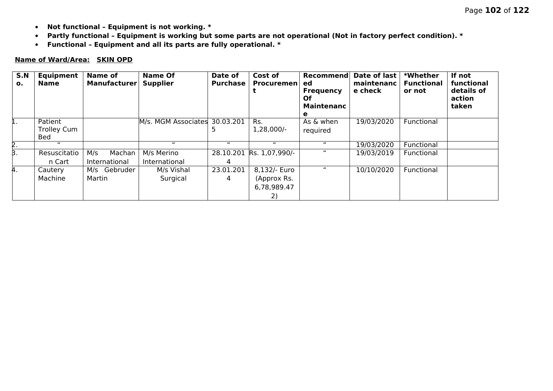- **Not functional Equipment is not working. \***
- **Partly functional Equipment is working but some parts are not operational (Not in factory perfect condition). \***
- **Functional Equipment and all its parts are fully operational. \***

# **Name of Ward/Area: SKIN OPD**

| S.N<br>о. | <b>Equipment</b><br>Name             | <b>Name of</b><br><b>Manufacturer</b> | <b>Name Of</b><br><b>Supplier</b> | Date of<br><b>Purchase</b> | Cost of<br><b>Procuremen</b>                        | <b>Recommend</b><br>ed<br><b>Frequency</b><br>Of.<br><b>Maintenanc</b><br>е | Date of last<br>maintenanc<br>e check | *Whether<br><b>Functional</b><br>or not | If not<br>functional<br>details of<br>action<br>taken |
|-----------|--------------------------------------|---------------------------------------|-----------------------------------|----------------------------|-----------------------------------------------------|-----------------------------------------------------------------------------|---------------------------------------|-----------------------------------------|-------------------------------------------------------|
| Ш.        | Patient<br><b>Trolley Cum</b><br>Bed |                                       | M/s. MGM Associates 30.03.201     |                            | Rs.<br>1,28,000/-                                   | As & when<br>required                                                       | 19/03/2020                            | Functional                              |                                                       |
| P.        | $\overline{u}$                       |                                       | $\overline{u}$                    | $\overline{u}$             | $\overline{u}$                                      | $\overline{u}$                                                              | 19/03/2020                            | Functional                              |                                                       |
| Β.        | Resuscitatio<br>n Cart               | M/s<br>Machan<br>International        | M/s Merino<br>International       | 28.10.201<br>4             | Rs. 1,07,990/-                                      | $\overline{\mathbf{u}}$                                                     | 19/03/2019                            | Functional                              |                                                       |
| 4.        | Cautery<br>Machine                   | M/s Gebruder<br>Martin                | M/s Vishal<br>Surgical            | 23.01.201<br>4             | $8,132/$ - Euro<br>(Approx Rs.<br>6,78,989.47<br>2) | $\overline{u}$                                                              | 10/10/2020                            | Functional                              |                                                       |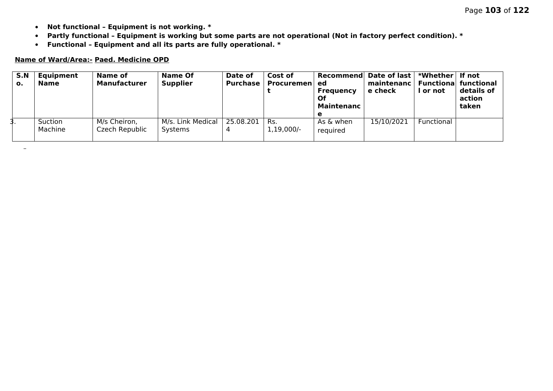- **Not functional Equipment is not working. \***
- **Partly functional Equipment is working but some parts are not operational (Not in factory perfect condition). \***
- **Functional Equipment and all its parts are fully operational. \***

# **Name of Ward/Area:- Paed. Medicine OPD**

 $\rightarrow$ 

| S.N<br>о. | Eauipment<br><b>Name</b> | Name of<br><b>Manufacturer</b> | Name Of<br><b>Supplier</b>   | Date of<br><b>Purchase</b> | Cost of<br><b>Procuremen</b> | Recommendl<br>ed<br><b>Frequency</b><br>Οf<br><b>Maintenanc</b><br>е | Date of last $\vert$ *Whether $\vert$ If not<br>maintenanc  <br>e check | or not     | <b>Functiona</b> functional<br>details of<br>action<br>taken |
|-----------|--------------------------|--------------------------------|------------------------------|----------------------------|------------------------------|----------------------------------------------------------------------|-------------------------------------------------------------------------|------------|--------------------------------------------------------------|
|           | Suction<br>Machine       | M/s Cheiron,<br>Czech Republic | M/s. Link Medical<br>Systems | 25.08.201                  | Rs.<br>1,19,000/-            | As & when<br>required                                                | 15/10/2021                                                              | Functional |                                                              |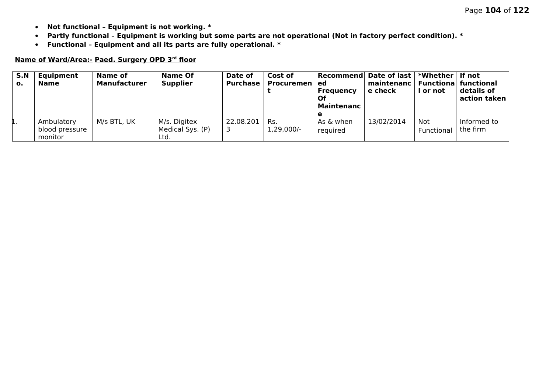- **Not functional Equipment is not working. \***
- **Partly functional Equipment is working but some parts are not operational (Not in factory perfect condition). \***
- **Functional Equipment and all its parts are fully operational. \***

 **Name of Ward/Area:- Paed. Surgery OPD 3rd floor**

| S.N<br>о. | <b>Equipment</b><br><b>Name</b>         | Name of<br><b>Manufacturer</b> | Name Of<br><b>Supplier</b>               | Date of<br><b>Purchase</b> | Cost of<br>Procuremen  ed | <b>Frequency</b><br>Of<br>Maintenanc '<br>е | Recommend Date of last   *Whether   If not<br>maintenanc<br>e check | or not            | <b>Functional functional</b><br>details of<br>action taken |
|-----------|-----------------------------------------|--------------------------------|------------------------------------------|----------------------------|---------------------------|---------------------------------------------|---------------------------------------------------------------------|-------------------|------------------------------------------------------------|
| ш.        | Ambulatory<br>blood pressure<br>monitor | M/s BTL, UK                    | M/s. Digitex<br>Medical Sys. (P)<br>Ltd. | 22.08.201                  | Rs.<br>$1,29,000/-$       | As & when<br>required                       | 13/02/2014                                                          | Not<br>Functional | Informed to<br>the firm                                    |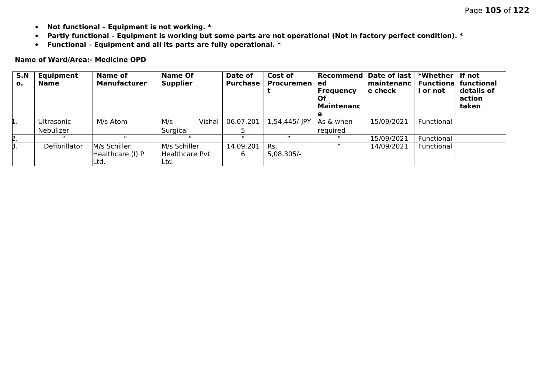- **Not functional Equipment is not working. \***
- **Partly functional Equipment is working but some parts are not operational (Not in factory perfect condition). \***
- **Functional Equipment and all its parts are fully operational. \***

# **Name of Ward/Area:- Medicine OPD**

| S.N<br>о. | <b>Equipment</b><br>Name | Name of<br><b>Manufacturer</b> | Name Of<br><b>Supplier</b> | Date of<br><b>Purchase</b> | Cost of<br><b>Procuremen</b> | ed<br><b>Frequency</b><br>Of<br><b>Maintenanc</b><br>е | <b>Recommend Date of last</b><br>maintenanc  <br>e check | *Whether<br>or not | If not<br><b>Functional functional</b><br>details of<br>action<br>taken |
|-----------|--------------------------|--------------------------------|----------------------------|----------------------------|------------------------------|--------------------------------------------------------|----------------------------------------------------------|--------------------|-------------------------------------------------------------------------|
|           | Ultrasonic               | M/s Atom                       | Vishal<br>M/s              | 06.07.201                  | 1,54,445/-JPY                | As & when                                              | 15/09/2021                                               | Functional         |                                                                         |
|           | Nebulizer                |                                | Surgical                   |                            |                              | required                                               |                                                          |                    |                                                                         |
| 2.        | $\overline{\mathbf{u}}$  | $\overline{u}$                 | $\overline{u}$             | $\overline{u}$             | $\mathbf{u}$                 | $\overline{u}$                                         | 15/09/2021                                               | Functional         |                                                                         |
| Β.        | Defibrillator            | M/s Schiller                   | M/s Schiller               | 14.09.201                  | Rs.                          | $\overline{u}$                                         | 14/09/2021                                               | Functional         |                                                                         |
|           |                          | Healthcare (I) P               | Healthcare Pvt.            |                            | $5,08,305/-$                 |                                                        |                                                          |                    |                                                                         |
|           |                          | lLtd.                          | Ltd.                       |                            |                              |                                                        |                                                          |                    |                                                                         |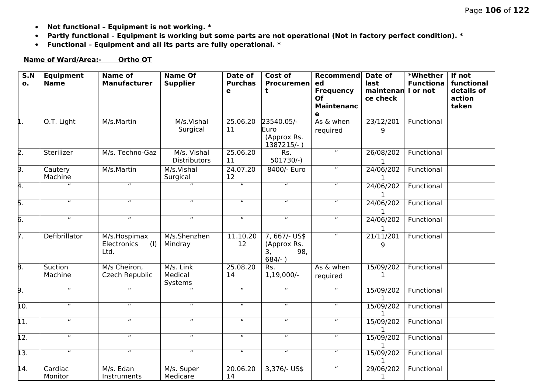- **Not functional Equipment is not working. \***
- **Partly functional Equipment is working but some parts are not operational (Not in factory perfect condition). \***
- **Functional Equipment and all its parts are fully operational. \***

# **Name of Ward/Area:- Ortho OT**

| S.N<br>$\mathbf{o}$ . | <b>Equipment</b><br><b>Name</b> | <b>Name of</b><br><b>Manufacturer</b>      | <b>Name Of</b><br><b>Supplier</b> | Date of<br><b>Purchas</b><br>е | Cost of<br><b>Procuremen</b><br>t                       | <b>Recommend</b><br>ed<br><b>Frequency</b><br>Of<br><b>Maintenanc</b><br>e | Date of<br>last<br>maintenan I or not<br>ce check | *Whether<br><b>Functiona</b> | If not<br>functional<br>details of<br>action<br>taken |
|-----------------------|---------------------------------|--------------------------------------------|-----------------------------------|--------------------------------|---------------------------------------------------------|----------------------------------------------------------------------------|---------------------------------------------------|------------------------------|-------------------------------------------------------|
| 1.                    | O.T. Light                      | M/s.Martin                                 | M/s.Vishal<br>Surgical            | 25.06.20<br>11                 | 23540.05/-<br>Euro<br>(Approx Rs.<br>1387215/-)         | As & when<br>required                                                      | 23/12/201<br>9                                    | Functional                   |                                                       |
| 2.                    | Sterilizer                      | M/s. Techno-Gaz                            | M/s. Vishal<br>Distributors       | 25.06.20<br>11                 | Rs.<br>$501730/-$                                       | $\overline{u}$                                                             | 26/08/202<br>1                                    | Functional                   |                                                       |
| 3.                    | Cautery<br>Machine              | M/s.Martin                                 | M/s.Vishal<br>Surgical            | 24.07.20<br>12                 | 8400/- Euro                                             | $\overline{u}$                                                             | 24/06/202<br>1                                    | Functional                   |                                                       |
| 4.                    | $\overline{u}$                  | $\mathbf{u}$                               | $\overline{u}$                    | $\overline{u}$                 | $\overline{u}$                                          | $\overline{u}$                                                             | 24/06/202<br>1                                    | Functional                   |                                                       |
| Б.                    | $\overline{u}$                  | $\overline{u}$                             | $\overline{u}$                    | $\overline{u}$                 | $\overline{u}$                                          | $\overline{u}$                                                             | 24/06/202<br>1                                    | Functional                   |                                                       |
| $\overline{6}$ .      | $\overline{u}$                  | $\overline{u}$                             | $\overline{u}$                    | $\overline{u}$                 | $\overline{u}$                                          | $\overline{u}$                                                             | 24/06/202<br>1                                    | Functional                   |                                                       |
| 7.                    | Defibrillator                   | M/s.Hospimax<br>Electronics<br>(1)<br>Ltd. | M/s.Shenzhen<br>Mindray           | 11.10.20<br>12                 | $7,667$ - US\$<br>(Approx Rs.<br>98,<br>3,<br>$684/-$ ) | $\overline{u}$                                                             | 21/11/201<br>9                                    | Functional                   |                                                       |
| 8.                    | Suction<br>Machine              | M/s Cheiron,<br>Czech Republic             | M/s. Link<br>Medical<br>Systems   | 25.08.20<br>14                 | Rs.<br>1,19,000/-                                       | $As \& when$<br>required                                                   | 15/09/202<br>1                                    | Functional                   |                                                       |
| 9.                    | $\overline{u}$                  | $\overline{u}$                             |                                   | $\overline{u}$                 | $\overline{u}$                                          | $\overline{u}$                                                             | 15/09/202<br>1                                    | Functional                   |                                                       |
| 10.                   | $\overline{u}$                  | $\overline{u}$                             | $\overline{u}$                    | $\overline{u}$                 | $\overline{u}$                                          | $\overline{u}$                                                             | 15/09/202                                         | Functional                   |                                                       |
| $\overline{11}$ .     | $\overline{u}$                  | $\overline{u}$                             | $\overline{u}$                    | $\overline{u}$                 | $\overline{u}$                                          | $\overline{u}$                                                             | 15/09/202                                         | Functional                   |                                                       |
| $\overline{12}$ .     | $\overline{u}$                  | $\overline{u}$                             | $\overline{u}$                    | $\overline{u}$                 | $\overline{u}$                                          | $\overline{u}$                                                             | 15/09/202<br>1                                    | Functional                   |                                                       |
| $\overline{13.}$      | $\overline{u}$                  | $\overline{u}$                             | $\overline{u}$                    | $\overline{u}$                 | $\overline{u}$                                          | $\overline{u}$                                                             | 15/09/202<br>1                                    | Functional                   |                                                       |
| 14.                   | Cardiac<br>Monitor              | M/s. Edan<br>Instruments                   | M/s. Super<br>Medicare            | 20.06.20<br>14                 | 3,376/- US\$                                            | $\boldsymbol{u}$                                                           | 29/06/202<br>$\mathbf{1}$                         | Functional                   |                                                       |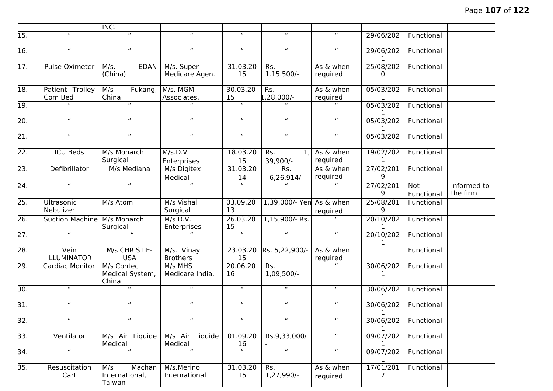|                  |                                | INC.                                      |                               |                            |                                 |                       |                           |                          |                         |
|------------------|--------------------------------|-------------------------------------------|-------------------------------|----------------------------|---------------------------------|-----------------------|---------------------------|--------------------------|-------------------------|
| 15.              | $\overline{u}$                 | $\overline{u}$                            | $\overline{u}$                | $\overline{u}$             | $\boldsymbol{u}$                | $\boldsymbol{u}$      | 29/06/202<br>1            | Functional               |                         |
| 16.              | $\overline{u}$                 | $\pmb{\mu}$                               | $\boldsymbol{u}$              | $\boldsymbol{u}$           | $\boldsymbol{u}$                | $\boldsymbol{u}$      | 29/06/202<br>1            | Functional               |                         |
| 17.              | <b>Pulse Oximeter</b>          | M/s.<br><b>EDAN</b><br>(China)            | M/s. Super<br>Medicare Agen.  | 31.03.20<br>15             | Rs.<br>$1.15.500/-$             | As & when<br>required | 25/08/202<br>$\mathbf{0}$ | Functional               |                         |
| 18.              | Patient Trolley<br>Com Bed     | M/s<br>Fukang,<br>China                   | M/s. MGM<br>Associates,       | 30.03.20<br>15             | Rs.<br>$1,28,000/-$             | As & when<br>required | 05/03/202<br>1            | Functional               |                         |
| 19.              |                                | $\overline{u}$                            |                               | $\overline{u}$             |                                 |                       | 05/03/202<br>1            | Functional               |                         |
| 20.              | $\overline{u}$                 | $\overline{u}$                            | $\overline{u}$                | $\overline{u}$             | $\overline{u}$                  | $\overline{u}$        | 05/03/202<br>1            | Functional               |                         |
| 21.              | $\overline{u}$                 | $\boldsymbol{u}$                          | $\boldsymbol{u}$              | $\boldsymbol{u}$           | $\boldsymbol{u}$                | $\boldsymbol{u}$      | 05/03/202<br>1            | Functional               |                         |
| 22.              | <b>ICU Beds</b>                | M/s Monarch<br>Surgical                   | M/s.D.V<br>Enterprises        | 18.03.20<br>15             | Rs.<br>$\mathbf{1}$<br>39,900/- | As & when<br>required | 19/02/202<br>1            | Functional               |                         |
| 23.              | Defibrillator                  | M/s Mediana                               | M/s Digitex<br>Medical        | 31.03.20<br>14             | Rs.<br>6,26,914/-               | As & when<br>required | 27/02/201<br>9            | Functional               |                         |
| 24.              | $\overline{u}$                 | $\overline{u}$                            | $\overline{u}$                | $\overline{u}$             |                                 | $\overline{u}$        | 27/02/201<br>9            | <b>Not</b><br>Functional | Informed to<br>the firm |
| 25.              | <b>Ultrasonic</b><br>Nebulizer | M/s Atom                                  | M/s Vishal<br>Surgical        | 03.09.20<br>13             | 1,39,000/- Yen                  | As & when<br>required | 25/08/201<br>9            | Functional               |                         |
| 26.              | <b>Suction Machine</b>         | M/s Monarch<br>Surgical                   | $M/s$ D.V.<br>Enterprises     | 26.03.20<br>15             | 1,15,900/- Rs.                  |                       | 20/10/202<br>1            | Functional               |                         |
| 27.              | $\overline{u}$                 | $\overline{u}$                            |                               | $\overline{u}$             | $\overline{u}$                  | $\overline{u}$        | 20/10/202<br>1            | Functional               |                         |
| 28.              | Vein<br><b>ILLUMINATOR</b>     | M/s CHRISTIE-<br><b>USA</b>               | M/s. Vinay<br><b>Brothers</b> | 23.03.20<br>15             | Rs. 5,22,900/-                  | As & when<br>required |                           | Functional               |                         |
| 29.              | Cardiac Monitor                | M/s Contec<br>Medical System,<br>China    | M/s MHS<br>Medicare India.    | 20.06.20<br>16             | RS.<br>1,09,500/-               | $\overline{u}$        | 30/06/202<br>$\mathbf 1$  | Functional               |                         |
| B0.              | $\overline{u}$                 | $\overline{u}$                            | $\overline{u}$                | $\overline{u}$             | $\overline{u}$                  | $\boldsymbol{u}$      | 30/06/202<br>1            | Functional               |                         |
| 31.              | $\boldsymbol{u}$               | $\overline{u}$                            | $\overline{u}$                | $\boldsymbol{u}$           | $\boldsymbol{u}$                | $\boldsymbol{u}$      | 30/06/202<br>1            | Functional               |                         |
| B2.              |                                |                                           |                               |                            |                                 |                       | 30/06/202                 | Functional               |                         |
| 33.              | Ventilator                     | M/s Air Liquide<br>Medical                | M/s Air Liquide<br>Medical    | 01.09.20<br>$\frac{16}{u}$ | Rs.9,33,000/                    | $\boldsymbol{u}$      | 09/07/202                 | Functional               |                         |
| B4.              | $\overline{u}$                 | $\overline{u}$                            | $\overline{u}$                |                            | $\overline{u}$                  | $\boldsymbol{u}$      | 09/07/202                 | Functional               |                         |
| $\overline{35.}$ | Resuscitation<br>Cart          | Machan<br>M/s<br>International,<br>Taiwan | M/s.Merino<br>International   | 31.03.20<br>15             | Rs.<br>1,27,990/-               | As & when<br>required | 17/01/201<br>$\prime$     | Functional               |                         |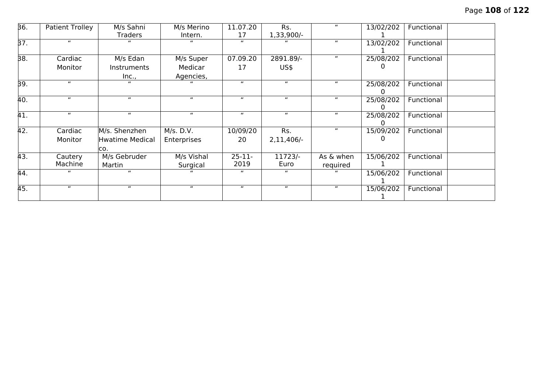| $\overline{56}$ . | <b>Patient Trolley</b>  | M/s Sahni          | M/s Merino     | 11.07.20       | Rs.              | $\overline{u}$   | 13/02/202 | Functional |  |
|-------------------|-------------------------|--------------------|----------------|----------------|------------------|------------------|-----------|------------|--|
|                   |                         | Traders            | Intern.        | 17             | 1,33,900/-       |                  |           |            |  |
| $\overline{37}$ . | $\overline{u}$          | $\overline{ }$     | $\overline{u}$ | $\overline{u}$ |                  | $\overline{u}$   | 13/02/202 | Functional |  |
|                   |                         |                    |                |                |                  |                  |           |            |  |
| $\overline{58}$ . | Cardiac                 | M/s Edan           | M/s Super      | 07.09.20       | 2891.89/-        | $\boldsymbol{u}$ | 25/08/202 | Functional |  |
|                   | Monitor                 | <b>Instruments</b> | Medicar        | 17             | US\$             |                  |           |            |  |
|                   |                         | Inc.,              | Agencies,      |                |                  |                  |           |            |  |
| $\overline{59}$ . | $\overline{u}$          |                    |                | $\overline{u}$ | $\overline{u}$   | $\overline{u}$   | 25/08/202 | Functional |  |
|                   |                         |                    |                |                |                  |                  |           |            |  |
| 40.               | $\overline{\mathbf{u}}$ | $\overline{u}$     | $\overline{u}$ | $\overline{u}$ | $\overline{u}$   | $\overline{u}$   | 25/08/202 | Functional |  |
|                   |                         |                    |                |                |                  |                  |           |            |  |
| 41.               | $\overline{u}$          | $\overline{u}$     | $\overline{u}$ | $\overline{u}$ | $\overline{u}$   | $\overline{u}$   | 25/08/202 | Functional |  |
|                   |                         |                    |                |                |                  |                  | 0         |            |  |
| 42.               | Cardiac                 | M/s. Shenzhen      | M/s. D.V.      | 10/09/20       | Rs.              | $\boldsymbol{u}$ | 15/09/202 | Functional |  |
|                   | Monitor                 | Hwatime Medical    | Enterprises    | 20             | 2,11,406/-       |                  |           |            |  |
|                   | CO.                     |                    |                |                |                  |                  |           |            |  |
| 43.               | Cautery                 | M/s Gebruder       | M/s Vishal     | $25 - 11 -$    | 11723/-          | As & when        | 15/06/202 | Functional |  |
|                   | Machine                 | Martin             | Surgical       | 2019           | Euro             | required         |           |            |  |
| 44.               | $\overline{u}$          | $\overline{u}$     | $\overline{ }$ | $\overline{u}$ | $\overline{u}$   |                  | 15/06/202 | Functional |  |
|                   |                         |                    |                |                |                  |                  |           |            |  |
| 45.               | $\overline{u}$          | $\overline{u}$     | $\overline{u}$ | $\overline{u}$ | $\boldsymbol{u}$ | $\overline{u}$   | 15/06/202 | Functional |  |
|                   |                         |                    |                |                |                  |                  |           |            |  |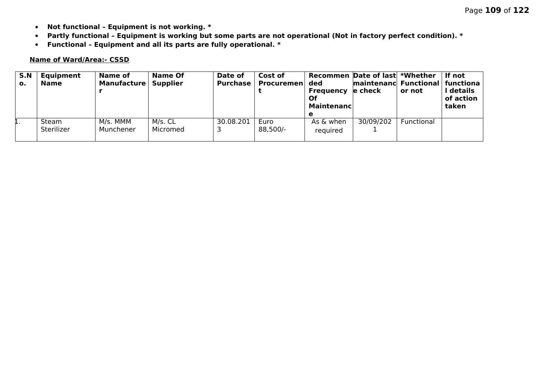- **Not functional Equipment is not working. \***
- **Partly functional Equipment is working but some parts are not operational (Not in factory perfect condition). \***
- **Functional Equipment and all its parts are fully operational. \***

#### **Name of Ward/Area:- CSSD**

| S.N<br>о. | Equipment<br><b>Name</b> | Name of<br><b>Manufacture</b> | Name Of<br><b>Supplier</b> | Date of<br>Purchase | Cost of<br>Procuremen  ded | Frequency<br>Οf<br><b>Maintenanc</b><br>е | <b>Recommen Date of last *Whether</b><br>maintenanc Functional<br>$\bf e$ check | or not     | If not<br>functiona<br>I details<br>of action<br>taken |
|-----------|--------------------------|-------------------------------|----------------------------|---------------------|----------------------------|-------------------------------------------|---------------------------------------------------------------------------------|------------|--------------------------------------------------------|
| μ.        | Steam<br>Sterilizer      | M/s. MMM<br>Munchener         | M/s. CL<br>Micromed        | 30.08.201           | Euro<br>88.500/-           | As & when<br>required                     | 30/09/202                                                                       | Functional |                                                        |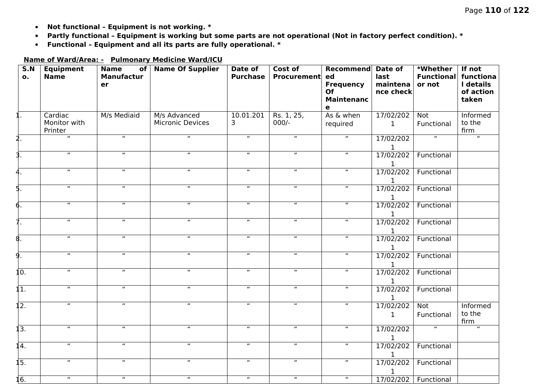- **Not functional Equipment is not working. \***
- **Partly functional Equipment is working but some parts are not operational (Not in factory perfect condition). \***
- **Functional Equipment and all its parts are fully operational. \***

# **Name of Ward/Area: - Pulmonary Medicine Ward/ICU**

| S.N<br>0.         | <b>Equipment</b><br><b>Name</b>    | <b>Name</b><br>of<br><b>Manufactur</b><br>er | <b>Name Of Supplier</b>            | Date of<br><b>Purchase</b>       | <b>Cost of</b><br><b>Procurement</b> | Recommend<br>ed<br><b>Frequency</b><br>Of<br><b>Maintenanc</b><br>e | Date of<br>last<br>maintena<br>nce check | *Whether<br><b>Functional</b><br>or not | If not<br>functiona<br>I details<br>of action<br>taken |
|-------------------|------------------------------------|----------------------------------------------|------------------------------------|----------------------------------|--------------------------------------|---------------------------------------------------------------------|------------------------------------------|-----------------------------------------|--------------------------------------------------------|
|                   | Cardiac<br>Monitor with<br>Printer | M/s Mediaid                                  | M/s Advanced<br>Micronic Devices   | 10.01.201<br>3                   | Rs. 1, 25,<br>$000/-$                | As & when<br>required                                               | 17/02/202<br>$\mathbf{1}$                | <b>Not</b><br>Functional                | Informed<br>to the<br>firm                             |
| 2.                | $\overline{u}$                     | $\overline{u}$                               | $\overline{u}$                     | $\overline{u}$                   | $\overline{u}$                       | $\overline{u}$                                                      | 17/02/202<br>$\mathbf{1}$                | $\overline{u}$                          | $\overline{u}$                                         |
| 3.                | $\overline{u}$                     | $\overline{u}$                               | $\overline{u}$                     | $\overline{u}$                   | $\overline{u}$                       | $\overline{u}$                                                      | 17/02/202<br>$\mathbf{1}$                | Functional                              |                                                        |
| 4.                | $\overline{u}$                     | $\overline{u}$                               | $\overline{u}$                     | $\overline{u}$                   | $\overline{u}$                       | $\overline{u}$                                                      | 17/02/202<br>$\mathbf{1}$                | Functional                              |                                                        |
| ş.                | $\overline{u}$                     | $\overline{u}$                               | $\overline{u}$                     | $\overline{u}$                   | $\overline{u}$                       | $\overline{u}$                                                      | 17/02/202<br>$\mathbf{1}$                | Functional                              |                                                        |
| б.                | $\overline{u}$                     | $\overline{u}$                               | $\overline{u}$                     | $\overline{u}$                   | $\overline{u}$                       | $\overline{u}$                                                      | 17/02/202<br>$\mathbf{1}$                | Functional                              |                                                        |
| 7.                | $\overline{u}$                     | $\overline{u}$                               | $\overline{u}$                     | $\overline{u}$                   | $\overline{u}$                       | $\overline{u}$                                                      | 17/02/202<br>$\mathbf{1}$                | Functional                              |                                                        |
| 8.                | $\overline{u}$<br>$\overline{u}$   | $\overline{u}$<br>$\overline{u}$             | $\overline{u}$<br>$\boldsymbol{u}$ | $\overline{u}$<br>$\overline{u}$ | $\overline{u}$<br>$\overline{u}$     | $\overline{u}$<br>$\boldsymbol{u}$                                  | 17/02/202<br>$\mathbf{1}$                | Functional                              |                                                        |
| ģ.                | $\overline{u}$                     | $\overline{u}$                               | $\overline{u}$                     | $\overline{u}$                   | $\overline{u}$                       | $\overline{u}$                                                      | 17/02/202<br>$\mathbf{1}$                | Functional                              |                                                        |
| 10.               | $\overline{u}$                     | $\overline{u}$                               | $\overline{u}$                     | $\overline{u}$                   | $\overline{u}$                       | $\overline{u}$                                                      | 17/02/202<br>$\mathbf{1}$                | Functional                              |                                                        |
| $\sqrt{1}$ .      | $\overline{u}$                     | $\overline{u}$                               | $\overline{u}$                     | $\overline{u}$                   | $\overline{u}$                       | $\overline{u}$                                                      | 17/02/202<br>$\mathbf{1}$                | Functional                              |                                                        |
| $\overline{12}$ . |                                    |                                              |                                    |                                  |                                      |                                                                     | 17/02/202<br>$\mathbf{1}$                | <b>Not</b><br>Functional                | <b>Informed</b><br>to the<br>firm                      |
| $\overline{13}$ . | $\overline{u}$                     | $\overline{u}$                               | $\overline{u}$                     | $\overline{u}$                   | $\overline{u}$                       | $\overline{u}$                                                      | 17/02/202<br>$\mathbf{1}$                | $\overline{u}$                          | $\overline{u}$                                         |
| 14.               | $\overline{u}$                     | $\overline{u}$                               | $\overline{u}$                     | $\overline{u}$                   | $\overline{u}$                       | $\overline{u}$                                                      | 17/02/202<br>$\mathbf{1}$                | Functional                              |                                                        |
| 15.               | $\overline{u}$                     | $\overline{u}$                               | $\overline{u}$                     | $\overline{u}$                   | $\overline{u}$                       | $\overline{u}$                                                      | 17/02/202<br>$\mathbf{1}$                | Functional                              |                                                        |
| 16.               | $\overline{u}$                     | $\overline{u}$                               | $\overline{u}$                     | $\overline{u}$                   | $\overline{u}$                       | $\overline{u}$                                                      | 17/02/202                                | Functional                              |                                                        |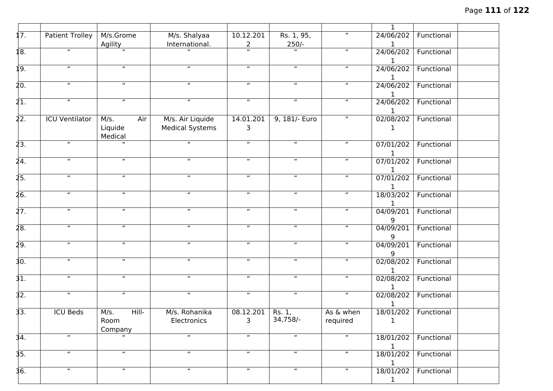|                   |                        |                  |                        |                  |                  |                  | $\mathbf 1$               |            |  |
|-------------------|------------------------|------------------|------------------------|------------------|------------------|------------------|---------------------------|------------|--|
| $\overline{17}$ . | <b>Patient Trolley</b> | M/s.Grome        | M/s. Shalyaa           | 10.12.201        | Rs. 1, 95,       | $\overline{u}$   | 24/06/202                 | Functional |  |
|                   |                        | Agility          | International.         | $\overline{a}$   | $250/-$          |                  | 1                         |            |  |
| $\overline{18}$ . | $\boldsymbol{u}$       | $\overline{u}$   |                        | $\overline{u}$   |                  | $\boldsymbol{u}$ | 24/06/202                 | Functional |  |
|                   |                        |                  |                        |                  |                  |                  |                           |            |  |
| 19.               | $\overline{u}$         | $\overline{u}$   | $\overline{u}$         | $\overline{u}$   | $\overline{u}$   | $\boldsymbol{u}$ | 24/06/202                 | Functional |  |
|                   |                        |                  |                        |                  |                  |                  | 1                         |            |  |
| 20.               | $\overline{u}$         | $\boldsymbol{u}$ | $\overline{u}$         | $\overline{u}$   | $\overline{u}$   | $\boldsymbol{u}$ | 24/06/202                 | Functional |  |
|                   |                        |                  |                        |                  |                  |                  | 1                         |            |  |
| 21.               | $\overline{u}$         | $\overline{u}$   | $\overline{u}$         | $\overline{u}$   | $\overline{u}$   | $\boldsymbol{u}$ | 24/06/202                 | Functional |  |
|                   |                        |                  |                        |                  |                  |                  |                           |            |  |
| 22.               | <b>ICU Ventilator</b>  | Air<br>M/s.      | M/s. Air Liquide       | 14.01.201        | 9, 181/- Euro    | $\pmb{u}$        | 02/08/202                 | Functional |  |
|                   |                        | Liquide          | <b>Medical Systems</b> | 3                |                  |                  | 1                         |            |  |
|                   |                        | Medical          |                        |                  |                  |                  |                           |            |  |
| $\sqrt{43}$ .     | $\boldsymbol{u}$       | $\overline{u}$   | $\boldsymbol{u}$       | $\boldsymbol{u}$ | $\boldsymbol{u}$ | $\boldsymbol{u}$ | 07/01/202                 | Functional |  |
|                   |                        |                  |                        |                  |                  |                  | $\mathbf 1$               |            |  |
| 24.               | $\boldsymbol{u}$       | $\boldsymbol{u}$ | $\overline{u}$         | $\boldsymbol{u}$ | $\boldsymbol{u}$ | $\boldsymbol{u}$ | 07/01/202                 | Functional |  |
|                   |                        |                  |                        |                  |                  |                  | 1                         |            |  |
| 25.               | $\overline{u}$         | $\boldsymbol{u}$ | $\boldsymbol{u}$       | $\boldsymbol{u}$ | $\overline{u}$   | $\boldsymbol{u}$ | 07/01/202                 | Functional |  |
|                   |                        |                  |                        |                  |                  |                  | 1                         |            |  |
| 26.               | $\overline{u}$         | $\boldsymbol{u}$ | $\overline{u}$         | $\boldsymbol{u}$ | $\overline{u}$   | $\boldsymbol{u}$ | 18/03/202                 | Functional |  |
|                   |                        |                  |                        |                  |                  |                  | 1                         |            |  |
| $\sqrt{7}$ .      | $\overline{u}$         | $\overline{u}$   | $\overline{u}$         | $\overline{u}$   | $\overline{u}$   | $\boldsymbol{u}$ | 04/09/201                 | Functional |  |
|                   |                        |                  |                        |                  |                  |                  | 9                         |            |  |
| 28.               | $\overline{u}$         | $\boldsymbol{u}$ | $\overline{u}$         | $\boldsymbol{u}$ | $\overline{u}$   | $\boldsymbol{u}$ | 04/09/201                 | Functional |  |
|                   |                        |                  |                        |                  |                  |                  | 9                         |            |  |
| 29.               | $\overline{u}$         | $\overline{u}$   | $\overline{u}$         | $\boldsymbol{u}$ | $\overline{u}$   | $\overline{u}$   | 04/09/201                 | Functional |  |
|                   |                        |                  |                        |                  |                  |                  | 9                         |            |  |
| 30.               | $\boldsymbol{u}$       | $\boldsymbol{u}$ | $\overline{u}$         | $\boldsymbol{u}$ | $\overline{u}$   | $\boldsymbol{u}$ | 02/08/202                 | Functional |  |
|                   |                        |                  |                        |                  |                  |                  | $\mathbf 1$               |            |  |
| 31.               | $\overline{u}$         | $\boldsymbol{u}$ | $\overline{u}$         | $\boldsymbol{u}$ | $\overline{u}$   | $\boldsymbol{u}$ | 02/08/202                 | Functional |  |
|                   |                        |                  |                        |                  |                  |                  |                           |            |  |
| 32.               | $\overline{u}$         | $\boldsymbol{u}$ | $\overline{u}$         | $\overline{u}$   | $\overline{u}$   | $\boldsymbol{u}$ | 02/08/202                 | Functional |  |
|                   |                        |                  |                        |                  |                  |                  |                           |            |  |
| 33.               | <b>ICU Beds</b>        | Hill-<br>M/s.    | M/s. Rohanika          | 08.12.201        | Rs. 1,           | As & when        | 18/01/202                 | Functional |  |
|                   |                        | Room             | Electronics            | 3                | 34,758/-         | required         | 1                         |            |  |
|                   |                        |                  |                        |                  |                  |                  |                           |            |  |
| 34.               | $\boldsymbol{u}$       | Company          | $\overline{u}$         | $\boldsymbol{u}$ | $\overline{u}$   | $\boldsymbol{u}$ | 18/01/202                 | Functional |  |
|                   |                        |                  |                        |                  |                  |                  |                           |            |  |
| 35.               | $\boldsymbol{u}$       | $\boldsymbol{u}$ | $\boldsymbol{u}$       | $\boldsymbol{u}$ | $\boldsymbol{u}$ | $\boldsymbol{u}$ | $\mathbf{1}$<br>18/01/202 | Functional |  |
|                   |                        |                  |                        |                  |                  |                  |                           |            |  |
|                   | $\boldsymbol{u}$       | $\boldsymbol{u}$ | $\boldsymbol{u}$       | $\boldsymbol{u}$ | $\boldsymbol{u}$ | $\boldsymbol{u}$ | 1                         | Functional |  |
| $\overline{36}$ . |                        |                  |                        |                  |                  |                  | 18/01/202                 |            |  |
|                   |                        |                  |                        |                  |                  |                  | $\mathbf{1}$              |            |  |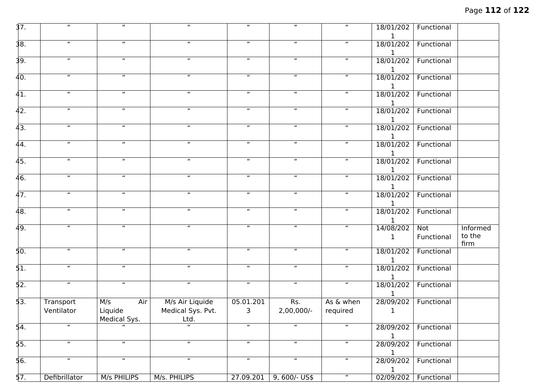| 37.           | $\boldsymbol{\mu}$      | $\overline{u}$                        | $\boldsymbol{u}$                             | $\boldsymbol{u}$ | $\overline{u}$    | $\overline{u}$        | 18/01/202                      | Functional               |                            |
|---------------|-------------------------|---------------------------------------|----------------------------------------------|------------------|-------------------|-----------------------|--------------------------------|--------------------------|----------------------------|
| 38.           | $\boldsymbol{u}$        | $\boldsymbol{u}$                      | $\boldsymbol{u}$                             | $\overline{u}$   | $\overline{u}$    | $\overline{u}$        | 1<br>18/01/202<br>$\mathbf{1}$ | Functional               |                            |
| 39.           | $\boldsymbol{u}$        | $\boldsymbol{u}$                      | $\boldsymbol{u}$                             | $\overline{u}$   | $\overline{u}$    | $\overline{u}$        | 18/01/202<br>1                 | Functional               |                            |
| 40.           | $\overline{u}$          | $\overline{u}$                        | $\boldsymbol{u}$                             | $\overline{u}$   | $\overline{u}$    | $\overline{u}$        | 18/01/202<br>$\mathbf 1$       | Functional               |                            |
| 41.           | $\boldsymbol{u}$        | $\boldsymbol{u}$                      | $\boldsymbol{u}$                             | $\boldsymbol{u}$ | $\boldsymbol{u}$  | $\overline{u}$        | 18/01/202<br>1                 | Functional               |                            |
| 42.           | $\boldsymbol{u}$        | $\boldsymbol{u}$                      | $\boldsymbol{u}$                             | $\boldsymbol{u}$ | $\boldsymbol{u}$  | $\boldsymbol{u}$      | 18/01/202<br>$\mathbf{1}$      | Functional               |                            |
| 43.           | $\boldsymbol{u}$        | $\boldsymbol{u}$                      | $\overline{u}$                               | $\overline{u}$   | $\boldsymbol{u}$  | $\boldsymbol{u}$      | 18/01/202<br>$\mathbf{1}$      | Functional               |                            |
| 44.           | $\boldsymbol{u}$        | $\overline{u}$                        | $\overline{u}$                               | $\overline{u}$   | $\boldsymbol{u}$  | $\boldsymbol{u}$      | 18/01/202<br>$\mathbf 1$       | Functional               |                            |
| 45.           | $\boldsymbol{u}$        | $\overline{u}$                        | $\overline{u}$                               | $\overline{u}$   | $\boldsymbol{u}$  | $\boldsymbol{u}$      | 18/01/202<br>1                 | Functional               |                            |
| 46.           | $\boldsymbol{u}$        | $\overline{u}$                        | $\overline{u}$                               | $\overline{u}$   | $\overline{u}$    | $\boldsymbol{u}$      | 18/01/202<br>$\mathbf{1}$      | Functional               |                            |
| 47.           | $\overline{u}$          | $\overline{u}$                        | $\overline{u}$                               | $\overline{u}$   | $\overline{u}$    | $\overline{u}$        | 18/01/202<br>$\mathbf{1}$      | Functional               |                            |
| $\sqrt{48}$ . | $\overline{u}$          | $\overline{u}$                        | $\overline{u}$                               | $\overline{u}$   | $\overline{u}$    | $\overline{u}$        | 18/01/202<br>$\mathbf{1}$      | Functional               |                            |
| $\sqrt{49}$ . | $\overline{u}$          | $\overline{u}$                        | $\overline{u}$                               | $\overline{u}$   | $\overline{u}$    | $\overline{u}$        | 14/08/202<br>1                 | <b>Not</b><br>Functional | Informed<br>to the<br>firm |
| 50.           | $\boldsymbol{u}$        | $\boldsymbol{u}$                      | $\boldsymbol{u}$                             | $\boldsymbol{u}$ | $\boldsymbol{u}$  | $\boldsymbol{u}$      | 18/01/202<br>$\mathbf 1$       | Functional               |                            |
| 51.           | $\boldsymbol{u}$        | $\boldsymbol{u}$                      | $\boldsymbol{u}$                             | $\boldsymbol{u}$ | $\boldsymbol{u}$  | $\boldsymbol{u}$      | 18/01/202<br>$\mathbf{1}$      | Functional               |                            |
| 52.           | $\boldsymbol{u}$        | $\boldsymbol{u}$                      | $\boldsymbol{u}$                             | $\boldsymbol{u}$ | $\boldsymbol{u}$  | $\boldsymbol{u}$      | 18/01/202<br>$\mathbf{1}$      | Functional               |                            |
| 53.           | Transport<br>Ventilator | M/s<br>Air<br>Liquide<br>Medical Sys. | M/s Air Liquide<br>Medical Sys. Pvt.<br>Ltd. | 05.01.201<br>3   | Rs.<br>2,00,000/- | As & when<br>required | 28/09/202<br>$\mathbf{1}$      | Functional               |                            |
| 54.           | $\boldsymbol{u}$        |                                       | $\boldsymbol{u}$                             | $\boldsymbol{u}$ | $\boldsymbol{u}$  | $\boldsymbol{u}$      | 28/09/202<br>$\mathbf{1}$      | Functional               |                            |
| 55.           | $\boldsymbol{u}$        | $\boldsymbol{u}$                      | $\boldsymbol{u}$                             | $\overline{u}$   | $\boldsymbol{u}$  | $\boldsymbol{u}$      | 28/09/202<br>$\mathbf{1}$      | Functional               |                            |
| 56.           | $\boldsymbol{u}$        | $\boldsymbol{u}$                      | $\boldsymbol{u}$                             | $\boldsymbol{u}$ | $\boldsymbol{u}$  | $\boldsymbol{u}$      | 28/09/202<br>$\mathbf{1}$      | Functional               |                            |
| 57.           | Defibrillator           | M/s PHILIPS                           | M/s. PHILIPS                                 | 27.09.201        | $9,600/-$ US\$    | $\boldsymbol{u}$      |                                | 02/09/202   Functional   |                            |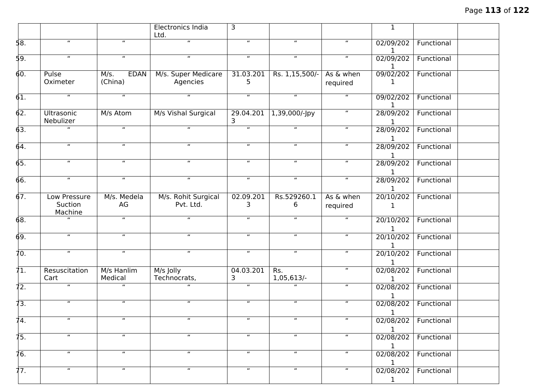|                   |                                    |                                | Electronics India<br>Ltd.        | 3                |                   |                       | $\mathbf{1}$              |                      |  |
|-------------------|------------------------------------|--------------------------------|----------------------------------|------------------|-------------------|-----------------------|---------------------------|----------------------|--|
| $\overline{58}$ . | $\overline{u}$                     | $\boldsymbol{u}$               | $\overline{u}$                   | $\overline{u}$   | $\overline{u}$    | $\overline{u}$        | 02/09/202<br>1            | Functional           |  |
| 59.               | $\boldsymbol{u}$                   | $\boldsymbol{u}$               | $\boldsymbol{u}$                 | $\boldsymbol{u}$ | $\boldsymbol{u}$  | $\boldsymbol{u}$      | 02/09/202<br>1            | Functional           |  |
| 60.               | Pulse<br>Oximeter                  | M/s.<br><b>EDAN</b><br>(China) | M/s. Super Medicare<br>Agencies  | 31.03.201<br>5   | Rs. 1,15,500/-    | As & when<br>required | 09/02/202<br>1            | Functional           |  |
| 61.               | $\overline{u}$                     | $\overline{u}$                 | $\overline{u}$                   | $\overline{u}$   | $\overline{u}$    | $\overline{u}$        | 09/02/202<br>1            | Functional           |  |
| 62.               | <b>Ultrasonic</b><br>Nebulizer     | M/s Atom                       | M/s Vishal Surgical              | 29.04.201<br>3   | 1,39,000/-Jpy     | $\overline{u}$        | 28/09/202<br>$\mathbf{1}$ | Functional           |  |
| 63.               | $\overline{u}$                     | $\overline{u}$                 | $\overline{u}$                   | $\overline{u}$   | $\overline{u}$    | $\overline{u}$        | 28/09/202<br>$\mathbf{1}$ | Functional           |  |
| 64.               | $\overline{u}$                     | $\overline{u}$                 | $\overline{u}$                   | $\overline{u}$   | $\overline{u}$    | $\overline{u}$        | 28/09/202<br>1            | Functional           |  |
| 65.               | $\overline{u}$                     | $\overline{u}$                 | $\overline{u}$                   | $\overline{u}$   | $\overline{u}$    | $\overline{u}$        | 28/09/202<br>1            | Functional           |  |
| 66.               | $\overline{u}$                     | $\overline{u}$                 | $\overline{u}$                   | $\overline{u}$   | $\overline{u}$    | $\overline{u}$        | 28/09/202<br>1            | Functional           |  |
| 67.               | Low Pressure<br>Suction<br>Machine | M/s. Medela<br>AG              | M/s. Rohit Surgical<br>Pvt. Ltd. | 02.09.201<br>3   | Rs.529260.1<br>6  | As & when<br>required | 20/10/202<br>$\mathbf 1$  | Functional           |  |
| 68.               | $\overline{u}$                     | $\overline{u}$                 | $\overline{u}$                   | $\overline{u}$   | $\overline{u}$    | $\overline{u}$        | 20/10/202<br>$\mathbf{1}$ | Functional           |  |
| 69.               | $\overline{u}$                     | $\overline{u}$                 | $\overline{u}$                   | $\overline{u}$   | $\overline{u}$    | $\overline{u}$        | 20/10/202<br>$\mathbf 1$  | Functional           |  |
| $\sqrt{10}$ .     | $\overline{u}$                     | $\overline{u}$                 | $\overline{u}$                   | $\overline{u}$   | $\overline{u}$    | $\boldsymbol{u}$      | 20/10/202<br>$\mathbf{1}$ | Functional           |  |
| 71.               | Resuscitation<br>Cart              | M/s Hanlim<br>Medical          | M/s Jolly<br>Technocrats,        | 04.03.201<br>3   | Rs.<br>1,05,613/- | $\overline{u}$        | 02/08/202<br>$\mathbf 1$  | Functional           |  |
| 72.               | $\overline{u}$                     | $\overline{u}$                 | $\overline{u}$                   | $\overline{u}$   | $\overline{u}$    | $\overline{u}$        | 02/08/202<br>$\mathbf{1}$ | Functional           |  |
| $\sqrt{3}$ .      | $\overline{u}$                     | $\overline{u}$                 | $\overline{u}$                   | $\overline{u}$   | $\overline{u}$    | $\overline{u}$        | 02/08/202<br>$\mathbf{1}$ | Functional           |  |
| $\sqrt{4}$ .      |                                    |                                |                                  |                  |                   |                       | 1                         | 02/08/202 Functional |  |
| 75.               | $\overline{u}$                     | $\overline{u}$                 | $\overline{u}$                   | $\overline{u}$   | $\overline{u}$    | $\overline{u}$        | 02/08/202<br>$\mathbf{1}$ | Functional           |  |
| $\overline{76.}$  | $\overline{u}$                     | $\overline{u}$                 | $\overline{u}$                   | $\overline{u}$   | $\overline{u}$    | $\overline{u}$        | 02/08/202<br>$\mathbf{1}$ | Functional           |  |
| 77.               | $\overline{u}$                     | $\overline{u}$                 | $\overline{u}$                   | $\overline{u}$   | $\overline{u}$    | $\overline{u}$        | 02/08/202<br>$\mathbf{1}$ | Functional           |  |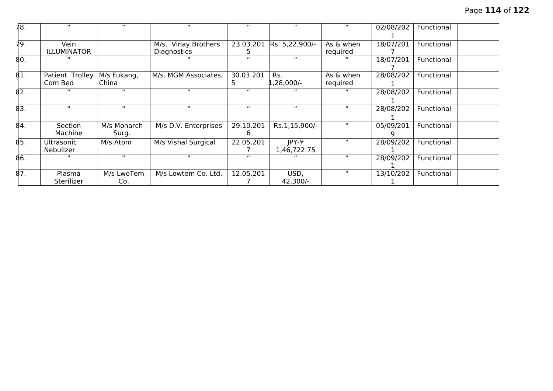| $\sqrt{8}$ . | $\overline{u}$             | $\overline{u}$       |                                           | $\overline{u}$  | $\mathbf{u}$             | $\overline{u}$        | 02/08/202 | Functional |  |
|--------------|----------------------------|----------------------|-------------------------------------------|-----------------|--------------------------|-----------------------|-----------|------------|--|
| 79.          | Vein<br><b>ILLUMINATOR</b> |                      | M/s. Vinay Brothers<br><b>Diagnostics</b> |                 | 23.03.201 Rs. 5,22,900/- | As & when<br>required | 18/07/201 | Functional |  |
| 80.          | $\overline{u}$             |                      |                                           | $\overline{u}$  | $\mathbf{u}$             | $\mathbf{u}$          | 18/07/201 | Functional |  |
| 81.          | Patient Trolley<br>Com Bed | M/s Fukang,<br>China | M/s. MGM Associates,                      | 30.03.201<br>5  | Rs.<br>1,28,000/-        | As & when<br>required | 28/08/202 | Functional |  |
| 82.          |                            | $\overline{u}$       | $\overline{\mathbf{u}}$                   | $\overline{u}$  |                          | $\overline{u}$        | 28/08/202 | Functional |  |
| 83.          | $\overline{u}$             | $\overline{u}$       | $\mathbf{u}$                              | $\overline{u}$  | $\overline{u}$           | $\overline{u}$        | 28/08/202 | Functional |  |
| 84.          | Section<br>Machine         | M/s Monarch<br>Surg. | M/s D.V. Enterprises                      | 29.10.201<br>h. | Rs.1,15,900/-            | $\overline{u}$        | 05/09/201 | Functional |  |
| 85.          | Ultrasonic<br>Nebulizer    | M/s Atom             | M/s Vishal Surgical                       | 22.05.201       | JPY-¥<br>1,46,722.75     | $\overline{u}$        | 28/09/202 | Functional |  |
| 86.          | $\overline{u}$             | $\overline{u}$       | $\overline{u}$                            | $\overline{u}$  |                          | $^{\prime\prime}$     | 28/09/202 | Functional |  |
| 87.          | Plasma<br>Sterilizer       | M/s LwoTem<br>Co.    | M/s Lowtem Co. Ltd.                       | 12.05.201       | USD,<br>$42,300/-$       | $\overline{u}$        | 13/10/202 | Functional |  |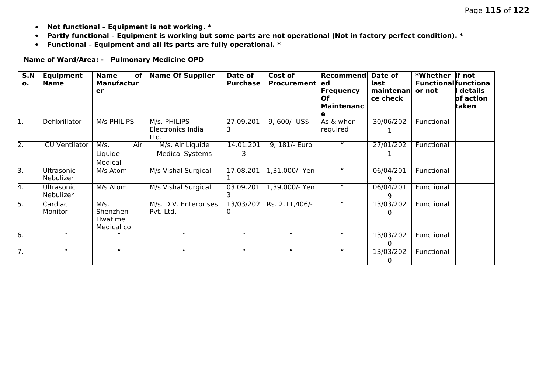- **Not functional Equipment is not working. \***
- **Partly functional Equipment is working but some parts are not operational (Not in factory perfect condition). \***
- **Functional Equipment and all its parts are fully operational. \***

### **Name of Ward/Area: - Pulmonary Medicine OPD**

| S.N<br>о. | <b>Equipment</b><br><b>Name</b> | <b>Name</b><br>of<br><b>Manufactur</b><br>er | <b>Name Of Supplier</b>                          | Date of<br><b>Purchase</b> | Cost of<br><b>Procurement</b> | <b>Recommend</b><br>ed<br><b>Frequency</b><br>Of<br><b>Maintenanc</b><br>е | Date of<br>last<br>maintenan<br>ce check | *Whether<br><b>Functional functiona</b><br>or not | If not<br>details<br>of action<br>taken |
|-----------|---------------------------------|----------------------------------------------|--------------------------------------------------|----------------------------|-------------------------------|----------------------------------------------------------------------------|------------------------------------------|---------------------------------------------------|-----------------------------------------|
| Ш.        | Defibrillator                   | <b>M/s PHILIPS</b>                           | M/s. PHILIPS<br><b>Electronics India</b><br>Ltd. | 27.09.201<br>3             | $9,600/-$ US\$                | As & when<br>required                                                      | 30/06/202                                | Functional                                        |                                         |
| 2.        | <b>ICU Ventilator</b>           | Air<br>M/s.<br>Liquide<br>Medical            | M/s. Air Liquide<br><b>Medical Systems</b>       | 14.01.201<br>3             | 9, 181/- Euro                 | $\overline{u}$                                                             | 27/01/202                                | Functional                                        |                                         |
| В.        | <b>Ultrasonic</b><br>Nebulizer  | M/s Atom                                     | M/s Vishal Surgical                              | 17.08.201                  | 1,31,000/- Yen                | $\overline{u}$                                                             | 06/04/201                                | Functional                                        |                                         |
| 4.        | <b>Ultrasonic</b><br>Nebulizer  | M/s Atom                                     | M/s Vishal Surgical                              | 03.09.201                  | 1,39,000/- Yen                | $\overline{u}$                                                             | 06/04/201<br>9                           | Functional                                        |                                         |
| 5.        | Cardiac<br>Monitor              | M/s.<br>Shenzhen<br>Hwatime<br>Medical co.   | M/s. D.V. Enterprises<br>Pvt. Ltd.               | 13/03/202                  | Rs. 2,11,406/-                | $\overline{u}$                                                             | 13/03/202                                | Functional                                        |                                         |
| 6.        | $\overline{u}$                  |                                              | $\overline{u}$                                   | $\overline{u}$             | $\overline{u}$                | $\overline{u}$                                                             | 13/03/202                                | Functional                                        |                                         |
| 7.        | $\boldsymbol{u}$                | $\overline{u}$                               | $\overline{u}$                                   | $\overline{u}$             | $\boldsymbol{u}$              | $\overline{u}$                                                             | 13/03/202<br>0                           | Functional                                        |                                         |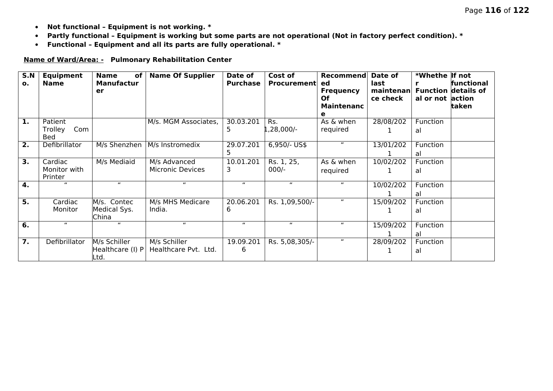- **Not functional Equipment is not working. \***
- **Partly functional Equipment is working but some parts are not operational (Not in factory perfect condition). \***
- **Functional Equipment and all its parts are fully operational. \***

**Name of Ward/Area: - Pulmonary Rehabilitation Center**

| S.N<br>о.        | <b>Equipment</b><br><b>Name</b>         | <b>Name</b><br><b>of</b><br><b>Manufactur</b><br>er | <b>Name Of Supplier</b>                 | Date of<br><b>Purchase</b> | Cost of<br><b>Procurement</b> | <b>Recommend</b><br>ed<br><b>Frequency</b><br>Of <b>O</b><br><b>Maintenanc</b><br>е | Date of<br>last<br>maintenan<br>ce check | *Whethe<br>al or not action | If not<br>functional<br><b>Function details of</b><br>taken |
|------------------|-----------------------------------------|-----------------------------------------------------|-----------------------------------------|----------------------------|-------------------------------|-------------------------------------------------------------------------------------|------------------------------------------|-----------------------------|-------------------------------------------------------------|
| 1.               | Patient<br>Com<br>Trolley<br><b>Bed</b> |                                                     | M/s. MGM Associates,                    | 30.03.201<br>5.            | Rs.<br>1,28,000/-             | As & when<br>required                                                               | 28/08/202                                | Function<br>al              |                                                             |
| 2.               | Defibrillator                           | M/s Shenzhen                                        | M/s Instromedix                         | 29.07.201<br>5.            | 6,950/- US\$                  | $\overline{u}$                                                                      | 13/01/202                                | Function<br>al              |                                                             |
| 3.               | Cardiac<br>Monitor with<br>Printer      | M/s Mediaid                                         | M/s Advanced<br><b>Micronic Devices</b> | 10.01.201<br>3             | Rs. 1, 25,<br>$000/-$         | As & when<br>required                                                               | 10/02/202                                | Function<br>al              |                                                             |
| 4.               | $\overline{u}$                          | $\overline{u}$                                      | $\overline{u}$                          | $\overline{u}$             | $\overline{u}$                | $\overline{u}$                                                                      | 10/02/202                                | Function<br>al              |                                                             |
| 5.               | Cardiac<br>Monitor                      | M/s. Contec<br>Medical Sys.<br>China                | M/s MHS Medicare<br>India.              | 20.06.201<br>6             | Rs. 1,09,500/-                |                                                                                     | 15/09/202                                | Function<br>al              |                                                             |
| $\overline{6}$ . | $\overline{u}$                          | $\mathbf{u}$                                        | $\overline{u}$                          | $\overline{u}$             | $\mathbf{u}$                  | $\overline{u}$                                                                      | 15/09/202                                | Function<br>al              |                                                             |
| 7.               | Defibrillator                           | M/s Schiller<br>Healthcare (I) P<br>Ltd.            | M/s Schiller<br>Healthcare Pvt. Ltd.    | 19.09.201<br>6             | Rs. 5,08,305/-                | $\overline{u}$                                                                      | 28/09/202                                | Function<br>al              |                                                             |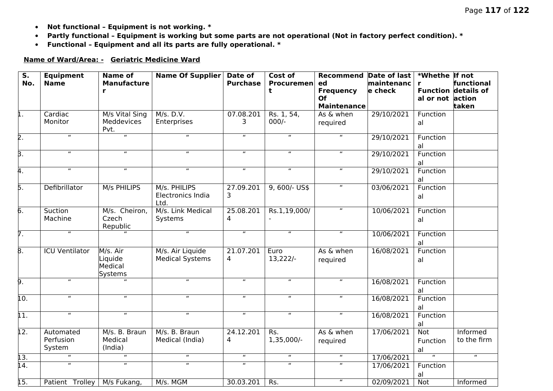- **Not functional Equipment is not working. \***
- **Partly functional Equipment is working but some parts are not operational (Not in factory perfect condition). \***
- **Functional Equipment and all its parts are fully operational. \***

## **Name of Ward/Area: - Geriatric Medicine Ward**

| $\overline{\mathsf{s}}$ .<br>No. | <b>Equipment</b><br><b>Name</b>  | <b>Name of</b><br><b>Manufacture</b><br>r | Name Of Supplier                                 | Date of<br><b>Purchase</b> | Cost of<br><b>Procuremen</b><br>t | Recommend Date of last<br>ed<br><b>Frequency</b><br><b>Of</b><br><b>Maintenance</b> | maintenanc<br>e check | *Whethe If not<br>r<br>al or not action | functional<br><b>Function details of</b><br>taken |
|----------------------------------|----------------------------------|-------------------------------------------|--------------------------------------------------|----------------------------|-----------------------------------|-------------------------------------------------------------------------------------|-----------------------|-----------------------------------------|---------------------------------------------------|
| 1.                               | Cardiac<br>Monitor               | M/s Vital Sing<br>Meddevices<br>Pvt.      | M/s. D.V.<br>Enterprises                         | 07.08.201<br>3             | Rs. 1, 54,<br>$000/-$             | As & when<br>required                                                               | 29/10/2021            | Function<br>al                          |                                                   |
| 2.                               | $\overline{u}$                   | $\overline{u}$                            | $\overline{u}$                                   | $\overline{u}$             | $\overline{u}$                    | $\overline{u}$                                                                      | 29/10/2021            | Function<br>al                          |                                                   |
| В.                               | $\overline{u}$                   | $\overline{u}$                            | $\overline{u}$                                   | $\overline{u}$             | $\overline{u}$                    | $\overline{u}$                                                                      | 29/10/2021            | Function<br>al                          |                                                   |
| 4.                               | $\overline{u}$                   | $\overline{u}$                            | $\overline{u}$                                   | $\overline{u}$             | $\boldsymbol{u}$                  | $\overline{u}$                                                                      | 29/10/2021            | Function<br>al                          |                                                   |
| Б.                               | Defibrillator                    | <b>M/s PHILIPS</b>                        | M/s. PHILIPS<br><b>Electronics India</b><br>Ltd. | 27.09.201<br>3             | $9,600 - US$$                     | $\overline{u}$                                                                      | 03/06/2021            | Function<br>al                          |                                                   |
| 6.                               | <b>Suction</b><br>Machine        | M/s. Cheiron,<br>Czech<br>Republic        | M/s. Link Medical<br>Systems                     | 25.08.201<br>4             | Rs.1,19,000/                      | $\overline{u}$                                                                      | 10/06/2021            | Function<br>al                          |                                                   |
| 7.                               | $\overline{u}$                   |                                           | $\overline{u}$                                   | $\overline{u}$             | $\overline{u}$                    | $\boldsymbol{u}$                                                                    | 10/06/2021            | Function<br>al                          |                                                   |
| 8.                               | <b>ICU Ventilator</b>            | M/s. Air<br>Liquide<br>Medical<br>Systems | M/s. Air Liquide<br><b>Medical Systems</b>       | 21.07.201<br>4             | Euro<br>$13,222/-$                | As & when<br>required                                                               | 16/08/2021            | Function<br>al                          |                                                   |
| 9.                               | $\overline{u}$                   | $\overline{u}$                            | $\overline{u}$                                   | $\overline{u}$             | $\boldsymbol{u}$                  | $\boldsymbol{u}$                                                                    | 16/08/2021            | Function<br>al                          |                                                   |
| 10.                              | $\boldsymbol{u}$                 | $\overline{u}$                            | $\boldsymbol{u}$                                 | $\boldsymbol{u}$           | $\boldsymbol{u}$                  | $\boldsymbol{u}$                                                                    | 16/08/2021            | Function<br>al                          |                                                   |
| 11.                              | $\boldsymbol{u}$                 | $\boldsymbol{u}$                          | $\boldsymbol{u}$                                 | $\boldsymbol{u}$           | $\boldsymbol{u}$                  | $\boldsymbol{u}$                                                                    | 16/08/2021            | Function<br>al                          |                                                   |
| 12.                              | Automated<br>Perfusion<br>System | M/s. B. Braun<br>Medical<br>(India)       | M/s. B. Braun<br>Medical (India)                 | 24.12.201<br>4             | Rs.<br>1,35,000/-                 | As & when<br>required                                                               | 17/06/2021            | <b>Not</b><br>Function<br>al            | Informed<br>to the firm                           |
| 13.                              | $\overline{u}$                   | $\overline{u}$                            | $\overline{u}$                                   | $\overline{u}$             | $\overline{u}$                    | $\overline{u}$                                                                      | 17/06/2021            | $\overline{u}$                          | $\overline{u}$                                    |
| $\overline{14}$ .                | $\overline{u}$                   | $\overline{u}$                            | $\overline{u}$                                   | $\overline{u}$             | $\overline{u}$                    | $\overline{u}$                                                                      | 17/06/2021            | Function<br>al                          |                                                   |
| $\overline{15}$ .                | Patient Trolley                  | M/s Fukang,                               | M/s. MGM                                         | 30.03.201                  | Rs.                               | $\boldsymbol{u}$                                                                    | 02/09/2021            | <b>Not</b>                              | <b>Informed</b>                                   |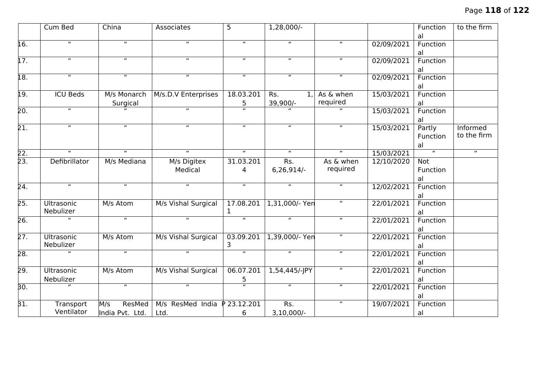|                   | <b>Cum Bed</b>              | China            | Associates                            | 5                     | $1,28,000$ /-    |                     |            | Function       | to the firm    |
|-------------------|-----------------------------|------------------|---------------------------------------|-----------------------|------------------|---------------------|------------|----------------|----------------|
|                   |                             |                  |                                       |                       |                  |                     |            | al             |                |
| 16.               | $\overline{u}$              | $\overline{u}$   | $\overline{u}$                        | $\overline{u}$        | $\overline{u}$   | $\overline{u}$      | 02/09/2021 | Function       |                |
|                   |                             |                  |                                       |                       |                  |                     |            | al             |                |
| 17.               | $\overline{u}$              | $\overline{u}$   | $\overline{u}$                        | $\overline{u}$        | $\overline{u}$   | $\overline{u}$      | 02/09/2021 | Function       |                |
|                   |                             |                  |                                       |                       |                  |                     |            | al             |                |
| 18.               | $\overline{u}$              | $\overline{u}$   | $\overline{u}$                        | $\overline{u}$        | $\overline{u}$   | $\overline{u}$      | 02/09/2021 | Function       |                |
|                   |                             |                  |                                       |                       |                  |                     |            | al             |                |
| 19.               | <b>ICU Beds</b>             | M/s Monarch      | M/s.D.V Enterprises                   | 18.03.201             | Rs.<br>1.        | As & when           | 15/03/2021 | Function       |                |
|                   |                             | Surgical         |                                       | 5                     | 39,900/-         | required            |            | al             |                |
| 20.               | $\boldsymbol{u}$            |                  | $\overline{u}$                        | $\overline{u}$        |                  | $\overline{u}$      | 15/03/2021 | Function       |                |
|                   |                             |                  |                                       |                       |                  |                     |            | al             |                |
| $\overline{21.}$  | $\overline{u}$              | $\overline{u}$   | $\overline{u}$                        | $\overline{u}$        | $\overline{u}$   | $\overline{u}$      | 15/03/2021 | Partly         | Informed       |
|                   |                             |                  |                                       |                       |                  |                     |            | Function       | to the firm    |
|                   |                             |                  |                                       |                       |                  |                     |            | al             |                |
|                   | $\overline{u}$              | $\overline{u}$   | $\overline{u}$                        | $\overline{u}$        | $\overline{u}$   | $\boldsymbol{u}$    | 15/03/2021 | $\overline{u}$ | $\overline{u}$ |
| $\frac{22}{23}$   | Defibrillator               | M/s Mediana      | M/s Digitex                           | 31.03.201             | Rs.              | As & when           | 12/10/2020 | <b>Not</b>     |                |
|                   |                             |                  | Medical                               | 4                     | 6,26,914/-       | required            |            | Function       |                |
|                   |                             |                  |                                       |                       |                  |                     |            | al             |                |
| $\overline{24}$ . | $\overline{u}$              | $\overline{u}$   | $\overline{u}$                        | $\overline{u}$        | $\boldsymbol{u}$ | $\boldsymbol{u}$    | 12/02/2021 | Function       |                |
|                   |                             |                  |                                       |                       |                  |                     |            |                |                |
| 25.               | Ultrasonic                  | M/s Atom         | M/s Vishal Surgical                   | 17.08.201             | 1,31,000/- Yen   | $\boldsymbol{u}$    | 22/01/2021 | al<br>Function |                |
|                   | Nebulizer                   |                  |                                       |                       |                  |                     |            |                |                |
|                   | $\boldsymbol{u}$            | $\boldsymbol{u}$ | $\boldsymbol{u}$                      | 1<br>$\boldsymbol{u}$ | $\overline{u}$   | $\boldsymbol{u}$    |            | al             |                |
| 26.               |                             |                  |                                       |                       |                  |                     | 22/01/2021 | Function       |                |
|                   |                             |                  |                                       |                       |                  | $\pmb{\mu}$         |            | al             |                |
| 27.               | <b>Ultrasonic</b>           | M/s Atom         | M/s Vishal Surgical                   | 03.09.201             | 1,39,000/- Yen   |                     | 22/01/2021 | Function       |                |
|                   | Nebulizer<br>$\overline{u}$ | $\boldsymbol{u}$ | $\boldsymbol{u}$                      | 3<br>$\boldsymbol{u}$ | $\overline{u}$   | $\overline{u}$      |            | al             |                |
| 28.               |                             |                  |                                       |                       |                  |                     | 22/01/2021 | Function       |                |
|                   |                             |                  |                                       |                       |                  |                     |            | al             |                |
| 29.               | Ultrasonic                  | M/s Atom         | M/s Vishal Surgical                   | 06.07.201             | 1,54,445/-JPY    | $\overline{u}$      | 22/01/2021 | Function       |                |
|                   | Nebulizer                   |                  |                                       | 5                     |                  |                     |            | al             |                |
| BО.               |                             | $\boldsymbol{u}$ | $\boldsymbol{u}$                      | $\overline{u}$        | $\overline{u}$   | $\boldsymbol{u}$    | 22/01/2021 | Function       |                |
|                   |                             |                  |                                       |                       |                  |                     |            | al             |                |
| 31.               | Transport                   | M/s<br>ResMed    | M/s ResMed India $\sqrt{P}$ 23.12.201 |                       | Rs.              | $\pmb{\mathcal{U}}$ | 19/07/2021 | Function       |                |
|                   | Ventilator                  | India Pvt. Ltd.  | Ltd.                                  | 6                     | 3,10,000/-       |                     |            | al             |                |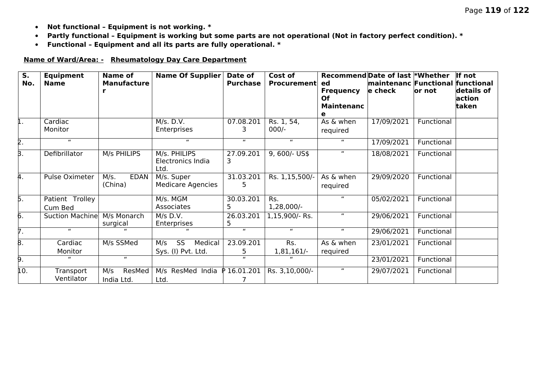- **Not functional Equipment is not working. \***
- **Partly functional Equipment is working but some parts are not operational (Not in factory perfect condition). \***
- **Functional Equipment and all its parts are fully operational. \***

## **Name of Ward/Area: - Rheumatology Day Care Department**

| S.<br>No. | <b>Equipment</b><br><b>Name</b> | <b>Name of</b><br><b>Manufacture</b><br>r | Name Of Supplier                                  | Date of<br><b>Purchase</b> | Cost of<br><b>Procurement</b> | Recommend Date of last *Whether<br>ed<br><b>Frequency</b><br>Of<br><b>Maintenanc</b><br>e | maintenanc Functional functional<br>$e$ check | lor not    | If not<br>details of<br>action<br>taken |
|-----------|---------------------------------|-------------------------------------------|---------------------------------------------------|----------------------------|-------------------------------|-------------------------------------------------------------------------------------------|-----------------------------------------------|------------|-----------------------------------------|
| μ.        | Cardiac<br>Monitor              |                                           | M/s. D.V.<br>Enterprises                          | 07.08.201<br>3             | Rs. 1, 54,<br>$000/-$         | As & when<br>required                                                                     | 17/09/2021                                    | Functional |                                         |
| 2.        | $\overline{u}$                  |                                           | $\overline{u}$                                    | $\overline{u}$             | $\boldsymbol{u}$              | $\overline{u}$                                                                            | 17/09/2021                                    | Functional |                                         |
| В.        | Defibrillator                   | M/s PHILIPS                               | M/s. PHILIPS<br><b>Electronics India</b><br>Ltd.  | 27.09.201<br>3             | 9, 600/- US\$                 | $\boldsymbol{u}$                                                                          | 18/08/2021                                    | Functional |                                         |
| 4.        | Pulse Oximeter                  | <b>EDAN</b><br>M/s.<br>(China)            | M/s. Super<br><b>Medicare Agencies</b>            | 31.03.201<br>5             | Rs. 1,15,500/-                | As & when<br>required                                                                     | 29/09/2020                                    | Functional |                                         |
| Б.        | Patient Trolley<br>Cum Bed      |                                           | M/s. MGM<br>Associates                            | 30.03.201<br>5             | Rs.<br>1,28,000/-             | $\overline{u}$                                                                            | 05/02/2021                                    | Functional |                                         |
| Б.        | Suction Machine                 | M/s Monarch<br>surgical                   | $M/s$ D.V.<br>Enterprises                         | 26.03.201<br>5             | 1,15,900/- Rs.                | $\overline{u}$                                                                            | 29/06/2021                                    | Functional |                                         |
| 7.        | $\overline{u}$                  | $\overline{u}$                            | $\overline{u}$                                    | $\overline{u}$             | $\boldsymbol{u}$              | $\overline{u}$                                                                            | 29/06/2021                                    | Functional |                                         |
| 8.        | Cardiac<br>Monitor              | M/s SSMed                                 | <b>SS</b><br>Medical<br>M/s<br>Sys. (I) Pvt. Ltd. | 23.09.201<br>5             | Rs.<br>1,81,161/-             | As & when<br>required                                                                     | 23/01/2021                                    | Functional |                                         |
| 9.        | $\mathbf{u}$                    | $\overline{u}$                            |                                                   | $\overline{u}$             |                               |                                                                                           | 23/01/2021                                    | Functional |                                         |
| 10.       | Transport<br>Ventilator         | ResMed<br>M/s<br>India Ltd.               | M/s ResMed India $\overline{P}$ 16.01.201<br>Ltd. |                            | Rs. 3,10,000/-                | $\overline{u}$                                                                            | 29/07/2021                                    | Functional |                                         |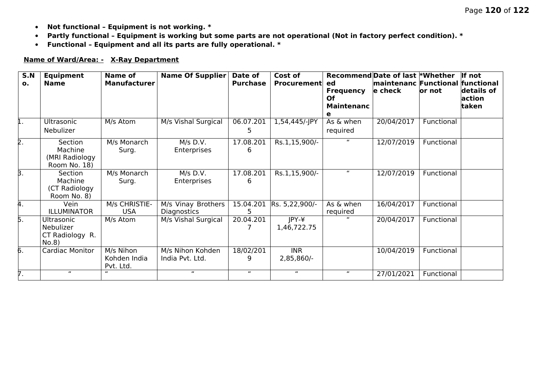- **Not functional Equipment is not working. \***
- **Partly functional Equipment is working but some parts are not operational (Not in factory perfect condition). \***
- **Functional Equipment and all its parts are fully operational. \***

### **Name of Ward/Area: - X-Ray Department**

| S.N<br>$\mathbf{o}$ . | <b>Equipment</b><br><b>Name</b>                            | <b>Name of</b><br><b>Manufacturer</b>  | <b>Name Of Supplier</b>             | Date of<br><b>Purchase</b> | Cost of<br><b>Procurement</b> | ed<br><b>Frequency</b><br>Of<br><b>Maintenanc</b><br>е | Recommend Date of last *Whether<br><b>maintenanc Functional</b><br>$e$ check | lor not    | If not<br>functional<br>details of<br>action<br>taken |
|-----------------------|------------------------------------------------------------|----------------------------------------|-------------------------------------|----------------------------|-------------------------------|--------------------------------------------------------|------------------------------------------------------------------------------|------------|-------------------------------------------------------|
| Ш.                    | <b>Ultrasonic</b><br>Nebulizer                             | M/s Atom                               | M/s Vishal Surgical                 | 06.07.201<br>5.            | 1,54,445/-JPY                 | As & when<br>required                                  | 20/04/2017                                                                   | Functional |                                                       |
| þ.                    | Section<br>Machine<br>(MRI Radiology<br>Room No. 18)       | M/s Monarch<br>Surg.                   | $M/s$ D.V.<br>Enterprises           | 17.08.201<br>6             | Rs.1,15,900/-                 |                                                        | 12/07/2019                                                                   | Functional |                                                       |
| Β.                    | Section<br>Machine<br>(CT Radiology<br>Room No. 8)         | M/s Monarch<br>Surg.                   | $M/s$ D.V.<br>Enterprises           | 17.08.201<br>6             | Rs.1,15,900/-                 | $\overline{u}$                                         | 12/07/2019                                                                   | Functional |                                                       |
| 4.                    | Vein<br><b>ILLUMINATOR</b>                                 | M/s CHRISTIE-<br><b>USA</b>            | M/s Vinay Brothers<br>Diagnostics   | 15.04.201<br>5.            | Rs. 5,22,900/-                | As & when<br>required                                  | 16/04/2017                                                                   | Functional |                                                       |
| Б.                    | <b>Ultrasonic</b><br>Nebulizer<br>CT Radiology R.<br>No.8) | M/s Atom                               | M/s Vishal Surgical                 | 20.04.201                  | $IPY-$<br>1,46,722.75         |                                                        | 20/04/2017                                                                   | Functional |                                                       |
| 6.                    | Cardiac Monitor                                            | M/s Nihon<br>Kohden India<br>Pvt. Ltd. | M/s Nihon Kohden<br>India Pvt. Ltd. | 18/02/201<br>9             | <b>INR</b><br>2,85,860/-      |                                                        | 10/04/2019                                                                   | Functional |                                                       |
| 7.                    | $\overline{u}$                                             | $\overline{u}$                         | $\boldsymbol{u}$                    | $\boldsymbol{u}$           | $\boldsymbol{u}$              | $\overline{u}$                                         | 27/01/2021                                                                   | Functional |                                                       |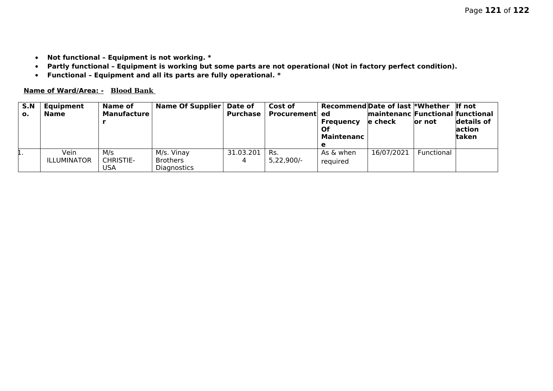- **Not functional Equipment is not working. \***
- **Partly functional Equipment is working but some parts are not operational (Not in factory perfect condition).**
- **Functional Equipment and all its parts are fully operational. \***

#### **Name of Ward/Area: - Blood Bank**

| S.N | <b>Equipment</b>   | Name of            | Name Of Supplier   Date of |           | Cost of        | Recommend Date of last *Whether If not |                                         |            |                      |
|-----|--------------------|--------------------|----------------------------|-----------|----------------|----------------------------------------|-----------------------------------------|------------|----------------------|
| О.  | <b>Name</b>        | <b>Manufacture</b> |                            | Purchase  | Procurement ed |                                        | <b>maintenanc Functional functional</b> |            |                      |
|     |                    |                    |                            |           |                | <b>Frequency</b><br>Of                 | $\mathsf{\mathsf{le}}\ \mathsf{check}$  | lor not    | details of<br>action |
|     |                    |                    |                            |           |                | <b>Maintenanc</b>                      |                                         |            | taken                |
|     |                    |                    |                            |           |                | е                                      |                                         |            |                      |
| μ.  | Vein               | M/s                | M/s. Vinay                 | 31.03.201 | Rs.            | As & when                              | 16/07/2021                              | Functional |                      |
|     | <b>ILLUMINATOR</b> | <b>CHRISTIE-</b>   | <b>Brothers</b>            |           | $5,22,900/-$   | required                               |                                         |            |                      |
|     |                    | USA                | <b>Diagnostics</b>         |           |                |                                        |                                         |            |                      |